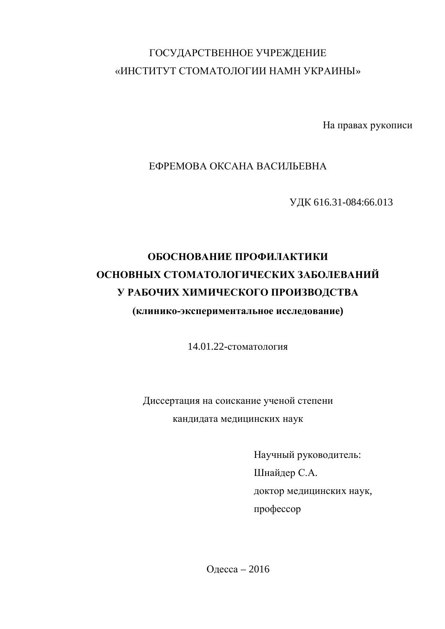## ГОСУДАРСТВЕННОЕ УЧРЕЖДЕНИЕ «ИНСТИТУТ СТОМАТОЛОГИИ НАМН УКРАИНЫ»

На правах рукописи

### ЕФРЕМОВА ОКСАНА ВАСИЛЬЕВНА

ɍȾɄ 616.31-084:66.013

# ОБОСНОВАНИЕ ПРОФИЛАКТИКИ **ОСНОВНЫХ СТОМАТОЛОГИЧЕСКИХ ЗАБОЛЕВАНИЙ У РАБОЧИХ ХИМИЧЕСКОГО ПРОИЗВОДСТВА**

### (клинико-экспериментальное исследование)

14.01.22-стоматология

Диссертация на соискание ученой степени кандидата медицинских наук

> Научный руководитель: Шнайдер С.А. доктор медицинских наук, προφeccop

Олесса – 2016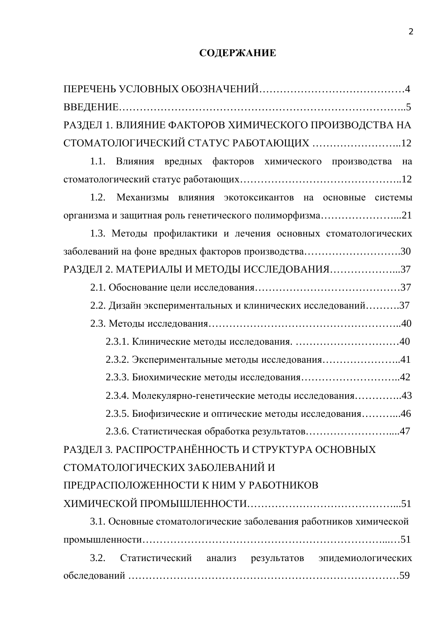# СОДЕРЖАНИЕ

| РАЗДЕЛ 1. ВЛИЯНИЕ ФАКТОРОВ ХИМИЧЕСКОГО ПРОИЗВОДСТВА НА            |  |  |  |
|-------------------------------------------------------------------|--|--|--|
| СТОМАТОЛОГИЧЕСКИЙ СТАТУС РАБОТАЮЩИХ 12                            |  |  |  |
| Влияния вредных факторов химического производства на<br>1.1.      |  |  |  |
|                                                                   |  |  |  |
| 1.2. Механизмы влияния экотоксикантов на основные системы         |  |  |  |
| организма и защитная роль генетического полиморфизма21            |  |  |  |
| 1.3. Методы профилактики и лечения основных стоматологических     |  |  |  |
| заболеваний на фоне вредных факторов производства30               |  |  |  |
| РАЗДЕЛ 2. МАТЕРИАЛЫ И МЕТОДЫ ИССЛЕДОВАНИЯ37                       |  |  |  |
|                                                                   |  |  |  |
| 2.2. Дизайн экспериментальных и клинических исследований37        |  |  |  |
|                                                                   |  |  |  |
|                                                                   |  |  |  |
| 2.3.2. Экспериментальные методы исследования41                    |  |  |  |
|                                                                   |  |  |  |
| 2.3.4. Молекулярно-генетические методы исследования43             |  |  |  |
| 2.3.5. Биофизические и оптические методы исследования46           |  |  |  |
|                                                                   |  |  |  |
| РАЗДЕЛ З. РАСПРОСТРАНЁННОСТЬ И СТРУКТУРА ОСНОВНЫХ                 |  |  |  |
| СТОМАТОЛОГИЧЕСКИХ ЗАБОЛЕВАНИЙ И                                   |  |  |  |
| ПРЕДРАСПОЛОЖЕННОСТИ К НИМ У РАБОТНИКОВ                            |  |  |  |
|                                                                   |  |  |  |
| 3.1. Основные стоматологические заболевания работников химической |  |  |  |
|                                                                   |  |  |  |
| 3.2.<br>Статистический анализ результатов эпидемиологических      |  |  |  |
|                                                                   |  |  |  |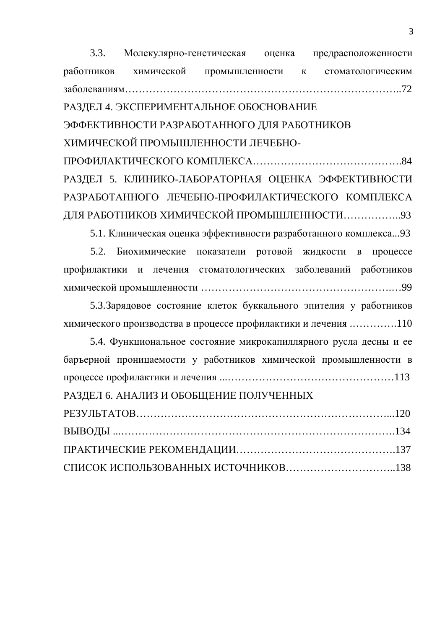3.3. Молекулярно-генетическая оценка предрасположенности работников химической промышленности к стоматологическим ɡɚɛɨɥɟɜɚɧɢɹɦ……………………………………………………………………..72 РАЗДЕЛ 4. ЭКСПЕРИМЕНТАЛЬНОЕ ОБОСНОВАНИЕ ЭФФЕКТИВНОСТИ РАЗРАБОТАННОГО ДЛЯ РАБОТНИКОВ ХИМИЧЕСКОЙ ПРОМЫШЛЕННОСТИ ЛЕЧЕБНОɉɊɈɎɂɅȺɄɌɂɑȿɋɄɈȽɈɄɈɆɉɅȿɄɋȺ…………………………………….84 РАЗДЕЛ 5. КЛИНИКО-ЛАБОРАТОРНАЯ ОЦЕНКА ЭФФЕКТИВНОСТИ РАЗРАБОТАННОГО ЛЕЧЕБНО-ПРОФИЛАКТИЧЕСКОГО КОМПЛЕКСА ДЛЯ РАБОТНИКОВ ХИМИЧЕСКОЙ ПРОМЫШЛЕННОСТИ……………...93

5.1. Клиническая оценка эффективности разработанного комплекса...93

5.2. Биохимические показатели ротовой жидкости в процессе профилактики и лечения стоматологических заболеваний работников химической промышленности ………………………………………………………………………99

5.3. Зарядовое состояние клеток буккального эпителия у работников химического производства в процессе профилактики и лечения ...............110

| 5.4. Функциональное состояние микрокапиллярного русла десны и ее |  |
|------------------------------------------------------------------|--|
| баръерной проницаемости у работников химической промышленности в |  |
|                                                                  |  |
| РАЗДЕЛ 6. АНАЛИЗ И ОБОБЩЕНИЕ ПОЛУЧЕННЫХ                          |  |
|                                                                  |  |
|                                                                  |  |
|                                                                  |  |
|                                                                  |  |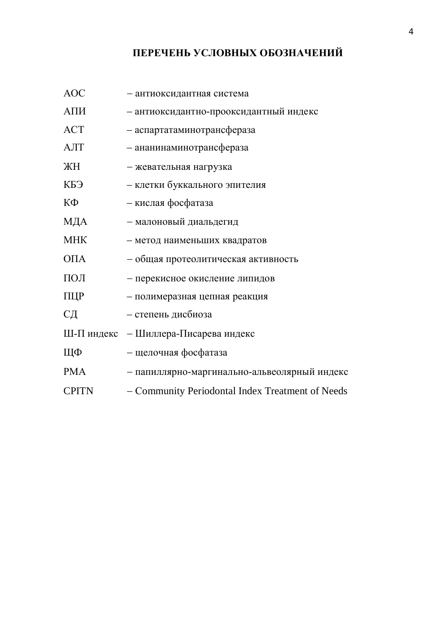### ПЕРЕЧЕНЬ УСЛОВНЫХ ОБОЗНАЧЕНИЙ

| <b>AOC</b>        | - антиоксидантная система                        |
|-------------------|--------------------------------------------------|
| АПИ               | - антиоксидантно-прооксидантный индекс           |
| <b>ACT</b>        | - аспартатаминотрансфераза                       |
| AЛT               | - ананинаминотрансфераза                         |
| ЖH                | - жевательная нагрузка                           |
| КБЭ               | - клетки буккального эпителия                    |
| КФ                | - кислая фосфатаза                               |
| МДА               | - малоновый диальдегид                           |
| <b>MHK</b>        | - метод наименьших квадратов                     |
| O <sub>II</sub> A | - общая протеолитическая активность              |
| $\Pi$ ОЛ          | - перекисное окисление липидов                   |
| ПЦР               | - полимеразная цепная реакция                    |
| CД                | - степень дисбиоза                               |
|                   | Ш-П индекс - Шиллера-Писарева индекс             |
| ЩФ                | - щелочная фосфатаза                             |
| <b>PMA</b>        | - папиллярно-маргинально-альвеолярный индекс     |
| <b>CPITN</b>      | - Community Periodontal Index Treatment of Needs |
|                   |                                                  |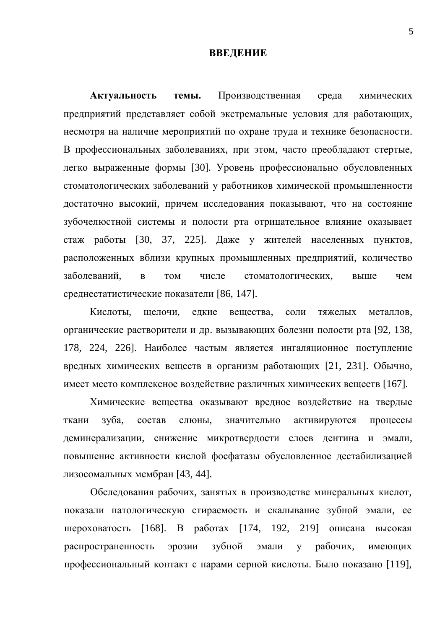#### **ВВЕДЕНИЕ**

Актуальность темы. Производственная среда химических предприятий представляет собой экстремальные условия для работающих, несмотря на наличие мероприятий по охране труда и технике безопасности. В профессиональных заболеваниях, при этом, часто преобладают стертые, легко выраженные формы [30]. Уровень профессионально обусловленных стоматологических заболеваний у работников химической промышленности достаточно высокий, причем исследования показывают, что на состояние зубочелюстной системы и полости рта отрицательное влияние оказывает стаж работы [30, 37, 225]. Даже у жителей населенных пунктов, расположенных вблизи крупных промышленных предприятий, количество заболеваний. в том числе стоматологических. выше чем среднестатистические показатели [86, 147].

Кислоты, щелочи, едкие вещества, соли тяжелых металлов, органические растворители и др. вызывающих болезни полости рта [92, 138, 178, 224, 226]. Наиболее частым является ингаляционное поступление вредных химических веществ в организм работающих [21, 231]. Обычно, имеет место комплексное воздействие различных химических веществ [167].

Химические вещества оказывают вредное воздействие на твердые ткани зуба, состав слюны, значительно активируются процессы деминерализации, снижение микротвердости слоев дентина и эмали, повышение активности кислой фосфатазы обусловленное дестабилизацией лизосомальных мембран [43, 44].

Обследования рабочих, занятых в производстве минеральных кислот, показали патологическую стираемость и скалывание зубной эмали, ее шероховатость [168]. В работах [174, 192, 219] описана высокая распространенность эрозии зубной эмали у рабочих, имеющих профессиональный контакт с парами серной кислоты. Было показано [119],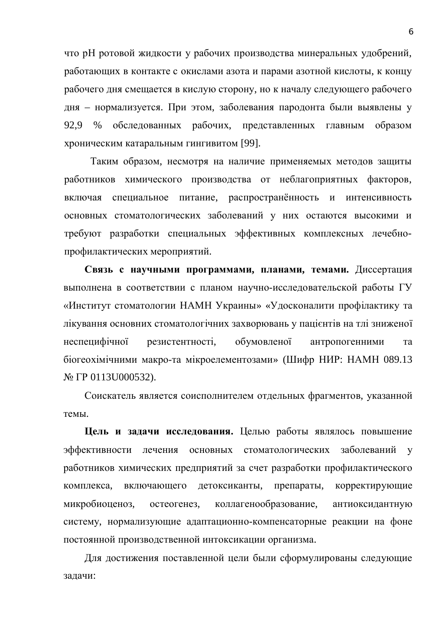что рН ротовой жидкости у рабочих производства минеральных удобрений, работающих в контакте с окислами азота и парами азотной кислоты, к концу рабочего дня смещается в кислую сторону, но к началу следующего рабочего дня – нормализуется. При этом, заболевания пародонта были выявлены у 92,9 % обследованных рабочих, представленных главным образом хроническим катаральным гингивитом [99].

Таким образом, несмотря на наличие применяемых методов защиты работников химического производства от неблагоприятных факторов, включая специальное питание, распространённость и интенсивность основных стоматологических заболеваний у них остаются высокими и требуют разработки специальных эффективных комплексных лечебнопрофилактических мероприятий.

Связь с научными программами, планами, темами. Диссертация выполнена в соответствии с планом научно-исследовательской работы ГУ «Институт стоматологии НАМН Украины» «Удосконалити профілактику та лікування основних стоматологічних захворювань у пацієнтів на тлі зниженої неспецифічної резистентності. обумовленої антропогенними та біогеохімічними макро-та мікроелементозами» (Шифр НИР: НАМН 089.13 N<sub>2</sub> ΓΡ 0113U000532).

Соискатель является соисполнителем отдельных фрагментов, указанной темы

**Цель и задачи исследования.** Целью работы являлось повышение эффективности лечения основных стоматологических заболеваний у работников химических предприятий за счет разработки профилактического комплекса, включающего детоксиканты, препараты, корректирующие микробиоценоз, остеогенез, коллагенообразование, антиоксидантную систему, нормализующие адаптационно-компенсаторные реакции на фоне постоянной производственной интоксикации организма.

Для достижения поставленной цели были сформулированы следующие задачи: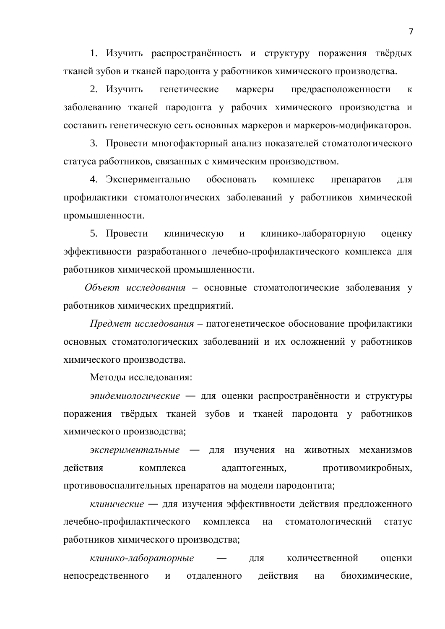1. Изучить распространённость и структуру поражения твёрдых тканей зубов и тканей пародонта у работников химического производства.

2. Изучить генетические маркеры предрасположенности к заболеванию тканей пародонта у рабочих химического производства и составить генетическую сеть основных маркеров и маркеров-модификаторов.

3. Провести многофакторный анализ показателей стоматологического статуса работников, связанных с химическим производством.

4. Экспериментально обосновать комплекс препаратов для профилактики стоматологических заболеваний у работников химической промышленности.

5. Провести клиническую и клинико-лабораторную оценку эффективности разработанного лечебно-профилактического комплекса для работников химической промышленности.

Объект исследования - основные стоматологические заболевания у работников химических предприятий.

*Предмет исследования* – патогенетическое обоснование профилактики основных стоматологических заболеваний и их осложнений у работников химического производства.

Методы исследования:

эпидемиологические — для оценки распространённости и структуры поражения твёрдых тканей зубов и тканей пародонта у работников химического производства;

экспериментальные - для изучения на животных механизмов действия комплекса адаптогенных, противомикробных, противовоспалительных препаратов на модели пародонтита;

*клинические* — для изучения эффективности действия предложенного лечебно-профилактического комплекса на стоматологический статус работников химического производства;

*клинико-лабораторные* — для количественной оценки непосредственного и отдаленного действия на биохимические,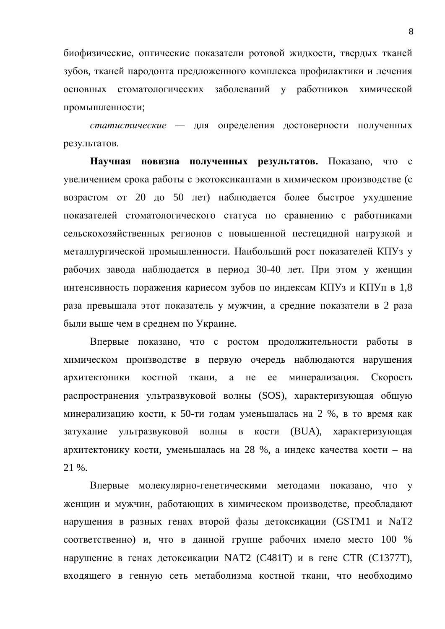биофизические, оптические показатели ротовой жидкости, твердых тканей зубов, тканей пародонта предложенного комплекса профилактики и лечения основных стоматологических заболеваний у работников химической промышленности;

*статистические* — для определения достоверности полученных результатов.

Научная новизна полученных результатов. Показано, что с увеличением срока работы с экотоксикантами в химическом производстве (с возрастом от 20 до 50 лет) наблюдается более быстрое ухудшение показателей стоматологического статуса по сравнению с работниками сельскохозяйственных регионов с повышенной пестецидной нагрузкой и металлургической промышленности. Наибольший рост показателей КПУз у рабочих завода наблюдается в период 30-40 лет. При этом у женщин интенсивность поражения кариесом зубов по индексам КПУз и КПУп в 1,8 раза превышала этот показатель у мужчин, а средние показатели в 2 раза были выше чем в среднем по Украине.

Впервые показано, что с ростом продолжительности работы в химическом производстве в первую очередь наблюдаются нарушения архитектоники костной ткани, а не ее минерализация. Скорость распространения ультразвуковой волны (SOS), характеризующая общую минерализацию кости, к 50-ти годам уменьшалась на 2 %, в то время как затухание ультразвуковой волны в кости (BUA), характеризующая архитектонику кости, уменьшалась на 28 %, а индекс качества кости – на 21 %.

Впервые молекулярно-генетическими методами показано, что у женщин и мужчин, работающих в химическом производстве, преобладают нарушения в разных генах второй фазы детоксикации (GSTM1 и NaT2 соответственно) и, что в данной группе рабочих имело место 100 % нарушение в генах детоксикации NAT2 (C481T) и в гене СТR (C1377T), входящего в генную сеть метаболизма костной ткани, что необходимо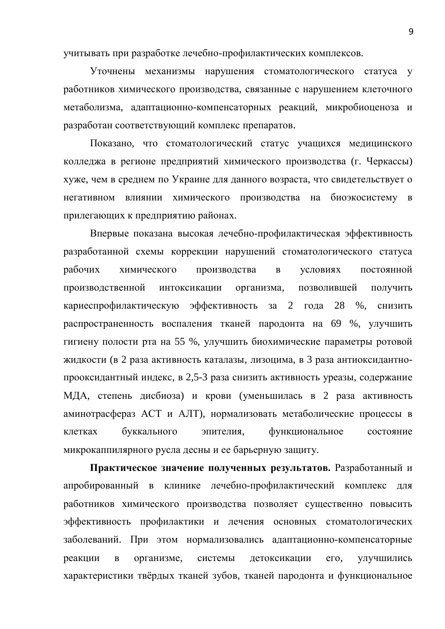учитывать при разработке лечебно-профилактических комплексов.

Уточнены механизмы нарушения стоматологического статуса у работников химического производства, связанные с нарушением клеточного метаболизма, адаптационно-компенсаторных реакций, микробиоценоза и разработан соответствующий комплекс препаратов.

Показано, что стоматологический статус учащихся медицинского колледжа в регионе предприятий химического производства (г. Черкассы) хуже, чем в среднем по Украине для данного возраста, что свидетельствует о негативном влиянии химического производства на биоэкосистему в прилегающих к предприятию районах.

Впервые показана высокая лечебно-профилактическая эффективность разработанной схемы коррекции нарушений стоматологического статуса рабочих химического производства в условиях постоянной производственной интоксикации организма, позволившей получить кариеспрофилактическую эффективность за 2 года 28 %, снизить распространенность воспаления тканей пародонта на 69 %, улучшить гигиену полости рта на 55 %, улучшить биохимические параметры ротовой жидкости (в 2 раза активность каталазы, лизоцима, в 3 раза антиоксидантнопрооксидантный индекс, в 2,5-3 раза снизить активность уреазы, содержание МДА, степень дисбиоза) и крови (уменьшилась в 2 раза активность аминотрасфераз АСТ и АЛТ), нормализовать метаболические процессы в клетках буккального эпителия, функциональное состояние микрокаппилярного русла десны и ее барьерную защиту.

Практическое значение полученных результатов. Разработанный и апробированный в клинике лечебно-профилактический комплекс для работников химического производства позволяет существенно повысить эффективность профилактики и лечения основных стоматологических заболеваний. При этом нормализовались адаптационно-компенсаторные реакции в организме, системы детоксикации его, улучшились характеристики твёрдых тканей зубов, тканей пародонта и функциональное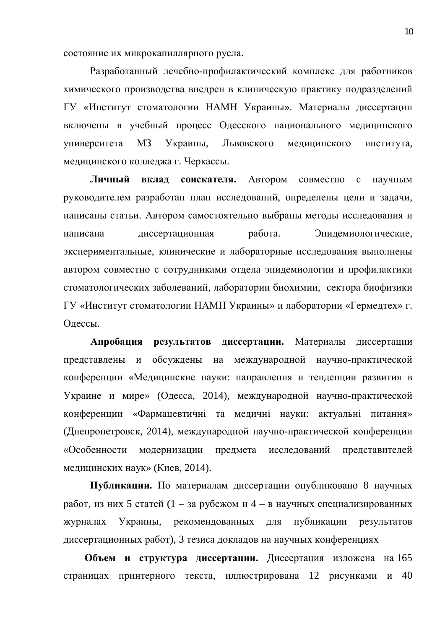состояние их микрокапиллярного русла.

Разработанный лечебно-профилактический комплекс для работников химического производства внедрен в клиническую практику подразделений ГУ «Институт стоматологии НАМН Украины». Материалы диссертации включены в учебный процесс Одесского национального медицинского университета МЗ Украины, Львовского медицинского института, медицинского колледжа г. Черкассы.

**Личный вклад соискателя.** Автором совместно с научным руководителем разработан план исследований, определены цели и задачи, написаны статьи. Автором самостоятельно выбраны методы исследования и написана диссертационная работа. Эпидемиологические, экспериментальные, клинические и лабораторные исследования выполнены автором совместно с сотрудниками отдела эпидемиологии и профилактики стоматологических заболеваний, лаборатории биохимии, сектора биофизики ГУ «Институт стоматологии НАМН Украины» и лаборатории «Гермедтех» г. Олессы.

Апробация результатов диссертации. Материалы диссертации представлены и обсуждены на международной научно-практической конференции «Медицинские науки: направления и тенденции развития в Украине и мире» (Одесса, 2014), международной научно-практической конференции «Фармацевтичні та медичні науки: актуальні питання» (Днепропетровск, 2014), международной научно-практической конференции «Особенности модернизации предмета исследований представителей медицинских наук» (Киев, 2014).

Публикации. По материалам диссертации опубликовано 8 научных работ, из них 5 статей (1 – за рубежом и 4 – в научных специализированных журналах Украины, рекомендованных для публикации результатов диссертационных работ), 3 тезиса докладов на научных конференциях

**Объем и структура диссертации.** Диссертация изложена на 165 страницах принтерного текста, иллюстрирована 12 рисунками и 40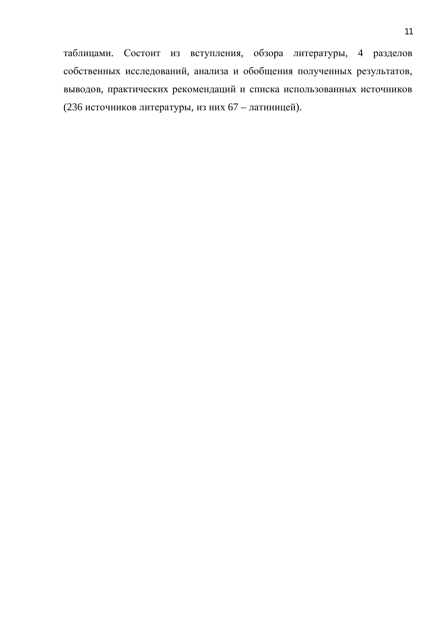таблицами. Состоит из вступления, обзора литературы, 4 разделов собственных исследований, анализа и обобщения полученных результатов, выводов, практических рекомендаций и списка использованных источников (236 источников литературы, из них 67 – латиницей).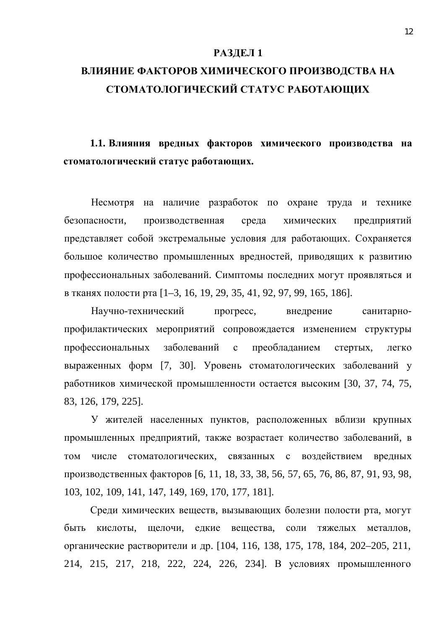#### **РАЗДЕЛ 1**

# ВЛИЯНИЕ ФАКТОРОВ ХИМИЧЕСКОГО ПРОИЗВОДСТВА НА СТОМАТОЛОГИЧЕСКИЙ СТАТУС РАБОТАЮШИХ

1.1. Влияния вредных факторов химического производства на стоматологический статус работающих.

Несмотря на наличие разработок по охране труда и технике безопасности, производственная среда химических предприятий представляет собой экстремальные условия для работающих. Сохраняется большое количество промышленных вредностей, приводящих к развитию профессиональных заболеваний. Симптомы последних могут проявляться и в тканях полости рта [1–3, 16, 19, 29, 35, 41, 92, 97, 99, 165, 186].

Научно-технический прогресс, внедрение санитарнопрофилактических мероприятий сопровождается изменением структуры профессиональных заболеваний с преобладанием стертых, легко выраженных форм [7, 30]. Уровень стоматологических заболеваний у работников химической промышленности остается высоким [30, 37, 74, 75, 83, 126, 179, 225].

У жителей населенных пунктов, расположенных вблизи крупных промышленных предприятий, также возрастает количество заболеваний, в том числе стоматологических, связанных с воздействием вредных производственных факторов [6, 11, 18, 33, 38, 56, 57, 65, 76, 86, 87, 91, 93, 98, 103, 102, 109, 141, 147, 149, 169, 170, 177, 181].

Среди химических веществ, вызывающих болезни полости рта, могут быть кислоты, шелочи, елкие вешества, соли тяжелых металлов, органические растворители и др. [104, 116, 138, 175, 178, 184, 202–205, 211, 214, 215, 217, 218, 222, 224, 226, 234]. В условиях промышленного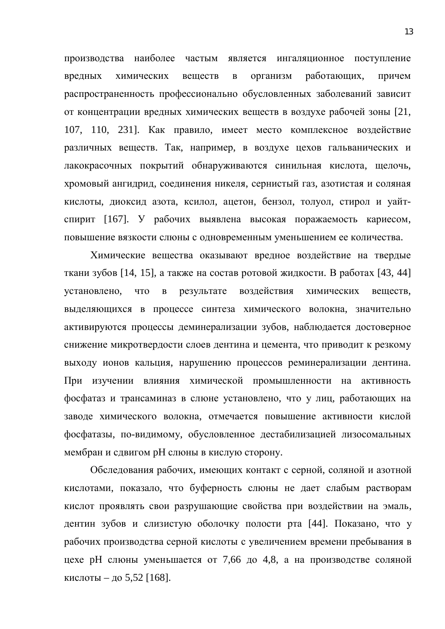производства наиболее частым является ингаляционное поступление вредных химических веществ в организм работающих, причем распространенность профессионально обусловленных заболеваний зависит от концентрации вредных химических веществ в воздухе рабочей зоны [21, 107, 110, 231]. Как правило, имеет место комплексное воздействие различных веществ. Так, например, в воздухе цехов гальванических и лакокрасочных покрытий обнаруживаются синильная кислота, щелочь, хромовый ангидрид, соединения никеля, сернистый газ, азотистая и соляная кислоты, диоксид азота, ксилол, ацетон, бензол, толуол, стирол и уайтспирит [167]. У рабочих выявлена высокая поражаемость кариесом, повышение вязкости слюны с одновременным уменьшением ее количества.

Химические вещества оказывают вредное воздействие на твердые ткани зубов [14, 15], а также на состав ротовой жидкости. В работах [43, 44] установлено, что в результате воздействия химических веществ, выделяющихся в процессе синтеза химического волокна, значительно активируются процессы деминерализации зубов, наблюдается достоверное снижение микротвердости слоев дентина и цемента, что приводит к резкому выходу ионов кальция, нарушению процессов реминерализации дентина. При изучении влияния химической промышленности на активность фосфатаз и трансаминаз в слюне установлено, что у лиц, работающих на заводе химического волокна, отмечается повышение активности кислой фосфатазы, по-видимому, обусловленное дестабилизацией лизосомальных мембран и сдвигом рН слюны в кислую сторону.

Обследования рабочих, имеющих контакт с серной, соляной и азотной кислотами, показало, что буферность слюны не дает слабым растворам кислот проявлять свои разрушающие свойства при воздействии на эмаль, дентин зубов и слизистую оболочку полости рта [44]. Показано, что у рабочих производства серной кислоты с увеличением времени пребывания в цехе рН слюны уменьшается от 7,66 до 4,8, а на производстве соляной кислоты – до 5,52 [168].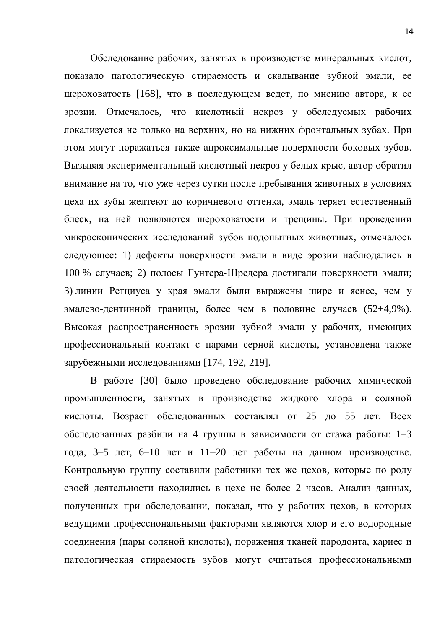Обследование рабочих, занятых в производстве минеральных кислот, показало патологическую стираемость и скалывание зубной эмали, ее шероховатость [168], что в последующем ведет, по мнению автора, к ее эрозии. Отмечалось, что кислотный некроз у обследуемых рабочих локализуется не только на верхних, но на нижних фронтальных зубах. При этом могут поражаться также апроксимальные поверхности боковых зубов. Вызывая экспериментальный кислотный некроз у белых крыс, автор обратил внимание на то, что уже через сутки после пребывания животных в условиях цеха их зубы желтеют до коричневого оттенка, эмаль теряет естественный блеск, на ней появляются шероховатости и трещины. При проведении микроскопических исследований зубов подопытных животных, отмечалось следующее: 1) дефекты поверхности эмали в виде эрозии наблюдались в 100 % случаев; 2) полосы Гунтера-Шредера достигали поверхности эмали; 3) линии Ретциуса у края эмали были выражены шире и яснее, чем у эмалево-дентинной границы, более чем в половине случаев (52+4,9%). Высокая распространенность эрозии зубной эмали у рабочих, имеющих профессиональный контакт с парами серной кислоты, установлена также зарубежными исследованиями [174, 192, 219].

В работе [30] было проведено обследование рабочих химической промышленности, занятых в производстве жидкого хлора и соляной кислоты. Возраст обследованных составлял от 25 до 55 лет. Всех обследованных разбили на 4 группы в зависимости от стажа работы: 1–3 года, 3–5 лет, 6–10 лет и 11–20 лет работы на данном производстве. Контрольную группу составили работники тех же цехов, которые по роду своей деятельности находились в цехе не более 2 часов. Анализ данных, полученных при обследовании, показал, что у рабочих цехов, в которых ведущими профессиональными факторами являются хлор и его водородные соединения (пары соляной кислоты), поражения тканей пародонта, кариес и патологическая стираемость зубов могут считаться профессиональными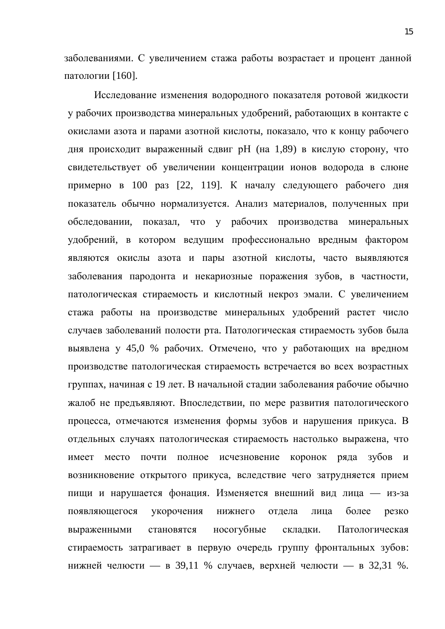заболеваниями. С увеличением стажа работы возрастает и процент данной патологии [160].

Исследование изменения водородного показателя ротовой жидкости у рабочих производства минеральных удобрений, работающих в контакте с окислами азота и парами азотной кислоты, показало, что к концу рабочего дня происходит выраженный сдвиг рН (на 1,89) в кислую сторону, что свидетельствует об увеличении концентрации ионов водорода в слюне примерно в 100 раз [22, 119]. К началу следующего рабочего дня показатель обычно нормализуется. Анализ материалов, полученных при обследовании, показал, что у рабочих производства минеральных удобрений, в котором ведущим профессионально вредным фактором являются окислы азота и пары азотной кислоты, часто выявляются заболевания пародонта и некариозные поражения зубов, в частности, патологическая стираемость и кислотный некроз эмали. С увеличением стажа работы на производстве минеральных удобрений растет число случаев заболеваний полости рта. Патологическая стираемость зубов была выявлена у 45,0 % рабочих. Отмечено, что у работающих на вредном производстве патологическая стираемость встречается во всех возрастных группах, начиная с 19 лет. В начальной стадии заболевания рабочие обычно жалоб не предъявляют. Впоследствии, по мере развития патологического процесса, отмечаются изменения формы зубов и нарушения прикуса. В отдельных случаях патологическая стираемость настолько выражена, что имеет место почти полное исчезновение коронок ряда зубов и возникновение открытого прикуса, вследствие чего затрудняется прием пищи и нарушается фонация. Изменяется внешний вид лица — из-за появляющегося укорочения нижнего отдела лица более резко выраженными становятся носогубные складки. Патологическая стираемость затрагивает в первую очередь группу фронтальных зубов: нижней челюсти — в 39,11 % случаев, верхней челюсти — в 32,31 %.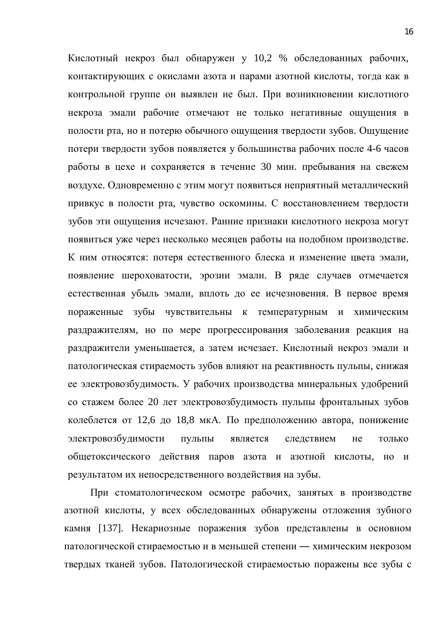Кислотный некроз был обнаружен у 10,2 % обследованных рабочих, контактирующих с окислами азота и парами азотной кислоты, тогда как в контрольной группе он выявлен не был. При возникновении кислотного некроза эмали рабочие отмечают не только негативные ощущения в полости рта, но и потерю обычного ощущения твердости зубов. Ощущение потери твердости зубов появляется у большинства рабочих после 4-6 часов работы в цехе и сохраняется в течение 30 мин. пребывания на свежем воздухе. Одновременно с этим могут появиться неприятный металлический привкус в полости рта, чувство оскомины. С восстановлением твердости зубов эти ощущения исчезают. Ранние признаки кислотного некроза могут появиться уже через несколько месяцев работы на подобном производстве. К ним относятся: потеря естественного блеска и изменение цвета эмали, появление шероховатости, эрозии эмали. В ряде случаев отмечается естественная убыль эмали, вплоть до ее исчезновения. В первое время пораженные зубы чувствительны к температурным и химическим раздражителям, но по мере прогрессирования заболевания реакция на раздражители уменьшается, а затем исчезает. Кислотный некроз эмали и патологическая стираемость зубов влияют на реактивность пульпы, снижая ее электровозбудимость. У рабочих производства минеральных удобрений со стажем более 20 лет электровозбудимость пульпы фронтальных зубов колеблется от 12,6 до 18,8 мкА. По предположению автора, понижение электровозбудимости пульпы является следствием не только общетоксического действия паров азота и азотной кислоты, но и результатом их непосредственного воздействия на зубы.

При стоматологическом осмотре рабочих, занятых в производстве азотной кислоты, у всех обследованных обнаружены отложения зубного камня [137]. Некариозные поражения зубов представлены в основном патологической стираемостью и в меньшей степени — химическим некрозом твердых тканей зубов. Патологической стираемостью поражены все зубы с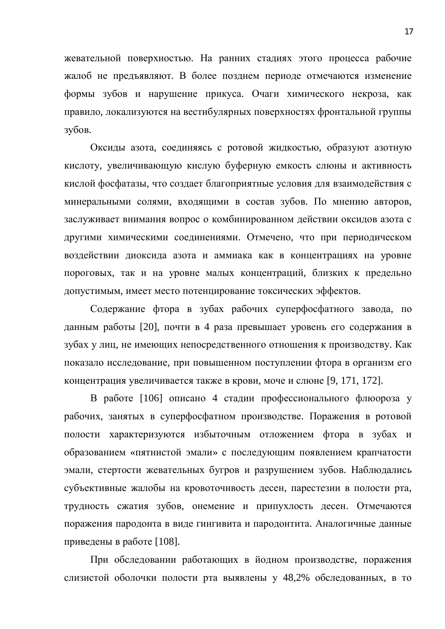жевательной поверхностью. На ранних стадиях этого процесса рабочие жалоб не предъявляют. В более позднем периоде отмечаются изменение формы зубов и нарушение прикуса. Очаги химического некроза, как правило, локализуются на вестибулярных поверхностях фронтальной группы зубов.

Оксиды азота, соединяясь с ротовой жидкостью, образуют азотную кислоту, увеличивающую кислую буферную емкость слюны и активность кислой фосфатазы, что создает благоприятные условия для взаимодействия с минеральными солями, входящими в состав зубов. По мнению авторов, заслуживает внимания вопрос о комбинированном действии оксидов азота с другими химическими соединениями. Отмечено, что при периодическом воздействии диоксида азота и аммиака как в концентрациях на уровне пороговых, так и на уровне малых концентраций, близких к предельно допустимым, имеет место потенцирование токсических эффектов.

Содержание фтора в зубах рабочих суперфосфатного завода, по данным работы [20], почти в 4 раза превышает уровень его содержания в зубах у лиц, не имеющих непосредственного отношения к производству. Как показало исследование, при повышенном поступлении фтора в организм его концентрация увеличивается также в крови, моче и слюне [9, 171, 172].

В работе [106] описано 4 стадии профессионального флюороза у рабочих, занятых в суперфосфатном производстве. Поражения в ротовой полости характеризуются избыточным отложением фтора в зубах и образованием «пятнистой эмали» с последующим появлением крапчатости эмали, стертости жевательных бугров и разрушением зубов. Наблюдались субъективные жалобы на кровоточивость десен, парестезии в полости рта, трудность сжатия зубов, онемение и припухлость десен. Отмечаются поражения пародонта в виде гингивита и пародонтита. Аналогичные данные приведены в работе [108].

При обследовании работающих в йодном производстве, поражения слизистой оболочки полости рта выявлены у 48,2% обследованных, в то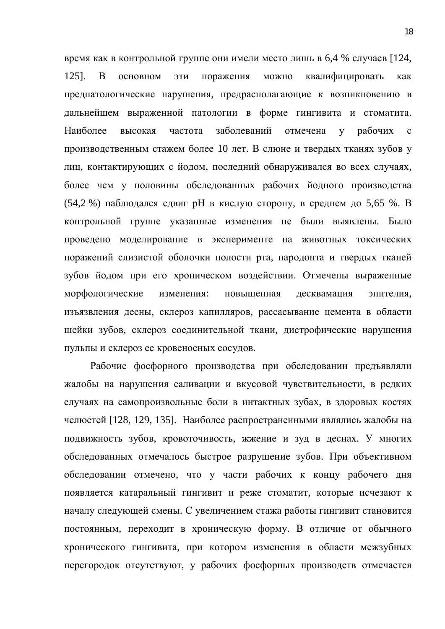время как в контрольной группе они имели место лишь в 6,4 % случаев [124, 125]. В основном эти поражения можно квалифицировать как предпатологические нарушения, предрасполагающие к возникновению в дальнейшем выраженной патологии в форме гингивита и стоматита. Наиболее высокая частота заболеваний отмечена у рабочих с производственным стажем более 10 лет. В слюне и твердых тканях зубов у лиц, контактирующих с йодом, последний обнаруживался во всех случаях, более чем у половины обследованных рабочих йодного производства (54,2 %) наблюдался сдвиг рН в кислую сторону, в среднем до 5,65 %. В контрольной группе указанные изменения не были выявлены. Было проведено моделирование в эксперименте на животных токсических поражений слизистой оболочки полости рта, пародонта и твердых тканей зубов йодом при его хроническом воздействии. Отмечены выраженные морфологические изменения: повышенная десквамация эпителия, изъязвления десны, склероз капилляров, рассасывание цемента в области шейки зубов, склероз соединительной ткани, дистрофические нарушения пульпы и склероз ее кровеносных сосудов.

Рабочие фосфорного производства при обследовании предъявляли жалобы на нарушения саливации и вкусовой чувствительности, в редких случаях на самопроизвольные боли в интактных зубах, в здоровых костях челюстей [128, 129, 135]. Наиболее распространенными являлись жалобы на подвижность зубов, кровоточивость, жжение и зуд в деснах. У многих обследованных отмечалось быстрое разрушение зубов. При объективном обследовании отмечено, что у части рабочих к концу рабочего дня появляется катаральный гингивит и реже стоматит, которые исчезают к началу следующей смены. С увеличением стажа работы гингивит становится постоянным, переходит в хроническую форму. В отличие от обычного хронического гингивита, при котором изменения в области межзубных перегородок отсутствуют, у рабочих фосфорных производств отмечается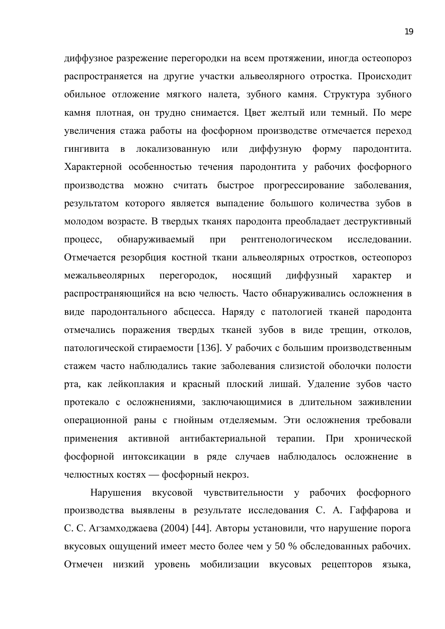диффузное разрежение перегородки на всем протяжении, иногда остеопороз распространяется на другие участки альвеолярного отростка. Происходит обильное отложение мягкого налета, зубного камня. Структура зубного камня плотная, он трудно снимается. Цвет желтый или темный. По мере увеличения стажа работы на фосфорном производстве отмечается переход гингивита в локализованную или диффузную форму пародонтита. Характерной особенностью течения пародонтита у рабочих фосфорного производства можно считать быстрое прогрессирование заболевания, результатом которого является выпадение большого количества зубов в молодом возрасте. В твердых тканях пародонта преобладает деструктивный процесс, обнаруживаемый при рентгенологическом исследовании. Отмечается резорбция костной ткани альвеолярных отростков, остеопороз межальвеолярных перегородок, носящий диффузный характер и распространяющийся на всю челюсть. Часто обнаруживались осложнения в виде пародонтального абсцесса. Наряду с патологией тканей пародонта отмечались поражения твердых тканей зубов в виде трещин, отколов, патологической стираемости [136]. У рабочих с большим производственным стажем часто наблюдались такие заболевания слизистой оболочки полости рта, как лейкоплакия и красный плоский лишай. Удаление зубов часто протекало с осложнениями, заключающимися в длительном заживлении операционной раны с гнойным отделяемым. Эти осложнения требовали применения активной антибактериальной терапии. При хронической фосфорной интоксикации в ряде случаев наблюдалось осложнение в челюстных костях — фосфорный некроз.

Нарушения вкусовой чувствительности у рабочих фосфорного производства выявлены в результате исследования С. А. Гаффарова и С. С. Агзамходжаева (2004) [44]. Авторы установили, что нарушение порога вкусовых ощущений имеет место более чем у 50 % обследованных рабочих. Отмечен низкий уровень мобилизации вкусовых рецепторов языка,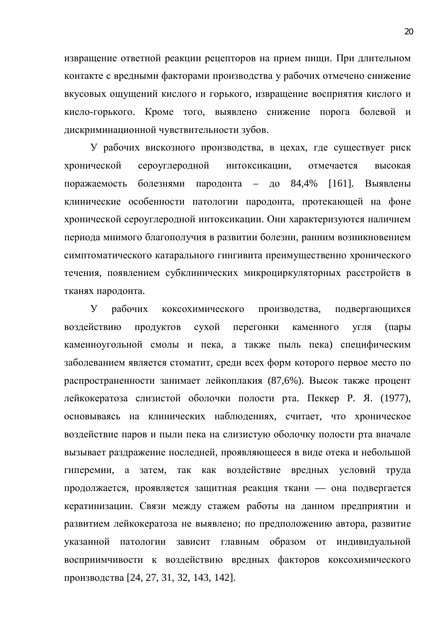извращение ответной реакции рецепторов на прием пищи. При длительном контакте с вредными факторами производства у рабочих отмечено снижение вкусовых ощущений кислого и горького, извращение восприятия кислого и кисло-горького. Кроме того, выявлено снижение порога болевой и дискриминационной чувствительности зубов.

У рабочих вискозного производства, в цехах, где существует риск хронической сероуглеродной интоксикации, отмечается высокая поражаемость болезнями пародонта – до 84,4% [161]. Выявлены клинические особенности патологии пародонта, протекающей на фоне хронической сероуглеродной интоксикации. Они характеризуются наличием периода мнимого благополучия в развитии болезни, ранним возникновением симптоматического катарального гингивита преимущественно хронического течения, появлением субклинических микроциркуляторных расстройств в тканях пародонта.

У рабочих коксохимического производства, подвергающихся воздействию продуктов сухой перегонки каменного угля (пары каменноугольной смолы и пека, а также пыль пека) специфическим заболеванием является стоматит, среди всех форм которого первое место по распространенности занимает лейкоплакия (87,6%). Высок также процент лейкокератоза слизистой оболочки полости рта. Пеккер Р. Я. (1977), основываясь на клинических наблюдениях, считает, что хроническое воздействие паров и пыли пека на слизистую оболочку полости рта вначале вызывает раздражение последней, проявляющееся в виде отека и небольшой гиперемии, а затем, так как воздействие вредных условий труда продолжается, проявляется защитная реакция ткани — она подвергается кератинизации. Связи между стажем работы на данном предприятии и развитием лейкокератоза не выявлено; по предположению автора, развитие указанной патологии зависит главным образом от индивидуальной восприимчивости к воздействию вредных факторов коксохимического производства [24, 27, 31, 32, 143, 142].

20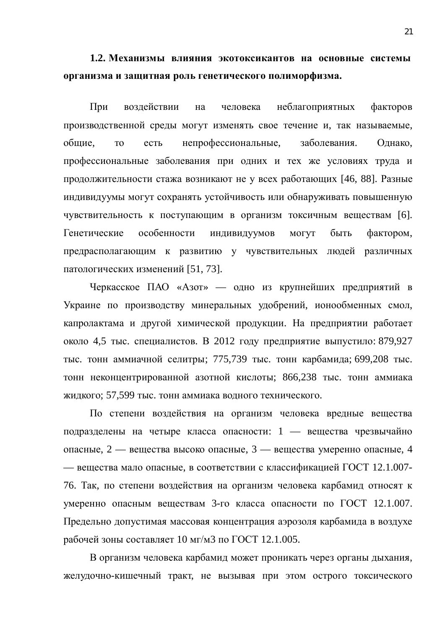1.2. Механизмы влияния экотоксикантов на основные системы **урганизма и защитная роль генетического полиморфизма.** 

При воздействии на человека неблагоприятных факторов производственной среды могут изменять свое течение и, так называемые, общие, то есть непрофессиональные, заболевания. Однако, профессиональные заболевания при одних и тех же условиях труда и продолжительности стажа возникают не у всех работающих [46, 88]. Разные индивидуумы могут сохранять устойчивость или обнаруживать повышенную чувствительность к поступающим в организм токсичным веществам [6]. Генетические особенности индивидуумов могут быть фактором, предрасполагающим к развитию у чувствительных людей различных патологических изменений [51, 73].

Черкасское ПАО «Азот» — одно из крупнейших предприятий в Украине по производству минеральных удобрений, ионообменных смол, капролактама и другой химической продукции. На предприятии работает около 4,5 тыс. специалистов. В 2012 году предприятие выпустило: 879,927 тыс. тонн аммиачной селитры; 775,739 тыс. тонн карбамида; 699,208 тыс. тонн неконцентрированной азотной кислоты; 866,238 тыс. тонн аммиака жидкого; 57,599 тыс. тонн аммиака водного технического.

По степени воздействия на организм человека вредные вещества подразделены на четыре класса опасности: 1 — вещества чрезвычайно опасные, 2 — вещества высоко опасные, 3 — вещества умеренно опасные, 4 — вещества мало опасные, в соответствии с классификацией ГОСТ 12.1.007-76. Так, по степени воздействия на организм человека карбамид относят к умеренно опасным веществам 3-го класса опасности по ГОСТ 12.1.007. Предельно допустимая массовая концентрация аэрозоля карбамида в воздухе рабочей зоны составляет  $10 \text{ m/s}$  по ГОСТ 12.1.005.

В организм человека карбамид может проникать через органы дыхания, желудочно-кишечный тракт, не вызывая при этом острого токсического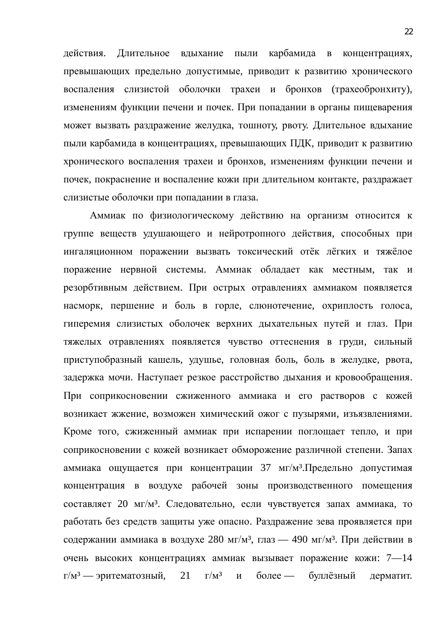действия. Длительное вдыхание пыли карбамида в концентрациях, превышающих предельно допустимые, приводит к развитию хронического воспаления слизистой оболочки трахеи и бронхов (трахеобронхиту), изменениям функции печени и почек. При попадании в органы пищеварения может вызвать раздражение желудка, тошноту, рвоту. Длительное вдыхание пыли карбамида в концентрациях, превышающих ПДК, приводит к развитию хронического воспаления трахеи и бронхов, изменениям функции печени и почек, покраснение и воспаление кожи при длительном контакте, раздражает слизистые оболочки при попадании в глаза.

Аммиак по физиологическому действию на организм относится к группе веществ удушающего и нейротропного действия, способных при ингаляционном поражении вызвать токсический отёк лёгких и тяжёлое поражение нервной системы. Аммиак обладает как местным, так и резорбтивным действием. При острых отравлениях аммиаком появляется насморк, першение и боль в горле, слюнотечение, охриплость голоса, гиперемия слизистых оболочек верхних дыхательных путей и глаз. При тяжелых отравлениях появляется чувство оттеснения в груди, сильный приступобразный кашель, удушье, головная боль, боль в желудке, рвота, задержка мочи. Наступает резкое расстройство дыхания и кровообращения. При соприкосновении сжиженного аммиака и его растворов с кожей возникает жжение, возможен химический ожог с пузырями, изъязвлениями. Кроме того, сжиженный аммиак при испарении поглощает тепло, и при соприкосновении с кожей возникает обморожение различной степени. Запах аммиака ощущается при концентрации 37 мг/м<sup>3</sup>. Предельно допустимая концентрация в воздухе рабочей зоны производственного помещения составляет 20 мг/м<sup>3</sup>. Следовательно, если чувствуется запах аммиака, то работать без средств защиты уже опасно. Раздражение зева проявляется при содержании аммиака в воздухе 280 мг/м<sup>3</sup>, глаз — 490 мг/м<sup>3</sup>. При действии в очень высоких концентрациях аммиак вызывает поражение кожи: 7-14  $\Gamma/M^3$  — эритематозный, 21  $\Gamma/M^3$  и более — буллёзный дерматит.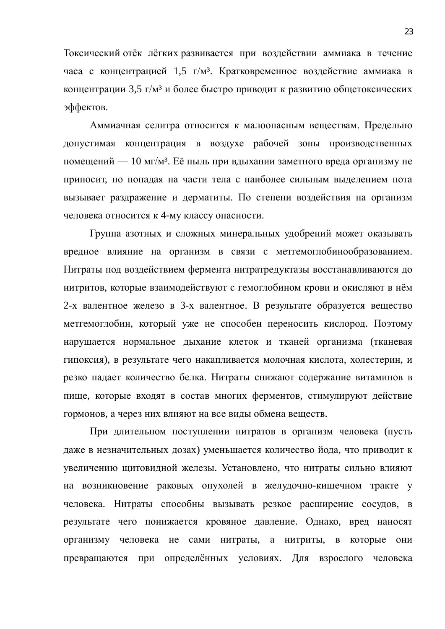Токсический отёк лёгких развивается при воздействии аммиака в течение часа с концентрацией 1,5 г/м<sup>3</sup>. Кратковременное воздействие аммиака в концентрации 3,5 г/м<sup>3</sup> и более быстро приводит к развитию общетоксических эффектов.

Аммиачная селитра относится к малоопасным веществам. Предельно допустимая концентрация в воздухе рабочей зоны производственных помещений — 10 мг/м<sup>3</sup>. Её пыль при вдыхании заметного вреда организму не приносит, но попадая на части тела с наиболее сильным выделением пота вызывает раздражение и дерматиты. По степени воздействия на организм человека относится к 4-му классу опасности.

Группа азотных и сложных минеральных удобрений может оказывать вредное влияние на организм в связи с метгемоглобинообразованием. Нитраты под воздействием фермента нитратредуктазы восстанавливаются до нитритов, которые взаимодействуют с гемоглобином крови и окисляют в нём 2-х валентное железо в 3-х валентное. В результате образуется вещество метгемоглобин, который уже не способен переносить кислород. Поэтому нарушается нормальное дыхание клеток и тканей организма (тканевая гипоксия), в результате чего накапливается молочная кислота, холестерин, и резко падает количество белка. Нитраты снижают содержание витаминов в пище, которые входят в состав многих ферментов, стимулируют действие гормонов, а через них влияют на все виды обмена веществ.

При длительном поступлении нитратов в организм человека (пусть даже в незначительных дозах) уменьшается количество йода, что приводит к увеличению щитовидной железы. Установлено, что нитраты сильно влияют на возникновение раковых опухолей в желудочно-кишечном тракте у человека. Нитраты способны вызывать резкое расширение сосудов, в результате чего понижается кровяное давление. Однако, вред наносят организму человека не сами нитраты, а нитриты, в которые они превращаются при определённых условиях. Для взрослого человека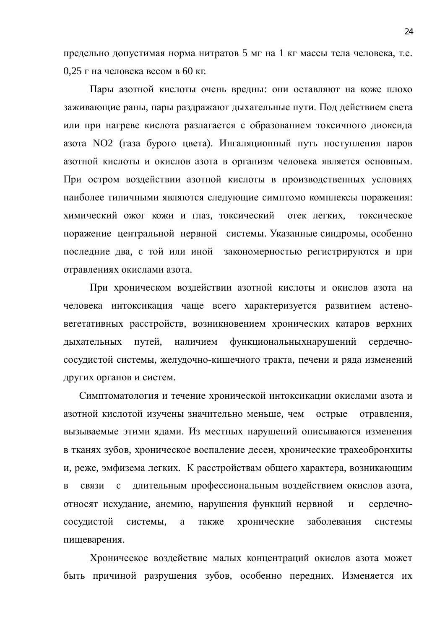предельно допустимая норма нитратов 5 мг на 1 кг массы тела человека, т.е.  $0.25$  г на человека весом в 60 кг.

Пары азотной кислоты очень вредны: они оставляют на коже плохо заживающие раны, пары раздражают дыхательные пути. Под действием света или при нагреве кислота разлагается с образованием токсичного диоксида азота NO2 (газа бурого цвета). Ингаляционный путь поступления паров азотной кислоты и окислов азота в организм человека является основным. При остром воздействии азотной кислоты в производственных условиях наиболее типичными являются следующие симптомо комплексы поражения: химический ожог кожи и глаз, токсический отек легких, токсическое поражение центральной нервной системы. Указанные синдромы, особенно последние два, с той или иной закономерностью регистрируются и при отравлениях окислами азота.

При хроническом воздействии азотной кислоты и окислов азота на человека интоксикация чаще всего характеризуется развитием астеновегетативных расстройств, возникновением хронических катаров верхних дыхательных путей, наличием функциональныхнарушений сердечнососудистой системы, желудочно-кишечного тракта, печени и ряда изменений других органов и систем.

Симптоматология и течение хронической интоксикации окислами азота и азотной кислотой изучены значительно меньше, чем острые отравления, вызываемые этими ядами. Из местных нарушений описываются изменения в тканях зубов, хроническое воспаление десен, хронические трахеобронхиты и, реже, эмфизема легких. К расстройствам общего характера, возникающим в связи с длительным профессиональным воздействием окислов азота, относят исхудание, анемию, нарушения функций нервной и сердечнососудистой системы, а также хронические заболевания системы пищеварения.

Хроническое воздействие малых концентраций окислов азота может быть причиной разрушения зубов, особенно передних. Изменяется их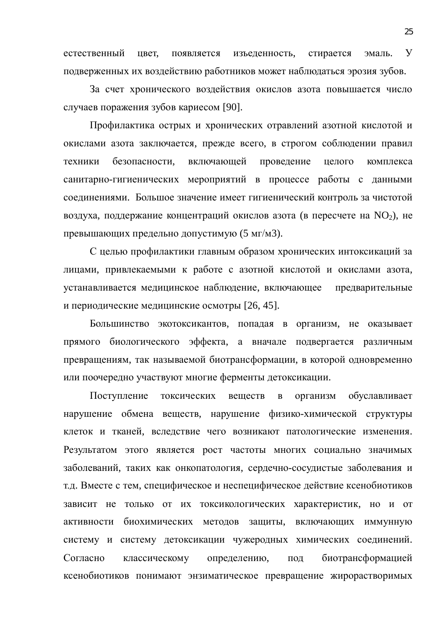естественный цвет, появляется изъеденность, стирается эмаль. У подверженных их воздействию работников может наблюдаться эрозия зубов.

За счет хронического воздействия окислов азота повышается число случаев поражения зубов кариесом [90].

Профилактика острых и хронических отравлений азотной кислотой и окислами азота заключается, прежде всего, в строгом соблюдении правил техники безопасности, включающей проведение целого комплекса санитарно-гигиенических мероприятий в процессе работы с данными соединениями. Большое значение имеет гигиенический контроль за чистотой воздуха, поддержание концентраций окислов азота (в пересчете на  $NO_2$ ), не превышающих предельно допустимую (5 мг/м3).

С целью профилактики главным образом хронических интоксикаций за лицами, привлекаемыми к работе с азотной кислотой и окислами азота, устанавливается медицинское наблюдение, включающее предварительные и периодические медицинские осмотры [26, 45].

Большинство экотоксикантов, попадая в организм, не оказывает прямого биологического эффекта, а вначале подвергается различным превращениям, так называемой биотрансформации, в которой одновременно или поочередно участвуют многие ферменты детоксикации.

Поступление токсических веществ в организм обуславливает нарушение обмена веществ, нарушение физико-химической структуры клеток и тканей, вследствие чего возникают патологические изменения. Результатом этого является рост частоты многих социально значимых заболеваний, таких как онкопатология, сердечно-сосудистые заболевания и т.д. Вместе с тем, специфическое и неспецифическое действие ксенобиотиков зависит не только от их токсикологических характеристик, но и от активности биохимических методов защиты, включающих иммунную систему и систему детоксикации чужеродных химических соединений. Согласно классическому определению, под биотрансформацией ксенобиотиков понимают энзиматическое превращение жирорастворимых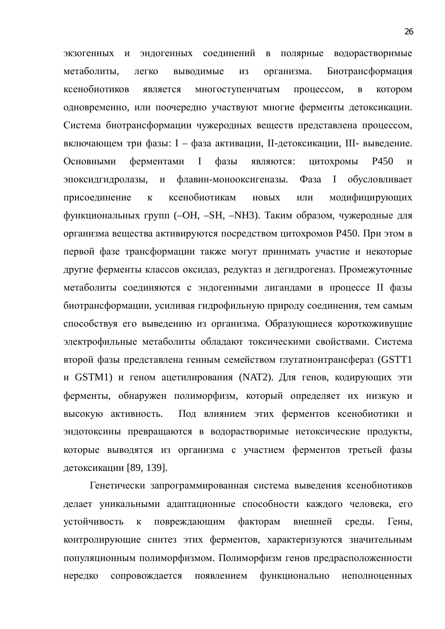экзогенных и эндогенных соединений в полярные водорастворимые метаболиты, легко выводимые из организма. Биотрансформация ксенобиотиков является многоступенчатым процессом, в котором одновременно, или поочередно участвуют многие ферменты детоксикации. Система биотрансформации чужеродных веществ представлена процессом, включающем три фазы: I – фаза активации, II-детоксикации, III- выведение. Основными ферментами I фазы являются: цитохромы P450 и эпоксидгидролазы, и флавин-монооксигеназы. Фаза I обусловливает присоединение к ксенобиотикам новых или модифицирующих функциональных групп (–OH, –SH, –NH3). Таким образом, чужеродные для организма вещества активируются посредством цитохромов Р450. При этом в первой фазе трансформации также могут принимать участие и некоторые другие ферменты классов оксидаз, редуктаз и дегидрогеназ. Промежуточные метаболиты соединяются с эндогенными лигандами в процессе II фазы биотрансформации, усиливая гидрофильную природу соединения, тем самым способствуя его выведению из организма. Образующиеся короткоживущие электрофильные метаболиты обладают токсическими свойствами. Система второй фазы представлена генным семейством глутатионтрансфераз (GSTT1 и GSTM1) и геном ацетилирования (NAT2). Для генов, кодирующих эти ферменты, обнаружен полиморфизм, который определяет их низкую и высокую активность. Под влиянием этих ферментов ксенобиотики и эндотоксины превращаются в водорастворимые нетоксические продукты, которые выводятся из организма с участием ферментов третьей фазы детоксикации [89, 139].

Генетически запрограммированная система выведения ксенобиотиков делает уникальными адаптационные способности каждого человека, его үстойчивость к повреждающим факторам внешней среды. Гены, контролирующие синтез этих ферментов, характеризуются значительным популяционным полиморфизмом. Полиморфизм генов предрасположенности нередко сопровождается появлением функционально неполноценных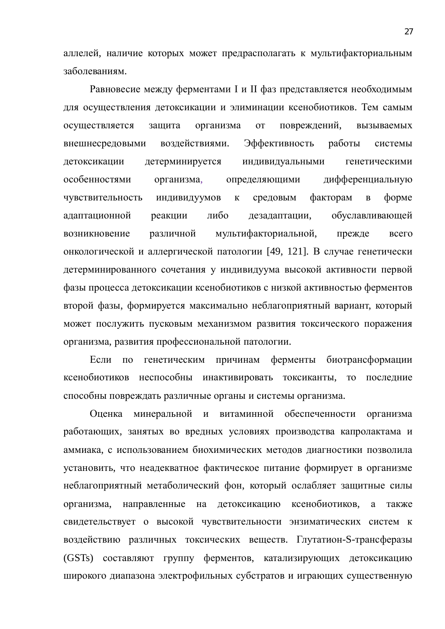аллелей, наличие которых может предрасполагать к мультифакториальным заболеваниям.

Равновесие между ферментами I и II фаз представляется необходимым для осуществления детоксикации и элиминации ксенобиотиков. Тем самым осуществляется защита организма от повреждений, вызываемых внешнесредовыми воздействиями. Эффективность работы системы детоксикации детерминируется индивидуальными генетическими особенностями организма, определяющими дифференциальную чувствительность индивидуумов к средовым факторам в форме адаптационной реакции либо дезадаптации, обуславливающей возникновение различной мультифакториальной, прежде всего онкологической и аллергической патологии [49, 121]. В случае генетически детерминированного сочетания у индивидуума высокой активности первой фазы процесса детоксикации ксенобиотиков с низкой активностью ферментов второй фазы, формируется максимально неблагоприятный вариант, который может послужить пусковым механизмом развития токсического поражения организма, развития профессиональной патологии.

Если по генетическим причинам ферменты биотрансформации ксенобиотиков неспособны инактивировать токсиканты, то последние способны повреждать различные органы и системы организма.

Оценка минеральной и витаминной обеспеченности организма работающих, занятых во вредных условиях производства капролактама и аммиака, с использованием биохимических методов диагностики позволила установить, что неадекватное фактическое питание формирует в организме неблагоприятный метаболический фон, который ослабляет защитные силы организма, направленные на детоксикацию ксенобиотиков, а также свидетельствует о высокой чувствительности энзиматических систем к воздействию различных токсических веществ. Глутатион-S-трансферазы (GSTs) составляют группу ферментов, катализирующих детоксикацию широкого диапазона электрофильных субстратов и играющих существенную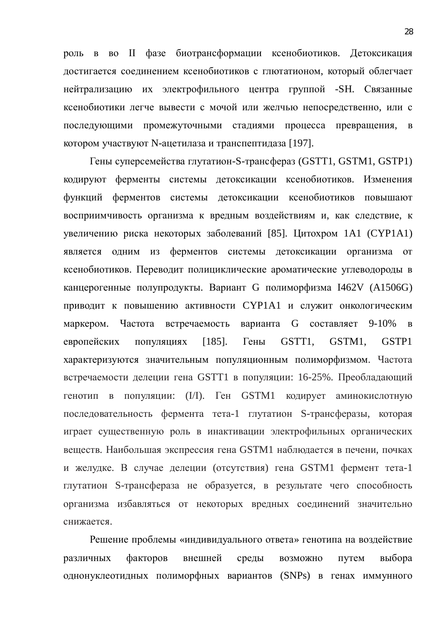роль в во II фазе биотрансформации ксенобиотиков. Детоксикация достигается соединением ксенобиотиков с глютатионом, который облегчает нейтрализацию их электрофильного центра группой -SH. Связанные ксенобиотики легче вывести с мочой или желчью непосредственно, или с последующими промежуточными стадиями процесса превращения, в котором участвуют N-ацетилаза и транспептидаза [197].

Гены суперсемейства глутатион-S-трансфераз (GSTT1, GSTM1, GSTP1) кодируют ферменты системы детоксикации ксенобиотиков. Изменения функций ферментов системы детоксикации ксенобиотиков повышают восприимчивость организма к вредным воздействиям и, как следствие, к увеличению риска некоторых заболеваний [85]. Цитохром 1A1 (CYP1A1) является одним из ферментов системы детоксикации организма от ксенобиотиков. Переводит полициклические ароматические углеводороды в канцерогенные полупродукты. Вариант G полиморфизма I462V (A1506G) приводит к повышению активности СҮР1А1 и служит онкологическим маркером. Частота встречаемость варианта G составляет 9-10% в европейских популяциях [185]. Гены GSTT1, GSTM1, GSTP1 характеризуются значительным популяционным полиморфизмом. Частота встречаемости делеции гена GSTT1 в популяции: 16-25%. Преобладающий генотип в популяции: (I/I). Ген GSTM1 кодирует аминокислотную последовательность фермента тета-1 глутатион S-трансферазы, которая играет существенную роль в инактивации электрофильных органических веществ. Наибольшая экспрессия гена GSTM1 наблюдается в печени, почках и желудке. В случае делеции (отсутствия) гена GSTM1 фермент тета-1 глутатион S-трансфераза не образуется, в результате чего способность организма избавляться от некоторых вредных соединений значительно снижается.

Решение проблемы «индивидуального ответа» генотипа на воздействие различных факторов внешней среды возможно путем выбора однонуклеотидных полиморфных вариантов (SNPs) в генах иммунного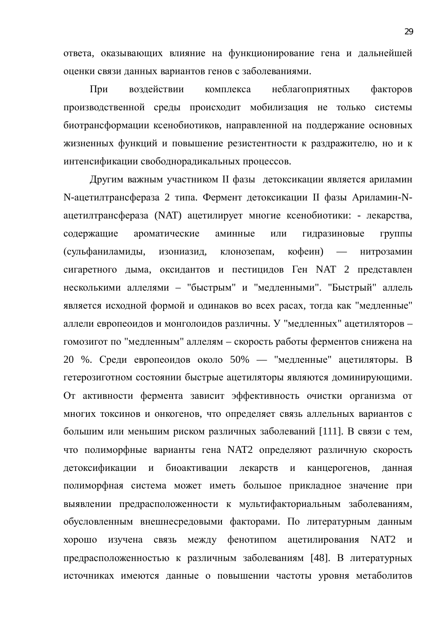ответа, оказывающих влияние на функционирование гена и дальнейшей оценки связи данных вариантов генов с заболеваниями.

При воздействии комплекса неблагоприятных факторов производственной среды происходит мобилизация не только системы биотрансформации ксенобиотиков, направленной на поддержание основных жизненных функций и повышение резистентности к раздражителю, но и к интенсификации свободнорадикальных процессов.

Другим важным участником II фазы детоксикации является ариламин N-ацетилтрансфераза 2 типа. Фермент детоксикации II фазы Ариламин-Nацетилтрансфераза (NAT) ацетилирует многие ксенобиотики: - лекарства, содержащие ароматические аминные или гидразиновые группы (сульфаниламиды, изониазид, клонозепам, кофеин) — нитрозамин сигаретного дыма, оксидантов и пестицидов Ген NAT 2 представлен несколькими аллелями – "быстрым" и "медленными". "Быстрый" аллель является исходной формой и одинаков во всех расах, тогда как "медленные" аллели европеоидов и монголоидов различны. У "медленных" ацетиляторов гомозигот по "медленным" аллелям – скорость работы ферментов снижена на 20 %. Среди европеоидов около 50% — "медленные" ацетиляторы. В гетерозиготном состоянии быстрые ацетиляторы являются доминирующими. От активности фермента зависит эффективность очистки организма от многих токсинов и онкогенов, что определяет связь аллельных вариантов с большим или меньшим риском различных заболеваний [111]. В связи с тем, что полиморфные варианты гена NAT2 определяют различную скорость детоксификации и биоактивации лекарств и канцерогенов, данная полиморфная система может иметь большое прикладное значение при выявлении предрасположенности к мультифакториальным заболеваниям, обусловленным внешнесредовыми факторами. По литературным данным хорошо изучена связь между фенотипом ацетилирования NAT2 и предрасположенностью к различным заболеваниям [48]. В литературных источниках имеются данные о повышении частоты уровня метаболитов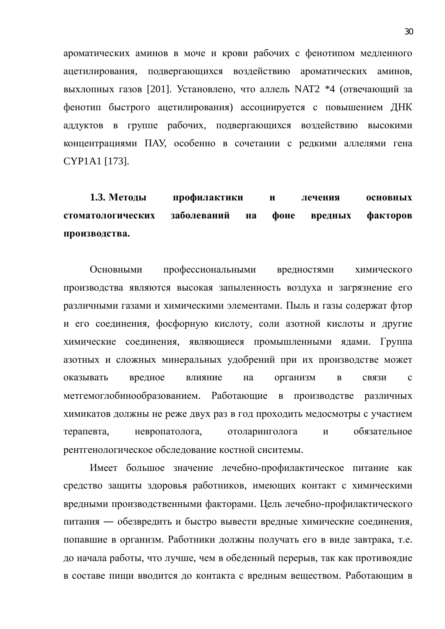ароматических аминов в моче и крови рабочих с фенотипом медленного ацетилирования, подвергающихся воздействию ароматических аминов, выхлопных газов [201]. Установлено, что аллель NAT2 \*4 (отвечающий за фенотип быстрого ацетилирования) ассоциируется с повышением ДНК аддуктов в группе рабочих, подвергающихся воздействию высокими концентрациями ПАУ, особенно в сочетании с редкими аллелями гена CYP1A1 [173].

1.3. Методы профилактики и лечения основных **стоматологических заболеваний на фоне вредных факторов** производства.

Основными профессиональными вредностями химического производства являются высокая запыленность воздуха и загрязнение его различными газами и химическими элементами. Пыль и газы содержат фтор и его соединения, фосфорную кислоту, соли азотной кислоты и другие химические соединения, являющиеся промышленными ядами. Группа азотных и сложных минеральных удобрений при их производстве может оказывать вредное влияние на организм в связи с метгемоглобинообразованием. Работающие в производстве различных химикатов должны не реже двух раз в год проходить медосмотры с участием терапевта, невропатолога, отоларинголога и обязательное рентгенологическое обследование костной сиситемы.

Имеет большое значение лечебно-профилактическое питание как средство защиты здоровья работников, имеющих контакт с химическими вредными производственными факторами. Цель лечебно-профилактического питания — обезвредить и быстро вывести вредные химические соединения, попавшие в организм. Работники должны получать его в виде завтрака, т.е. до начала работы, что лучше, чем в обеденный перерыв, так как противоядие в составе пищи вводится до контакта с вредным веществом. Работающим в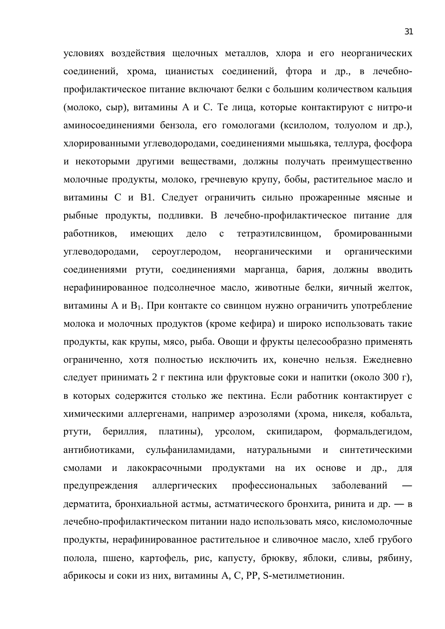условиях воздействия щелочных металлов, хлора и его неорганических соединений, хрома, цианистых соединений, фтора и др., в лечебнопрофилактическое питание включают белки с большим количеством кальция (молоко, сыр), витамины А и С. Те лица, которые контактируют с нитро-и аминосоединениями бензола, его гомологами (ксилолом, толуолом и др.), хлорированными углеводородами, соединениями мышьяка, теллура, фосфора и некоторыми другими веществами, должны получать преимущественно молочные продукты, молоко, гречневую крупу, бобы, растительное масло и витамины С и В1. Следует ограничить сильно прожаренные мясные и рыбные продукты, подливки. В лечебно-профилактическое питание для работников, имеющих дело с тетраэтилсвинцом, бромированными углеводородами, сероуглеродом, неорганическими и органическими соединениями ртути, соединениями марганца, бария, должны вводить нерафинированное подсолнечное масло, животные белки, яичный желток, витамины А и В<sub>1</sub>. При контакте со свинцом нужно ограничить употребление молока и молочных продуктов (кроме кефира) и широко использовать такие продукты, как крупы, мясо, рыба. Овощи и фрукты целесообразно применять ограниченно, хотя полностью исключить их, конечно нельзя. Ежедневно следует принимать 2 г пектина или фруктовые соки и напитки (около 300 г), в которых содержится столько же пектина. Если работник контактирует с химическими аллергенами, например аэрозолями (хрома, никеля, кобальта, ртути, бериллия, платины), урсолом, скипидаром, формальдегидом, антибиотиками, сульфаниламидами, натуральными и синтетическими смолами и лакокрасочными продуктами на их основе и др., для предупреждения аллергических профессиональных заболеваний дерматита, бронхиальной астмы, астматического бронхита, ринита и др. — в лечебно-профилактическом питании надо использовать мясо, кисломолочные продукты, нерафинированное растительное и сливочное масло, хлеб грубого полола, пшено, картофель, рис, капусту, брюкву, яблоки, сливы, рябину, абрикосы и соки из них, витамины А, С, PP, S-метилметионин.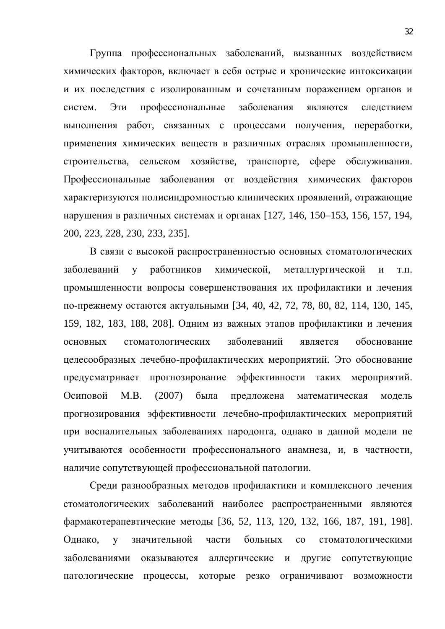Группа профессиональных заболеваний, вызванных воздействием химических факторов, включает в себя острые и хронические интоксикации и их последствия с изолированным и сочетанным поражением органов и систем. Эти профессиональные заболевания являются следствием выполнения работ, связанных с процессами получения, переработки, применения химических веществ в различных отраслях промышленности, строительства, сельском хозяйстве, транспорте, сфере обслуживания. Профессиональные заболевания от воздействия химических факторов характеризуются полисиндромностью клинических проявлений, отражающие нарушения в различных системах и органах [127, 146, 150–153, 156, 157, 194, 200, 223, 228, 230, 233, 235].

В связи с высокой распространенностью основных стоматологических заболеваний у работников химической, металлургической и т.п. промышленности вопросы совершенствования их профилактики и лечения по-прежнему остаются актуальными [34, 40, 42, 72, 78, 80, 82, 114, 130, 145, 159, 182, 183, 188, 208]. Одним из важных этапов профилактики и лечения основных стоматологических заболеваний является обоснование целесообразных лечебно-профилактических мероприятий. Это обоснование предусматривает прогнозирование эффективности таких мероприятий. Осиповой М.В. (2007) была предложена математическая модель прогнозирования эффективности лечебно-профилактических мероприятий при воспалительных заболеваниях пародонта, однако в данной модели не учитываются особенности профессионального анамнеза, и, в частности, наличие сопутствующей профессиональной патологии.

Среди разнообразных методов профилактики и комплексного лечения стоматологических заболеваний наиболее распространенными являются фармакотерапевтические методы [36, 52, 113, 120, 132, 166, 187, 191, 198]. Однако, у значительной части больных со стоматологическими заболеваниями оказываются аллергические и другие сопутствующие патологические процессы, которые резко ограничивают возможности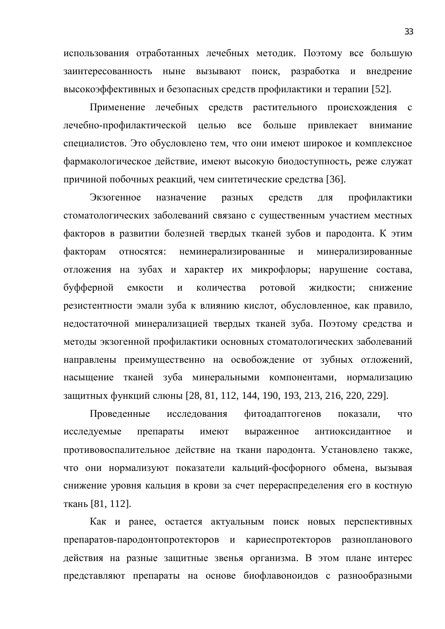использования отработанных лечебных методик. Поэтому все большую заинтересованность ныне вызывают поиск, разработка и внедрение высокоэффективных и безопасных средств профилактики и терапии [52].

Применение лечебных средств растительного происхождения с лечебно-профилактической целью все больше привлекает внимание специалистов. Это обусловлено тем, что они имеют широкое и комплексное фармакологическое действие, имеют высокую биодоступность, реже служат причиной побочных реакций, чем синтетические средства [36].

Экзогенное назначение разных средств для профилактики стоматологических заболеваний связано с существенным участием местных факторов в развитии болезней твердых тканей зубов и пародонта. К этим факторам относятся: неминерализированные и минерализированные отложения на зубах и характер их микрофлоры; нарушение состава, буфферной емкости и количества ротовой жидкости; снижение резистентности эмали зуба к влиянию кислот, обусловленное, как правило, недостаточной минерализацией твердых тканей зуба. Поэтому средства и методы экзогенной профилактики основных стоматологических заболеваний направлены преимущественно на освобождение от зубных отложений, насыщение тканей зуба минеральными компонентами, нормализацию защитных функций слюны [28, 81, 112, 144, 190, 193, 213, 216, 220, 229].

Проведенные исследования фитоадаптогенов показали, что исследуемые препараты имеют выраженное антиоксидантное и противовоспалительное действие на ткани пародонта. Установлено также, что они нормализуют показатели кальций-фосфорного обмена, вызывая снижение уровня кальция в крови за счет перераспределения его в костную ткань [81, 112].

Как и ранее, остается актуальным поиск новых перспективных препаратов-пародонтопротекторов и кариеспротекторов разнопланового действия на разные защитные звенья организма. В этом плане интерес представляют препараты на основе биофлавоноидов с разнообразными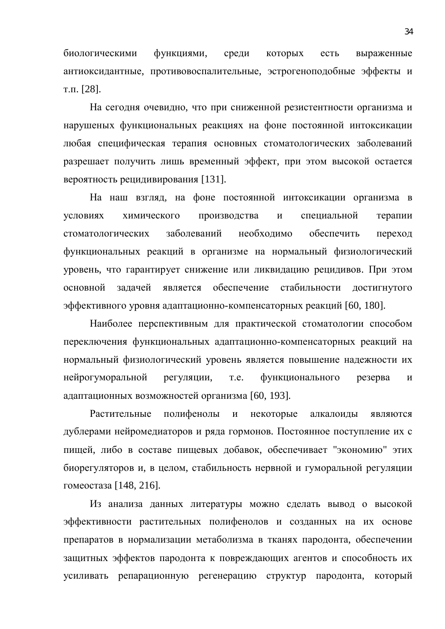биологическими функциями, среди которых есть выраженные антиоксидантные, противовоспалительные, эстрогеноподобные эффекты и т.п.  $[28]$ .

На сегодня очевидно, что при сниженной резистентности организма и нарушеных функциональных реакциях на фоне постоянной интоксикации любая специфическая терапия основных стоматологических заболеваний разрешает получить лишь временный эффект, при этом высокой остается вероятность рецидивирования [131].

На наш взгляд, на фоне постоянной интоксикации организма в условиях химического производства и специальной терапии стоматологических заболеваний необходимо обеспечить переход функциональных реакций в организме на нормальный физиологический уровень, что гарантирует снижение или ликвидацию рецидивов. При этом основной задачей является обеспечение стабильности достигнутого эффективного уровня адаптационно-компенсаторных реакций [60, 180].

Наиболее перспективным для практической стоматологии способом переключения функциональных адаптационно-компенсаторных реакций на нормальный физиологический уровень является повышение надежности их нейрогуморальной регуляции, т.е. функционального резерва и адаптационных возможностей организма [60, 193].

Растительные полифенолы и некоторые алкалоиды являются дублерами нейромедиаторов и ряда гормонов. Постоянное поступление их с пищей, либо в составе пищевых добавок, обеспечивает "экономию" этих биорегуляторов и, в целом, стабильность нервной и гуморальной регуляции гомеостаза [148, 216].

Из анализа данных литературы можно сделать вывод о высокой эффективности растительных полифенолов и созданных на их основе препаратов в нормализации метаболизма в тканях пародонта, обеспечении защитных эффектов пародонта к повреждающих агентов и способность их усиливать репарационную регенерацию структур пародонта, который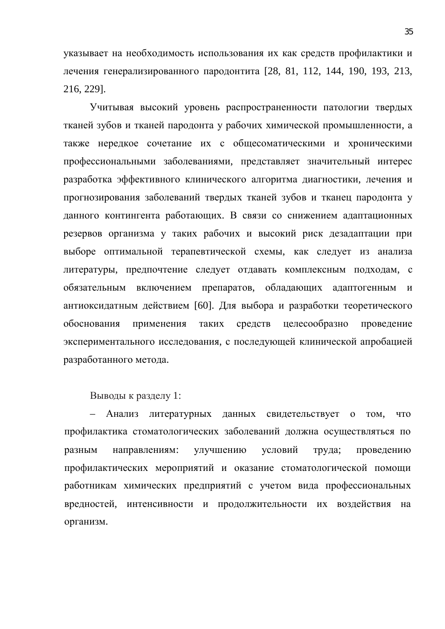указывает на необходимость использования их как средств профилактики и лечения генерализированного пародонтита [28, 81, 112, 144, 190, 193, 213, 216, 229].

Учитывая высокий уровень распространенности патологии твердых тканей зубов и тканей пародонта у рабочих химической промышленности, а также нередкое сочетание их с общесоматическими и хроническими профессиональными заболеваниями, представляет значительный интерес разработка эффективного клинического алгоритма диагностики, лечения и прогнозирования заболеваний твердых тканей зубов и тканец пародонта у данного контингента работающих. В связи со снижением адаптационных резервов организма у таких рабочих и высокий риск дезадаптации при выборе оптимальной терапевтической схемы, как следует из анализа литературы, предпочтение следует отдавать комплексным подходам, с обязательным включением препаратов, обладающих адаптогенным и антиоксидатным действием [60]. Для выбора и разработки теоретического обоснования применения таких средств целесообразно проведение экспериментального исследования, с последующей клинической апробацией разработанного метода.

Выводы к разделу 1:

– Анализ литературных ланных свидетельствует о том, что профилактика стоматологических заболеваний должна осуществляться по разным направлениям: улучшению условий труда; проведению профилактических мероприятий и оказание стоматологической помощи работникам химических предприятий с учетом вида профессиональных вредностей, интенсивности и продолжительности их воздействия на организм.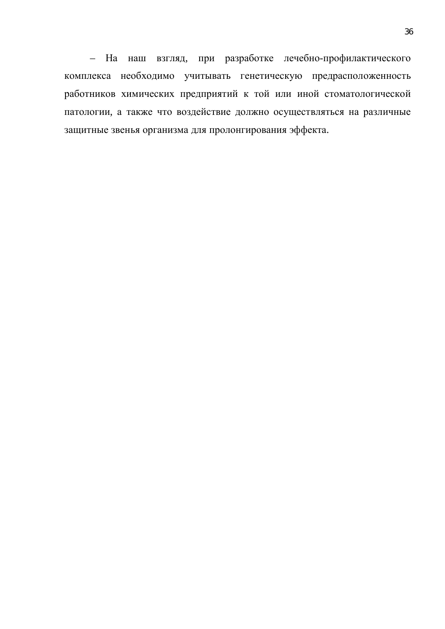– На наш взгляд, при разработке лечебно-профилактического комплекса необходимо учитывать генетическую предрасположенность работников химических предприятий к той или иной стоматологической патологии, а также что воздействие должно осуществляться на различные защитные звенья организма для пролонгирования эффекта.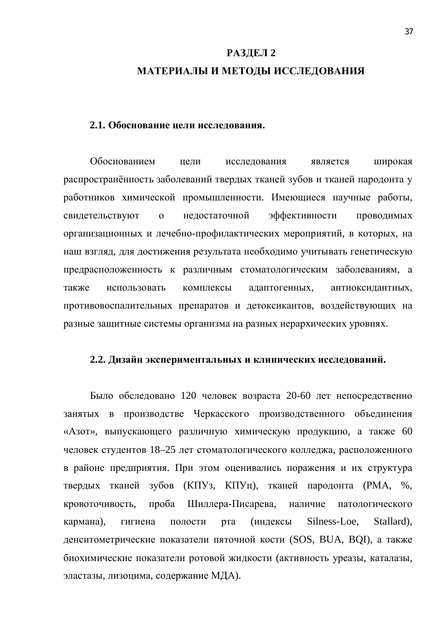## **РАЗДЕЛ 2** МАТЕРИАЛЫ И МЕТОДЫ ИССЛЕДОВАНИЯ

#### **2.1. Обоснование цели исследования.**

Обоснованием цели исследования является широкая распространённость заболеваний твердых тканей зубов и тканей пародонта у работников химической промышленности. Имеющиеся научные работы, свидетельствуют о недостаточной эффективности проводимых организационных и лечебно-профилактических мероприятий, в которых, на наш взгляд, для достижения результата необходимо учитывать генетическую предрасположенность к различным стоматологическим заболеваниям, а также использовать комплексы адаптогенных, антиоксидантных, противовоспалительных препаратов и детоксикантов, воздействующих на разные защитные системы организма на разных иерархических уровнях.

#### 2.2. Дизайн экспериментальных и клинических исследований.

Было обследовано 120 человек возраста 20-60 лет непосредственно занятых в производстве Черкасского производственного объединения «Азот», выпускающего различную химическую продукцию, а также 60 человек студентов 18–25 лет стоматологического колледжа, расположенного в районе предприятия. При этом оценивались поражения и их структура твердых тканей зубов (КПУз, КПУп), тканей пародонта (РМА, %, кровоточивость, проба Шиллера-Писарева, наличие патологического кармана), гигиена полости рта (индексы Silness-Loe, Stallard), денситометрические показатели пяточной кости (SOS, BUA, BQI), а также биохимические показатели ротовой жидкости (активность уреазы, каталазы, эластазы, лизоцима, содержание МДА).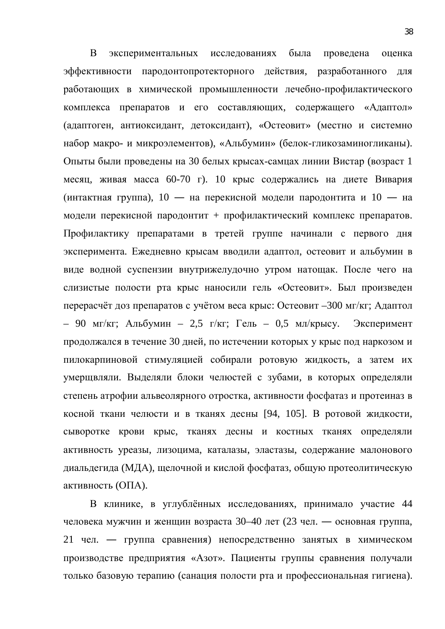В экспериментальных исследованиях была проведена оценка эффективности пародонтопротекторного действия, разработанного для работающих в химической промышленности лечебно-профилактического комплекса препаратов и его составляющих, содержащего «Адаптол» (адаптоген, антиоксидант, детоксидант), «Остеовит» (местно и системно набор макро- и микроэлементов), «Альбумин» (белок-гликозаминогликаны). Опыты были проведены на 30 белых крысах-самцах линии Вистар (возраст 1 месяц, живая масса 60-70 г). 10 крыс содержались на диете Вивария (интактная группа), 10 — на перекисной модели пародонтита и 10 — на модели перекисной пародонтит + профилактический комплекс препаратов. Профилактику препаратами в третей группе начинали с первого дня эксперимента. Ежедневно крысам вводили адаптол, остеовит и альбумин в виде водной суспензии внутрижелудочно утром натощак. После чего на слизистые полости рта крыс наносили гель «Остеовит». Был произведен перерасчёт доз препаратов с учётом веса крыс: Остеовит –300 мг/кг; Адаптол – 90 мг/кг; Альбумин – 2,5 г/кг; Гель – 0,5 мл/крысу. Эксперимент продолжался в течение 30 дней, по истечении которых у крыс под наркозом и пилокарпиновой стимуляцией собирали ротовую жидкость, а затем их умерщвляли. Выделяли блоки челюстей с зубами, в которых определяли степень атрофии альвеолярного отростка, активности фосфатаз и протеиназ в косной ткани челюсти и в тканях десны [94, 105]. В ротовой жидкости, сыворотке крови крыс, тканях десны и костных тканях определяли активность уреазы, лизоцима, каталазы, эластазы, содержание малонового диальдегида (МДА), щелочной и кислой фосфатаз, общую протеолитическую активность (ОПА).

В клинике, в углублённых исследованиях, принимало участие 44 человека мужчин и женщин возраста 30–40 лет (23 чел. — основная группа, 21 чел. — группа сравнения) непосредственно занятых в химическом производстве предприятия «Азот». Пациенты группы сравнения получали только базовую терапию (санация полости рта и профессиональная гигиена).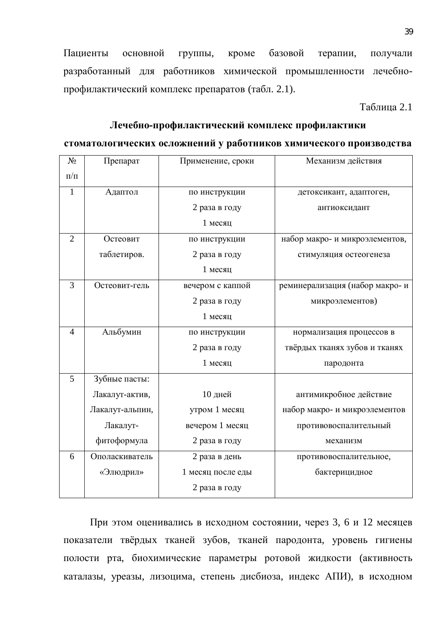Пациенты основной группы, кроме базовой терапии, получали разработанный для работников химической промышленности лечебнопрофилактический комплекс препаратов (табл. 2.1).

Таблица 2.1

# Лечебно-профилактический комплекс профилактики

#### стоматологических осложнений у работников химического производства

| N <sub>2</sub> | Препарат        | Применение, сроки | Механизм действия               |
|----------------|-----------------|-------------------|---------------------------------|
| $\Pi/\Pi$      |                 |                   |                                 |
| $\mathbf{1}$   | Адаптол         | по инструкции     | детоксикант, адаптоген,         |
|                |                 | 2 раза в году     | антиоксидант                    |
|                |                 | 1 месяц           |                                 |
| $\overline{2}$ | Остеовит        | по инструкции     | набор макро- и микроэлементов,  |
|                | таблетиров.     | 2 раза в году     | стимуляция остеогенеза          |
|                |                 | 1 месяц           |                                 |
| $\overline{3}$ | Остеовит-гель   | вечером с каппой  | реминерализация (набор макро- и |
|                |                 | 2 раза в году     | микроэлементов)                 |
|                |                 | 1 месяц           |                                 |
| $\overline{4}$ | Альбумин        | по инструкции     | нормализация процессов в        |
|                |                 | 2 раза в году     | твёрдых тканях зубов и тканях   |
|                |                 | 1 месяц           | пародонта                       |
| 5              | Зубные пасты:   |                   |                                 |
|                | Лакалут-актив,  | 10 дней           | антимикробное действие          |
|                | Лакалут-альпин, | утром 1 месяц     | набор макро- и микроэлементов   |
|                | Лакалут-        | вечером 1 месяц   | противовоспалительный           |
|                | фитоформула     | 2 раза в году     | механизм                        |
| 6              | Ополаскиватель  | 2 раза в день     | противовоспалительное,          |
|                | «Элюдрил»       | 1 месяц после еды | бактерицидное                   |
|                |                 | 2 раза в году     |                                 |

При этом оценивались в исходном состоянии, через 3, 6 и 12 месяцев показатели твёрдых тканей зубов, тканей пародонта, уровень гигиены полости рта, биохимические параметры ротовой жидкости (активность каталазы, уреазы, лизоцима, степень дисбиоза, индекс АПИ), в исходном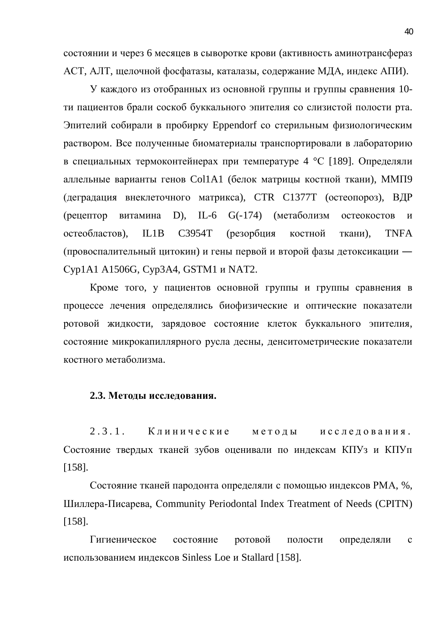состоянии и через 6 месяцев в сыворотке крови (активность аминотрансфераз АСТ, АЛТ, щелочной фосфатазы, каталазы, содержание МДА, индекс АПИ).

У каждого из отобранных из основной группы и группы сравнения 10ти пациентов брали соскоб буккального эпителия со слизистой полости рта. Эпителий собирали в пробирку Eppendorf со стерильным физиологическим раствором. Все полученные биоматериалы транспортировали в лабораторию в специальных термоконтейнерах при температуре 4 °С [189]. Определяли аллельные варианты генов Col1A1 (белок матрицы костной ткани), ММП9 (деградация внеклеточного матрикса), СТR C1377T (остеопороз), ВДР (рецептор витамина D), IL-6 G(-174) (метаболизм остеокостов и остеобластов), IL1B C3954T (резорбция костной ткани), TNFA (провоспалительный цитокин) и гены первой и второй фазы детоксикации — Cyp1A1 A1506G, Cyp3A4, GSTM1 и NAT2.

Кроме того, у пациентов основной группы и группы сравнения в процессе лечения определялись биофизические и оптические показатели ротовой жидкости, зарядовое состояние клеток буккального эпителия, состояние микрокапиллярного русла десны, денситометрические показатели костного метаболизма.

#### 2.3. Методы исследования.

2.3.1. Клинические метолы исследования. Состояние твердых тканей зубов оценивали по индексам КПУз и КПУп [158].

Состояние тканей пародонта определяли с помощью индексов РМА, %, Шиллера-Писарева, Community Periodontal Index Treatment of Needs (CPITN) [158].

Гигиеническое состояние ротовой полости определяли с использованием индексов Sinless Loe и Stallard [158].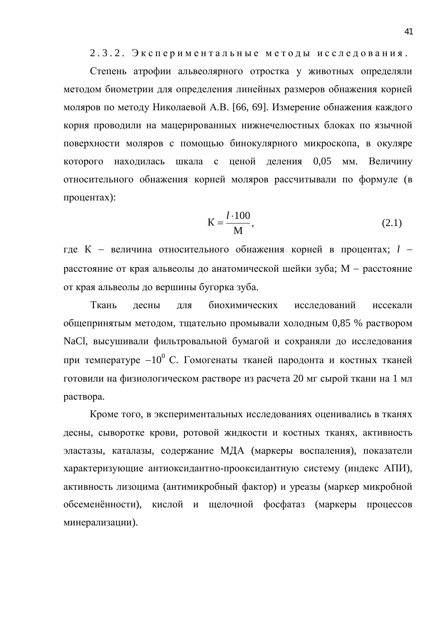2.3.2. Экспериментальные методы исследования.

Степень атрофии альвеолярного отростка у животных определяли методом биометрии для определения линейных размеров обнажения корней моляров по методу Николаевой А.В. [66, 69]. Измерение обнажения каждого корня проводили на мацерированных нижнечелюстных блоках по язычной поверхности моляров с помощью бинокулярного микроскопа, в окуляре которого находилась шкала с ценой деления 0,05 мм. Величину относительного обнажения корней моляров рассчитывали по формуле (в процентах):

$$
K = \frac{l \cdot 100}{M},\tag{2.1}
$$

где К – величина относительного обнажения корней в процентах; *l* – расстояние от края альвеолы до анатомической шейки зуба; М - расстояние от края альвеолы до вершины бугорка зуба.

Ткань десны для биохимических исследований иссекали общепринятым методом, тщательно промывали холодным 0,85 % раствором NaCl, высушивали фильтровальной бумагой и сохраняли до исследования при температуре  $-10^0$  С. Гомогенаты тканей пародонта и костных тканей готовили на физиологическом растворе из расчета 20 мг сырой ткани на 1 мл раствора.

Кроме того, в экспериментальных исследованиях оценивались в тканях десны, сыворотке крови, ротовой жидкости и костных тканях, активность эластазы, каталазы, содержание МДА (маркеры воспаления), показатели характеризующие антиоксидантно-прооксидантную систему (индекс АПИ), активность лизоцима (антимикробный фактор) и уреазы (маркер микробной обсеменённости), кислой и щелочной фосфатаз (маркеры процессов минерализации).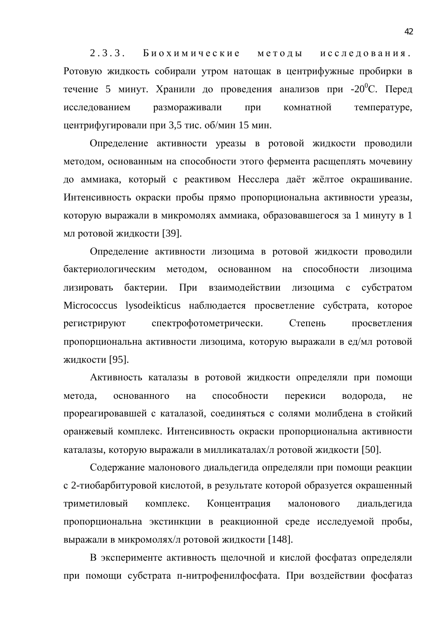2.3.3. Биохимические методы исследования. Ротовую жидкость собирали утром натощак в центрифужные пробирки в течение 5 минут. Хранили до проведения анализов при -20<sup>°</sup>С. Перед исследованием размораживали при комнатной температуре, центрифугировали при 3,5 тис.  $o6/$ мин 15 мин.

Определение активности уреазы в ротовой жидкости проводили методом, основанным на способности этого фермента расщеплять мочевину до аммиака, который с реактивом Несслера даёт жёлтое окрашивание. Интенсивность окраски пробы прямо пропорциональна активности уреазы, которую выражали в микромолях аммиака, образовавшегося за 1 минуту в 1 мл ротовой жидкости [39].

Определение активности лизоцима в ротовой жидкости проводили бактериологическим методом, основанном на способности лизоцима лизировать бактерии. При взаимодействии лизоцима с субстратом Micrococcus lysodeikticus наблюдается просветление субстрата, которое регистрируют спектрофотометрически. Степень просветления пропорциональна активности лизоцима, которую выражали в ед/мл ротовой жидкости [95].

Активность каталазы в ротовой жидкости определяли при помощи метода, основанного на способности перекиси водорода, не прореагировавшей с каталазой, соединяться с солями молибдена в стойкий оранжевый комплекс. Интенсивность окраски пропорциональна активности каталазы, которую выражали в милликаталах/л ротовой жидкости [50].

Содержание малонового диальдегида определяли при помощи реакции с 2-тиобарбитуровой кислотой, в результате которой образуется окрашенный триметиловый комплекс. Концентрация малонового диальдегида пропорциональна экстинкции в реакционной среде исследуемой пробы, выражали в микромолях/л ротовой жидкости [148].

В эксперименте активность щелочной и кислой фосфатаз определяли при помощи субстрата п-нитрофенилфосфата. При воздействии фосфатаз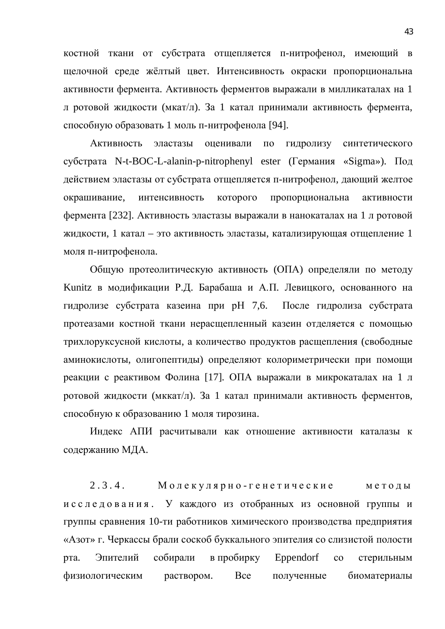костной ткани от субстрата отщепляется п-нитрофенол, имеющий в щелочной среде жёлтый цвет. Интенсивность окраски пропорциональна активности фермента. Активность ферментов выражали в милликаталах на 1 л ротовой жидкости (мкат/л). За 1 катал принимали активность фермента, способную образовать 1 моль п-нитрофенола [94].

Активность эластазы оценивали по гидролизу синтетического субстрата N-t-BOC-L-alanin-p-nitrophenyl ester (Германия «Sigma»). Под действием эластазы от субстрата отщепляется п-нитрофенол, дающий желтое окрашивание, интенсивность которого пропорциональна активности фермента [232]. Активность эластазы выражали в нанокаталах на 1 л ротовой жидкости, 1 катал – это активность эластазы, катализирующая отщепление 1 моля п-нитрофенола.

Общую протеолитическую активность (ОПА) определяли по методу Kunitz в модификации Р.Д. Барабаша и А.П. Левицкого, основанного на гидролизе субстрата казеина при рН 7,6. После гидролиза субстрата протеазами костной ткани нерасщепленный казеин отделяется с помощью трихлоруксусной кислоты, а количество продуктов расщепления (свободные аминокислоты, олигопептиды) определяют колориметрически при помощи реакции с реактивом Фолина [17]. ОПА выражали в микрокаталах на 1 л ротовой жидкости (мккат/л). За 1 катал принимали активность ферментов, способную к образованию 1 моля тирозина.

Индекс АПИ расчитывали как отношение активности каталазы к содержанию МДА.

 $2.3.4.$  Молекулярно-генетические методы и с с л е д о в а н и я. У каждого из отобранных из основной группы и группы сравнения 10-ти работников химического производства предприятия «Азот» г. Черкассы брали соскоб буккального эпителия со слизистой полости рта. Эпителий собирали в пробирку Eppendorf со стерильным физиологическим раствором. Все полученные биоматериалы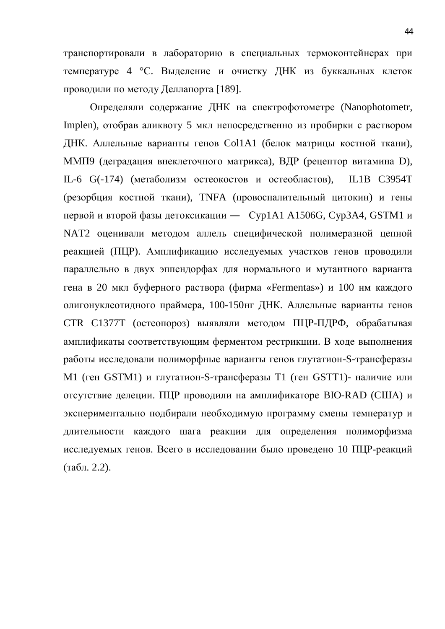транспортировали в лабораторию в специальных термоконтейнерах при температуре 4 °С. Выделение и очистку ДНК из буккальных клеток проводили по методу Деллапорта [189].

Определяли содержание ДНК на спектрофотометре (Nanophotometr, Implen), отобрав аликвоту 5 мкл непосредственно из пробирки с раствором ДНК. Аллельные варианты генов Col1A1 (белок матрицы костной ткани), ММП9 (деградация внеклеточного матрикса), ВДР (рецептор витамина D), IL-6 G(-174) (метаболизм остеокостов и остеобластов), IL1B C3954T (резорбция костной ткани), TNFA (провоспалительный цитокин) и гены первой и второй фазы детоксикации — Сур1А1 А1506G, Сур3А4, GSTM1 и NAT2 оценивали методом аллель специфической полимеразной цепной реакцией (ПЦР). Амплификацию исследуемых участков генов проводили параллельно в двух эппендорфах для нормального и мутантного варианта гена в 20 мкл буферного раствора (фирма «Fermentas») и 100 нм каждого олигонуклеотидного праймера, 100-150нг ДНК. Аллельные варианты генов CTR C1377T (остеопороз) выявляли методом ПЦР-ПДРФ, обрабатывая амплификаты соответствующим ферментом рестрикции. В ходе выполнения работы исследовали полиморфные варианты генов глутатион-S-трансферазы М1 (ген GSTM1) и глутатион-S-трансферазы Т1 (ген GSTT1)- наличие или отсутствие делеции. ПЦР проводили на амплификаторе BIO-RAD (США) и экспериментально подбирали необходимую программу смены температур и длительности каждого шага реакции для определения полиморфизма исследуемых генов. Всего в исследовании было проведено 10 ПЦР-реакций  $(\text{табл. } 2.2).$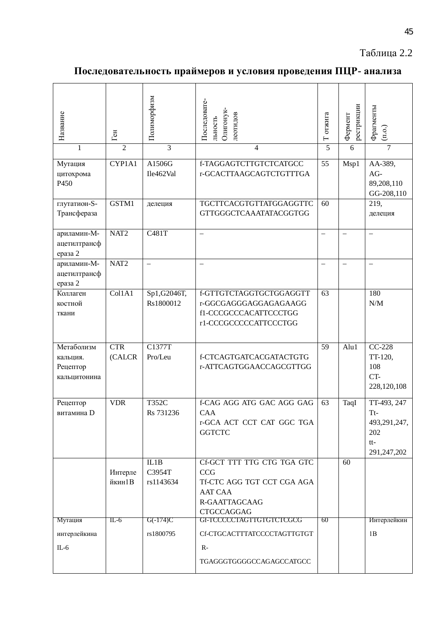#### Таблица 2.2

### Последовательность праймеров и условия проведения ПЦР- анализа

| Название                                           | Ген               | Полиморфизм                 | Последовате-<br>Олигонук-<br>леотидов<br>льность                                                                               | Т отжига                 | рестрикции<br>Фермент    | Фрагменты<br>(n.0.)                                                 |
|----------------------------------------------------|-------------------|-----------------------------|--------------------------------------------------------------------------------------------------------------------------------|--------------------------|--------------------------|---------------------------------------------------------------------|
| 1                                                  | $\overline{2}$    | $\overline{3}$              | $\overline{4}$                                                                                                                 | $\overline{5}$           | 6                        | $\overline{7}$                                                      |
| Мутация<br>цитохрома<br>P450                       | CYP1A1            | A1506G<br>Ile462Val         | f-TAGGAGTCTTGTCTCATGCC<br>r-GCACTTAAGCAGTCTGTTTGA                                                                              | 55                       | Msp1                     | AA-389,<br>AG-<br>89,208,110<br>GG-208,110                          |
| глугатион-S-<br>Трансфераза                        | GSTM1             | делеция                     | TGCTTCACGTGTTATGGAGGTTC<br>GTTGGGCTCAAATATACGGTGG                                                                              | 60                       |                          | 219,<br>делеция                                                     |
| ариламин-М-<br>ацетилтрансф<br>ераза 2             | NAT <sub>2</sub>  | C481T                       | $\overline{\phantom{0}}$                                                                                                       | $\overline{\phantom{0}}$ | $\overline{\phantom{0}}$ | $\overline{\phantom{0}}$                                            |
| ариламин-М-<br>ацетилтрансф<br>ераза 2             | NAT <sub>2</sub>  | $\overline{\phantom{0}}$    |                                                                                                                                | $\overline{\phantom{0}}$ |                          | $\overline{\phantom{0}}$                                            |
| Коллаген<br>костной<br>ткани                       | Col1A1            | Sp1,G2046T,<br>Rs1800012    | f-GTTGTCTAGGTGCTGGAGGTT<br>r-GGCGAGGGAGGAGAGAAGG<br>f1-CCCGCCCACATTCCCTGG<br>r1-CCCGCCCCCATTCCCTGG                             | 63                       |                          | 180<br>$\ensuremath{\text{N}}/\ensuremath{\text{M}}$                |
| Метаболизм<br>кальция.<br>Рецептор<br>кальцитонина | CTR<br>(CALCR     | C1377T<br>Pro/Leu           | f-CTCAGTGATCACGATACTGTG<br>r-ATTCAGTGGAACCAGCGTTGG                                                                             | 59                       | Alu1                     | $CC-228$<br>TT-120,<br>108<br>CT-<br>228,120,108                    |
| Рецептор<br>витамина D                             | <b>VDR</b>        | T352C<br>Rs 731236          | f-CAG AGG ATG GAC AGG GAG<br>CAA<br>r-GCA ACT CCT CAT GGC TGA<br><b>GGTCTC</b>                                                 | 63                       | TaqI                     | TT-493, 247<br>$Tt-$<br>493,291,247,<br>202<br>$tt-$<br>291,247,202 |
|                                                    | Интерле<br>йкин1В | IL1B<br>C3954T<br>rs1143634 | Cf-GCT TTT TTG CTG TGA GTC<br><b>CCG</b><br>Tf-CTC AGG TGT CCT CGA AGA<br><b>AAT CAA</b><br>R-GAATTAGCAAG<br><b>CTGCCAGGAG</b> |                          | 60                       |                                                                     |
| Мутация<br>интерлейкина<br>$IL-6$                  | $IL-6$            | $G(-174)C$<br>rs1800795     | GF-TCCCCCTAGTTGTGTCTCGCG<br>Cf-CTGCACTTTATCCCCTAGTTGTGT<br>$R-$<br>TGAGGGTGGGGCCAGAGCCATGCC                                    | 60                       |                          | Интерлейкин<br>1B                                                   |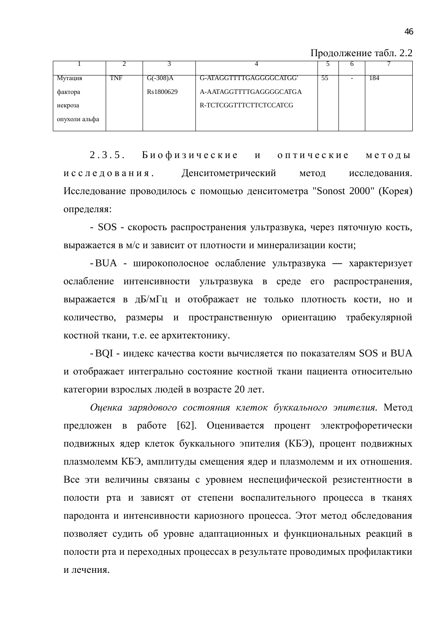Продолжение табл. 2.2

| Мутация       | TNF | $G(-308)A$ | G-ATAGGTTTTGAGGGGCATGG  | 55 | 184 |
|---------------|-----|------------|-------------------------|----|-----|
| фактора       |     | Rs1800629  | A-AATAGGTTTTGAGGGGCATGA |    |     |
| некроза       |     |            | R-TCTCGGTTTCTTCTCCATCG  |    |     |
| опухоли альфа |     |            |                         |    |     |

2.3.5. Биофизические и оптические методы исследования. Денситометрический метод исследования. Исследование проводилось с помощью денситометра "Sonost 2000" (Корея) определяя:

- SOS - скорость распространения ультразвука, через пяточную кость, выражается в м/с и зависит от плотности и минерализации кости;

- BUA - широкополосное ослабление ультразвука — характеризует ослабление интенсивности ультразвука в среде его распространения, выражается в дБ/мГц и отображает не только плотность кости, но и количество, размеры и пространственную ориентацию трабекулярной костной ткани, т.е. ее архитектонику.

- BQI - индекс качества кости вычисляется по показателям SOS и BUA и отображает интегрально состояние костной ткани пациента относительно категории взрослых людей в возрасте 20 лет.

Оценка зарядового состояния клеток буккального эпителия. Метод предложен в работе [62]. Оценивается процент электрофоретически подвижных ядер клеток буккального эпителия (КБЭ), процент подвижных плазмолемм КБЭ, амплитуды смещения ядер и плазмолемм и их отношения. Все эти величины связаны с уровнем неспецифической резистентности в полости рта и зависят от степени воспалительного процесса в тканях пародонта и интенсивности кариозного процесса. Этот метод обследования позволяет судить об уровне адаптационных и функциональных реакций в полости рта и переходных процессах в результате проводимых профилактики и лечения.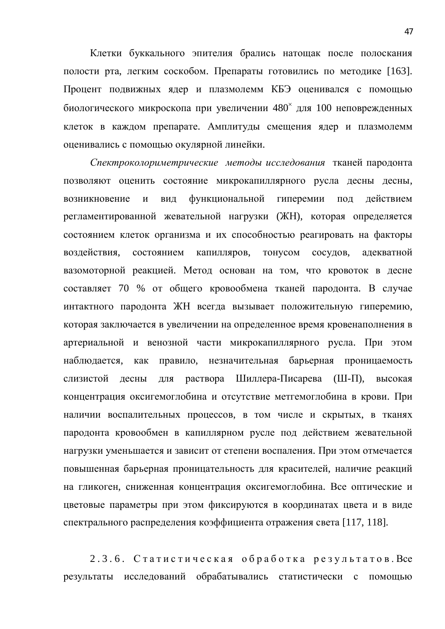Клетки буккального эпителия брались натощак после полоскания полости рта, легким соскобом. Препараты готовились по методике [163]. Процент подвижных ядер и плазмолемм КБЭ оценивался с помощью биологического микроскопа при увеличении 480<sup>x</sup> для 100 неповрежденных клеток в каждом препарате. Амплитуды смещения ядер и плазмолемм оценивались с помощью окулярной линейки.

Спектроколориметрические методы исследования тканей пародонта позволяют оценить состояние микрокапиллярного русла десны десны, возникновение и вид функциональной гиперемии под действием регламентированной жевательной нагрузки (ЖН), которая определяется состоянием клеток организма и их способностью реагировать на факторы воздействия, состоянием капилляров, тонусом сосудов, адекватной вазомоторной реакцией. Метод основан на том, что кровоток в десне составляет 70 % от общего кровообмена тканей пародонта. В случае интактного пародонта ЖН всегда вызывает положительную гиперемию, которая заключается в увеличении на определенное время кровенаполнения в артериальной и венозной части микрокапиллярного русла. При этом наблюдается, как правило, незначительная барьерная проницаемость слизистой десны для раствора Шиллера-Писарева (Ш-П), высокая концентрация оксигемоглобина и отсутствие метгемоглобина в крови. При наличии воспалительных процессов, в том числе и скрытых, в тканях пародонта кровообмен в капиллярном русле под действием жевательной нагрузки уменьшается и зависит от степени воспаления. При этом отмечается повышенная барьерная проницательность для красителей, наличие реакций на гликоген, сниженная концентрация оксигемоглобина. Все оптические и цветовые параметры при этом фиксируются в координатах цвета и в виде спектрального распределения коэффициента отражения света [117, 118].

2.3.6. Статистическая обработка результатов. Все результаты исследований обрабатывались статистически с помощью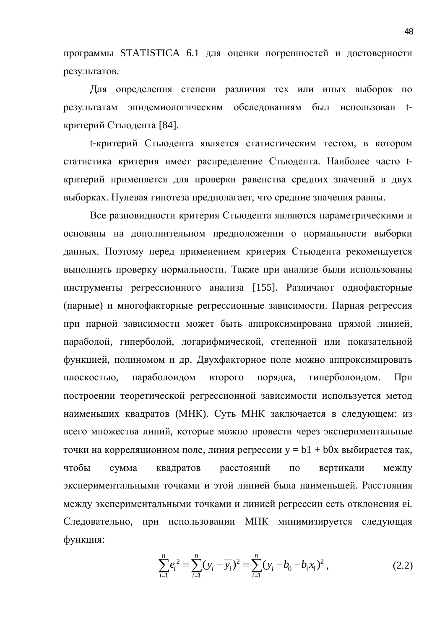программы STATISTICA 6.1 для оценки погрешностей и достоверности результатов.

Для определения степени различия тех или иных выборок по результатам эпидемиологическим обследованиям был использован tкритерий Стьюдента [84].

t-критерий Стьюдента является статистическим тестом, в котором статистика критерия имеет распределение Стьюдента. Наиболее часто tкритерий применяется для проверки равенства средних значений в двух выборках. Нулевая гипотеза предполагает, что средние значения равны.

Все разновидности критерия Стьюдента являются параметрическими и основаны на дополнительном предположении о нормальности выборки данных. Поэтому перед применением критерия Стьюдента рекомендуется выполнить проверку нормальности. Также при анализе были использованы инструменты регрессионного анализа [155]. Различают однофакторные (парные) и многофакторные регрессионные зависимости. Парная регрессия при парной зависимости может быть аппроксимирована прямой линией, параболой, гиперболой, логарифмической, степенной или показательной функцией, полиномом и др. Двухфакторное поле можно аппроксимировать плоскостью, параболоидом второго порядка, гиперболоидом. При построении теоретической регрессионной зависимости используется метод наименьших квадратов (МНК). Суть МНК заключается в следующем: из всего множества линий, которые можно провести через экспериментальные точки на корреляционном поле, линия регрессии  $y = b1 + b0x$  выбирается так, чтобы сумма квадратов расстояний по вертикали между экспериментальными точками и этой линией была наименьшей. Расстояния между экспериментальными точками и линией регрессии есть отклонения еі. Следовательно, при использовании МНК минимизируется следующая функция:

$$
\sum_{i=1}^{n} e_i^2 = \sum_{i=1}^{n} (y_i - \overline{y_i})^2 = \sum_{i=1}^{n} (y_i - b_0 - b_1 x_i)^2, \qquad (2.2)
$$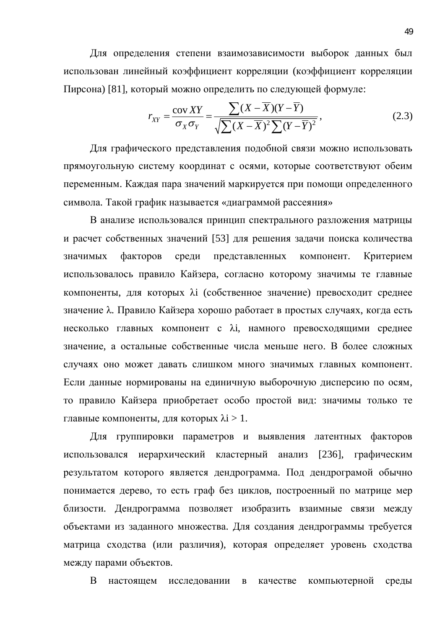Для определения степени взаимозависимости выборок данных был использован линейный коэффициент корреляции (коэффициент корреляции Пирсона) [81], который можно определить по следующей формуле:

$$
r_{XY} = \frac{\text{cov XY}}{\sigma_X \sigma_Y} = \frac{\sum (X - \overline{X})(Y - \overline{Y})}{\sqrt{\sum (X - \overline{X})^2 \sum (Y - \overline{Y})^2}},\tag{2.3}
$$

Для графического представления подобной связи можно использовать прямоугольную систему координат с осями, которые соответствуют обеим переменным. Каждая пара значений маркируется при помощи определенного символа. Такой график называется «диаграммой рассеяния»

В анализе использовался принцип спектрального разложения матрицы и расчет собственных значений [53] для решения задачи поиска количества значимых факторов среди представленных компонент. Критерием использовалось правило Кайзера, согласно которому значимы те главные компоненты, для которых λі (собственное значение) превосходит среднее значение λ. Правило Кайзера хорошо работает в простых случаях, когда есть несколько главных компонент с  $\lambda$ i, намного превосходящими среднее значение, а остальные собственные числа меньше него. В более сложных случаях оно может давать слишком много значимых главных компонент. Если данные нормированы на единичную выборочную дисперсию по осям, то правило Кайзера приобретает особо простой вид: значимы только те главные компоненты, для которых  $\lambda i > 1$ .

Для группировки параметров и выявления латентных факторов использовался иерархический кластерный анализ [236], графическим результатом которого является дендрограмма. Под дендрограмой обычно понимается дерево, то есть граф без циклов, построенный по матрице мер близости. Дендрограмма позволяет изобразить взаимные связи между объектами из заданного множества. Для создания дендрограммы требуется матрица сходства (или различия), которая определяет уровень сходства между парами объектов.

В настоящем исследовании в качестве компьютерной среды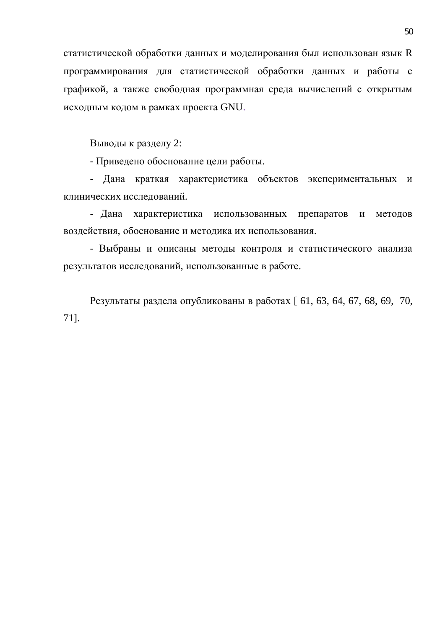статистической обработки данных и моделирования был использован язык R программирования для статистической обработки данных и работы с графикой, а также свободная программная среда вычислений с открытым исходным кодом в рамках проекта GNU.

Выводы к разделу 2:

- Приведено обоснование цели работы.

- Дана краткая характеристика объектов экспериментальных и клинических исследований.

- Дана характеристика использованных препаратов и методов воздействия, обоснование и методика их использования.

- Выбраны и описаны методы контроля и статистического анализа результатов исследований, использованные в работе.

Результаты раздела опубликованы в работах [ 61, 63, 64, 67, 68, 69, 70, 71].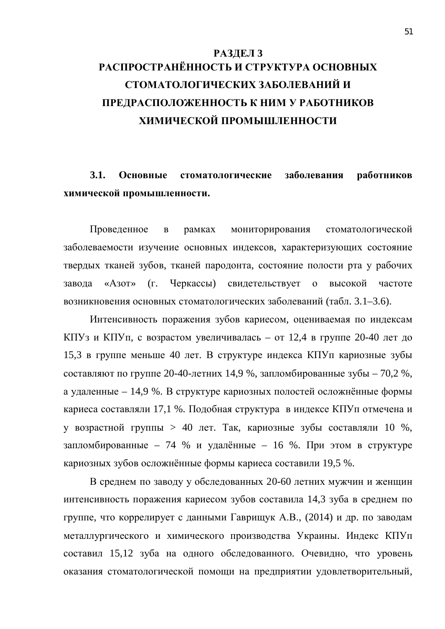## РАЗДЕЛ 3 РАСПРОСТРАНЁННОСТЬ И СТРУКТУРА ОСНОВНЫХ СТОМАТОЛОГИЧЕСКИХ ЗАБОЛЕВАНИЙ И ПРЕДРАСПОЛОЖЕННОСТЬ К НИМ У РАБОТНИКОВ ХИМИЧЕСКОЙ ПРОМЫШЛЕННОСТИ

3.1. Основные стоматологические заболевания работников **химической промышленности.** 

Проведенное в рамках мониторирования стоматологической заболеваемости изучение основных индексов, характеризующих состояние твердых тканей зубов, тканей пародонта, состояние полости рта у рабочих завода «Азот» (г. Черкассы) свидетельствует о высокой частоте возникновения основных стоматологических заболеваний (табл. 3.1–3.6).

Интенсивность поражения зубов кариесом, оцениваемая по индексам КПУз и КПУп, с возрастом увеличивалась – от 12,4 в группе 20-40 лет до 15,3 в группе меньше 40 лет. В структуре индекса КПУп кариозные зубы составляют по группе 20-40-летних 14,9 %, запломбированные зубы – 70,2 %, а удаленные – 14,9 %. В структуре кариозных полостей осложнённые формы кариеса составляли 17,1 %. Подобная структура в индексе КПУп отмечена и у возрастной группы > 40 лет. Так, кариозные зубы составляли 10 %, запломбированные – 74 % и удалённые – 16 %. При этом в структуре кариозных зубов осложнённые формы кариеса составили 19,5 %.

В среднем по заводу у обследованных 20-60 летних мужчин и женщин интенсивность поражения кариесом зубов составила 14,3 зуба в среднем по группе, что коррелирует с данными Гаврищук А.В., (2014) и др. по заводам металлургического и химического производства Украины. Индекс КПУп составил 15,12 зуба на одного обследованного. Очевидно, что уровень оказания стоматологической помощи на предприятии удовлетворительный,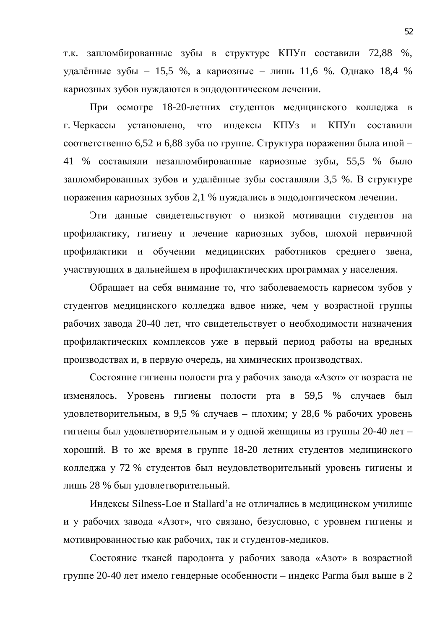т.к. запломбированные зубы в структуре КПУп составили 72,88 %, удалённые зубы – 15,5 %, а кариозные – лишь 11,6 %. Однако 18,4 % кариозных зубов нуждаются в эндодонтическом лечении.

При осмотре 18-20-летних студентов медицинского колледжа в г. Черкассы установлено, что индексы КПУз и КПУп составили соответственно 6,52 и 6,88 зуба по группе. Структура поражения была иной – 41 % составляли незапломбированные кариозные зубы, 55,5 % было запломбированных зубов и удалённые зубы составляли 3,5 %. В структуре поражения кариозных зубов 2,1 % нуждались в эндодонтическом лечении.

Эти данные свидетельствуют о низкой мотивации студентов на профилактику, гигиену и лечение кариозных зубов, плохой первичной профилактики и обучении медицинских работников среднего звена, участвующих в дальнейшем в профилактических программах у населения.

Обращает на себя внимание то, что заболеваемость кариесом зубов у студентов медицинского колледжа вдвое ниже, чем у возрастной группы рабочих завода 20-40 лет, что свидетельствует о необходимости назначения профилактических комплексов уже в первый период работы на вредных производствах и, в первую очередь, на химических производствах.

Состояние гигиены полости рта у рабочих завода «Азот» от возраста не изменялось. Уровень гигиены полости рта в 59,5 % случаев был удовлетворительным, в 9,5 % случаев – плохим; у 28,6 % рабочих уровень гигиены был удовлетворительным и у одной женщины из группы 20-40 лет – хороший. В то же время в группе 18-20 летних студентов медицинского колледжа у 72 % студентов был неудовлетворительный уровень гигиены и лишь 28 % был удовлетворительный.

Индексы Silness-Loe и Stallard'а не отличались в медицинском училище и у рабочих завода «Азот», что связано, безусловно, с уровнем гигиены и мотивированностью как рабочих, так и студентов-медиков.

Состояние тканей пародонта у рабочих завода «Азот» в возрастной группе 20-40 лет имело гендерные особенности – индекс Рагта был выше в 2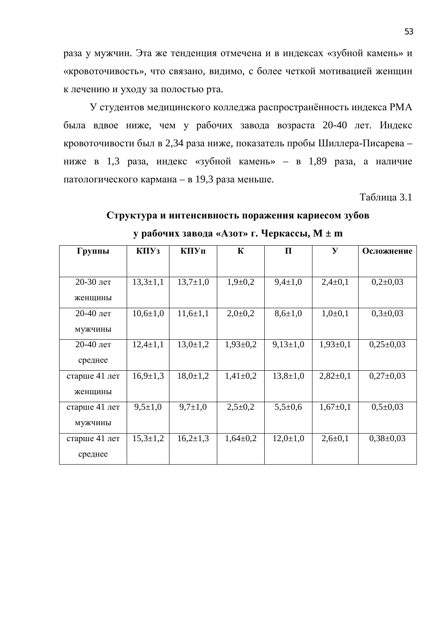раза у мужчин. Эта же тенденция отмечена и в индексах «зубной камень» и «кровоточивость», что связано, видимо, с более четкой мотивацией женщин к лечению и уходу за полостью рта.

У студентов медицинского колледжа распространённость индекса РМА была вдвое ниже, чем у рабочих завода возраста 20-40 лет. Индекс кровоточивости был в 2,34 раза ниже, показатель пробы Шиллера-Писарева – ниже в 1,3 раза, индекс «зубной камень» – в 1,89 раза, а наличие патологического кармана – в 19,3 раза меньше.

Таблица 3.1

## Структура и интенсивность поражения кариесом зубов **ɭɪɚɛɨɱɢɯɡɚɜɨɞɚ «Ⱥɡɨɬ» ɝ. ɑɟɪɤɚɫɫɵ, M ± m**

| Группы        | K <sub>II</sub> Y <sub>3</sub> | КПУп           | $\mathbf K$  | П              | $\mathbf{y}$  | Осложнение     |
|---------------|--------------------------------|----------------|--------------|----------------|---------------|----------------|
|               |                                |                |              |                |               |                |
| 20-30 лет     | $13,3{\pm}1,1$                 | $13,7{\pm}1,0$ | $1,9+0,2$    | $9,4 \pm 1,0$  | $2,4\pm0,1$   | $0,2{\pm}0,03$ |
| женщины       |                                |                |              |                |               |                |
| 20-40 лет     | $10,6{\pm}1,0$                 | $11,6{\pm}1,1$ | $2,0\pm0,2$  | $8,6{\pm}1,0$  | $1,0\pm 0,1$  | $0,3{\pm}0,03$ |
| мужчины       |                                |                |              |                |               |                |
| 20-40 лет     | $12,4{\pm}1,1$                 | $13,0 \pm 1,2$ | $1,93\pm0,2$ | $9,13\pm1,0$   | $1,93\pm0,1$  | $0,25\pm0,03$  |
| среднее       |                                |                |              |                |               |                |
| старше 41 лет | $16,9{\pm}1,3$                 | $18,0 \pm 1,2$ | $1,41\pm0,2$ | $13,8 \pm 1,0$ | $2,82\pm0,1$  | $0,27\pm0,03$  |
| женщины       |                                |                |              |                |               |                |
| старше 41 лет | $9,5 \pm 1,0$                  | $9,7{\pm}1,0$  | $2,5\pm0,2$  | $5,5+0,6$      | $1,67\pm0,1$  | $0,5\pm0,03$   |
| мужчины       |                                |                |              |                |               |                |
| старше 41 лет | $15,3 \pm 1,2$                 | $16,2{\pm}1,3$ | $1,64\pm0,2$ | $12,0{\pm}1,0$ | $2,6 \pm 0,1$ | $0,38\pm0,03$  |
| среднее       |                                |                |              |                |               |                |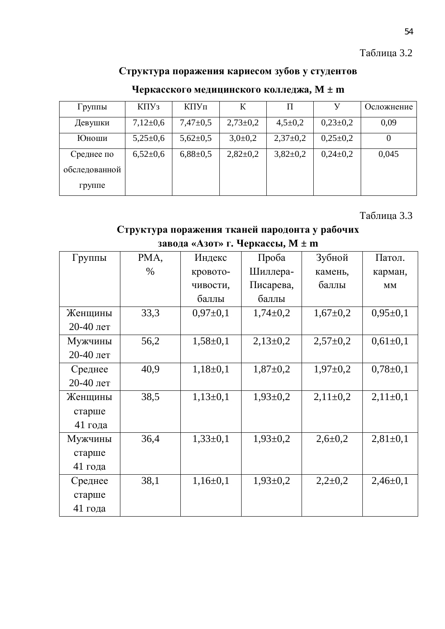#### Таблица 3.2

### Структура поражения кариесом зубов у студентов

| Группы        | K <sub>II</sub> Y <sub>3</sub> | КПУп           | К            | П             | У            | Осложнение |
|---------------|--------------------------------|----------------|--------------|---------------|--------------|------------|
| Девушки       | $7,12\pm0.6$                   | $7,47 \pm 0.5$ | $2,73\pm0,2$ | $4,5 \pm 0.2$ | $0,23\pm0,2$ | 0,09       |
| Юноши         | $5,25\pm0,6$                   | $5,62{\pm}0,5$ | $3,0\pm0,2$  | $2,37\pm0,2$  | $0,25\pm0,2$ |            |
| Среднее по    | $6,52{\pm}0,6$                 | $6,88\pm0,5$   | $2,82\pm0,2$ | $3,82\pm0,2$  | $0,24\pm0,2$ | 0,045      |
| обследованной |                                |                |              |               |              |            |
| группе        |                                |                |              |               |              |            |

### Черкасского медицинского колледжа, М ± m

Таблица 3.3

#### Структура поражения тканей пародонта у рабочих

| Группы    | PMA, | Индекс       | Проба          | Зубной         | Патол.       |
|-----------|------|--------------|----------------|----------------|--------------|
|           | $\%$ |              | Шиллера-       | камень,        |              |
|           |      | кровото-     |                |                | карман,      |
|           |      | чивости,     | Писарева,      | баллы          | MM           |
|           |      | баллы        | баллы          |                |              |
| Женщины   | 33,3 | $0,97\pm0,1$ | $1,74\pm0,2$   | $1,67 \pm 0,2$ | $0,95\pm0,1$ |
| 20-40 лет |      |              |                |                |              |
| Мужчины   | 56,2 | $1,58\pm0,1$ | $2,13\pm0,2$   | $2,57 \pm 0.2$ | $0,61\pm0,1$ |
| 20-40 лет |      |              |                |                |              |
| Среднее   | 40,9 | $1,18\pm0,1$ | $1,87 \pm 0,2$ | $1,97 \pm 0,2$ | $0,78\pm0,1$ |
| 20-40 лет |      |              |                |                |              |
| Женщины   | 38,5 | $1,13\pm0,1$ | $1,93\pm0,2$   | $2,11\pm0,2$   | $2,11\pm0,1$ |
| старше    |      |              |                |                |              |
| 41 года   |      |              |                |                |              |
| Мужчины   | 36,4 | $1,33\pm0,1$ | $1,93 \pm 0,2$ | $2,6 \pm 0,2$  | $2,81\pm0,1$ |
| старше    |      |              |                |                |              |
| 41 года   |      |              |                |                |              |
| Среднее   | 38,1 | $1,16\pm0,1$ | $1,93\pm0,2$   | $2,2\pm0,2$    | $2,46\pm0,1$ |
| старше    |      |              |                |                |              |
| 41 года   |      |              |                |                |              |

#### **3авода «Азот» г. Черкассы, М ± m**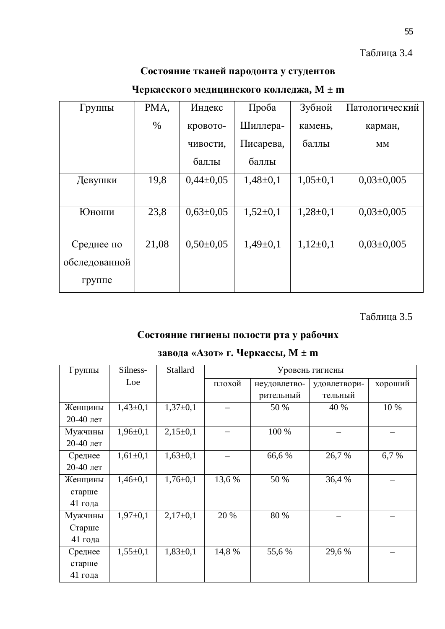#### Таблица 3.4

### Состояние тканей пародонта у студентов

| Группы        | PMA,  | Индекс        | Проба        | Зубной       | Патологический   |
|---------------|-------|---------------|--------------|--------------|------------------|
|               | $\%$  | кровото-      | Шиллера-     | камень,      | карман,          |
|               |       | чивости,      | Писарева,    | баллы        | <b>MM</b>        |
|               |       | баллы         | баллы        |              |                  |
| Девушки       | 19,8  | $0,44\pm0,05$ | $1,48\pm0,1$ | $1,05\pm0,1$ | $0,03\pm0,005$   |
|               |       |               |              |              |                  |
| Юноши         | 23,8  | $0,63\pm0,05$ | $1,52\pm0,1$ | $1,28\pm0,1$ | $0.03 \pm 0.005$ |
|               |       |               |              |              |                  |
| Среднее по    | 21,08 | $0,50\pm0,05$ | $1,49\pm0,1$ | $1,12\pm0,1$ | $0.03 \pm 0.005$ |
| обследованной |       |               |              |              |                  |
| группе        |       |               |              |              |                  |

### Черкасского медицинского колледжа, М ± m

Таблица 3.5

#### Состояние гигиены полости рта у рабочих

### **3авода «Азот» г. Черкассы, М ± m**

| Группы    | Silness-       | <b>Stallard</b> |        | Уровень гигиены |              |         |  |  |  |
|-----------|----------------|-----------------|--------|-----------------|--------------|---------|--|--|--|
|           | Loe            |                 | плохой | неудовлетво-    | удовлетвори- | хороший |  |  |  |
|           |                |                 |        | рительный       | тельный      |         |  |  |  |
| Женщины   | $1,43\pm0,1$   | $1,37\pm0,1$    |        | 50 %            | 40 %         | 10 %    |  |  |  |
| 20-40 лет |                |                 |        |                 |              |         |  |  |  |
| Мужчины   | $1,96 \pm 0,1$ | $2,15\pm0,1$    |        | 100 %           |              |         |  |  |  |
| 20-40 лет |                |                 |        |                 |              |         |  |  |  |
| Среднее   | $1,61\pm0,1$   | $1,63\pm0,1$    |        | 66,6 %          | 26,7 %       | 6,7 %   |  |  |  |
| 20-40 лет |                |                 |        |                 |              |         |  |  |  |
| Женщины   | $1,46\pm0,1$   | $1,76 \pm 0,1$  | 13,6 % | 50 %            | 36,4 %       |         |  |  |  |
| старше    |                |                 |        |                 |              |         |  |  |  |
| 41 года   |                |                 |        |                 |              |         |  |  |  |
| Мужчины   | $1,97\pm0,1$   | $2,17\pm0,1$    | 20 %   | 80 %            |              |         |  |  |  |
| Старше    |                |                 |        |                 |              |         |  |  |  |
| 41 года   |                |                 |        |                 |              |         |  |  |  |
| Среднее   | $1,55\pm0,1$   | $1,83\pm0,1$    | 14,8 % | 55,6 %          | 29,6 %       |         |  |  |  |
| старше    |                |                 |        |                 |              |         |  |  |  |
| 41 года   |                |                 |        |                 |              |         |  |  |  |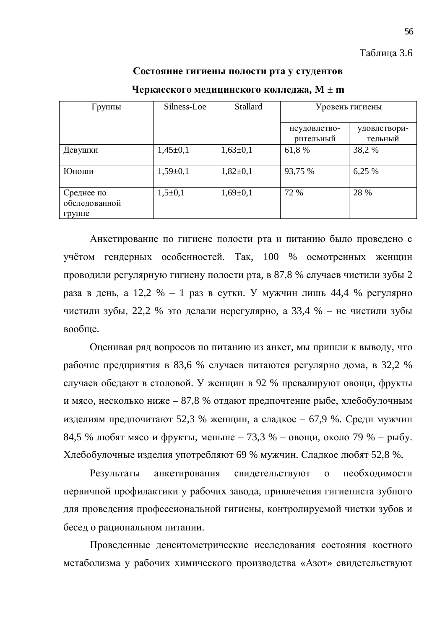#### Таблица 3.6

#### Состояние гигиены полости рта у студентов

| Группы                                | Silness-Loe  | Stallard       | Уровень гигиены           |                         |
|---------------------------------------|--------------|----------------|---------------------------|-------------------------|
|                                       |              |                | неудовлетво-<br>рительный | удовлетвори-<br>тельный |
| Девушки                               | $1,45\pm0,1$ | $1,63\pm0,1$   | 61,8%                     | 38,2 %                  |
| Юноши                                 | $1,59+0,1$   | $1,82+0,1$     | 93,75 %                   | 6,25 %                  |
| Среднее по<br>обследованной<br>группе | $1,5+0,1$    | $1,69 \pm 0,1$ | 72 %                      | 28 %                    |

#### Черкасского медицинского колледжа, М ± m

Анкетирование по гигиене полости рта и питанию было проведено с үчётом гендерных особенностей. Так, 100 % осмотренных женщин проводили регулярную гигиену полости рта, в 87,8 % случаев чистили зубы 2 раза в день, а 12,2 % – 1 раз в сутки. У мужчин лишь 44,4 % регулярно чистили зубы, 22,2 % это делали нерегулярно, а 33,4 % – не чистили зубы вообще.

Оценивая ряд вопросов по питанию из анкет, мы пришли к выводу, что рабочие предприятия в 83,6 % случаев питаются регулярно дома, в 32,2 % случаев обедают в столовой. У женщин в 92 % превалируют овощи, фрукты и мясо, несколько ниже – 87,8 % отдают предпочтение рыбе, хлебобулочным изделиям предпочитают 52,3 % женщин, а сладкое – 67,9 %. Среди мужчин 84,5 % любят мясо и фрукты, меньше – 73,3 % – овощи, около 79 % – рыбу. Xлебобулочные изделия употребляют 69 % мужчин. Сладкое любят 52,8 %.

Результаты анкетирования свидетельствуют о необходимости первичной профилактики у рабочих завода, привлечения гигиениста зубного для проведения профессиональной гигиены, контролируемой чистки зубов и бесед о рациональном питании.

Проведенные денситометрические исследования состояния костного метаболизма у рабочих химического производства «Азот» свидетельствуют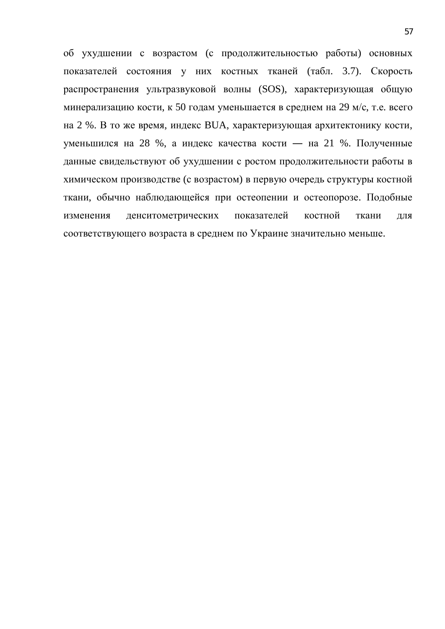об ухудшении с возрастом (с продолжительностью работы) основных показателей состояния у них костных тканей (табл. 3.7). Скорость распространения ультразвуковой волны (SOS), характеризующая общую минерализацию кости, к 50 годам уменьшается в среднем на 29 м/с, т.е. всего на 2 %. В то же время, индекс BUA, характеризующая архитектонику кости, уменьшился на 28 %, а индекс качества кости — на 21 %. Полученные данные свидельствуют об ухудшении с ростом продолжительности работы в химическом производстве (с возрастом) в первую очередь структуры костной ткани, обычно наблюдающейся при остеопении и остеопорозе. Подобные изменения денситометрических показателей костной ткани для соответствующего возраста в среднем по Украине значительно меньше.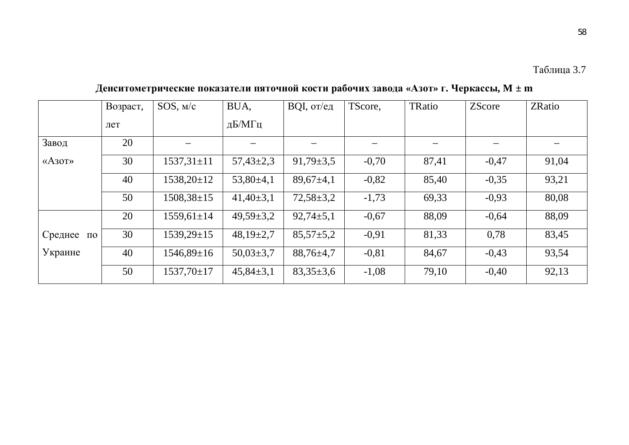58

|                        | Возраст, | SOS, M/c         | BUA,            | $BQI$ , от/ед   | TScore, | TRatio | <b>ZScore</b> | ZRatio |
|------------------------|----------|------------------|-----------------|-----------------|---------|--------|---------------|--------|
|                        | лет      |                  | дБ/МГц          |                 |         |        |               |        |
| Завод                  | 20       |                  |                 |                 |         |        |               |        |
| $\langle A30T \rangle$ | 30       | $1537,31 \pm 11$ | $57,43\pm2,3$   | $91,79 \pm 3,5$ | $-0,70$ | 87,41  | $-0,47$       | 91,04  |
|                        | 40       | $1538,20\pm12$   | $53,80\pm4,1$   | $89,67 \pm 4,1$ | $-0,82$ | 85,40  | $-0,35$       | 93,21  |
|                        | 50       | $1508,38\pm 15$  | $41,40\pm3,1$   | $72,58 \pm 3,2$ | $-1,73$ | 69,33  | $-0,93$       | 80,08  |
|                        | 20       | $1559,61 \pm 14$ | $49,59 \pm 3,2$ | $92,74 \pm 5,1$ | $-0,67$ | 88,09  | $-0,64$       | 88,09  |
| Среднее<br>$\Pi 0$     | 30       | $1539,29\pm 15$  | $48,19\pm2,7$   | $85,57 \pm 5,2$ | $-0,91$ | 81,33  | 0,78          | 83,45  |
| Украине                | 40       | $1546,89\pm 16$  | $50,03\pm3,7$   | $88,76 \pm 4,7$ | $-0,81$ | 84,67  | $-0,43$       | 93,54  |
|                        | 50       | $1537,70\pm17$   | $45,84\pm3,1$   | $83,35 \pm 3,6$ | $-1,08$ | 79,10  | $-0,40$       | 92,13  |

**Ⱦɟɧɫɢɬɨɦɟɬɪɢɱɟɫɤɢɟɩɨɤɚɡɚɬɟɥɢɩɹɬɨɱɧɨɣɤɨɫɬɢɪɚɛɨɱɢɯɡɚɜɨɞɚ «Ⱥɡɨɬ» ɝ. ɑɟɪɤɚɫɫɵ, M ± m**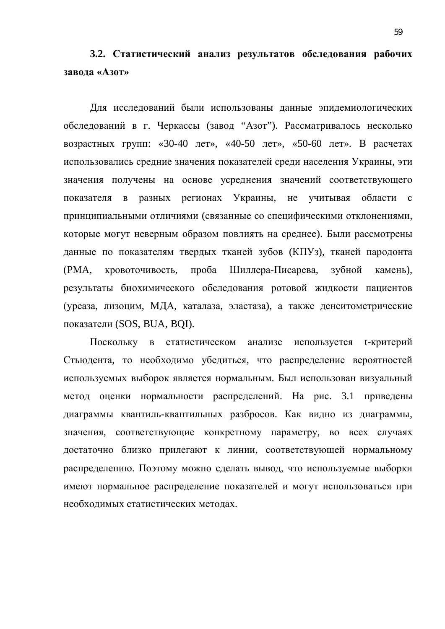### 3.2. Статистический анализ результатов обследования рабочих **завода** «Азот»

Для исследований были использованы данные эпидемиологических обследований в г. Черкассы (завод "Азот"). Рассматривалось несколько возрастных групп: «30-40 лет», «40-50 лет», «50-60 лет». В расчетах использовались средние значения показателей среди населения Украины, эти значения получены на основе усреднения значений соответствующего показателя в разных регионах Украины, не учитывая области с принципиальными отличиями (связанные со специфическими отклонениями, которые могут неверным образом повлиять на среднее). Были рассмотрены данные по показателям твердых тканей зубов (КПУз), тканей пародонта (PMA, кровоточивость, проба Шиллера-Писарева, зубной камень), результаты биохимического обследования ротовой жидкости пациентов (уреаза, лизоцим, МДА, каталаза, эластаза), а также денситометрические показатели (SOS, BUA, BQI).

Поскольку в статистическом анализе используется t-критерий Стьюдента, то необходимо убедиться, что распределение вероятностей используемых выборок является нормальным. Был использован визуальный метод оценки нормальности распределений. На рис. 3.1 приведены диаграммы квантиль-квантильных разбросов. Как видно из диаграммы, значения, соответствующие конкретному параметру, во всех случаях достаточно близко прилегают к линии, соответствующей нормальному распределению. Поэтому можно сделать вывод, что используемые выборки имеют нормальное распределение показателей и могут использоваться при необходимых статистических методах.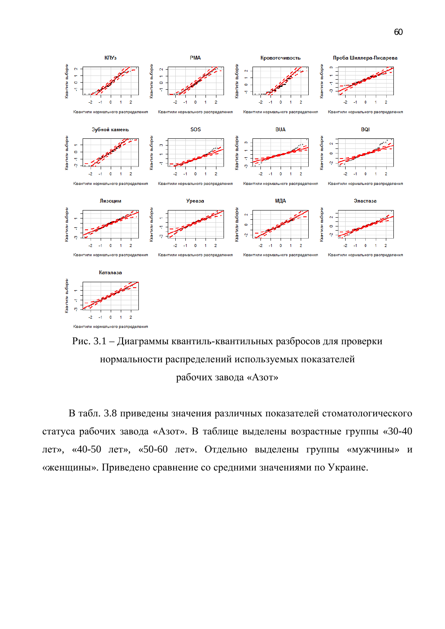



В табл. 3.8 приведены значения различных показателей стоматологического статуса рабочих завода «Азот». В таблице выделены возрастные группы «30-40 лет», «40-50 лет», «50-60 лет». Отдельно выделены группы «мужчины» и «женщины». Приведено сравнение со средними значениями по Украине.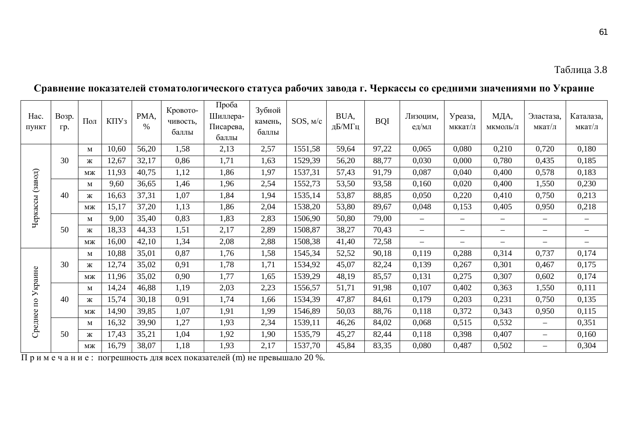#### Hac. ПУНКТ Bo<sub>3</sub>p. ɝɪ.  $\overline{\text{H}}$   $\overline{\text{K}}$   $\overline{\text{H}}$   $\overline{\text{H}}$  PMA,  $\%$ Кровоточивость. баллы Πpo<sub>бa</sub> Шиллера-Писарева, баллы Зубной камень. баллы SOS,  $M/c \left| \frac{BUA}{\pi b/M\Gamma u} \right|$ ВОІ Лизоцим, ед/мл Уреаза, мккат/л МДА, мкмоль/л Эластаза, мкат/л Каталаза, мкат/л ɑɟɪ кассы (завод) 30 м | 10,60 | 56,20 |  $\quad1,58$  |  $\quad 2,13$  |  $\quad2,57$  | 1551,58 | 59,64 | 97,22 | 0,065 | 0,080 | 0,210 | 0,720 | 0,180 ж | 12,67 | 32,17 | 0,86 | 1,71 | 1,63 | 1529,39 | 56,20 | 88,77 | 0,030 | 0,000 | 0,780 | 0,435 | 0,185 ɦɠ 11,93 40,75 1,12 1,86 1,97 1537,31 57,43 91,79 0,087 0,040 0,400 0,578 0,183 40 м | 9,60 | 36,65 | 1,46 | 1,96 | 2,54 | 1552,73 | 53,50 | 93,58 | 0,160 | 0,020 | 0,400 | 1,550 | 0,230 ж | 16,63 | 37,31 | 1,07 | 1,84 | 1,94 | 1535,14 | 53,87 | 88,85 | 0,050 | 0,220 | 0,410 | 0,750 | 0,213 ɦɠ 15,17 37,20 1,13 1,86 2,04 1538,20 53,80 89,67 0,048 0,153 0,405 0,950 0,218 50 ɦ 9,00 35,40 0,83 1,83 2,83 1506,90 50,80 79,00 – – – – – ɠ 18,33 44,33 1,51 2,17 2,89 1508,87 38,27 70,43 – – – – – ɦɠ 16,00 42,10 1,34 2,08 2,88 1508,38 41,40 72,58 – – – – –  $\rm Cper$ нее по  $Y$ краи<br> ɧɟ 30 м | 10,88 | 35,01 | - 0,87 | - 1,76 | - 1,58 | 1545,34 | - 52,52 | - 90,18 | - 0,119 | - 0,288 | - 0,314 | -0,737 | -0,174 ж | 12,74 | 35,02 | 0,91 | 1,78 | 1,71 | 1534,92 | 45,07 | 82,24 | 0,139 | 0,267 | 0,301 | 0,467 | 0,175 ɦɠ 11,96 35,02 0,90 1,77 1,65 1539,29 48,19 85,57 0,131 0,275 0,307 0,602 0,174 40 м | 14,24 | 46,88 |  $\quad1,19$  |  $\quad2,03$  |  $\quad2,23$  | 1556,57 | 51,71 | 91,98 |  $\quad0,107$  |  $\quad0,402$  |  $\quad0,363$  |  $\quad1,550$  |  $\quad0,111$ ж | 15,74 | 30,18 | 0,91 | 1,74 | 1,66 | 1534,39 | 47,87 | 84,61 | 0,179 | 0,203 | 0,231 | 0,750 | 0,135 ɦɠ 14,90 39,85 1,07 1,91 1,99 1546,89 50,03 88,76 0,118 0,372 0,343 0,950 0,115 50 м | 16,32 | 39,90 |  $\quad1,27$  |  $\quad1,93$  | 2,34 | 1539,11 | 46,26 | 84,02 | 0,068 | 0,515 | 0,532 | - | 0,351 ж | 17,43 | 35,21 | 1,04 | 1,92 | 1,90 | 1535,79 | 45,27 | 82,44 | 0,118 | 0,398 | 0,407 | – | 0,160 ɦɠ 16,79 38,07 1,18 1,93 2,17 1537,70 45,84 83,35 0,080 0,487 0,502 – 0,304

#### Сравнение показателей стоматологического статуса рабочих завода г. Черкассы со средними значениями по Украине

Примечание: погрешность для всех показателей (m) не превышало 20 %.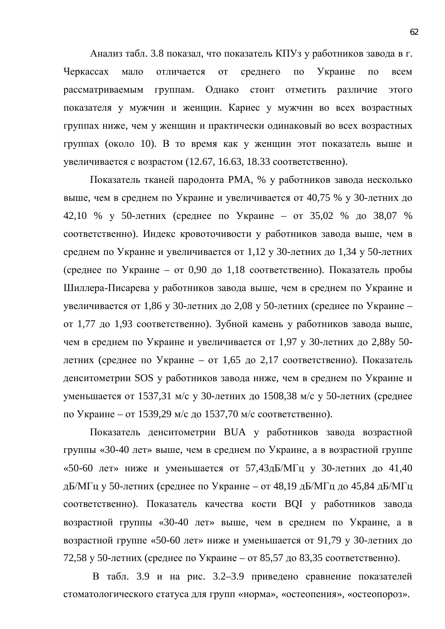Анализ табл. 3.8 показал, что показатель КПУз у работников завода в г. Черкассах мало отличается от среднего по Украине по всем рассматриваемым группам. Однако стоит отметить различие этого показателя у мужчин и женщин. Кариес у мужчин во всех возрастных группах ниже, чем у женщин и практически одинаковый во всех возрастных группах (около 10). В то время как у женщин этот показатель выше и увеличивается с возрастом (12.67, 16.63, 18.33 соответственно).

Показатель тканей пародонта РМА, % у работников завода несколько выше, чем в среднем по Украине и увеличивается от 40,75 % у 30-летних до 42,10 % у 50-летних (среднее по Украине – от 35,02 % до 38,07 % соответственно). Индекс кровоточивости у работников завода выше, чем в среднем по Украине и увеличивается от 1,12 у 30-летних до 1,34 у 50-летних  $(c$ реднее по Украине – от 0,90 до 1,18 соответственно). Показатель пробы Шиллера-Писарева у работников завода выше, чем в среднем по Украине и увеличивается от 1,86 у 30-летних до 2,08 у 50-летних (среднее по Украине – от 1,77 до 1,93 соответственно). Зубной камень у работников завода выше, чем в среднем по Украине и увеличивается от 1,97 у 30-летних до 2,88у 50детних (среднее по Украине – от 1,65 до 2,17 соответственно). Показатель денситометрии SOS у работников завода ниже, чем в среднем по Украине и уменьшается от 1537,31 м/с у 30-летних до 1508,38 м/с у 50-летних (среднее по Украине – от 1539,29 м/с до 1537,70 м/с соответственно).

Показатель денситометрии ВUA у работников завода возрастной группы «30-40 лет» выше, чем в среднем по Украине, а в возрастной группе «50-60 лет» ниже и уменьшается от 57,43дБ/МГц у 30-летних до 41,40 дБ/МГц у 50-летних (среднее по Украине – от 48,19 дБ/МГц до 45,84 дБ/МГц соответственно). Показатель качества кости BQI у работников завода возрастной группы «30-40 лет» выше, чем в среднем по Украине, а в возрастной группе «50-60 лет» ниже и уменьшается от 91,79 у 30-летних до 72,58 у 50-летних (среднее по Украине – от 85,57 до 83,35 соответственно).

В табл. 3.9 и на рис. 3.2–3.9 приведено сравнение показателей стоматологического статуса для групп «норма», «остеопения», «остеопороз».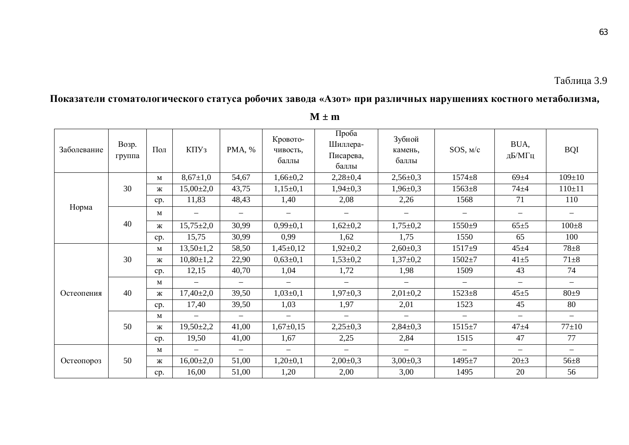Показатели стоматологического статуса робочих завода «Азот» при различных нарушениях костного метаболизма,

| Заболевание | Возр.<br>группа | $\Pi$ ол     | КПУз                     | PMA, %                   | Кровото-<br>чивость,<br>баллы | Проба<br>Шиллера-<br>Писарева,<br>баллы | Зубной<br>камень.<br>баллы | SOS, M/c                 | BUA,<br>дБ/МГц    | <b>BQI</b>   |
|-------------|-----------------|--------------|--------------------------|--------------------------|-------------------------------|-----------------------------------------|----------------------------|--------------------------|-------------------|--------------|
|             |                 | $\mathbf{M}$ | $8,67{\pm}1,0$           | 54,67                    | $1,66 \pm 0,2$                | $2,28+0,4$                              | $2,56 \pm 0,3$             | $1574 + 8$               | $69 + 4$          | $109 \pm 10$ |
|             | 30              | Ж            | $15,00\pm2,0$            | 43,75                    | $1,15\pm0,1$                  | $1,94\pm0,3$                            | $1,96 \pm 0,3$             | $1563 \pm 8$             | $74 + 4$          | $110 \pm 11$ |
|             |                 | cp.          | 11,83                    | 48,43                    | 1,40                          | 2,08                                    | 2,26                       | 1568                     | 71                | 110          |
| Норма       | 40              | M            | $\overline{\phantom{0}}$ | $\overline{\phantom{0}}$ |                               |                                         |                            |                          | $\qquad \qquad -$ |              |
|             |                 | Ж            | $15,75 \pm 2,0$          | 30,99                    | $0,99\pm0,1$                  | $1,62\pm0,2$                            | $1,75 \pm 0,2$             | $1550+9$                 | $65 + 5$          | $100 \pm 8$  |
|             |                 | cp.          | 15,75                    | 30,99                    | 0,99                          | 1,62                                    | 1,75                       | 1550                     | 65                | 100          |
|             | 30              | $\mathbf{M}$ | $13,50 \pm 1,2$          | 58,50                    | $1,45\pm0,12$                 | $1,92\pm0,2$                            | $2,60\pm0,3$               | $1517 + 9$               | $45 + 4$          | $78 + 8$     |
|             |                 | Ж            | $10,80 \pm 1,2$          | 22,90                    | $0,63{\pm}0,1$                | $1,53\pm0,2$                            | $1,37\pm0,2$               | $1502 + 7$               | $41 + 5$          | $71 + 8$     |
|             |                 | cp.          | 12,15                    | 40,70                    | 1,04                          | 1,72                                    | 1,98                       | 1509                     | 43                | 74           |
|             |                 | $\mathbf{M}$ | $\equiv$                 | $\qquad \qquad -$        | $\equiv$                      | $\equiv$                                | $\overline{\phantom{0}}$   | $\equiv$                 | $=$               | $-$          |
| Остеопения  | 40              | Ж            | $17,40\pm2,0$            | 39,50                    | $1,03\pm0,1$                  | $1,97\pm0,3$                            | $2,01\pm0,2$               | $1523 \pm 8$             | $45\pm5$          | $80+9$       |
|             |                 | cp.          | 17,40                    | 39,50                    | 1,03                          | 1,97                                    | 2,01                       | 1523                     | 45                | 80           |
|             |                 | M            | $\qquad \qquad -$        | $\equiv$                 | $\qquad \qquad -$             | $\equiv$                                | $\equiv$                   | $\equiv$                 | $-$               | $=$          |
|             | 50              | Ж            | $19,50\pm2,2$            | 41,00                    | $1,67+0,15$                   | $2,25\pm0,3$                            | $2,84\pm0,3$               | $1515 + 7$               | $47 + 4$          | $77 + 10$    |
|             |                 | cp.          | 19,50                    | 41,00                    | 1,67                          | 2,25                                    | 2,84                       | 1515                     | 47                | 77           |
|             |                 | M            | $\qquad \qquad -$        | $\qquad \qquad -$        | $\overline{\phantom{0}}$      | $\qquad \qquad -$                       | $\overline{\phantom{0}}$   | $\overline{\phantom{0}}$ | $\qquad \qquad -$ | $\equiv$     |
| Остеопороз  | 50              | Ж            | $16,00\pm2,0$            | 51,00                    | $1,20\pm0,1$                  | $2,00\pm0,3$                            | $3,00\pm0,3$               | $1495 + 7$               | $20 \pm 3$        | $56 + 8$     |
|             |                 | cp.          | 16,00                    | 51,00                    | 1,20                          | 2,00                                    | 3,00                       | 1495                     | 20                | 56           |

**M ± m**

 $\overline{\phantom{a}}$ 

 $\blacksquare$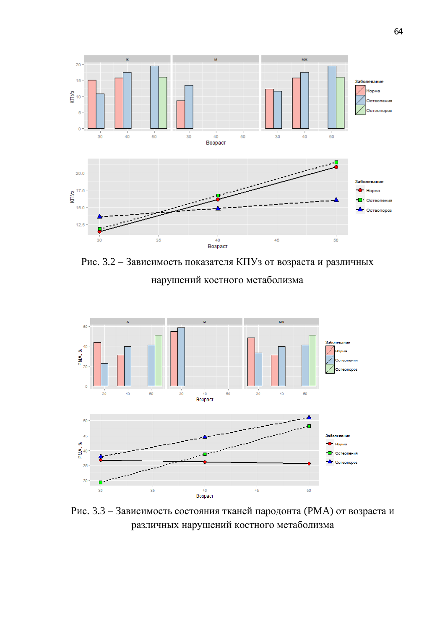

Рис. 3.2 – Зависимость показателя КПУз от возраста и различных нарушений костного метаболизма



Рис. 3.3 – Зависимость состояния тканей пародонта (РМА) от возраста и различных нарушений костного метаболизма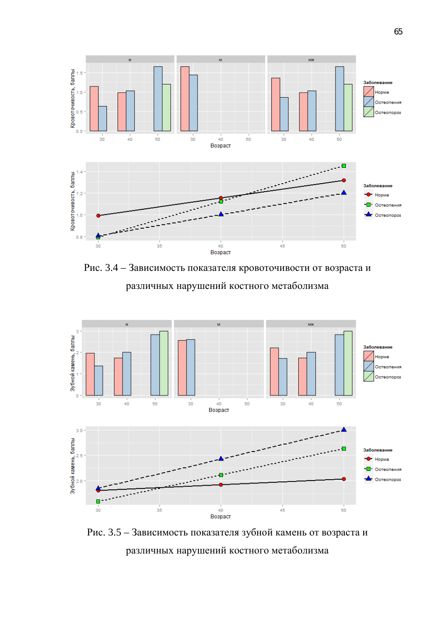

Рис. 3.4 – Зависимость показателя кровоточивости от возраста и различных нарушений костного метаболизма



Рис. 3.5 – Зависимость показателя зубной камень от возраста и различных нарушений костного метаболизма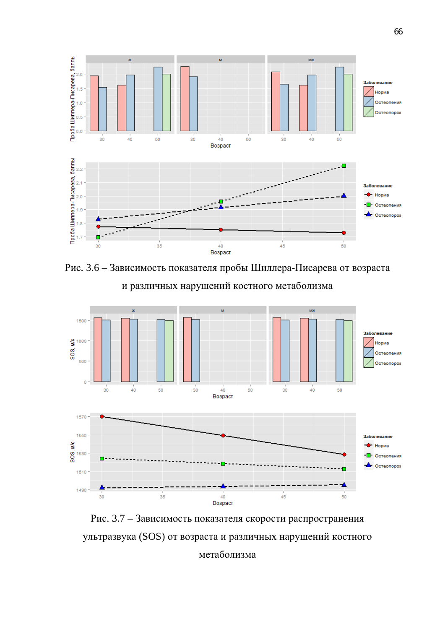

Рис. 3.6 – Зависимость показателя пробы Шиллера-Писарева от возраста и различных нарушений костного метаболизма



Рис. 3.7 – Зависимость показателя скорости распространения ультразвука (SOS) от возраста и различных нарушений костного

метаболизма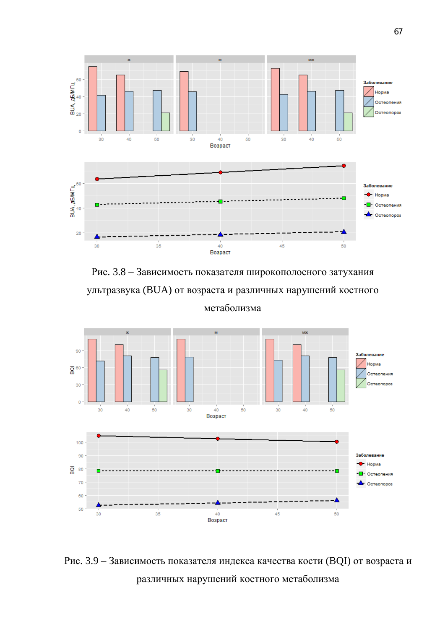

Рис. 3.8 – Зависимость показателя широкополосного затухания ультразвука (BUA) от возраста и различных нарушений костного метаболизма



Рис. 3.9 – Зависимость показателя индекса качества кости (BQI) от возраста и различных нарушений костного метаболизма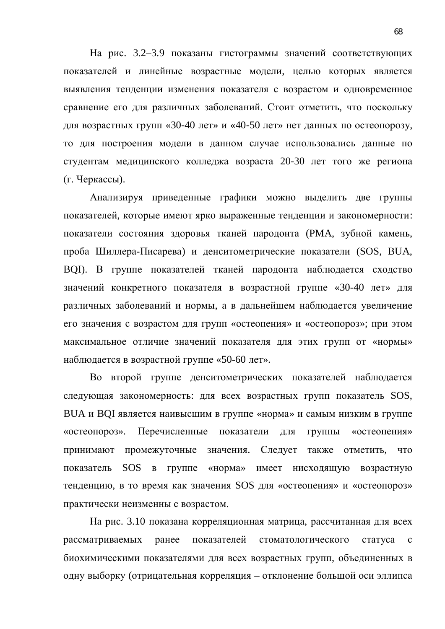На рис. 3.2–3.9 показаны гистограммы значений соответствующих показателей и линейные возрастные модели, целью которых является выявления тенденции изменения показателя с возрастом и одновременное сравнение его для различных заболеваний. Стоит отметить, что поскольку для возрастных групп «30-40 лет» и «40-50 лет» нет данных по остеопорозу, то для построения модели в данном случае использовались данные по студентам медицинского колледжа возраста 20-30 лет того же региона (г. Черкассы).

Анализируя приведенные графики можно выделить две группы показателей, которые имеют ярко выраженные тенденции и закономерности: показатели состояния здоровья тканей пародонта (РМА, зубной камень, проба Шиллера-Писарева) и денситометрические показатели (SOS, BUA, BQI). В группе показателей тканей пародонта наблюдается сходство значений конкретного показателя в возрастной группе «30-40 лет» для различных заболеваний и нормы, а в дальнейшем наблюдается увеличение его значения с возрастом для групп «остеопения» и «остеопороз»; при этом максимальное отличие значений показателя для этих групп от «нормы» наблюдается в возрастной группе «50-60 лет».

Во второй группе денситометрических показателей наблюдается следующая закономерность: для всех возрастных групп показатель SOS, ВUA и BQI является наивысшим в группе «норма» и самым низким в группе «остеопороз». Перечисленные показатели для группы «остеопения» принимают промежуточные значения. Следует также отметить, что показатель SOS в группе «норма» имеет нисходящую возрастную тенденцию, в то время как значения SOS для «остеопения» и «остеопороз» практически неизменны с возрастом.

На рис. 3.10 показана корреляционная матрица, рассчитанная для всех рассматриваемых ранее показателей стоматологического статуса с биохимическими показателями для всех возрастных групп, объединенных в одну выборку (отрицательная корреляция – отклонение большой оси эллипса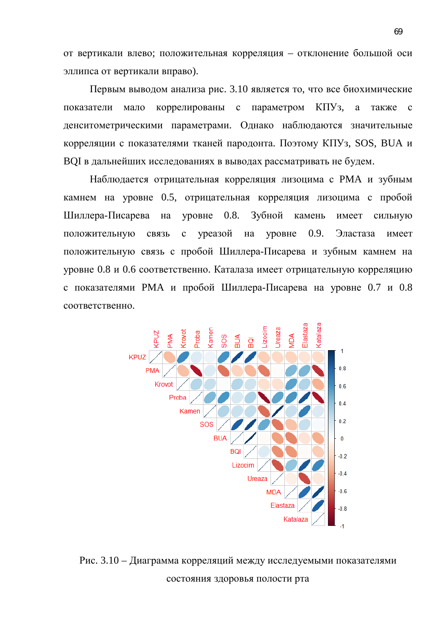от вертикали влево; положительная корреляция – отклонение большой оси эллипса от вертикали вправо).

Первым выводом анализа рис. 3.10 является то, что все биохимические показатели мало коррелированы с параметром КПУз, а также с денситометрическими параметрами. Однако наблюдаются значительные корреляции с показателями тканей пародонта. Поэтому КПУз, SOS, BUA и ВОІ в дальнейших исследованиях в выводах рассматривать не будем.

Наблюдается отрицательная корреляция лизоцима с РМА и зубным камнем на уровне 0.5, отрицательная корреляция лизоцима с пробой Шиллера-Писарева на уровне 0.8. Зубной камень имеет сильную положительную связь с уреазой на уровне 0.9. Эластаза имеет положительную связь с пробой Шиллера-Писарева и зубным камнем на уровне 0.8 и 0.6 соответственно. Каталаза имеет отрицательную корреляцию с показателями РМА и пробой Шиллера-Писарева на уровне 0.7 и 0.8 соответственно.



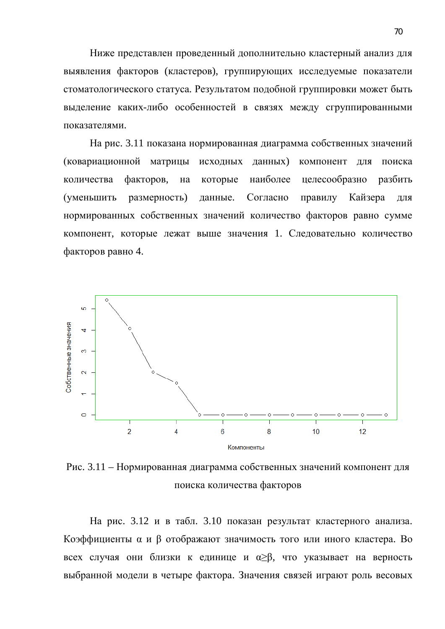Ниже представлен проведенный дополнительно кластерный анализ для выявления факторов (кластеров), группирующих исследуемые показатели стоматологического статуса. Результатом подобной группировки может быть выделение каких-либо особенностей в связях между сгруппированными показателями.

На рис. 3.11 показана нормированная диаграмма собственных значений (ковариационной матрицы исходных данных) компонент для поиска количества факторов, на которые наиболее целесообразно разбить (уменьшить размерность) данные. Согласно правилу Кайзера для нормированных собственных значений количество факторов равно сумме компонент, которые лежат выше значения 1. Следовательно количество факторов равно 4.



Рис. 3.11 – Нормированная диаграмма собственных значений компонент для поиска количества факторов

На рис. 3.12 и в табл. 3.10 показан результат кластерного анализа. Коэффициенты  $\alpha$  и  $\beta$  отображают значимость того или иного кластера. Во всех случая они близки к единице и  $\alpha \geq \beta$ , что указывает на верность выбранной модели в четыре фактора. Значения связей играют роль весовых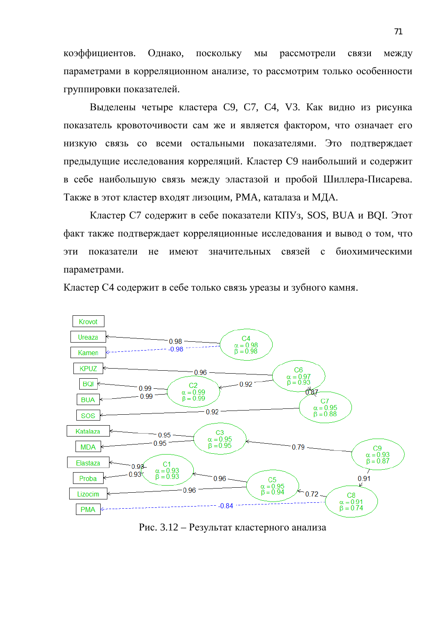коэффициентов. Однако, поскольку мы рассмотрели связи между параметрами в корреляционном анализе, то рассмотрим только особенности группировки показателей.

Выделены четыре кластера С9, С7, С4, V3. Как видно из рисунка показатель кровоточивости сам же и является фактором, что означает его низкую связь со всеми остальными показателями. Это подтверждает предыдущие исследования корреляций. Кластер С9 наибольший и содержит в себе наибольшую связь между эластазой и пробой Шиллера-Писарева. Также в этот кластер входят лизоцим, РМА, каталаза и МДА.

Кластер С7 содержит в себе показатели КПУз, SOS, BUA и BQI. Этот факт также подтверждает корреляционные исследования и вывод о том, что эти показатели не имеют значительных связей с биохимическими параметрами.

Кластер С4 содержит в себе только связь уреазы и зубного камня.



Рис. 3.12 – Результат кластерного анализа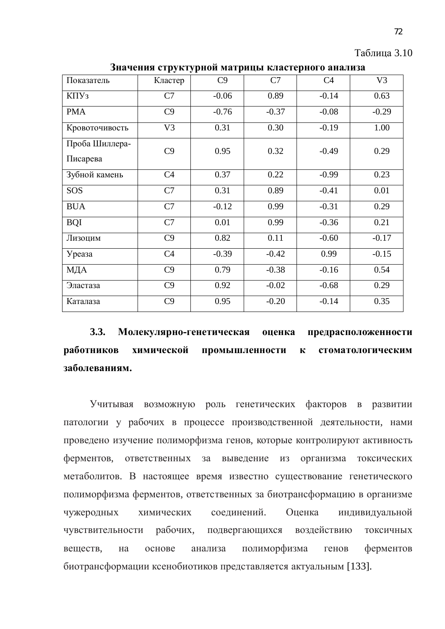| $\mathbf{r}$ $\mathbf{r}$ $\mathbf{r}$ $\mathbf{r}$ $\mathbf{r}$ $\mathbf{r}$ $\mathbf{r}$ $\mathbf{r}$ $\mathbf{r}$ $\mathbf{r}$ $\mathbf{r}$ $\mathbf{r}$ $\mathbf{r}$ $\mathbf{r}$ $\mathbf{r}$ $\mathbf{r}$ $\mathbf{r}$ $\mathbf{r}$ $\mathbf{r}$ $\mathbf{r}$ $\mathbf{r}$ $\mathbf{r}$ $\mathbf{r}$ $\mathbf{r}$ $\mathbf{$ |                |         |         |                |                |  |  |  |  |
|------------------------------------------------------------------------------------------------------------------------------------------------------------------------------------------------------------------------------------------------------------------------------------------------------------------------------------|----------------|---------|---------|----------------|----------------|--|--|--|--|
| Показатель                                                                                                                                                                                                                                                                                                                         | Кластер        | C9      | C7      | C <sub>4</sub> | V <sub>3</sub> |  |  |  |  |
| КПУз                                                                                                                                                                                                                                                                                                                               | C7             | $-0.06$ | 0.89    | $-0.14$        | 0.63           |  |  |  |  |
| <b>PMA</b>                                                                                                                                                                                                                                                                                                                         | C9             | $-0.76$ | $-0.37$ | $-0.08$        | $-0.29$        |  |  |  |  |
| Кровоточивость                                                                                                                                                                                                                                                                                                                     | V <sub>3</sub> | 0.31    | 0.30    | $-0.19$        | 1.00           |  |  |  |  |
| Проба Шиллера-                                                                                                                                                                                                                                                                                                                     | C9             | 0.95    | 0.32    | $-0.49$        | 0.29           |  |  |  |  |
| Писарева                                                                                                                                                                                                                                                                                                                           |                |         |         |                |                |  |  |  |  |
| Зубной камень                                                                                                                                                                                                                                                                                                                      | C <sub>4</sub> | 0.37    | 0.22    | $-0.99$        | 0.23           |  |  |  |  |
| SOS                                                                                                                                                                                                                                                                                                                                | C7             | 0.31    | 0.89    | $-0.41$        | 0.01           |  |  |  |  |
| <b>BUA</b>                                                                                                                                                                                                                                                                                                                         | C7             | $-0.12$ | 0.99    | $-0.31$        | 0.29           |  |  |  |  |
| <b>BQI</b>                                                                                                                                                                                                                                                                                                                         | C7             | 0.01    | 0.99    | $-0.36$        | 0.21           |  |  |  |  |
| Лизоцим                                                                                                                                                                                                                                                                                                                            | C9             | 0.82    | 0.11    | $-0.60$        | $-0.17$        |  |  |  |  |
| Уреаза                                                                                                                                                                                                                                                                                                                             | C <sub>4</sub> | $-0.39$ | $-0.42$ | 0.99           | $-0.15$        |  |  |  |  |
| МДА                                                                                                                                                                                                                                                                                                                                | C9             | 0.79    | $-0.38$ | $-0.16$        | 0.54           |  |  |  |  |
| Эластаза                                                                                                                                                                                                                                                                                                                           | C9             | 0.92    | $-0.02$ | $-0.68$        | 0.29           |  |  |  |  |
| Каталаза                                                                                                                                                                                                                                                                                                                           | C9             | 0.95    | $-0.20$ | $-0.14$        | 0.35           |  |  |  |  |

**Значения структурной матрины кластерного анализа** 

3.3. Молекулярно-генетическая оценка предрасположенности работников химической промышленности к стоматологическим заболеваниям.

Учитывая возможную роль генетических факторов в развитии патологии у рабочих в процессе производственной деятельности, нами проведено изучение полиморфизма генов, которые контролируют активность ферментов, ответственных за выведение из организма токсических метаболитов. В настоящее время известно существование генетического полиморфизма ферментов, ответственных за биотрансформацию в организме чужеродных химических соединений. Оценка индивидуальной чувствительности рабочих, подвергающихся воздействию токсичных веществ, на основе анализа полиморфизма генов ферментов биотрансформации ксенобиотиков представляется актуальным [133].

Таблина 3.10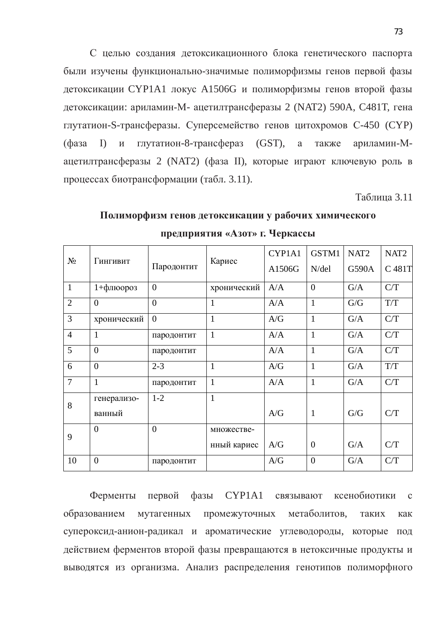С целью создания детоксикационного блока генетического паспорта были изучены функционально-значимые полиморфизмы генов первой фазы детоксикации СҮР1А1 локус А1506G и полиморфизмы генов второй фазы детоксикации: ариламин-М- ацетилтрансферазы 2 (NAT2) 590A, C481T, гена глутатион-S-трансферазы. Суперсемейство генов цитохромов С-450 (СҮР) (фаза I) и глутатион-8-трансфераз (GST), а также ариламин-Мацетилтрансферазы 2 (NAT2) (фаза II), которые играют ключевую роль в процессах биотрансформации (табл. 3.11).

**Таблина 3.11** 

# Полиморфизм генов детоксикации у рабочих химического Предприятия «Азот» г. Черкассы

| $N_2$          | Гингивит          | Пародонтит     | Кариес       | CYP1A1<br>A1506G | GSTM1<br>$N$ /del | NAT <sub>2</sub><br>G590A | NAT <sub>2</sub><br>C 481T |
|----------------|-------------------|----------------|--------------|------------------|-------------------|---------------------------|----------------------------|
| $\mathbf{1}$   | $1 + \phi$ люороз | $\overline{0}$ | хронический  | A/A              | $\overline{0}$    | G/A                       | C/T                        |
| $\overline{2}$ | $\overline{0}$    | $\overline{0}$ | 1            | A/A              | $\mathbf{1}$      | G/G                       | T/T                        |
| 3              | хронический       | $\overline{0}$ | $\mathbf{1}$ | A/G              | $\mathbf{1}$      | G/A                       | C/T                        |
| $\overline{4}$ | 1                 | пародонтит     | $\mathbf{1}$ | A/A              | $\mathbf{1}$      | G/A                       | C/T                        |
| 5              | $\theta$          | пародонтит     |              | A/A              | $\mathbf{1}$      | G/A                       | C/T                        |
| 6              | $\theta$          | $2 - 3$        | $\mathbf{1}$ | A/G              | $\mathbf{1}$      | G/A                       | T/T                        |
| $\overline{7}$ | 1                 | пародонтит     | $\mathbf{1}$ | A/A              | $\mathbf{1}$      | G/A                       | C/T                        |
| 8              | генерализо-       | $1 - 2$        | $\mathbf{1}$ |                  |                   |                           |                            |
|                | ванный            |                |              | A/G              | $\mathbf{1}$      | G/G                       | C/T                        |
| 9              | $\overline{0}$    | $\overline{0}$ | множестве-   |                  |                   |                           |                            |
|                |                   |                | нный кариес  | A/G              | $\overline{0}$    | G/A                       | C/T                        |
| 10             | $\overline{0}$    | пародонтит     |              | A/G              | $\overline{0}$    | G/A                       | C/T                        |

Ферменты первой фазы СҮР1А1 связывают ксенобиотики с образованием мутагенных промежуточных метаболитов, таких как супероксид-анион-радикал и ароматические углеводороды, которые под действием ферментов второй фазы превращаются в нетоксичные продукты и выводятся из организма. Анализ распределения генотипов полиморфного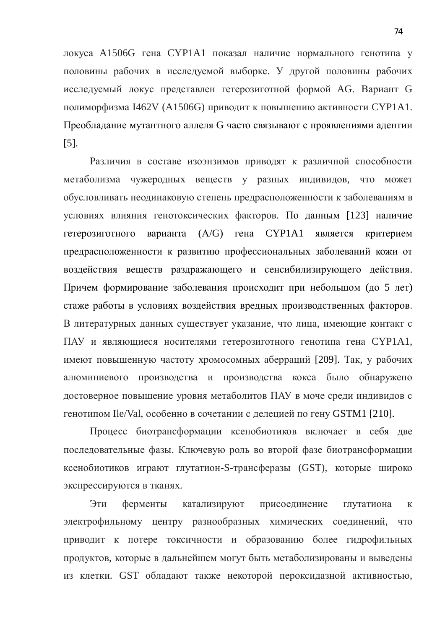локуса А1506G гена СҮР1А1 показал наличие нормального генотипа у половины рабочих в исследуемой выборке. У другой половины рабочих исследуемый локус представлен гетерозиготной формой AG. Вариант G полиморфизма I462V (А1506G) приводит к повышению активности СҮР1А1. Преобладание мутантного аллеля G часто связывают с проявлениями адентии [5].

Различия в составе изоэнзимов приводят к различной способности метаболизма чужеродных веществ у разных индивидов, что может обусловливать неодинаковую степень предрасположенности к заболеваниям в условиях влияния генотоксических факторов. По данным [123] наличие гетерозиготного варианта (A/G) гена СҮР1А1 является критерием предрасположенности к развитию профессиональных заболеваний кожи от воздействия веществ раздражающего и сенсибилизирующего действия. Причем формирование заболевания происходит при небольшом (до 5 лет) стаже работы в условиях воздействия вредных производственных факторов. В литературных данных существует указание, что лица, имеющие контакт с ПАУ и являющиеся носителями гетерозиготного генотипа гена СҮР1А1, имеют повышенную частоту хромосомных аберраций [209]. Так, у рабочих алюминиевого производства и производства кокса было обнаружено достоверное повышение уровня метаболитов ПАУ в моче среди индивидов с генотипом Ile/Val, особенно в сочетании с делецией по гену GSTM1 [210].

Процесс биотрансформации ксенобиотиков включает в себя две последовательные фазы. Ключевую роль во второй фазе биотрансформации ксенобиотиков играют глутатион-S-трансферазы (GST), которые широко экспрессируются в тканях.

Эти ферменты катализируют присоединение глутатиона к электрофильному центру разнообразных химических соединений, что приводит к потере токсичности и образованию более гидрофильных продуктов, которые в дальнейшем могут быть метаболизированы и выведены из клетки. GST обладают также некоторой пероксидазной активностью,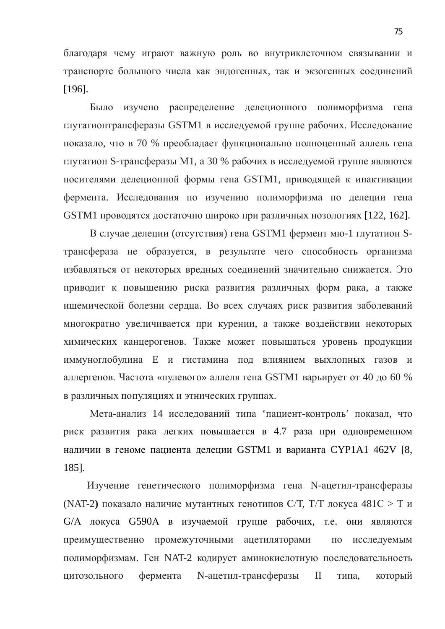благодаря чему играют важную роль во внутриклеточном связывании и транспорте большого числа как эндогенных, так и экзогенных соединений [196].

Было изучено распределение делеционного полиморфизма гена глутатионтрансферазы GSTM1 в исследуемой группе рабочих. Исследование показало, что в 70 % преобладает функционально полноценный аллель гена глутатион S-трансферазы M1, а 30 % рабочих в исследуемой группе являются носителями делеционной формы гена GSTM1, приводящей к инактивации фермента. Исследования по изучению полиморфизма по делеции гена GSTM1 проводятся достаточно широко при различных нозологиях [122, 162].

В случае делеции (отсутствия) гена GSTM1 фермент мю-1 глутатион Sтрансфераза не образуется, в результате чего способность организма избавляться от некоторых вредных соединений значительно снижается. Это приводит к повышению риска развития различных форм рака, а также ишемической болезни сердца. Во всех случаях риск развития заболеваний многократно увеличивается при курении, а также воздействии некоторых химических канцерогенов. Также может повышаться уровень продукции иммуноглобулина Е и гистамина под влиянием выхлопных газов и аллергенов. Частота «нулевого» аллеля гена GSTM1 варьирует от 40 до 60 % в различных популяциях и этнических группах.

Мета-анализ 14 исследований типа 'пациент-контроль' показал, что риск развития рака легких повышается в 4.7 раза при одновременном наличии в геноме пациента делеции GSTM1 и варианта CYP1A1 462V [8, 185].

Изучение генетического полиморфизма гена N-ацетил-трансферазы (NAT-2) показало наличие мутантных генотипов С/Т, Т/Т локуса  $481C > T$  и G/A локуса G590A в изучаемой группе рабочих, т.е. они являются преимущественно промежуточными ацетиляторами по исследуемым полиморфизмам. Ген NAT-2 кодирует аминокислотную последовательность цитозольного фермента N-ацетил-трансферазы II типа, который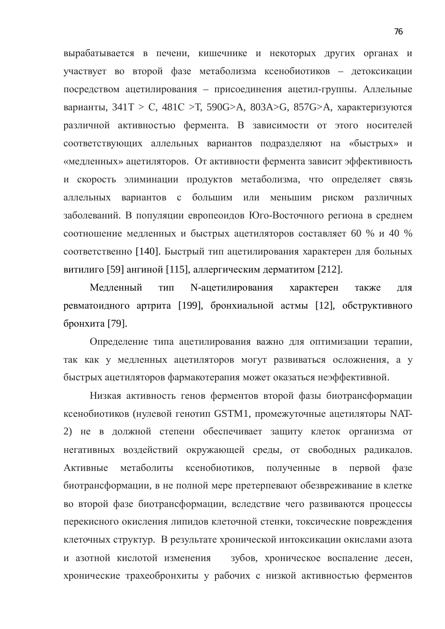вырабатывается в печени, кишечнике и некоторых других органах и участвует во второй фазе метаболизма ксенобиотиков – детоксикации посредством ацетилирования – присоединения ацетил-группы. Аллельные варианты,  $341T > C$ ,  $481C > T$ ,  $590G > A$ ,  $803A > G$ ,  $857G > A$ , характеризуются различной активностью фермента. В зависимости от этого носителей соответствующих аллельных вариантов подразделяют на «быстрых» и «медленных» ацетиляторов. От активности фермента зависит эффективность и скорость элиминации продуктов метаболизма, что определяет связь аллельных вариантов с большим или меньшим риском различных заболеваний. В популяции европеоидов Юго-Восточного региона в среднем соотношение медленных и быстрых ацетиляторов составляет 60 % и 40 % соответственно [140]. Быстрый тип ацетилирования характерен для больных витилиго [59] ангиной [115], аллергическим дерматитом [212].

Медленный тип N-ацетилирования характерен также для ревматоидного артрита [199], бронхиальной астмы [12], обструктивного бронхита [79].

Определение типа ацетилирования важно для оптимизации терапии, так как у медленных ацетиляторов могут развиваться осложнения, а у быстрых ацетиляторов фармакотерапия может оказаться неэффективной.

Низкая активность генов ферментов второй фазы биотрансформации ксенобиотиков (нулевой генотип GSTM1, промежуточные ацетиляторы NAT-2) не в должной степени обеспечивает защиту клеток организма от негативных воздействий окружающей среды, от свободных радикалов. Активные метаболиты ксенобиотиков, полученные в первой фазе биотрансформации, в не полной мере претерпевают обезвреживание в клетке во второй фазе биотрансформации, вследствие чего развиваются процессы перекисного окисления липидов клеточной стенки, токсические повреждения клеточных структур. В результате хронической интоксикации окислами азота и азотной кислотой изменения зубов, хроническое воспаление десен, хронические трахеобронхиты у рабочих с низкой активностью ферментов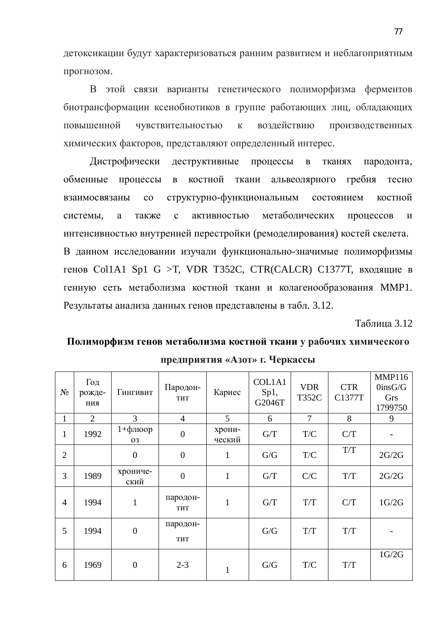детоксикации будут характеризоваться ранним развитием и неблагоприятным прогнозом.

В этой связи варианты генетического полиморфизма ферментов биотрансформации ксенобиотиков в группе работающих лиц, обладающих повышенной чувствительностью к воздействию производственных химических факторов, представляют определенный интерес.

Дистрофически деструктивные процессы в тканях пародонта, обменные процессы в костной ткани альвеолярного гребня тесно взаимосвязаны со структурно-функциональным состоянием костной системы, а также с активностью метаболических процессов и интенсивностью внутренней перестройки (ремоделирования) костей скелета. В данном исследовании изучали функционально-значимые полиморфизмы генов Col1A1 Sp1 G >T, VDR T352C, CTR(CALCR) С1377Т, входящие в генную сеть метаболизма костной ткани и колагенообразования ММР1. Результаты анализа данных генов представлены в табл. 3.12.

**Таблина** 3.12

## Полиморфизм генов метаболизма костной ткани у рабочих химического  $\Pi$ редприятия «Азот» г. Черкассы

| $N_2$          | Год<br>рожде-<br>ния | Гингивит              | Пародон-<br>THT        | Кариес           | COL1A1<br>Sp1,<br>G2046T | <b>VDR</b><br><b>T352C</b> | <b>CTR</b><br>C1377T | <b>MMP116</b><br>$0$ ins $G/G$<br>Grs<br>1799750 |
|----------------|----------------------|-----------------------|------------------------|------------------|--------------------------|----------------------------|----------------------|--------------------------------------------------|
| 1              | $\overline{2}$       | 3                     | $\overline{4}$         | 5                | 6                        | $\overline{7}$             | 8                    | 9                                                |
| 1              | 1992                 | $1 + \phi$ люор<br>03 | $\boldsymbol{0}$       | хрони-<br>ческий | G/T                      | T/C                        | C/T                  |                                                  |
| $\overline{2}$ |                      | $\boldsymbol{0}$      | $\overline{0}$         | $\mathbf{1}$     | G/G                      | T/C                        | T/T                  | 2G/2G                                            |
| 3              | 1989                 | хрониче-<br>ский      | $\overline{0}$         | $\mathbf{1}$     | G/T                      | C/C                        | T/T                  | 2G/2G                                            |
| $\overline{4}$ | 1994                 | $\mathbf{1}$          | пародон-<br><b>THT</b> | $\mathbf{1}$     | G/T                      | T/T                        | C/T                  | 1G/2G                                            |
| 5              | 1994                 | $\boldsymbol{0}$      | пародон-<br>THT        |                  | G/G                      | T/T                        | T/T                  |                                                  |
| 6              | 1969                 | $\overline{0}$        | $2 - 3$                | $\mathbf{1}$     | G/G                      | T/C                        | T/T                  | 1G/2G                                            |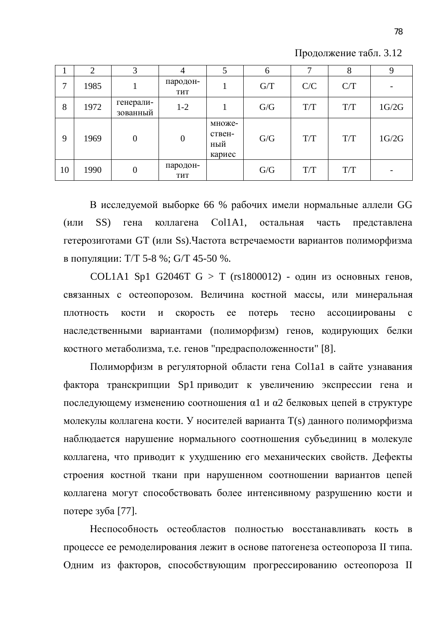Продолжение табл. 3.12

|    | $\mathcal{D}$ | 3                     | 4                | 5                                 | 6   | 7   | 8   | 9     |
|----|---------------|-----------------------|------------------|-----------------------------------|-----|-----|-----|-------|
| 7  | 1985          |                       | пародон-<br>THT  |                                   | G/T | C/C | C/T |       |
| 8  | 1972          | генерали-<br>зованный | $1-2$            |                                   | G/G | T/T | T/T | 1G/2G |
| 9  | 1969          | $\mathbf{0}$          | $\boldsymbol{0}$ | множе-<br>ствен-<br>ный<br>кариес | G/G | T/T | T/T | 1G/2G |
| 10 | 1990          | $\overline{0}$        | пародон-<br>THT  |                                   | G/G | T/T | T/T |       |

В исследуемой выборке 66 % рабочих имели нормальные аллели GG (или SS) гена коллагена Col1A1, остальная часть представлена гетерозиготами GT (или Ss). Частота встречаемости вариантов полиморфизма в популяции: Т/Т 5-8 %; G/T 45-50 %.

COL1A1 Sp1 G2046T  $G > T$  (rs1800012) - один из основных генов, связанных с остеопорозом. Величина костной массы, или минеральная плотность кости и скорость ее потерь тесно ассоциированы с наследственными вариантами (полиморфизм) генов, кодирующих белки костного метаболизма, т.е. генов "предрасположенности" [8].

Полиморфизм в регуляторной области гена Col1a1 в сайте узнавания фактора транскрипции Sp1 приводит к увеличению экспрессии гена и последующему изменению соотношения α1 и α2 белковых цепей в структуре молекулы коллагена кости. У носителей варианта T(s) данного полиморфизма наблюдается нарушение нормального соотношения субъединиц в молекуле коллагена, что приводит к ухудшению его механических свойств. Дефекты строения костной ткани при нарушенном соотношении вариантов цепей коллагена могут способствовать более интенсивному разрушению кости и потере зуба [77].

Неспособность остеобластов полностью восстанавливать кость в процессе ее ремоделирования лежит в основе патогенеза остеопороза II типа. Одним из факторов, способствующим прогрессированию остеопороза II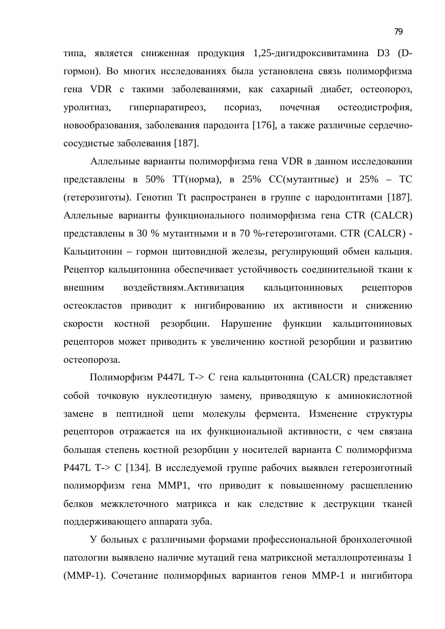типа, является сниженная продукция 1,25-дигидроксивитамина D3 (Dгормон). Во многих исследованиях была установлена связь полиморфизма гена VDR с такими заболеваниями, как сахарный диабет, остеопороз, уролитиаз, гиперпаратиреоз, псориаз, почечная остеодистрофия, новообразования, заболевания пародонта [176], а также различные сердечнососудистые заболевания [187].

Аллельные варианты полиморфизма гена VDR в данном исследовании представлены в 50% ТТ(норма), в 25% СС(мутантные) и 25% – ТС (гетерозиготы). Генотип Tt распространен в группе с пародонтитами [187]. Аллельные варианты функционального полиморфизма гена CTR (CALCR) представлены в 30 % мутантными и в 70 %-гетерозиготами. CTR (CALCR) -Кальцитонин – гормон щитовидной железы, регулирующий обмен кальция. Рецептор кальцитонина обеспечивает устойчивость соединительной ткани к внешним воздействиям. Активизация кальцитониновых рецепторов остеокластов приводит к ингибированию их активности и снижению скорости костной резорбции. Нарушение функции кальцитониновых рецепторов может приводить к увеличению костной резорбции и развитию остеопороза.

Полиморфизм P447L Т-> С гена кальцитонина (CALCR) представляет собой точковую нуклеотидную замену, приводящую к аминокислотной замене в пептидной цепи молекулы фермента. Изменение структуры рецепторов отражается на их функциональной активности, с чем связана большая степень костной резорбции у носителей варианта С полиморфизма Р447L Т-> С [134]. В исследуемой группе рабочих выявлен гетерозиготный полиморфизм гена ММР1, что приводит к повышенному расщеплению белков межклеточного матрикса и как следствие к деструкции тканей поддерживающего аппарата зуба.

У больных с различными формами профессиональной бронхолегочной патологии выявлено наличие мутаций гена матриксной металлопротеиназы 1 (ММР-1). Сочетание полиморфных вариантов генов ММР-1 и ингибитора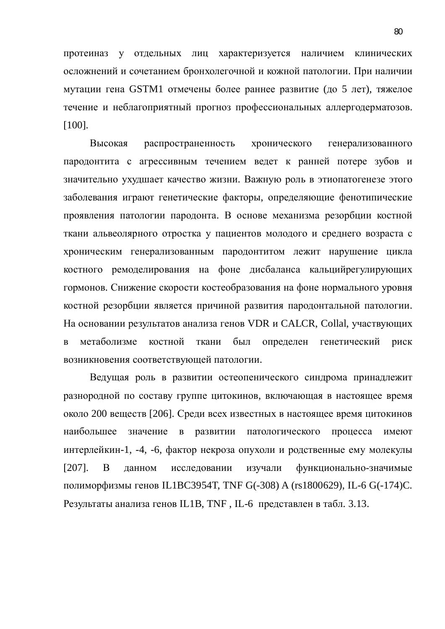протеиназ у отдельных лиц характеризуется наличием клинических осложнений и сочетанием бронхолегочной и кожной патологии. При наличии мутации гена GSTM1 отмечены более раннее развитие (до 5 лет), тяжелое течение и неблагоприятный прогноз профессиональных аллергодерматозов. [100].

Высокая распространенность хронического генерализованного пародонтита с агрессивным течением ведет к ранней потере зубов и значительно ухудшает качество жизни. Важную роль в этиопатогенезе этого заболевания играют генетические факторы, определяющие фенотипические проявления патологии пародонта. В основе механизма резорбции костной ткани альвеолярного отростка у пациентов молодого и среднего возраста с хроническим генерализованным пародонтитом лежит нарушение цикла костного ремоделирования на фоне дисбаланса кальцийрегулирующих гормонов. Снижение скорости костеобразования на фоне нормального уровня костной резорбции является причиной развития пародонтальной патологии. На основании результатов анализа генов VDR и CALCR, Collal, участвующих в метаболизме костной ткани был определен генетический риск возникновения соответствующей патологии.

Ведущая роль в развитии остеопенического синдрома принадлежит разнородной по составу группе цитокинов, включающая в настоящее время около 200 веществ [206]. Среди всех известных в настоящее время цитокинов наибольшее значение в развитии патологического процесса имеют интерлейкин-1, -4, -6, фактор некроза опухоли и родственные ему молекулы [207]. В данном исследовании изучали функционально-значимые полиморфизмы генов IL1BC3954T, TNF G(-308) A (rs1800629), IL-6 G(-174)C. Результаты анализа генов IL1B, TNF, IL-6 представлен в табл. 3.13.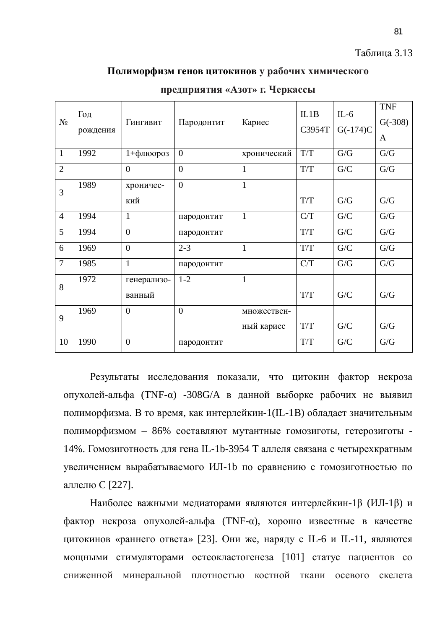#### Таблица 3.13

### Полиморфизм генов цитокинов у рабочих химического

| $N_2$          | Год<br>рождения | Гингивит              | Пародонтит     | Кариес       | IL1B<br>C3954T | $IL-6$<br>$G(-174)C$ | <b>TNF</b><br>$G(-308)$<br>A |
|----------------|-----------------|-----------------------|----------------|--------------|----------------|----------------------|------------------------------|
| $\mathbf{1}$   | 1992            | 1+флюороз             | $\overline{0}$ | хронический  | T/T            | G/G                  | G/G                          |
| $\overline{2}$ |                 | $\overline{0}$        | $\overline{0}$ | $\mathbf{1}$ | T/T            | ${\rm G/C}$          | G/G                          |
| 3              | 1989            | хроничес-<br>кий      | $\overline{0}$ | $\mathbf{1}$ | T/T            | G/G                  | G/G                          |
| $\overline{4}$ | 1994            | $\mathbf{1}$          | пародонтит     | $\mathbf{1}$ | C/T            | G/C                  | G/G                          |
| 5              | 1994            | $\overline{0}$        | пародонтит     |              | T/T            | G/C                  | G/G                          |
| 6              | 1969            | $\overline{0}$        | $2 - 3$        | $\mathbf{1}$ | T/T            | G/C                  | G/G                          |
| $\overline{7}$ | 1985            | $\mathbf{1}$          | пародонтит     |              | C/T            | G/G                  | G/G                          |
| 8              | 1972            | генерализо-<br>ванный | $1 - 2$        | $\mathbf{1}$ | T/T            | G/C                  | G/G                          |
| 9              | 1969            | $\overline{0}$        | $\overline{0}$ | множествен-  |                |                      |                              |
|                |                 |                       |                | ный кариес   | T/T            | G/C                  | G/G                          |
| 10             | 1990            | $\overline{0}$        | пародонтит     |              | T/T            | G/C                  | G/G                          |

Предприятия «Азот» г. Черкассы

Результаты исследования показали, что цитокин фактор некроза опухолей-альфа (TNF-α) -308G/A в данной выборке рабочих не выявил полиморфизма. В то время, как интерлейкин-1(IL-1B) обладает значительным полиморфизмом – 86% составляют мутантные гомозиготы, гетерозиготы -14%. Гомозиготность для гена IL-1b-3954 Т аллеля связана с четырехкратным увеличением вырабатываемого ИЛ-1b по сравнению с гомозиготностью по аллелю С [227].

Наиболее важными медиаторами являются интерлейкин-1β (ИЛ-1β) и фактор некроза опухолей-альфа (TNF-α), хорошо известные в качестве цитокинов «раннего ответа» [23]. Они же, наряду с IL-6 и IL-11, являются мощными стимуляторами остеокластогенеза [101] статус пациентов со сниженной минеральной плотностью костной ткани осевого скелета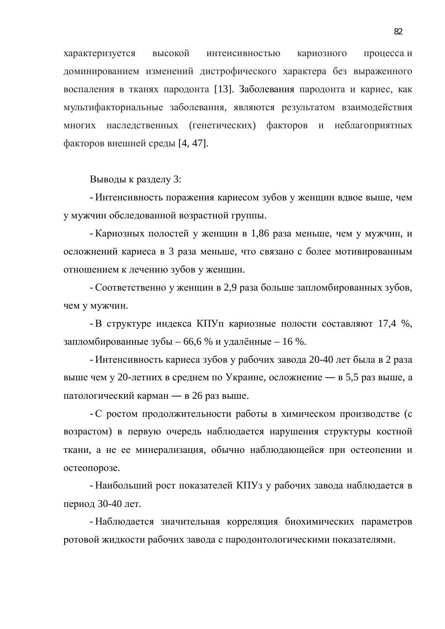характеризуется высокой интенсивностью кариозного процесса и доминированием изменений дистрофического характера без выраженного воспаления в тканях пародонта [13]. Заболевания пародонта и кариес, как мультифакториальные заболевания, являются результатом взаимодействия многих наследственных (генетических) факторов и неблагоприятных факторов внешней среды [4, 47].

Выводы к разделу 3:

- Интенсивность поражения кариесом зубов у женщин вдвое выше, чем у мужчин обследованной возрастной группы.

- Кариозных полостей у женщин в 1,86 раза меньше, чем у мужчин, и осложнений кариеса в 3 раза меньше, что связано с более мотивированным отношением к лечению зубов у женщин.

- Соответственно у женщин в 2,9 раза больше запломбированных зубов, чем у мужчин.

- В структуре индекса КПУп кариозные полости составляют 17,4 %, запломбированные зубы – 66,6 % и удалённые – 16 %.

- Интенсивность кариеса зубов у рабочих завода 20-40 лет была в 2 раза выше чем у 20-летних в среднем по Украине, осложнение — в 5,5 раз выше, а патологический карман — в 26 раз выше.

- С ростом продолжительности работы в химическом производстве (с возрастом) в первую очередь наблюдается нарушения структуры костной ткани, а не ее минерализация, обычно наблюдающейся при остеопении и остеопорозе.

- Наибольший рост показателей КПУз у рабочих завода наблюдается в период 30-40 лет.

- Наблюдается значительная корреляция биохимических параметров ротовой жидкости рабочих завода с пародонтологическими показателями.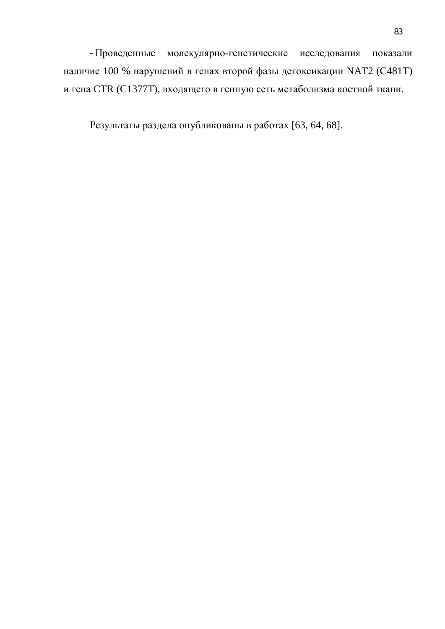- Проведенные молекулярно-генетические исследования показали наличие 100 % нарушений в генах второй фазы детоксикации NAT2 (С481Т) и гена CTR (C1377T), входящего в генную сеть метаболизма костной ткани.

Результаты раздела опубликованы в работах [63, 64, 68].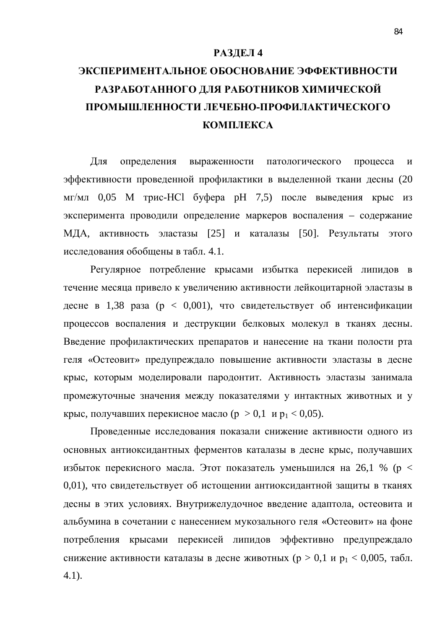### **РАЗДЕЛ 4**

# ЭКСПЕРИМЕНТАЛЬНОЕ ОБОСНОВАНИЕ ЭФФЕКТИВНОСТИ РАЗРАБОТАННОГО ДЛЯ РАБОТНИКОВ ХИМИЧЕСКОЙ ПРОМЫШЛЕННОСТИ ЛЕЧЕБНО-ПРОФИЛАКТИЧЕСКОГО КОМПЛЕКСА

Для определения выраженности патологического процесса и эффективности проведенной профилактики в выделенной ткани десны (20 мг/мл 0,05 М трис-HCl буфера рН 7,5) после выведения крыс из эксперимента проводили определение маркеров воспаления – содержание МДА, активность эластазы [25] и каталазы [50]. Результаты этого исследования обобщены в табл. 4.1.

Регулярное потребление крысами избытка перекисей липидов в течение месяца привело к увеличению активности лейкоцитарной эластазы в десне в 1,38 раза (р < 0,001), что свидетельствует об интенсификации процессов воспаления и деструкции белковых молекул в тканях десны. Введение профилактических препаратов и нанесение на ткани полости рта геля «Остеовит» предупреждало повышение активности эластазы в десне крыс, которым моделировали пародонтит. Активность эластазы занимала промежуточные значения между показателями у интактных животных и у крыс, получавших перекисное масло ( $p > 0,1$  и  $p_1 < 0,05$ ).

Проведенные исследования показали снижение активности одного из основных антиоксидантных ферментов каталазы в десне крыс, получавших избыток перекисного масла. Этот показатель уменьшился на 26,1 % ( $p <$ 0,01), что свидетельствует об истощении антиоксидантной защиты в тканях десны в этих условиях. Внутрижелудочное введение адаптола, остеовита и альбумина в сочетании с нанесением мукозального геля «Остеовит» на фоне потребления крысами перекисей липидов эффективно предупреждало снижение активности каталазы в десне животных ( $p > 0,1$  и  $p_1 < 0,005$ , табл. 4.1).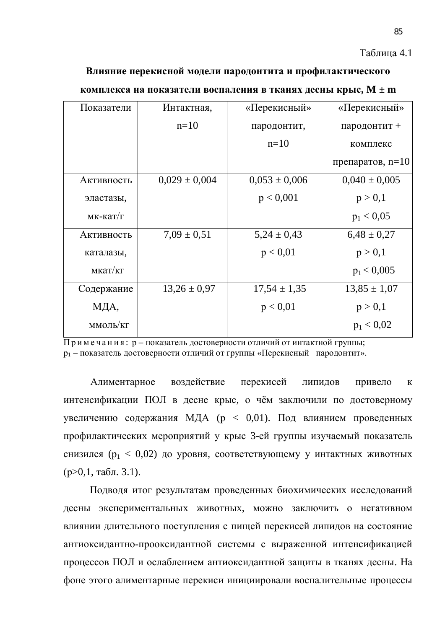### Таблица 4.1

#### Влияние перекисной модели пародонтита и профилактического

| Показатели      | Интактная,        | «Перекисный»      | «Перекисный»       |
|-----------------|-------------------|-------------------|--------------------|
|                 | $n=10$            | пародонтит,       | пародонтит +       |
|                 |                   | $n=10$            | комплекс           |
|                 |                   |                   | препаратов, $n=10$ |
| Активность      | $0,029 \pm 0,004$ | $0,053 \pm 0,006$ | $0,040 \pm 0,005$  |
| эластазы,       |                   | p < 0,001         | p > 0,1            |
| $MK-KaT/\Gamma$ |                   |                   | $p_1 < 0.05$       |
| Активность      | $7.09 \pm 0.51$   | $5,24 \pm 0,43$   | $6,48 \pm 0,27$    |
| каталазы,       |                   | p < 0.01          | p > 0,1            |
| мкат/кг         |                   |                   | $p_1 < 0,005$      |
| Содержание      | $13,26 \pm 0.97$  | $17,54 \pm 1,35$  | $13,85 \pm 1,07$   |
| МДА,            |                   | p < 0.01          | p > 0,1            |
| ммоль/кг        |                   |                   | $p_1 < 0.02$       |
|                 |                   |                   |                    |

#### комплекса на показатели воспаления в тканях десны крыс, M ± m

 $\Pi$ римечания: р – показатель достоверности отличий от интактной группы; р<sub>1</sub> – показатель достоверности отличий от группы «Перекисный пародонтит».

Алиментарное воздействие перекисей липидов привело к интенсификации ПОЛ в десне крыс, о чём заключили по достоверному увеличению содержания МДА ( $p < 0.01$ ). Под влиянием проведенных профилактических мероприятий у крыс 3-ей группы изучаемый показатель снизился ( $p_1 < 0.02$ ) до уровня, соответствующему у интактных животных  $(p>0,1, \text{rad}$ . 3.1).

Подводя итог результатам проведенных биохимических исследований десны экспериментальных животных, можно заключить о негативном влиянии длительного поступления с пищей перекисей липидов на состояние антиоксидантно-прооксидантной системы с выраженной интенсификацией процессов ПОЛ и ослаблением антиоксидантной защиты в тканях десны. На фоне этого алиментарные перекиси инициировали воспалительные процессы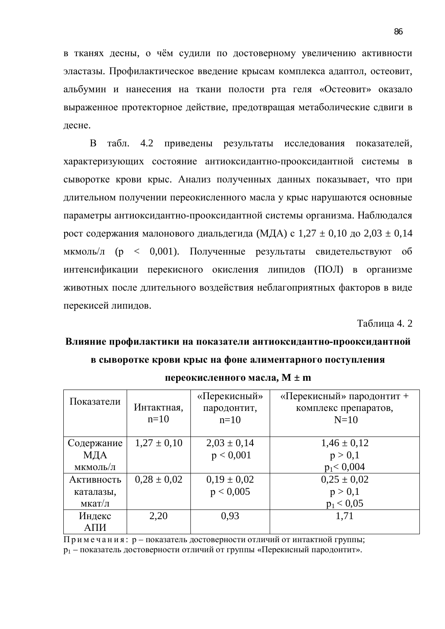в тканях десны, о чём судили по достоверному увеличению активности эластазы. Профилактическое введение крысам комплекса адаптол, остеовит, альбумин и нанесения на ткани полости рта геля «Остеовит» оказало выраженное протекторное действие, предотвращая метаболические сдвиги в лесне.

В табл. 4.2 приведены результаты исследования показателей, характеризующих состояние антиоксидантно-прооксидантной системы в сыворотке крови крыс. Анализ полученных данных показывает, что при длительном получении переокисленного масла у крыс нарушаются основные параметры антиоксидантно-прооксидантной системы организма. Наблюдался рост содержания малонового диальдегида (МДА) с  $1,27 \pm 0,10$  до  $2,03 \pm 0,14$ мкмоль/л (р < 0,001). Полученные результаты свидетельствуют об интенсификации перекисного окисления липидов (ПОЛ) в организме животных после длительного воздействия неблагоприятных факторов в виде перекисей липидов.

**Таблина 4. 2** 

# Влияние профилактики на показатели антиоксидантно-прооксидантной **в сыворотке крови крыс на фоне алиментарного поступления**

| Показатели | Интактная,<br>$n=10$ | «Перекисный»<br>пародонтит,<br>$n=10$ | «Перекисный» пародонтит +<br>комплекс препаратов,<br>$N=10$ |
|------------|----------------------|---------------------------------------|-------------------------------------------------------------|
| Содержание | $1,27 \pm 0,10$      | $2,03 \pm 0,14$                       | $1,46 \pm 0,12$                                             |
| МДА        |                      | p < 0,001                             | p > 0,1                                                     |
| мкмоль/л   |                      |                                       | $p_1 < 0,004$                                               |
| Активность | $0.28 \pm 0.02$      | $0,19 \pm 0,02$                       | $0.25 \pm 0.02$                                             |
| каталазы,  |                      | p < 0,005                             | p > 0,1                                                     |
| мкат/л     |                      |                                       | $p_1 < 0.05$                                                |
| Индекс     | 2,20                 | 0.93                                  | 1,71                                                        |
| АПИ        |                      |                                       |                                                             |

переокисленного масла,  $M \pm m$ 

 $\Pi$ римечания: р – показатель достоверности отличий от интактной группы; р<sub>1</sub> – показатель достоверности отличий от группы «Перекисный пародонтит».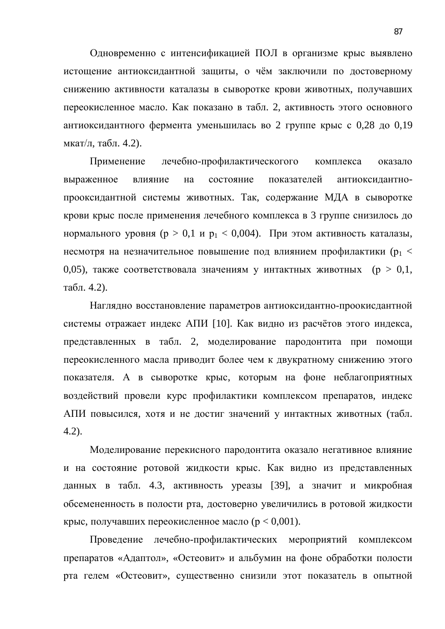Одновременно с интенсификацией ПОЛ в организме крыс выявлено истощение антиоксидантной защиты, о чём заключили по достоверному снижению активности каталазы в сыворотке крови животных, получавших переокисленное масло. Как показано в табл. 2, активность этого основного антиоксидантного фермента уменьшилась во 2 группе крыс с 0,28 до 0,19 мкат/л, табл.  $4.2$ ).

Применение лечебно-профилактическогого комплекса оказало выраженное влияние на состояние показателей антиоксидантнопрооксидантной системы животных. Так, содержание МДА в сыворотке крови крыс после применения лечебного комплекса в 3 группе снизилось до нормального уровня ( $p > 0.1$  и  $p_1 < 0.004$ ). При этом активность каталазы, несмотря на незначительное повышение под влиянием профилактики ( $p_1 <$ 0,05), также соответствовала значениям у интактных животных ( $p > 0,1$ , табл. 4.2).

Наглядно восстановление параметров антиоксидантно-проокисдантной системы отражает индекс АПИ [10]. Как видно из расчётов этого индекса, представленных в табл. 2, моделирование пародонтита при помощи переокисленного масла приводит более чем к двукратному снижению этого показателя. А в сыворотке крыс, которым на фоне неблагоприятных воздействий провели курс профилактики комплексом препаратов, индекс АПИ повысился, хотя и не достиг значений у интактных животных (табл. 4.2).

Моделирование перекисного пародонтита оказало негативное влияние и на состояние ротовой жидкости крыс. Как видно из представленных данных в табл. 4.3, активность уреазы [39], а значит и микробная обсемененность в полости рта, достоверно увеличились в ротовой жидкости крыс, получавших переокисленное масло ( $p < 0.001$ ).

Проведение лечебно-профилактических мероприятий комплексом препаратов «Адаптол», «Остеовит» и альбумин на фоне обработки полости рта гелем «Остеовит», существенно снизили этот показатель в опытной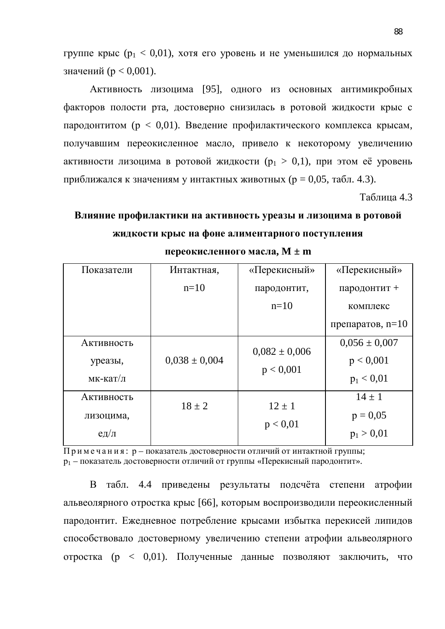группе крыс ( $p_1 < 0.01$ ), хотя его уровень и не уменьшился до нормальных значений ( $p < 0.001$ ).

Активность лизоцима [95], одного из основных антимикробных факторов полости рта, достоверно снизилась в ротовой жидкости крыс с пародонтитом ( $p < 0.01$ ). Введение профилактического комплекса крысам, получавшим переокисленное масло, привело к некоторому увеличению активности лизоцима в ротовой жидкости ( $p_1 > 0,1$ ), при этом её уровень приближался к значениям у интактных животных ( $p = 0.05$ , табл. 4.3).

Таблица 4.3

# Влияние профилактики на активность уреазы и лизоцима в ротовой **ЖИДКОСТИ КРЫС НА ФОНЕ АЛИМЕНТАРНОГО ПОСТУПЛЕНИЯ**

| Показатели   | Интактная,        | «Перекисный»      | «Перекисный»       |
|--------------|-------------------|-------------------|--------------------|
|              | $n=10$            | пародонтит,       | пародонтит +       |
|              |                   | $n=10$            | комплекс           |
|              |                   |                   | препаратов, $n=10$ |
| Активность   |                   | $0,082 \pm 0,006$ | $0,056 \pm 0,007$  |
| уреазы,      | $0,038 \pm 0,004$ | p < 0,001         | p < 0,001          |
| мк-кат/л     |                   |                   | $p_1 < 0.01$       |
| Активность   | $18 \pm 2$        | $12 \pm 1$        | $14 \pm 1$         |
| лизоцима,    |                   |                   | $p = 0.05$         |
| $e$ д $/\pi$ |                   | p < 0.01          | $p_1 > 0.01$       |

переокисленного масла,  $M \pm m$ 

Примечания: р – показатель достоверности отличий от интактной группы; р<sub>1</sub> – показатель достоверности отличий от группы «Перекисный пародонтит».

В табл. 4.4 приведены результаты подсчёта степени атрофии альвеолярного отростка крыс [66], которым воспроизводили переокисленный пародонтит. Ежедневное потребление крысами избытка перекисей липидов способствовало достоверному увеличению степени атрофии альвеолярного отростка (р < 0,01). Полученные данные позволяют заключить, что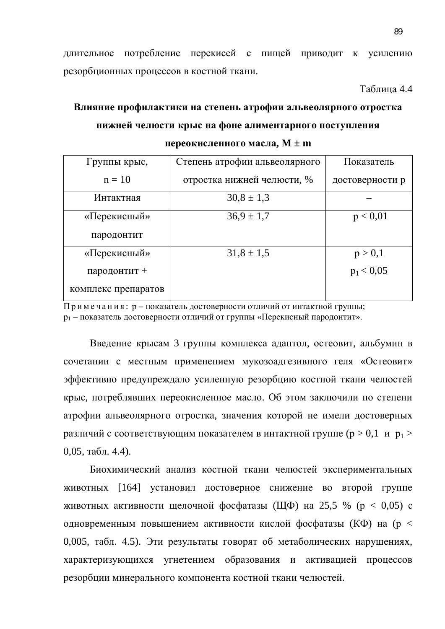длительное потребление перекисей с пищей приводит к усилению резорбционных процессов в костной ткани.

Таблина 4.4

# Влияние профилактики на степень атрофии альвеолярного отростка **НИЖНЕЙ ЧЕЛЮСТИ КРЫС НА ФОНЕ АЛИМЕНТАРНОГО ПОСТУПЛЕНИЯ** переокисленного масла, М ± m

| Группы крыс,        | Степень атрофии альвеолярного | Показатель      |
|---------------------|-------------------------------|-----------------|
| $n = 10$            | отростка нижней челюсти, %    | достоверности р |
| Интактная           | $30.8 \pm 1.3$                |                 |
| «Перекисный»        | $36.9 \pm 1.7$                | p < 0.01        |
| пародонтит          |                               |                 |
| «Перекисный»        | $31,8 \pm 1,5$                | p > 0,1         |
| пародонтит +        |                               | $p_1 < 0.05$    |
| комплекс препаратов |                               |                 |

 $\overline{\Pi}$ римечания: р – показатель достоверности отличий от интактной группы; р<sub>1</sub> – показатель достоверности отличий от группы «Перекисный пародонтит».

Введение крысам 3 группы комплекса адаптол, остеовит, альбумин в сочетании с местным применением мукозоадгезивного геля «Остеовит» эффективно предупреждало усиленную резорбцию костной ткани челюстей крыс, потреблявших переокисленное масло. Об этом заключили по степени атрофии альвеолярного отростка, значения которой не имели достоверных различий с соответствующим показателем в интактной группе ( $p > 0,1$  и  $p_1 >$  $0,05, \text{табл. } 4.4$ ).

Биохимический анализ костной ткани челюстей экспериментальных животных [164] установил достоверное снижение во второй группе животных активности щелочной фосфатазы (ЩФ) на 25,5 % ( $p < 0.05$ ) с одновременным повышением активности кислой фосфатазы (КФ) на (р < 0,005, табл. 4.5). Эти результаты говорят об метаболических нарушениях, характеризующихся угнетением образования и активацией процессов резорбции минерального компонента костной ткани челюстей.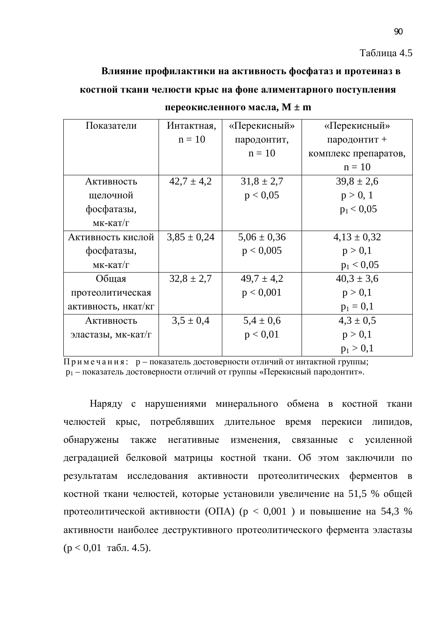#### Таблица 4.5

# Влияние профилактики на активность фосфатаз и протеиназ в костной ткани челюсти крыс на фоне алиментарного поступления

| Показатели          | Интактная,      | «Перекисный»    | «Перекисный»         |
|---------------------|-----------------|-----------------|----------------------|
|                     | $n = 10$        | пародонтит,     | пародонтит +         |
|                     |                 | $n = 10$        | комплекс препаратов, |
|                     |                 |                 | $n = 10$             |
| Активность          | $42.7 \pm 4.2$  | $31.8 \pm 2.7$  | $39.8 \pm 2.6$       |
| щелочной            |                 | p < 0.05        | p > 0, 1             |
| фосфатазы,          |                 |                 | $p_1 < 0.05$         |
| $MK-KaT/\Gamma$     |                 |                 |                      |
| Активность кислой   | $3,85 \pm 0,24$ | $5,06 \pm 0,36$ | $4,13 \pm 0,32$      |
| фосфатазы,          |                 | p < 0,005       | p > 0,1              |
| $MK-KaT/\Gamma$     |                 |                 | $p_1 < 0.05$         |
| Общая               | $32.8 \pm 2.7$  | $49.7 \pm 4.2$  | $40,3 \pm 3,6$       |
| протеолитическая    |                 | p < 0,001       | p > 0,1              |
| активность, нкат/кг |                 |                 | $p_1 = 0,1$          |
| Активность          | $3,5 \pm 0.4$   | $5,4 \pm 0,6$   | $4,3 \pm 0.5$        |
| эластазы, мк-кат/г  |                 | p < 0.01        | p > 0,1              |
|                     |                 |                 | $p_1 > 0,1$          |

переокисленного масла,  $M \pm m$ 

Примечания: р – показатель достоверности отличий от интактной группы;  $p_1$  – показатель достоверности отличий от группы «Перекисный пародонтит».

Наряду с нарушениями минерального обмена в костной ткани челюстей крыс, потреблявших длительное время перекиси липидов, обнаружены также негативные изменения, связанные с усиленной деградацией белковой матрицы костной ткани. Об этом заключили по результатам исследования активности протеолитических ферментов в костной ткани челюстей, которые установили увеличение на 51,5 % общей протеолитической активности (ОПА) ( $p < 0.001$ ) и повышение на 54,3 % активности наиболее деструктивного протеолитического фермента эластазы  $(p < 0.01$  табл. 4.5).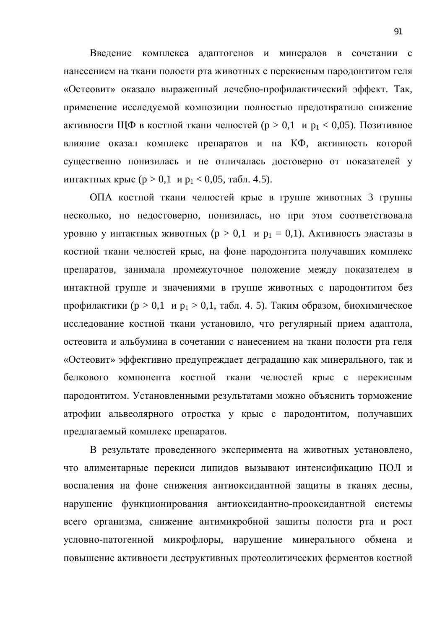Введение комплекса адаптогенов и минералов в сочетании с нанесением на ткани полости рта животных с перекисным пародонтитом геля «Остеовит» оказало выраженный лечебно-профилактический эффект. Так, применение исследуемой композиции полностью предотвратило снижение активности ЩФ в костной ткани челюстей ( $p > 0,1$  и  $p_1 < 0,05$ ). Позитивное влияние оказал комплекс препаратов и на КФ, активность которой существенно понизилась и не отличалась достоверно от показателей у интактных крыс (р > 0,1 и р<sub>1</sub> < 0,05, табл. 4.5).

ОПА костной ткани челюстей крыс в группе животных 3 группы несколько, но недостоверно, понизилась, но при этом соответствовала уровню у интактных животных (р > 0,1 и р<sub>1</sub> = 0,1). Активность эластазы в костной ткани челюстей крыс, на фоне пародонтита получавших комплекс препаратов, занимала промежуточное положение между показателем в интактной группе и значениями в группе животных с пародонтитом без профилактики ( $p > 0,1$  и  $p_1 > 0,1$ , табл. 4. 5). Таким образом, биохимическое исследование костной ткани установило, что регулярный прием адаптола, остеовита и альбумина в сочетании с нанесением на ткани полости рта геля «Остеовит» эффективно предупреждает деградацию как минерального, так и белкового компонента костной ткани челюстей крыс с перекисным пародонтитом. Установленными результатами можно объяснить торможение атрофии альвеолярного отростка у крыс с пародонтитом, получавших предлагаемый комплекс препаратов.

В результате проведенного эксперимента на животных установлено, что алиментарные перекиси липидов вызывают интенсификацию ПОЛ и воспаления на фоне снижения антиоксидантной защиты в тканях десны, нарушение функционирования антиоксидантно-прооксидантной системы всего организма, снижение антимикробной защиты полости рта и рост условно-патогенной микрофлоры, нарушение минерального обмена и повышение активности деструктивных протеолитических ферментов костной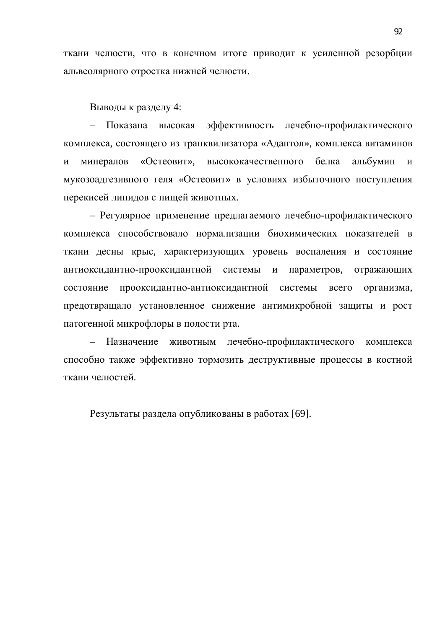ткани челюсти, что в конечном итоге приводит к усиленной резорбции альвеолярного отростка нижней челюсти.

Выводы к разделу 4:

– Показана высокая эффективность лечебно-профилактического комплекса, состоящего из транквилизатора «Адаптол», комплекса витаминов и минералов «Остеовит», высококачественного белка альбумин и мукозоадгезивного геля «Остеовит» в условиях избыточного поступления перекисей липидов с пищей животных.

– Регулярное применение предлагаемого лечебно-профилактического комплекса способствовало нормализации биохимических показателей в ткани десны крыс, характеризующих уровень воспаления и состояние антиоксидантно-прооксидантной системы и параметров, отражающих состояние прооксидантно-антиоксидантной системы всего организма, предотвращало установленное снижение антимикробной защиты и рост патогенной микрофлоры в полости рта.

– Назначение животным лечебно-профилактического комплекса способно также эффективно тормозить деструктивные процессы в костной ткани челюстей.

Результаты раздела опубликованы в работах [69].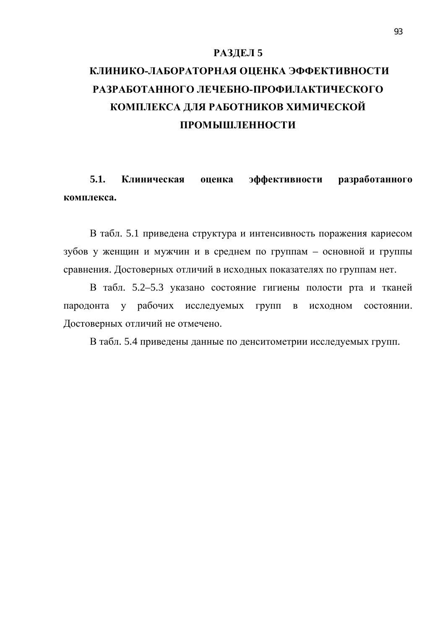### РАЗДЕЛ 5

# КЛИНИКО-ЛАБОРАТОРНАЯ ОЦЕНКА ЭФФЕКТИВНОСТИ РАЗРАБОТАННОГО ЛЕЧЕБНО-ПРОФИЛАКТИЧЕСКОГО КОМПЛЕКСА ДЛЯ РАБОТНИКОВ ХИМИЧЕСКОЙ ПРОМЫШЛЕННОСТИ

5.1. Клиническая оценка эффективности разработанного **κοмπлекса.** 

В табл. 5.1 приведена структура и интенсивность поражения кариесом зубов у женщин и мужчин и в среднем по группам – основной и группы сравнения. Достоверных отличий в исходных показателях по группам нет.

В табл. 5.2–5.3 указано состояние гигиены полости рта и тканей пародонта у рабочих исследуемых групп в исходном состоянии. Достоверных отличий не отмечено.

В табл. 5.4 приведены данные по денситометрии исследуемых групп.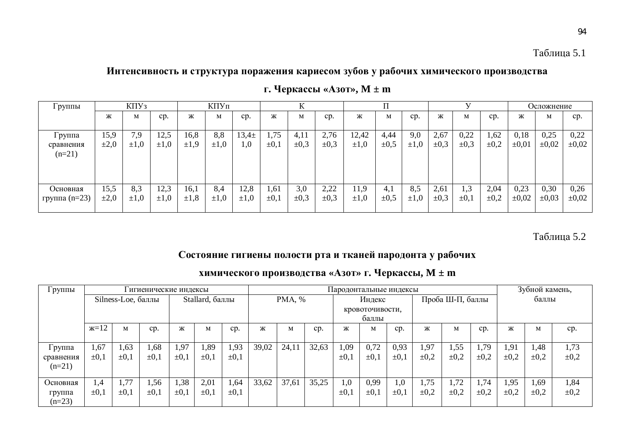### Интенсивность и структура поражения кариесом зубов у рабочих химического производства

| І руппы                         | K <sub>II</sub> Y <sub>3</sub> |                  | КПУп              |                   |                  |                   |                   |                   |                   |                    |                   |                  | Осложнение        |                   |                   |                    |                    |                    |
|---------------------------------|--------------------------------|------------------|-------------------|-------------------|------------------|-------------------|-------------------|-------------------|-------------------|--------------------|-------------------|------------------|-------------------|-------------------|-------------------|--------------------|--------------------|--------------------|
|                                 | Ж                              | M                | cp.               | Ж                 | M                | cp.               | Ж                 | М                 | cp.               | Ж                  | M                 | cp.              | Ж                 | М                 | cp.               | Ж                  | М                  | cp.                |
| Группа<br>сравнения<br>$(n=21)$ | 15,9<br>$\pm 2,0$              | 7,9<br>$\pm 1,0$ | 12,5<br>$\pm 1.0$ | 16,8<br>$\pm 1.9$ | 8,8<br>$\pm 1,0$ | $13,4 \pm$<br>1,0 | 1,75<br>$\pm 0,1$ | 4,11<br>$\pm 0.3$ | 2,76<br>$\pm 0.3$ | 12,42<br>$\pm 1,0$ | 4,44<br>$\pm 0.5$ | 9,0<br>$\pm 1.0$ | 2,67<br>$\pm 0.3$ | 0,22<br>$\pm 0.3$ | 1,62<br>$\pm 0.2$ | 0,18<br>$\pm 0.01$ | 0,25<br>$\pm 0.02$ | 0,22<br>$\pm 0.02$ |
| Основная<br>группа $(n=23)$     | 15,5<br>$\pm 2,0$              | 8,3<br>$\pm 1,0$ | 12,3<br>$\pm 1.0$ | 16,1<br>$\pm 1,8$ | 8,4<br>$\pm 1,0$ | 12,8<br>$\pm 1,0$ | 1,61<br>$\pm 0,1$ | 3,0<br>$\pm 0.3$  | 2,22<br>$\pm 0.3$ | 11,9<br>$\pm 1,0$  | 4.1<br>$\pm 0.5$  | 8,5<br>$\pm 1,0$ | 2,61<br>$\pm 0.3$ | 1,3<br>$\pm 0,1$  | 2,04<br>$\pm 0.2$ | 0,23<br>$\pm 0.02$ | 0,30<br>$\pm 0.03$ | 0,26<br>$\pm 0.02$ |

**ɝ. ɑɟɪɤɚɫɫɵ «Ⱥɡɨɬ», M ± m**

### Таблица 5.2

## Состояние гигиены полости рта и тканей пародонта у рабочих

### **жимического производства «Азот» г. Черкассы, М ± m**

| Группы    |            |                    | игиенические индексы |                 |           |           |        |       |       |                 | Пародонтальные индексы |                  |           |           |           | Зубной камень, |           |           |
|-----------|------------|--------------------|----------------------|-----------------|-----------|-----------|--------|-------|-------|-----------------|------------------------|------------------|-----------|-----------|-----------|----------------|-----------|-----------|
|           |            | Silness-Loe, баллы |                      | Stallard, баллы |           |           | PMA, % |       |       | Индекс          |                        | Проба Ш-П, баллы |           |           | баллы     |                |           |           |
|           |            |                    |                      |                 |           |           |        |       |       | кровоточивости, |                        |                  |           |           |           |                |           |           |
|           |            |                    |                      |                 |           |           |        |       |       | баллы           |                        |                  |           |           |           |                |           |           |
|           | $x=12$     | M                  | cp.                  | Ж               | M         | cp.       | Ж      | M     | cp.   | Ж               | M                      | cp.              | Ж         | M         | cp.       | Ж              | M         | cp.       |
|           |            |                    |                      |                 |           |           |        |       |       |                 |                        |                  |           |           |           |                |           |           |
| Группа    | 1,67       | 1,63               | 1,68                 | 1,97            | 1,89      | 1,93      | 39,02  | 24,11 | 32,63 | 1,09            | 0,72                   | 0,93             | 1,97      | 1,55      | 1,79      | 1,91           | 1,48      | 1,73      |
| сравнения | $\pm 0.1$  | $\pm 0.1$          | $\pm 0.1$            | $\pm 0.1$       | $\pm 0,1$ | $\pm 0,1$ |        |       |       | $\pm 0,1$       | $\pm 0.1$              | $\pm 0.1$        | $\pm 0.2$ | $\pm 0.2$ | $\pm 0.2$ | $\pm 0.2$      | $\pm 0.2$ | $\pm 0.2$ |
| $(n=21)$  |            |                    |                      |                 |           |           |        |       |       |                 |                        |                  |           |           |           |                |           |           |
|           |            |                    |                      |                 |           |           |        |       |       |                 |                        |                  |           |           |           |                |           |           |
| Основная  | $\cdot$ ,4 | 1,77               | 1,56                 | 1,38            | 2,01      | 1,64      | 33,62  | 37,61 | 35,25 | 1,0             | 0,99                   | 1,0              | 1,75      | 1,72      | 1,74      | 1,95           | 1,69      | 1,84      |
| группа    | $\pm 0,1$  | $\pm 0,1$          | $\pm 0.1$            | $\pm 0.1$       | $\pm 0.1$ | $\pm 0.1$ |        |       |       | $\pm 0.1$       | $\pm 0.1$              | $\pm 0.1$        | $\pm 0.2$ | $\pm 0.2$ | $\pm 0.2$ | $\pm 0.2$      | $\pm 0.2$ | $\pm 0.2$ |
| $(n=23)$  |            |                    |                      |                 |           |           |        |       |       |                 |                        |                  |           |           |           |                |           |           |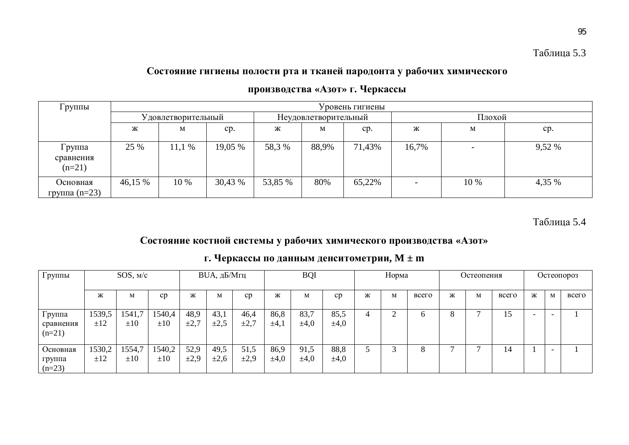## Состояние гигиены полости рта и тканей пародонта у рабочих химического

| Группы                          |         | Уровень гигиены     |         |         |                      |        |                |                 |        |  |  |  |
|---------------------------------|---------|---------------------|---------|---------|----------------------|--------|----------------|-----------------|--------|--|--|--|
|                                 |         | У довлетворительный |         |         | Неудовлетворительный |        | Плохой         |                 |        |  |  |  |
|                                 | Ж       | M                   | cp.     | Ж       | M                    | cp.    | Ж              | cp.             |        |  |  |  |
| Группа<br>сравнения<br>$(n=21)$ | 25 %    | 11,1%               | 19,05 % | 58,3 %  | 88,9%                | 71,43% | 16,7%          | $\qquad \qquad$ | 9,52 % |  |  |  |
| Основная<br>группа $(n=23)$     | 46,15 % | 10 %                | 30,43 % | 53,85 % | 80%                  | 65,22% | 4,35 %<br>10 % |                 |        |  |  |  |

## производства «Азот» г. Черкассы

Таблица 5.4

## Состояние костной системы у рабочих химического производства «Азот»

| Группы                          |               | SOS, M/c           |                    |                   | <b>BUA, дБ/Мгц</b> |                   |                   | <b>BQI</b>        |                   |   | Норма |          |   | Остеопения |       |   |                          | Остеопороз |
|---------------------------------|---------------|--------------------|--------------------|-------------------|--------------------|-------------------|-------------------|-------------------|-------------------|---|-------|----------|---|------------|-------|---|--------------------------|------------|
|                                 | Ж             | M                  | cp                 | Ж                 | М                  | cp                | Ж                 | M                 | cp                | Ж | M     | всего    | Ж | M          | всего | Ж | M                        | всего      |
| Группа<br>сравнения<br>$(n=21)$ | 1539,5<br>±12 | 1541,7<br>$\pm 10$ | 1540,4<br>$\pm 10$ | 48,9<br>$\pm 2,7$ | 43,1<br>$\pm 2.5$  | 46,4<br>$\pm 2.7$ | 86,8<br>$\pm 4,1$ | 83,7<br>$\pm 4,0$ | 85,5<br>$\pm 4,0$ |   | ⌒     | $\sigma$ | Ō |            | 15    |   | -                        |            |
| Основная<br>группа<br>$(n=23)$  | 1530,2<br>±12 | 1554,7<br>$\pm 10$ | 1540,2<br>$\pm 10$ | 52,9<br>$\pm 2.9$ | 49,5<br>$\pm 2.6$  | 51,5<br>$\pm 2.9$ | 86,9<br>$\pm 4,0$ | 91,5<br>$\pm 4,0$ | 88,8<br>$\pm 4,0$ |   | 3     | 8        |   |            | 4ء    |   | $\overline{\phantom{0}}$ |            |

## г. Черкассы по данным денситометрии,  $M \pm m$

Таблица 5.3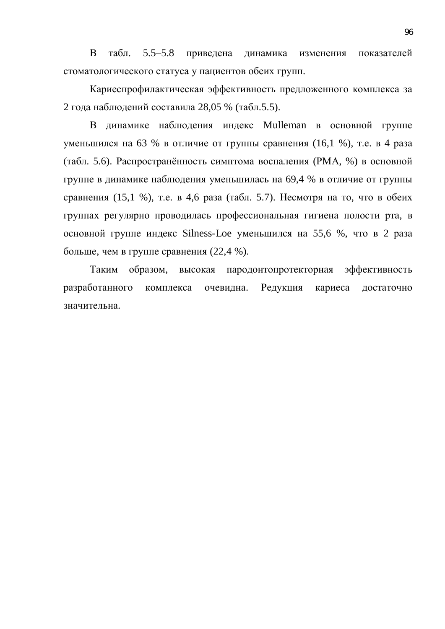В табл. 5.5–5.8 приведена динамика изменения показателей стоматологического статуса у пациентов обеих групп.

Кариеспрофилактическая эффективность предложенного комплекса за 2 года наблюдений составила 28,05 % (табл.5.5).

В динамике наблюдения индекс Mulleman в основной группе уменьшился на 63 % в отличие от группы сравнения (16,1 %), т.е. в 4 раза (табл. 5.6). Распространённость симптома воспаления (РМА, %) в основной группе в динамике наблюдения уменьшилась на 69,4 % в отличие от группы сравнения (15,1 %), т.е. в 4,6 раза (табл. 5.7). Несмотря на то, что в обеих группах регулярно проводилась профессиональная гигиена полости рта, в основной группе индекс Silness-Loe уменьшился на 55,6 %, что в 2 раза больше, чем в группе сравнения  $(22,4\%)$ .

Таким образом, высокая пародонтопротекторная эффективность разработанного комплекса очевидна. Редукция кариеса достаточно значительна.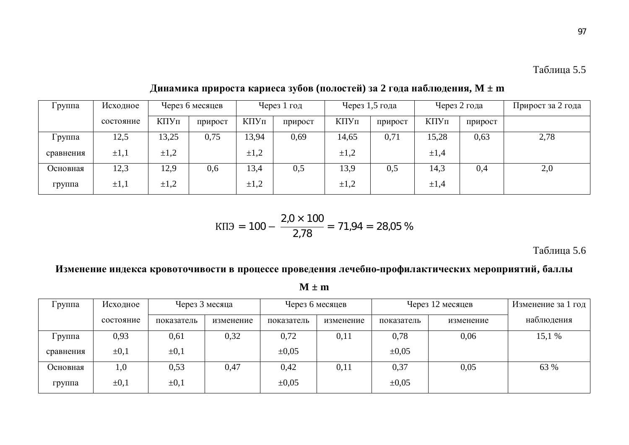| Группа    | Исходное  |           | Через 6 месяцев |           | Через 1 год |           | Через 1,5 года |           | Через 2 года | Прирост за 2 года |  |
|-----------|-----------|-----------|-----------------|-----------|-------------|-----------|----------------|-----------|--------------|-------------------|--|
|           | состояние | КПУп      | прирост         | КПУп      | прирост     | КПУп      | прирост        | КПУп      | прирост      |                   |  |
| Группа    | 12,5      | 13,25     | 0,75            | 13,94     | 0,69        | 14,65     | 0,71           | 15,28     | 0,63         | 2,78              |  |
| сравнения | $\pm 1,1$ | $\pm 1,2$ |                 | $\pm 1,2$ |             | $\pm 1,2$ |                | $\pm 1,4$ |              |                   |  |
| Основная  | 12,3      | 12,9      | 0,6             | 13,4      | 0,5         | 13,9      | 0,5            | 14,3      | 0,4          | 2,0               |  |
| группа    | $\pm 1,1$ | $\pm 1,2$ |                 | $\pm 1,2$ |             | $\pm 1,2$ |                | $\pm 1,4$ |              |                   |  |

**Ⱦɢɧɚɦɢɤɚɩɪɢɪɨɫɬɚɤɚɪɢɟɫɚɡɭɛɨɜ (ɩɨɥɨɫɬɟɣ) ɡɚ 2 ɝɨɞɚɧɚɛɥɸɞɟɧɢɹ, M ± m**

$$
K\Pi \Theta = 100 - \frac{2,0\times 100}{2,78} = 71,94 = 28,05\%
$$

Таблица 5.6

Изменение индекса кровоточивости в процессе проведения лечебно-профилактических мероприятий, баллы

**M ± m**

| Группа    | Исходное  | Через 3 месяца |           |            | Через 6 месяцев |            | Через 12 месяцев |            |  |
|-----------|-----------|----------------|-----------|------------|-----------------|------------|------------------|------------|--|
|           | состояние | показатель     | изменение | показатель | изменение       | показатель | изменение        | наблюдения |  |
| Группа    | 0,93      | 0,61           | 0,32      | 0,72       | 0,11            | 0,78       | 0,06             | 15,1 %     |  |
| сравнения | $\pm 0,1$ | $\pm 0,1$      |           | $\pm 0.05$ |                 | $\pm 0.05$ |                  |            |  |
| Основная  | 1,0       | 0,53           | 0,47      | 0,42       | 0,11            | 0,37       | 0,05             | 63 %       |  |
| группа    | $\pm 0.1$ | $\pm 0,1$      |           | $\pm 0.05$ |                 | $\pm 0.05$ |                  |            |  |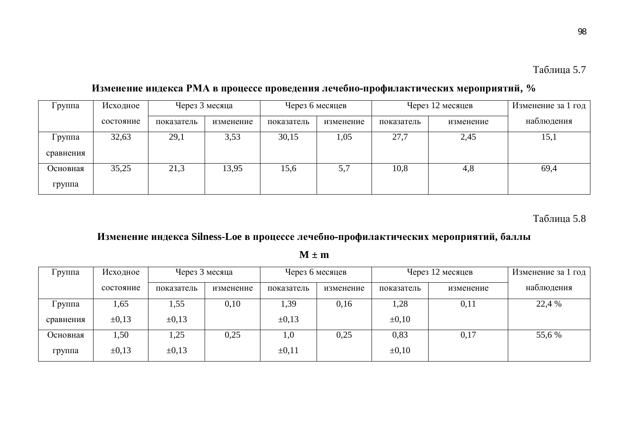98

| руппа     | Исходное  | Через 3 месяца |           | Через 6 месяцев |           |            | Через 12 месяцев | Изменение за 1 год |
|-----------|-----------|----------------|-----------|-----------------|-----------|------------|------------------|--------------------|
|           | состояние | показатель     | изменение | показатель      | изменение | показатель | изменение        | наблюдения         |
| Группа    | 32,63     | 29,1           | 3,53      | 30,15           | 1,05      | 27,7       | 2,45             | 15,1               |
| сравнения |           |                |           |                 |           |            |                  |                    |
| Основная  | 35,25     | 21,3           | 13,95     | 15,6            | 5,7       | 10,8       | 4,8              | 69,4               |
| группа    |           |                |           |                 |           |            |                  |                    |

## Изменение индекса РМА в процессе проведения лечебно-профилактических мероприятий, %

Таблица 5.8

## Изменение индекса Silness-Loe в процессе лечебно-профилактических мероприятий, баллы

| Группа    | Исходное   | Через 3 месяца |           | Через 6 месяцев |           |            | Через 12 месяцев | Изменение за 1 год |
|-----------|------------|----------------|-----------|-----------------|-----------|------------|------------------|--------------------|
|           | состояние  | показатель     | изменение | показатель      | изменение | показатель | изменение        | наблюдения         |
| l руппа   | 1,65       | 1,55           | 0,10      | 1,39            | 0,16      | 1,28       | 0,11             | 22,4 %             |
| сравнения | $\pm 0.13$ | $\pm 0.13$     |           | $\pm 0.13$      |           | $\pm 0,10$ |                  |                    |
| Основная  | 1,50       | 1,25           | 0,25      | 1,0             | 0,25      | 0,83       | 0,17             | 55,6 %             |
| группа    | $\pm 0.13$ | $\pm 0.13$     |           | $\pm 0.11$      |           | $\pm 0.10$ |                  |                    |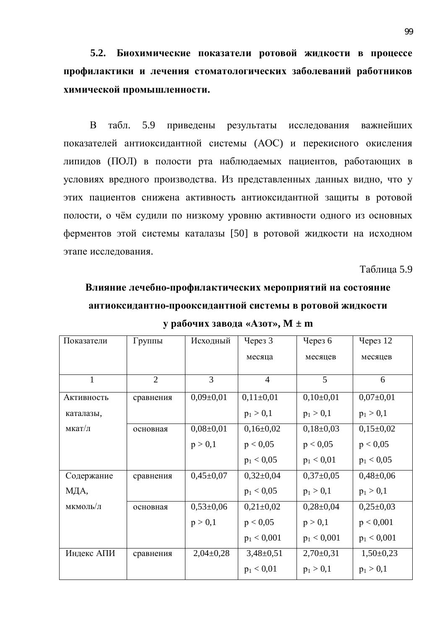5.2. Биохимические показатели ротовой жидкости в процессе профилактики и лечения стоматологических заболеваний работников **химической промышленности.** 

В табл. 5.9 приведены результаты исследования важнейших показателей антиоксидантной системы (АОС) и перекисного окисления липидов (ПОЛ) в полости рта наблюдаемых пациентов, работающих в условиях вредного производства. Из представленных данных видно, что у этих пациентов снижена активность антиоксидантной защиты в ротовой полости, о чём судили по низкому уровню активности одного из основных ферментов этой системы каталазы [50] в ротовой жидкости на исходном этапе исследования.

Таблица 5.9

# Влияние лечебно-профилактических мероприятий на состояние антиоксидантно-прооксидантной системы в ротовой жидкости

| Показатели   | Группы         | Исходный      | Через 3         | Через 6       | Через 12      |
|--------------|----------------|---------------|-----------------|---------------|---------------|
|              |                |               | месяца          | месяцев       | месяцев       |
|              |                |               |                 |               |               |
| $\mathbf{1}$ | $\overline{2}$ | 3             | $\overline{4}$  | 5             | 6             |
| Активность   | сравнения      | $0,09\pm0,01$ | $0,11\pm0,01$   | $0,10\pm0,01$ | $0,07\pm0,01$ |
| каталазы,    |                |               | $p_1 > 0,1$     | $p_1 > 0,1$   | $p_1 > 0,1$   |
| мкат/л       | основная       | $0,08\pm0,01$ | $0,16\pm0,02$   | $0,18\pm0,03$ | $0,15\pm0,02$ |
|              |                | p > 0,1       | p < 0,05        | p < 0.05      | p < 0.05      |
|              |                |               | $p_1 < 0.05$    | $p_1 < 0.01$  | $p_1 < 0.05$  |
| Содержание   | сравнения      | $0,45\pm0,07$ | $0,32\pm0,04$   | $0,37\pm0,05$ | $0,48\pm0,06$ |
| МДА,         |                |               | $p_1 < 0.05$    | $p_1 > 0,1$   | $p_1 > 0,1$   |
| мкмоль/л     | основная       | $0,53\pm0,06$ | $0,21\pm0,02$   | $0,28\pm0,04$ | $0,25\pm0,03$ |
|              |                | p > 0,1       | p < 0,05        | p > 0,1       | p < 0,001     |
|              |                |               | $p_1 < 0,001$   | $p_1 < 0,001$ | $p_1 < 0,001$ |
| Индекс АПИ   | сравнения      | $2,04\pm0,28$ | $3,48 \pm 0,51$ | $2,70\pm0,31$ | $1,50\pm0,23$ |
|              |                |               | $p_1 < 0.01$    | $p_1 > 0,1$   | $p_1 > 0,1$   |

**v** рабочих завода «Азот», М ± m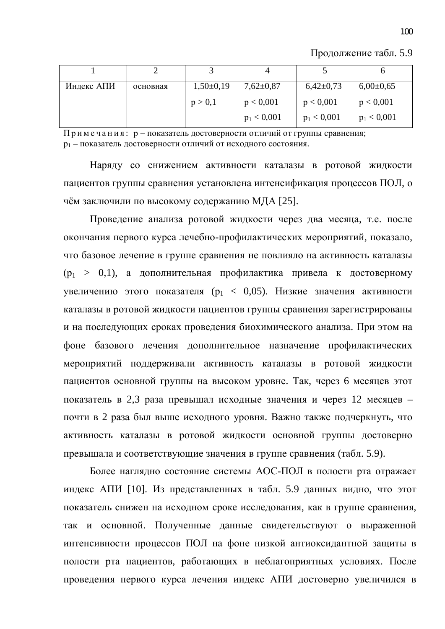| Индекс АПИ | основная | $1,50\pm0,19$ | $7,62 \pm 0,87$ | $6,42\pm0,73$ | $6,00\pm0,65$ |
|------------|----------|---------------|-----------------|---------------|---------------|
|            |          | p > 0,1       | p < 0,001       | p < 0,001     | p < 0,001     |
|            |          |               | $p_1 < 0,001$   | $p_1 < 0,001$ | $p_1 < 0,001$ |

Продолжение табл. 5.9

 $\Pi$ римечания: р – показатель достоверности отличий от группы сравнения; р<sub>1</sub> – показатель достоверности отличий от исходного состояния.

Наряду со снижением активности каталазы в ротовой жидкости пациентов группы сравнения установлена интенсификация процессов ПОЛ, о чём заключили по высокому содержанию МДА [25].

Проведение анализа ротовой жидкости через два месяца, т.е. после окончания первого курса лечебно-профилактических мероприятий, показало, что базовое лечение в группе сравнения не повлияло на активность каталазы  $(p_1 > 0,1)$ , а дополнительная профилактика привела к достоверному увеличению этого показателя ( $p_1 < 0.05$ ). Низкие значения активности каталазы в ротовой жидкости пациентов группы сравнения зарегистрированы и на последующих сроках проведения биохимического анализа. При этом на фоне базового лечения дополнительное назначение профилактических мероприятий поддерживали активность каталазы в ротовой жидкости пациентов основной группы на высоком уровне. Так, через 6 месяцев этот показатель в 2,3 раза превышал исходные значения и через 12 месяцев – почти в 2 раза был выше исходного уровня. Важно также подчеркнуть, что активность каталазы в ротовой жидкости основной группы достоверно превышала и соответствующие значения в группе сравнения (табл. 5.9).

Более наглядно состояние системы АОС-ПОЛ в полости рта отражает индекс АПИ [10]. Из представленных в табл. 5.9 данных видно, что этот показатель снижен на исходном сроке исследования, как в группе сравнения, так и основной. Полученные данные свидетельствуют о выраженной интенсивности процессов ПОЛ на фоне низкой антиоксидантной защиты в полости рта пациентов, работающих в неблагоприятных условиях. После проведения первого курса лечения индекс АПИ достоверно увеличился в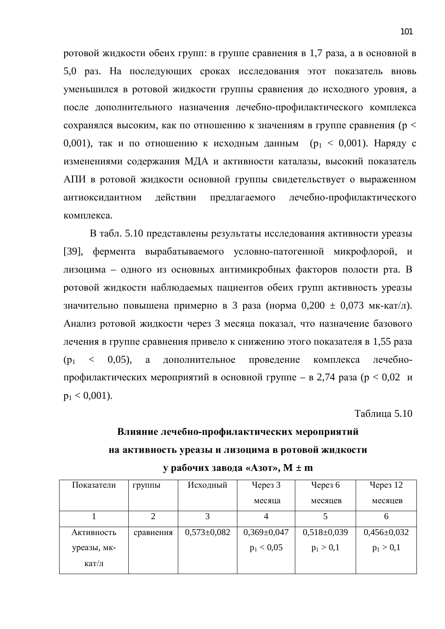ротовой жидкости обеих групп: в группе сравнения в 1,7 раза, а в основной в 5,0 раз. На последующих сроках исследования этот показатель вновь уменьшился в ротовой жидкости группы сравнения до исходного уровня, а после дополнительного назначения лечебно-профилактического комплекса сохранялся высоким, как по отношению к значениям в группе сравнения ( $p <$ 0,001), так и по отношению к исходным данным ( $p_1 < 0.001$ ). Наряду с изменениями содержания МДА и активности каталазы, высокий показатель АПИ в ротовой жидкости основной группы свидетельствует о выраженном антиоксидантном действии предлагаемого лечебно-профилактического комплекса.

В табл. 5.10 представлены результаты исследования активности уреазы [39], фермента вырабатываемого условно-патогенной микрофлорой, и лизоцима – одного из основных антимикробных факторов полости рта. В ротовой жидкости наблюдаемых пациентов обеих групп активность уреазы значительно повышена примерно в 3 раза (норма  $0,200 \pm 0,073$  мк-кат/л). Анализ ротовой жидкости через 3 месяца показал, что назначение базового лечения в группе сравнения привело к снижению этого показателя в 1,55 раза  $(p_1 \leq 0.05)$ , а дополнительное проведение комплекса лечебнопрофилактических мероприятий в основной группе – в 2,74 раза ( $p < 0.02$  и  $p_1 < 0.001$ ).

 $Ta$ блина 5.10

# **Влияние лечебно-профилактических мероприятий** НА АКТИВНОСТЬ УРЕАЗЫ И ЛИЗОЦИМА В РОТОВОЙ ЖИДКОСТИ **y** рабочих завода «Азот», M ± m

| Показатели  | группы    | Исходный          | Yepes <sub>3</sub> | Через $6$         | Через $12$        |
|-------------|-----------|-------------------|--------------------|-------------------|-------------------|
|             |           |                   | месяца             | месяцев           | месяцев           |
|             |           |                   |                    |                   |                   |
| Активность  | сравнения | $0,573 \pm 0,082$ | $0,369\pm0,047$    | $0,518 \pm 0,039$ | $0,456 \pm 0,032$ |
| уреазы, мк- |           |                   | $p_1 < 0.05$       | $p_1 > 0,1$       | $p_1 > 0,1$       |
| кат/л       |           |                   |                    |                   |                   |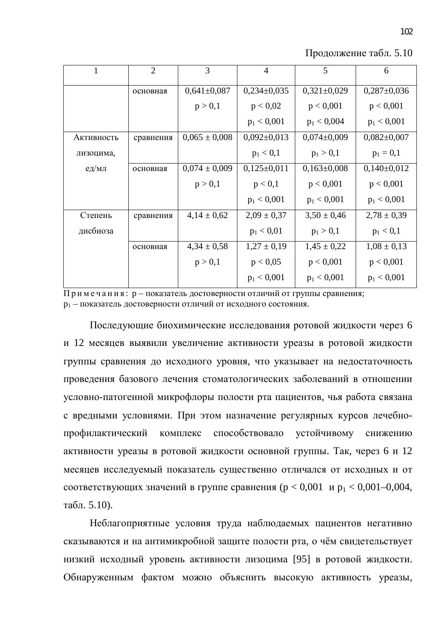| 1          | $\overline{2}$ | 3                 | $\overline{4}$    | 5               | 6               |
|------------|----------------|-------------------|-------------------|-----------------|-----------------|
|            | основная       | $0,641\pm0,087$   | $0,234\pm0,035$   | $0,321\pm0,029$ | $0,287\pm0,036$ |
|            |                | p > 0,1           | p < 0.02          | p < 0,001       | p < 0,001       |
|            |                |                   | $p_1 < 0,001$     | $p_1 < 0,004$   | $p_1 < 0,001$   |
| Активность | сравнения      | $0,065 \pm 0,008$ | $0,092 \pm 0,013$ | $0,074\pm0,009$ | $0,082\pm0,007$ |
| лизоцима,  |                |                   | $p_1 < 0,1$       | $p_1 > 0,1$     | $p_1 = 0,1$     |
| ед/мл      | основная       | $0,074 \pm 0,009$ | $0,125\pm0,011$   | $0,163\pm0,008$ | $0,140\pm0,012$ |
|            |                | p > 0,1           | p < 0,1           | p < 0,001       | p < 0,001       |
|            |                |                   | $p_1 < 0,001$     | $p_1 < 0,001$   | $p_1 < 0.001$   |
| Степень    | сравнения      | $4,14 \pm 0,62$   | $2,09 \pm 0,37$   | $3,50 \pm 0,46$ | $2,78 \pm 0,39$ |
| дисбиоза   |                |                   | $p_1 < 0.01$      | $p_1 > 0,1$     | $p_1 < 0,1$     |
|            | основная       | $4,34 \pm 0,58$   | $1,27 \pm 0,19$   | $1,45 \pm 0,22$ | $1,08 \pm 0,13$ |
|            |                | p > 0,1           | p < 0.05          | p < 0,001       | p < 0,001       |
|            |                |                   | $p_1 < 0,001$     | $p_1 < 0,001$   | $p_1 < 0,001$   |
|            |                |                   |                   |                 |                 |

Продолжение табл. 5.10

 $\Pi$ римечания: р – показатель достоверности отличий от группы сравнения; р<sub>1</sub> – показатель достоверности отличий от исходного состояния.

Последующие биохимические исследования ротовой жидкости через 6 и 12 месяцев выявили увеличение активности уреазы в ротовой жидкости группы сравнения до исходного уровня, что указывает на недостаточность проведения базового лечения стоматологических заболеваний в отношении условно-патогенной микрофлоры полости рта пациентов, чья работа связана с вредными условиями. При этом назначение регулярных курсов лечебнопрофилактический комплекс способствовало устойчивому снижению активности уреазы в ротовой жидкости основной группы. Так, через 6 и 12 месяцев исследуемый показатель существенно отличался от исходных и от соответствующих значений в группе сравнения ( $p < 0.001$  и  $p_1 < 0.001 - 0.004$ , табл.  $5.10$ ).

Неблагоприятные условия труда наблюдаемых пациентов негативно сказываются и на антимикробной защите полости рта, о чём свидетельствует низкий исходный уровень активности лизоцима [95] в ротовой жидкости. Обнаруженным фактом можно объяснить высокую активность уреазы,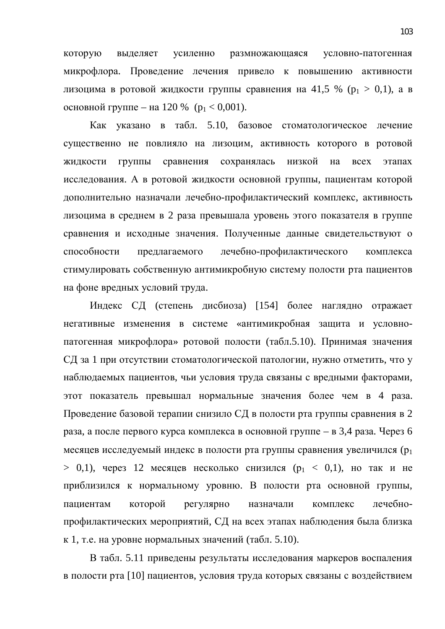которую выделяет усиленно размножающаяся условно-патогенная микрофлора. Проведение лечения привело к повышению активности лизоцима в ротовой жидкости группы сравнения на 41,5 % ( $p_1 > 0,1$ ), а в основной группе – на 120 % ( $p_1 < 0.001$ ).

Как указано в табл. 5.10, базовое стоматологическое лечение существенно не повлияло на лизоцим, активность которого в ротовой жидкости группы сравнения сохранялась низкой на всех этапах исследования. А в ротовой жидкости основной группы, пациентам которой дополнительно назначали лечебно-профилактический комплекс, активность лизоцима в среднем в 2 раза превышала уровень этого показателя в группе сравнения и исходные значения. Полученные данные свидетельствуют о способности предлагаемого лечебно-профилактического комплекса стимулировать собственную антимикробную систему полости рта пациентов на фоне вредных условий труда.

Индекс СД (степень дисбиоза) [154] более наглядно отражает негативные изменения в системе «антимикробная защита и условнопатогенная микрофлора» ротовой полости (табл.5.10). Принимая значения СД за 1 при отсутствии стоматологической патологии, нужно отметить, что у наблюдаемых пациентов, чьи условия труда связаны с вредными факторами, этот показатель превышал нормальные значения более чем в 4 раза. Проведение базовой терапии снизило СД в полости рта группы сравнения в 2 раза, а после первого курса комплекса в основной группе – в 3,4 раза. Через 6 месяцев исследуемый индекс в полости рта группы сравнения увеличился (р<sub>1</sub>  $> 0,1$ ), через 12 месяцев несколько снизился ( $p_1 < 0,1$ ), но так и не приблизился к нормальному уровню. В полости рта основной группы, пациентам которой регулярно назначали комплекс лечебнопрофилактических мероприятий, СД на всех этапах наблюдения была близка к 1, т.е. на уровне нормальных значений (табл. 5.10).

В табл. 5.11 приведены результаты исследования маркеров воспаления в полости рта [10] пациентов, условия труда которых связаны с воздействием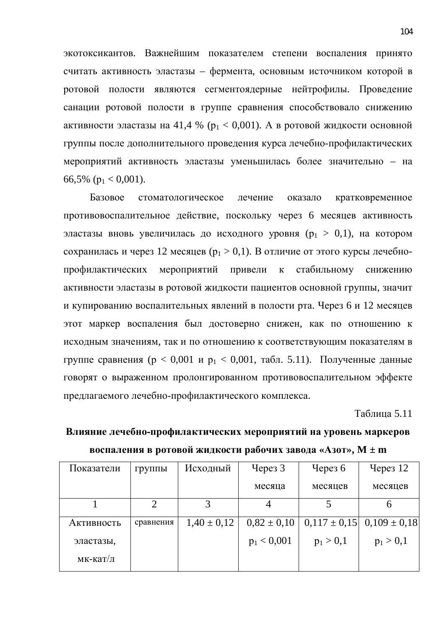экотоксикантов. Важнейшим показателем степени воспаления принято считать активность эластазы – фермента, основным источником которой в ротовой полости являются сегментоядерные нейтрофилы. Проведение санации ротовой полости в группе сравнения способствовало снижению активности эластазы на 41,4 % ( $p_1 < 0.001$ ). А в ротовой жидкости основной группы после дополнительного проведения курса лечебно-профилактических мероприятий активность эластазы уменьшилась более значительно – на 66,5% ( $p_1 < 0.001$ ).

Базовое стоматологическое лечение оказало кратковременное противовоспалительное действие, поскольку через 6 месяцев активность эластазы вновь увеличилась до исходного уровня  $(p_1 > 0,1)$ , на котором сохранилась и через 12 месяцев ( $p_1 > 0,1$ ). В отличие от этого курсы лечебнопрофилактических мероприятий привели к стабильному снижению активности эластазы в ротовой жидкости пациентов основной группы, значит и купированию воспалительных явлений в полости рта. Через 6 и 12 месяцев этот маркер воспаления был достоверно снижен, как по отношению к исходным значениям, так и по отношению к соответствующим показателям в группе сравнения (р < 0,001 и р<sub>1</sub> < 0,001, табл. 5.11). Полученные данные говорят о выраженном пролонгированном противовоспалительном эффекте предлагаемого лечебно-профилактического комплекса.

**Таблина 5.11** 

| Показатели | группы                | Исходный        | Yepes <sub>3</sub> | Через $6$   | Через $12$                        |
|------------|-----------------------|-----------------|--------------------|-------------|-----------------------------------|
|            |                       |                 | месяца             | месяцев     | месяцев                           |
|            | $\mathcal{D}_{\cdot}$ | 3               |                    |             | h                                 |
| Активность | сравнения             | $1,40 \pm 0,12$ | $0.82 \pm 0.10$    |             | $0,117 \pm 0,15$ $0,109 \pm 0,18$ |
| эластазы,  |                       |                 | $p_1 < 0,001$      | $p_1 > 0,1$ | $p_1 > 0,1$                       |
| мк-кат/л   |                       |                 |                    |             |                                   |

Влияние лечебно-профилактических мероприятий на уровень маркеров **воспаления в ротовой жидкости рабочих завода «Азот», M**  $\pm$  **m**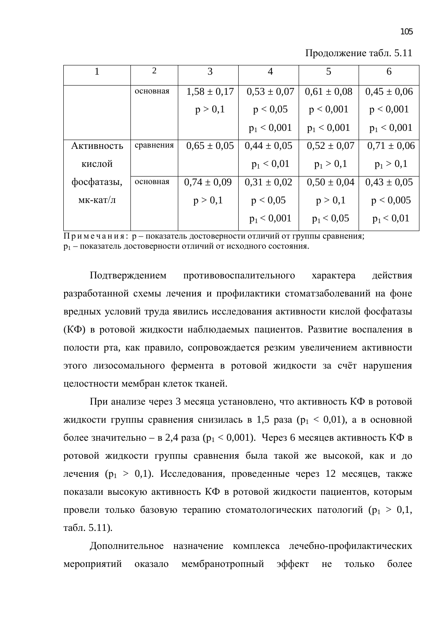Продолжение табл. 5.11

|            | $\overline{2}$ | 3               | $\overline{4}$  | 5               | 6               |
|------------|----------------|-----------------|-----------------|-----------------|-----------------|
|            | основная       | $1,58 \pm 0,17$ | $0.53 \pm 0.07$ | $0.61 \pm 0.08$ | $0.45 \pm 0.06$ |
|            |                | p > 0,1         | p < 0.05        | p < 0,001       | p < 0,001       |
|            |                |                 | $p_1 < 0,001$   | $p_1 < 0,001$   | $p_1 < 0,001$   |
| Активность | сравнения      | $0.65 \pm 0.05$ | $0.44 \pm 0.05$ | $0.52 \pm 0.07$ | $0.71 \pm 0.06$ |
| кислой     |                |                 | $p_1 < 0.01$    | $p_1 > 0,1$     | $p_1 > 0,1$     |
| фосфатазы, | основная       | $0,74 \pm 0,09$ | $0,31 \pm 0,02$ | $0,50 \pm 0,04$ | $0.43 \pm 0.05$ |
| мк-кат/л   |                | p > 0,1         | p < 0,05        | p > 0,1         | p < 0,005       |
|            |                |                 | $p_1 < 0,001$   | $p_1 < 0.05$    | $p_1 < 0.01$    |

 $\overline{\Pi}$ римечания: р – показатель достоверности отличий от группы сравнения; р<sub>1</sub> – показатель достоверности отличий от исходного состояния.

Подтверждением противовоспалительного характера действия разработанной схемы лечения и профилактики стоматзаболеваний на фоне вредных условий труда явились исследования активности кислой фосфатазы (КФ) в ротовой жидкости наблюдаемых пациентов. Развитие воспаления в полости рта, как правило, сопровождается резким увеличением активности этого лизосомального фермента в ротовой жидкости за счёт нарушения целостности мембран клеток тканей.

При анализе через 3 месяца установлено, что активность КФ в ротовой жидкости группы сравнения снизилась в 1,5 раза ( $p_1 < 0.01$ ), а в основной более значительно – в 2,4 раза ( $p_1 < 0.001$ ). Через 6 месяцев активность КФ в ротовой жидкости группы сравнения была такой же высокой, как и до дечения ( $p_1 > 0,1$ ). Исследования, проведенные через 12 месяцев, также показали высокую активность КФ в ротовой жидкости пациентов, которым провели только базовую терапию стоматологических патологий ( $p_1 > 0, 1$ , табл. 5.11).

Дополнительное назначение комплекса лечебно-профилактических мероприятий оказало мембранотропный эффект не только более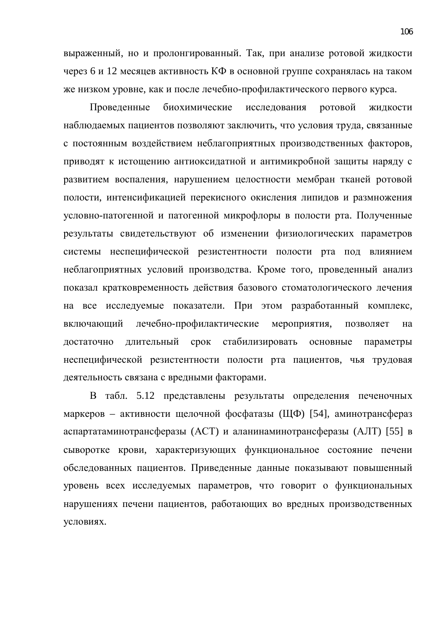выраженный, но и пролонгированный. Так, при анализе ротовой жидкости через 6 и 12 месяцев активность КФ в основной группе сохранялась на таком же низком уровне, как и после лечебно-профилактического первого курса.

Проведенные биохимические исследования ротовой жидкости наблюдаемых пациентов позволяют заключить, что условия труда, связанные с постоянным воздействием неблагоприятных производственных факторов, приводят к истощению антиоксидатной и антимикробной защиты наряду с развитием воспаления, нарушением целостности мембран тканей ротовой полости, интенсификацией перекисного окисления липидов и размножения условно-патогенной и патогенной микрофлоры в полости рта. Полученные результаты свидетельствуют об изменении физиологических параметров системы неспецифической резистентности полости рта под влиянием неблагоприятных условий производства. Кроме того, проведенный анализ показал кратковременность действия базового стоматологического лечения на все исследуемые показатели. При этом разработанный комплекс, включающий лечебно-профилактические мероприятия, позволяет на достаточно длительный срок стабилизировать основные параметры неспецифической резистентности полости рта пациентов, чья трудовая деятельность связана с вредными факторами.

В табл. 5.12 представлены результаты определения печеночных маркеров – активности щелочной фосфатазы (ЩФ) [54], аминотрансфераз аспартатаминотрансферазы (АСТ) и аланинаминотрансферазы (АЛТ) [55] в сыворотке крови, характеризующих функциональное состояние печени обследованных пациентов. Приведенные данные показывают повышенный уровень всех исследуемых параметров, что говорит о функциональных нарушениях печени пациентов, работающих во вредных производственных үсловиях.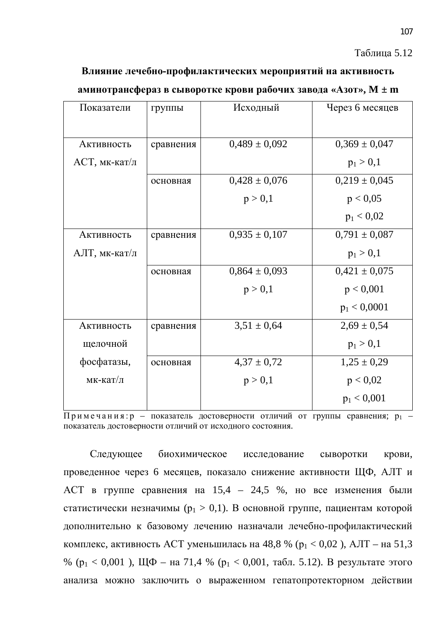#### Таблица 5.12

Влияние лечебно-профилактических мероприятий на активность **аминотрансфераз в сыворотке крови рабочих завода «Азот», M**  $\pm$  **m** 

| Показатели    | группы    | Исходный          | Через 6 месяцев   |
|---------------|-----------|-------------------|-------------------|
|               |           |                   |                   |
| Активность    | сравнения | $0,489 \pm 0,092$ | $0,369 \pm 0,047$ |
| АСТ, мк-кат/л |           |                   | $p_1 > 0,1$       |
|               | основная  | $0,428 \pm 0,076$ | $0,219 \pm 0,045$ |
|               |           | p > 0,1           | p < 0.05          |
|               |           |                   | $p_1 < 0.02$      |
| Активность    | сравнения | $0,935 \pm 0,107$ | $0,791 \pm 0,087$ |
| АЛТ, мк-кат/л |           |                   | $p_1 > 0,1$       |
|               | основная  | $0,864 \pm 0,093$ | $0,421 \pm 0,075$ |
|               |           | p > 0,1           | p < 0,001         |
|               |           |                   | $p_1 < 0,0001$    |
| Активность    | сравнения | $3,51 \pm 0,64$   | $2,69 \pm 0,54$   |
| щелочной      |           |                   | $p_1 > 0,1$       |
| фосфатазы,    | основная  | $4,37 \pm 0,72$   | $1,25 \pm 0,29$   |
| мк-кат/л      |           | p > 0,1           | p < 0.02          |
|               |           |                   | $p_1 < 0,001$     |

 $\overline{\Pi}$ римечания: р – показатель достоверности отличий от группы сравнения; р<sub>1</sub> – показатель достоверности отличий от исходного состояния.

Следующее биохимическое исследование сыворотки крови. проведенное через 6 месяцев, показало снижение активности ЩФ, АЛТ и АСТ в группе сравнения на 15,4 – 24,5 %, но все изменения были статистически незначимы ( $p_1 > 0,1$ ). В основной группе, пациентам которой дополнительно к базовому лечению назначали лечебно-профилактический комплекс, активность АСТ уменьшилась на 48,8 % ( $p_1 < 0.02$ ), АЛТ – на 51,3 % ( $p_1 < 0.001$ ), Щ $\Phi$  – на 71,4 % ( $p_1 < 0.001$ , табл. 5.12). В результате этого анализа можно заключить о выраженном гепатопротекторном действии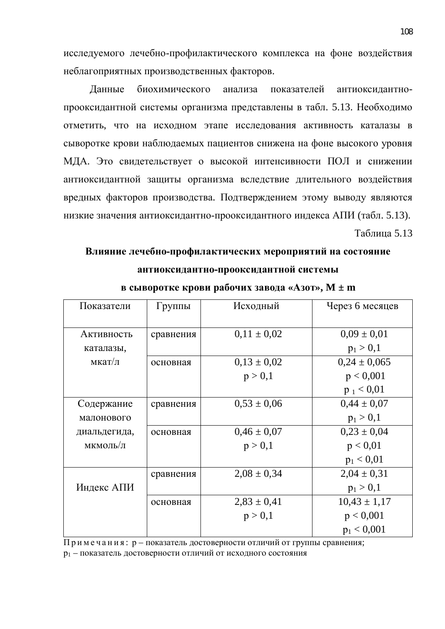исследуемого лечебно-профилактического комплекса на фоне воздействия неблагоприятных производственных факторов.

Данные биохимического анализа показателей антиоксидантнопрооксидантной системы организма представлены в табл. 5.13. Необходимо отметить, что на исходном этапе исследования активность каталазы в сыворотке крови наблюдаемых пациентов снижена на фоне высокого уровня МДА. Это свидетельствует о высокой интенсивности ПОЛ и снижении антиоксидантной защиты организма вследствие длительного воздействия вредных факторов производства. Подтверждением этому выводу являются низкие значения антиоксидантно-прооксидантного индекса АПИ (табл. 5.13).

Таблица 5.13

## Влияние лечебно-профилактических мероприятий на состояние антиоксидантно-прооксидантной системы

| Показатели   | Группы    | Исходный        | Через 6 месяцев  |
|--------------|-----------|-----------------|------------------|
|              |           |                 |                  |
| Активность   | сравнения | $0,11 \pm 0,02$ | $0.09 \pm 0.01$  |
| каталазы,    |           |                 | $p_1 > 0,1$      |
| мкат/л       | основная  | $0,13 \pm 0,02$ | $0,24 \pm 0,065$ |
|              |           | p > 0,1         | p < 0,001        |
|              |           |                 | $p_1 < 0.01$     |
| Содержание   | сравнения | $0,53 \pm 0,06$ | $0,44 \pm 0,07$  |
| малонового   |           |                 | $p_1 > 0,1$      |
| диальдегида, | основная  | $0,46 \pm 0,07$ | $0,23 \pm 0,04$  |
| мкмоль/л     |           | p > 0,1         | p < 0.01         |
|              |           |                 | $p_1 < 0.01$     |
|              | сравнения | $2,08 \pm 0,34$ | $2,04 \pm 0,31$  |
| Индекс АПИ   |           |                 | $p_1 > 0,1$      |
|              | основная  | $2,83 \pm 0,41$ | $10,43 \pm 1,17$ |
|              |           | p > 0,1         | p < 0,001        |
|              |           |                 | $p_1 < 0,001$    |

**в сыворотке крови рабочих завода «Азот», M**  $\pm$  **m** 

Примечания: р – показатель достоверности отличий от группы сравнения; р<sub>1</sub> – показатель достоверности отличий от исходного состояния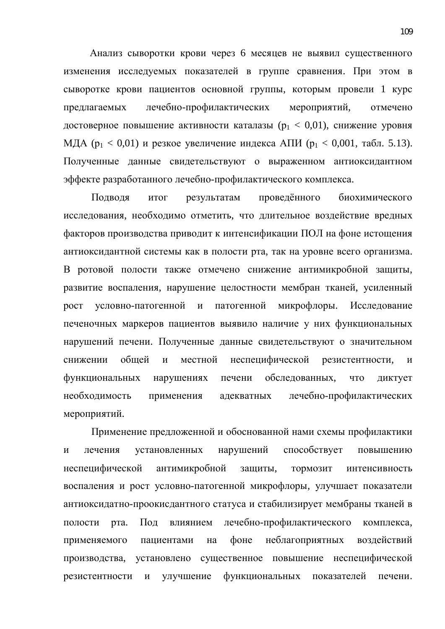Анализ сыворотки крови через 6 месяцев не выявил существенного изменения исследуемых показателей в группе сравнения. При этом в сыворотке крови пациентов основной группы, которым провели 1 курс предлагаемых лечебно-профилактических мероприятий, отмечено достоверное повышение активности каталазы ( $p_1 < 0.01$ ), снижение уровня МДА ( $p_1 < 0.01$ ) и резкое увеличение индекса АПИ ( $p_1 < 0.001$ , табл. 5.13). Полученные данные свидетельствуют о выраженном антиоксидантном эффекте разработанного лечебно-профилактического комплекса.

Подводя итог результатам проведённого биохимического исследования, необходимо отметить, что длительное воздействие вредных факторов производства приводит к интенсификации ПОЛ на фоне истощения антиоксидантной системы как в полости рта, так на уровне всего организма. В ротовой полости также отмечено снижение антимикробной защиты, развитие воспаления, нарушение целостности мембран тканей, усиленный рост условно-патогенной и патогенной микрофлоры. Исследование печеночных маркеров пациентов выявило наличие у них функциональных нарушений печени. Полученные данные свидетельствуют о значительном снижении общей и местной неспецифической резистентности, и функциональных нарушениях печени обследованных, что диктует необходимость применения адекватных лечебно-профилактических мероприятий.

Применение предложенной и обоснованной нами схемы профилактики и лечения установленных нарушений способствует повышению неспецифической антимикробной защиты, тормозит интенсивность воспаления и рост условно-патогенной микрофлоры, улучшает показатели антиоксидатно-проокисдантного статуса и стабилизирует мембраны тканей в полости рта. Под влиянием лечебно-профилактического комплекса, применяемого пациентами на фоне неблагоприятных воздействий производства, установлено существенное повышение неспецифической резистентности и улучшение функциональных показателей печени.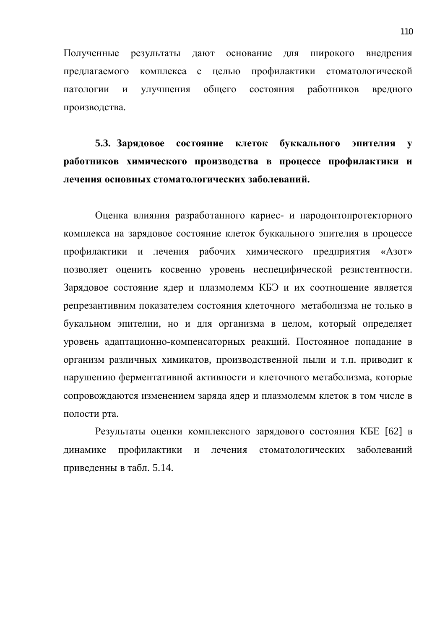Полученные результаты дают основание для широкого внедрения предлагаемого комплекса с целью профилактики стоматологической патологии и улучшения общего состояния работников вредного производства.

5.3. Зарядовое состояние клеток буккального эпителия у работников химического производства в процессе профилактики и дечения основных стоматологических заболеваний.

Оценка влияния разработанного кариес- и пародонтопротекторного комплекса на зарядовое состояние клеток буккального эпителия в процессе профилактики и лечения рабочих химического предприятия «Азот» позволяет оценить косвенно уровень неспецифической резистентности. Зарядовое состояние ядер и плазмолемм КБЭ и их соотношение является репрезантивним показателем состояния клеточного метаболизма не только в букальном эпителии, но и для организма в целом, который определяет уровень адаптационно-компенсаторных реакций. Постоянное попадание в организм различных химикатов, производственной пыли и т.п. приводит к нарушению ферментативной активности и клеточного метаболизма, которые сопровождаются изменением заряда ядер и плазмолемм клеток в том числе в полости рта.

Результаты оценки комплексного зарядового состояния КБЕ [62] в динамике профилактики и лечения стоматологических заболеваний приведенны в табл. 5.14.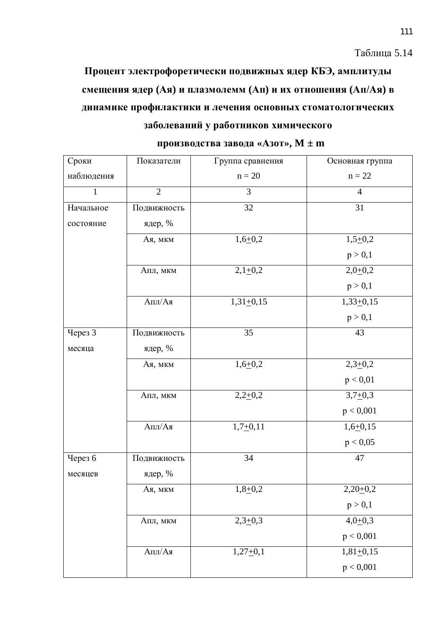Таблица 5.14

Процент электрофоретически подвижных ядер КБЭ, амплитуды смещения ядер (Ая) и плазмолемм (Ап) и их отношения (Ап/Ая) в динамике профилактики и лечения основных стоматологических заболеваний у работников химического

| Сроки        | Показатели                              | Группа сравнения        | Основная группа |
|--------------|-----------------------------------------|-------------------------|-----------------|
| наблюдения   |                                         | $n = 20$                | $n = 22$        |
| $\mathbf{1}$ | $\overline{2}$                          | $\overline{3}$          | $\overline{4}$  |
| Начальное    | Подвижность                             | 32                      | 31              |
| состояние    | ядер, %                                 |                         |                 |
|              | Ая, мкм                                 | $1,6+0,2$               | $1,5+0,2$       |
|              |                                         |                         | p > 0,1         |
|              | Апл, мкм                                | $2,1+0,2$               | $2,0+0,2$       |
|              |                                         |                         | p > 0,1         |
|              | $\text{A\textsc{ii}/A\textsc{ii}}$      | $1,31+0,15$             | $1,33+0,15$     |
|              |                                         |                         | p > 0,1         |
| Через 3      | Подвижность                             | 35                      | 43              |
| месяца       | ядер, %                                 |                         |                 |
|              | Ая, мкм                                 | $1,6+0,2$               | $2,3+0,2$       |
|              |                                         |                         | p < 0.01        |
|              | Апл, мкм                                | $2,2+0,2$               | $3,7+0,3$       |
|              |                                         |                         | p < 0,001       |
|              | $\mathrm{A}\Pi\mathrm{J}/\mathrm{A}\pi$ | $1,7 + \overline{0,11}$ | $1,6+0,15$      |
|              |                                         |                         | p < 0,05        |
| Через 6      | Подвижность                             | $\overline{34}$         | 47              |
| месяцев      | ядер, %                                 |                         |                 |
|              | Ая, мкм                                 | $1,8+0,2$               | $2,20+0,2$      |
|              |                                         |                         | p > 0,1         |
|              | Апл, мкм                                | $2,3+0,3$               | $4,0+0,3$       |
|              |                                         |                         | p < 0,001       |
|              | $\mathrm{A}\Pi\mathrm{J}/\mathrm{A}\pi$ | $1,27+0,1$              | $1,81+0,15$     |
|              |                                         |                         | p < 0,001       |

| производства завода «Азот», $\bold{M} \pm \bold{m}$ |  |  |  |  |
|-----------------------------------------------------|--|--|--|--|
|-----------------------------------------------------|--|--|--|--|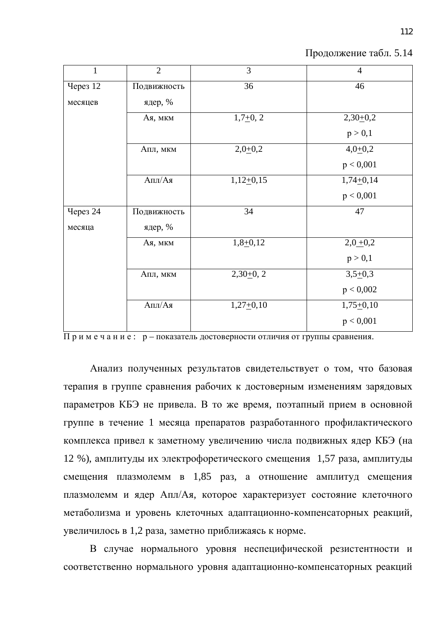| $\mathbf{1}$           | $\overline{2}$ | 3           | $\overline{4}$ |
|------------------------|----------------|-------------|----------------|
| <b>Через 12</b>        | Подвижность    | 36          | 46             |
| месяцев                | ядер, %        |             |                |
|                        | Ая, мкм        | $1,7+0,2$   | $2,30+0,2$     |
|                        |                |             | p > 0,1        |
|                        | Апл, мкм       | $2,0+0,2$   | $4,0+0,2$      |
|                        |                |             | p < 0,001      |
|                        | $A\Pi J/A$ я   | $1,12+0,15$ | $1,74+0,14$    |
|                        |                |             | p < 0,001      |
| <b><i>Hepes</i></b> 24 | Подвижность    | 34          | 47             |
| месяца                 | ядер, %        |             |                |
|                        | Ая, мкм        | $1,8+0,12$  | $2,0+0,2$      |
|                        |                |             | p > 0,1        |
|                        | Апл, мкм       | $2,30+0,2$  | $3,5+0,3$      |
|                        |                |             | p < 0,002      |
|                        | Апл/Ая         | $1,27+0,10$ | $1,75+0,10$    |
|                        |                |             | p < 0,001      |

Продолжение табл. 5.14

 $\overline{\Pi}$ римечание: р – показатель достоверности отличия от группы сравнения.

Анализ полученных результатов свидетельствует о том, что базовая терапия в группе сравнения рабочих к достоверным изменениям зарядовых параметров КБЭ не привела. В то же время, поэтапный прием в основной группе в течение 1 месяца препаратов разработанного профилактического комплекса привел к заметному увеличению числа подвижных ядер КБЭ (на 12 %), амплитуды их электрофоретического смещения 1,57 раза, амплитуды смещения плазмолемм в 1,85 раз, а отношение амплитуд смещения плазмолемм и ядер Апл/Ая, которое характеризует состояние клеточного метаболизма и уровень клеточных адаптационно-компенсаторных реакций, увеличилось в 1,2 раза, заметно приближаясь к норме.

В случае нормального уровня неспецифической резистентности и соответственно нормального уровня адаптационно-компенсаторных реакций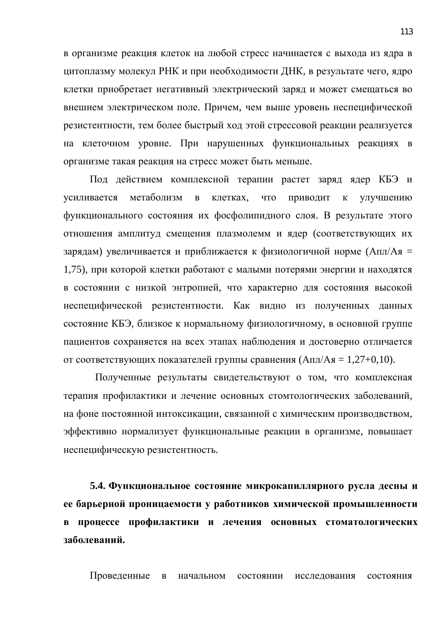в организме реакция клеток на любой стресс начинается с выхода из ядра в цитоплазму молекул РНК и при необходимости ДНК, в результате чего, ядро клетки приобретает негативный электрический заряд и может смещаться во внешнем электрическом поле. Причем, чем выше уровень неспецифической резистентности, тем более быстрый ход этой стрессовой реакции реализуется на клеточном уровне. При нарушенных функциональных реакциях в организме такая реакция на стресс может быть меньше.

Под действием комплексной терапии растет заряд ядер КБЭ и үсиливается метаболизм в клетках, что приводит к улучшению функционального состояния их фосфолипидного слоя. В результате этого отношения амплитуд смещения плазмолемм и ядер (соответствующих их зарядам) увеличивается и приближается к физиологичной норме (Апл/Ая = 1,75), при которой клетки работают с малыми потерями энергии и находятся в состоянии с низкой энтропией, что характерно для состояния высокой неспецифической резистентности. Как видно из полученных данных состояние КБЭ, близкое к нормальному физиологичному, в основной группе пациентов сохраняется на всех этапах наблюдения и достоверно отличается от соответствующих показателей группы сравнения (Апл/Ая = 1,27+0,10).

Полученные результаты свидетельствуют о том, что комплексная терапия профилактики и лечение основных стомтологических заболеваний, на фоне постоянной интоксикации, связанной с химическим производвством, эффективно нормализует функциональные реакции в организме, повышает неспецифическую резистентность.

5.4. Функциональное состояние микрокапиллярного русла десны и ее барьерной проницаемости у работников химической промышленности **в процессе профилактики и лечения основных стоматологических** заболеваний.

Проведенные в начальном состоянии исследования состояния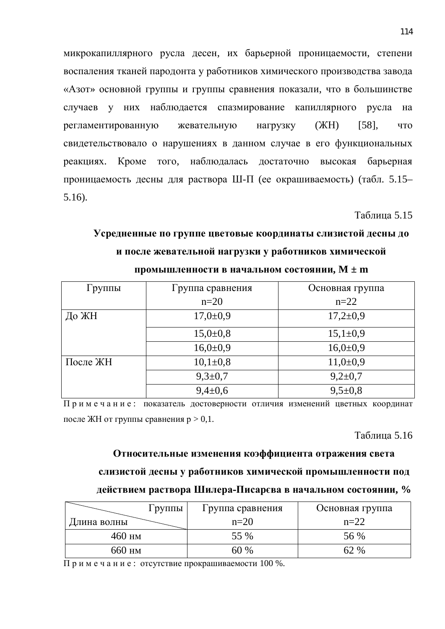микрокапиллярного русла десен, их барьерной проницаемости, степени воспаления тканей пародонта у работников химического производства завода «Азот» основной группы и группы сравнения показали, что в большинстве случаев у них наблюдается спазмирование капиллярного русла на регламентированную жевательную нагрузку (ЖН) [58], что свидетельствовало о нарушениях в данном случае в его функциональных реакциях. Кроме того, наблюдалась достаточно высокая барьерная проницаемость десны для раствора Ш-П (ее окрашиваемость) (табл. 5.15– 5.16).

Таблица 5.15

# **Усредненные по группе цветовые координаты слизистой десны до** и после жевательной нагрузки у работников химической

| Группы   | Группа сравнения | Основная группа |
|----------|------------------|-----------------|
|          | $n=20$           | $n=22$          |
| До ЖН    | $17,0{\pm}0,9$   | $17,2{\pm}0,9$  |
|          | $15,0{\pm}0,8$   | $15,1\pm0,9$    |
|          | $16,0{\pm}0,9$   | $16,0{\pm}0,9$  |
| После ЖН | $10,1\pm 0,8$    | $11,0+0,9$      |
|          | $9,3 \pm 0.7$    | $9,2{\pm}0,7$   |
|          | $9,4\pm0,6$      | $9,5\pm0.8$     |

### промышленности в начальном состоянии,  $M \pm m$

Примечание: показатель достоверности отличия изменений цветных координат после ЖН от группы сравнения  $p > 0, 1$ .

**Таблина 5.16** 

# **Относительные изменения коэффициента отражения света** слизистой десны у работников химической промышленности под

# действием раствора Шилера-Писарєва в начальном состоянии, %

| Группы      | Группа сравнения | Основная группа |
|-------------|------------------|-----------------|
| Длина волны | $n=20$           | $n=22$          |
| $460$ HM    | 55 %             | 56 %            |
| 660 нм      | $\frac{0}{6}$    | 62 %            |

Примечание: отсутствие прокрашиваемости 100 %.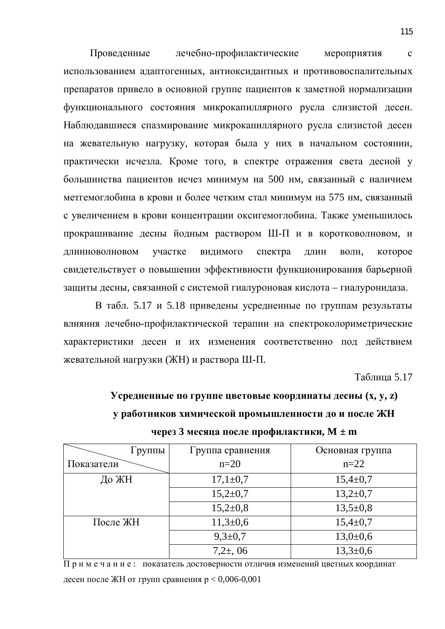Проведенные лечебно-профилактические мероприятия с использованием адаптогенных, антиоксидантных и противовоспалительных препаратов привело в основной группе пациентов к заметной нормализации функционального состояния микрокапиллярного русла слизистой десен. Наблюдавшиеся спазмирование микрокапиллярного русла слизистой десен на жевательную нагрузку, которая была у них в начальном состоянии, практически исчезла. Кроме того, в спектре отражения света десной у большинства пациентов исчез минимум на 500 нм, связанный с наличием метгемоглобина в крови и более четким стал минимум на 575 нм, связанный с увеличением в крови концентрации оксигемоглобина. Также уменьшилось прокрашивание десны йодным раствором Ш-П и в коротковолновом, и длинноволновом участке видимого спектра длин волн, которое свидетельствует о повышении эффективности функционирования барьерной защиты десны, связанной с системой гиалуроновая кислота – гиалуронидаза.

В табл. 5.17 и 5.18 приведены усредненные по группам результаты влияния лечебно-профилактической терапии на спектроколориметрические характеристики десен и их изменения соответственно под действием жевательной нагрузки (ЖН) и раствора Ш-П.

Таблица 5.17

**усредненные по группе цветовые координаты десны (x, y, z) У работников химической промышленности до и после ЖН** через 3 месяца после профилактики,  $M \pm m$ 

| Группы     | Группа сравнения | Основная группа |
|------------|------------------|-----------------|
| Показатели | $n=20$           | $n=22$          |
| До ЖН      | $17,1\pm0.7$     | $15,4 \pm 0,7$  |
|            | $15,2{\pm}0,7$   | $13,2{\pm}0,7$  |
|            | $15,2{\pm}0,8$   | $13,5+0,8$      |
| После ЖН   | $11,3+0,6$       | $15,4 \pm 0,7$  |
|            | $9,3 \pm 0.7$    | $13,0+0,6$      |
|            | $7,2\pm,06$      | $13,3 \pm 0,6$  |

Примечание: показатель достоверности отличия изменений цветных координат десен после ЖН от групп сравнения  $p < 0,006-0,001$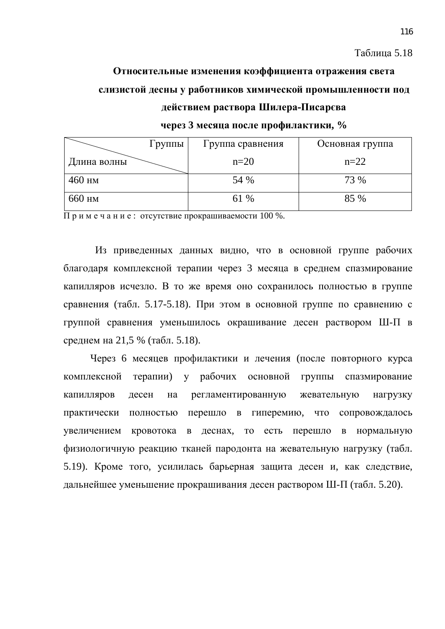# **Относительные изменения коэффициента отражения света** слизистой десны у работников химической промышленности под действием раствора Шилера-Писарєва

#### через 3 месяца после профилактики, %

| Группы      | Группа сравнения | Основная группа |
|-------------|------------------|-----------------|
| Длина волны | $n=20$           | $n=22$          |
| $460$ HM    | 54 %             | 73 %            |
| 660 HM      | 61 %             | 85 %            |

Примечание: отсутствие прокрашиваемости 100 %.

Из приведенных данных видно, что в основной группе рабочих благодаря комплексной терапии через 3 месяца в среднем спазмирование капилляров исчезло. В то же время оно сохранилось полностью в группе сравнения (табл. 5.17-5.18). При этом в основной группе по сравнению с группой сравнения уменьшилось окрашивание десен раствором Ш-П в среднем на 21,5 % (табл. 5.18).

Через 6 месяцев профилактики и лечения (после повторного курса комплексной терапии) у рабочих основной группы спазмирование капилляров десен на регламентированную жевательную нагрузку практически полностью перешло в гиперемию, что сопровождалось увеличением кровотока в деснах, то есть перешло в нормальную физиологичную реакцию тканей пародонта на жевательную нагрузку (табл. 5.19). Кроме того, усилилась барьерная защита десен и, как следствие, дальнейшее уменьшение прокрашивания десен раствором Ш-П (табл. 5.20).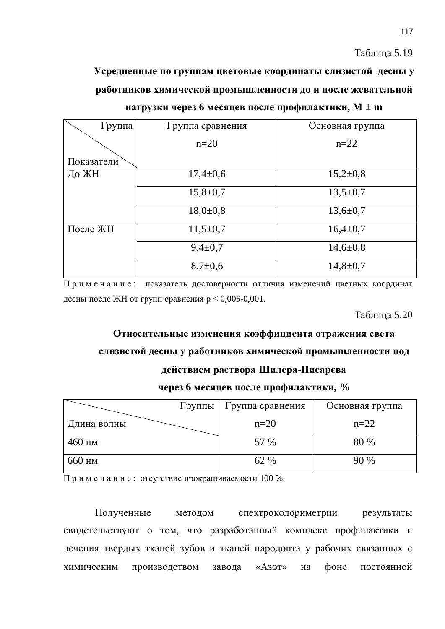Таблица 5.19

**Усредненные по группам цветовые координаты слизистой десны у** работников химической промышленности до и после жевательной **НАГРУЗКИ ЧЕРЕЗ 6 МЕСЯЦЕВ ПОСЛЕ ПРОФИЛАКТИКИ, M ± m** 

| Группа     | Группа сравнения | Основная группа |
|------------|------------------|-----------------|
|            | $n=20$           | $n=22$          |
| Показатели |                  |                 |
| До ЖН      | $17,4 \pm 0.6$   | $15,2{\pm}0,8$  |
|            | $15,8 \pm 0,7$   | $13,5 \pm 0.7$  |
|            | $18,0{\pm}0,8$   | $13,6 \pm 0,7$  |
| После ЖН   | $11,5+0,7$       | $16,4\pm0,7$    |
|            | $9,4 \pm 0.7$    | $14,6 \pm 0,8$  |
|            | $8,7{\pm}0,6$    | $14,8 \pm 0.7$  |

Примечание: показатель достоверности отличия изменений цветных координат десны после ЖН от групп сравнения  $p < 0,006$ -0,001.

Таблина 5.20

# Относительные изменения коэффициента отражения света

# слизистой десны у работников химической промышленности под

# действием раствора Шилера-Писарєва

## через 6 месяцев после профилактики, %

| Группы      | Группа сравнения | Основная группа |
|-------------|------------------|-----------------|
| Длина волны | $n=20$           | $n=22$          |
| $460$ HM    | 57 %             | 80 %            |
| 660 нм      | 62 %             | 90%             |

 $\overline{\Pi}$  римечание: отсутствие прокрашиваемости 100 %.

Полученные методом спектроколориметрии результаты свидетельствуют о том, что разработанный комплекс профилактики и лечения твердых тканей зубов и тканей пародонта у рабочих связанных с химическим производством завода «Азот» на фоне постоянной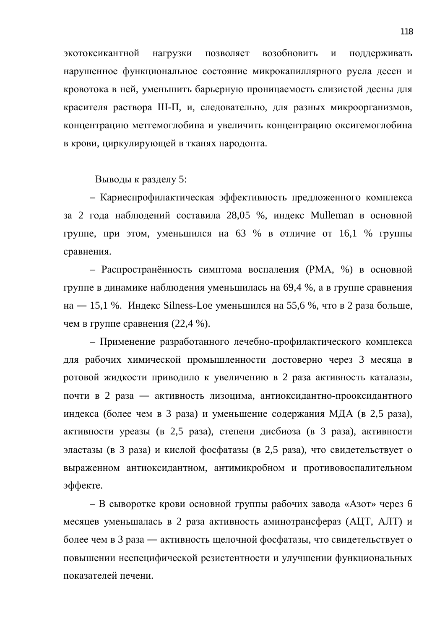экотоксикантной нагрузки позволяет возобновить и поддерживать нарушенное функциональное состояние микрокапиллярного русла десен и кровотока в ней, уменьшить барьерную проницаемость слизистой десны для красителя раствора Ш-П, и, следовательно, для разных микроорганизмов, концентрацию метгемоглобина и увеличить концентрацию оксигемоглобина в крови, циркулирующей в тканях пародонта.

Выводы к разделу 5:

– Кариеспрофилактическая эффективность предложенного комплекса за 2 года наблюдений составила 28,05 %, индекс Mulleman в основной группе, при этом, уменьшился на 63 % в отличие от 16,1 % группы сравнения.

– Распространённость симптома воспаления (РМА, %) в основной группе в динамике наблюдения уменьшилась на 69,4 %, а в группе сравнения на — 15,1 %. Индекс Silness-Loe уменьшился на 55,6 %, что в 2 раза больше, чем в группе сравнения (22,4 %).

– Применение разработанного лечебно-профилактического комплекса для рабочих химической промышленности достоверно через 3 месяца в ротовой жидкости приводило к увеличению в 2 раза активность каталазы, почти в 2 раза — активность лизоцима, антиоксидантно-прооксидантного индекса (более чем в 3 раза) и уменьшение содержания МДА (в 2,5 раза), активности уреазы (в 2,5 раза), степени дисбиоза (в 3 раза), активности эластазы (в 3 раза) и кислой фосфатазы (в 2,5 раза), что свидетельствует о выраженном антиоксидантном, антимикробном и противовоспалительном эффекте.

– В сыворотке крови основной группы рабочих завода «Азот» через 6 месяцев уменьшалась в 2 раза активность аминотрансфераз (АЦТ, АЛТ) и более чем в 3 раза — активность щелочной фосфатазы, что свидетельствует о повышении неспецифической резистентности и улучшении функциональных показателей печени.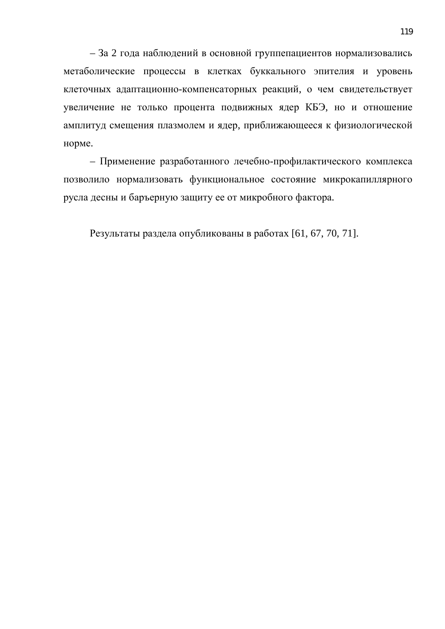- За 2 года наблюдений в основной группепациентов нормализовались метаболические процессы в клетках буккального эпителия и уровень клеточных адаптационно-компенсаторных реакций, о чем свидетельствует увеличение не только процента подвижных ядер КБЭ, но и отношение амплитуд смещения плазмолем и ядер, приближающееся к физиологической норме.

- Применение разработанного лечебно-профилактического комплекса позволило нормализовать функциональное состояние микрокапиллярного русла десны и баръерную защиту ее от микробного фактора.

Результаты раздела опубликованы в работах [61, 67, 70, 71].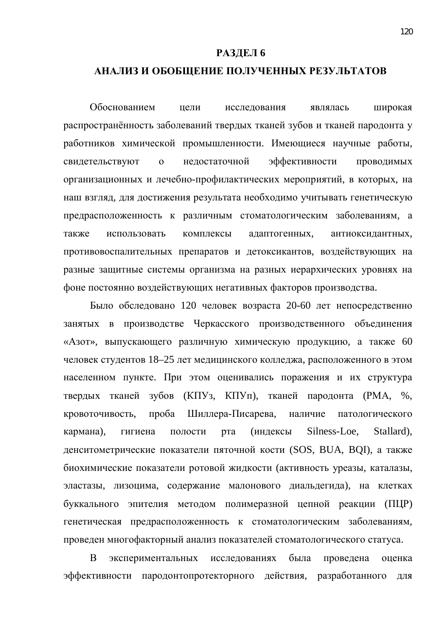#### РАЗДЕЛ 6

# **ЛАНАЛИЗ И ОБОБЩЕНИЕ ПОЛУЧЕННЫХ РЕЗУЛЬТАТОВ**

Обоснованием цели исследования являлась широкая распространённость заболеваний твердых тканей зубов и тканей пародонта у работников химической промышленности. Имеющиеся научные работы, свидетельствуют о недостаточной эффективности проводимых организационных и лечебно-профилактических мероприятий, в которых, на наш взгляд, для достижения результата необходимо учитывать генетическую предрасположенность к различным стоматологическим заболеваниям, а также использовать комплексы адаптогенных, антиоксидантных, противовоспалительных препаратов и детоксикантов, воздействующих на разные защитные системы организма на разных иерархических уровнях на фоне постоянно воздействующих негативных факторов производства.

Было обследовано 120 человек возраста 20-60 лет непосредственно занятых в производстве Черкасского производственного объединения «Азот», выпускающего различную химическую продукцию, а также 60 человек студентов 18–25 лет медицинского колледжа, расположенного в этом населенном пункте. При этом оценивались поражения и их структура твердых тканей зубов (КПУз, КПУп), тканей пародонта (РМА, %, кровоточивость, проба Шиллера-Писарева, наличие патологического кармана), гигиена полости рта (индексы Silness-Loe, Stallard), денситометрические показатели пяточной кости (SOS, BUA, BQI), а также биохимические показатели ротовой жидкости (активность уреазы, каталазы, эластазы, лизоцима, содержание малонового диальдегида), на клетках буккального эпителия методом полимеразной цепной реакции (ПЦР) генетическая предрасположенность к стоматологическим заболеваниям. проведен многофакторный анализ показателей стоматологического статуса.

В экспериментальных исследованиях была проведена оценка эффективности пародонтопротекторного действия, разработанного для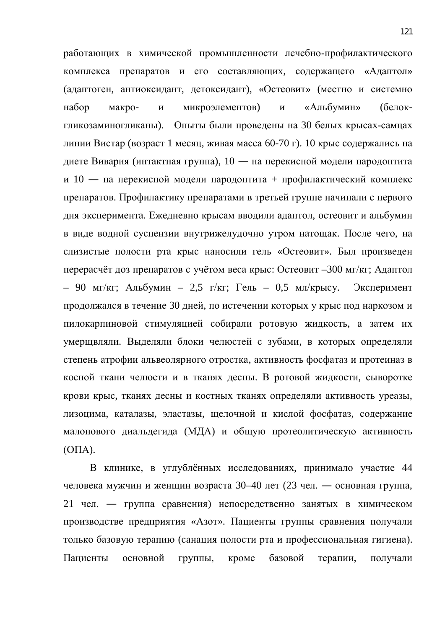работающих в химической промышленности лечебно-профилактического комплекса препаратов и его составляющих, содержащего «Адаптол» (адаптоген, антиоксидант, детоксидант), «Остеовит» (местно и системно набор макро- и микроэлементов) и «Альбумин» (белокгликозаминогликаны). Опыты были проведены на 30 белых крысах-самцах линии Вистар (возраст 1 месяц, живая масса 60-70 г). 10 крыс содержались на диете Вивария (интактная группа), 10 — на перекисной модели пародонтита и 10 — на перекисной модели пародонтита + профилактический комплекс препаратов. Профилактику препаратами в третьей группе начинали с первого дня эксперимента. Ежедневно крысам вводили адаптол, остеовит и альбумин в виде водной суспензии внутрижелудочно утром натощак. После чего, на слизистые полости рта крыс наносили гель «Остеовит». Был произведен перерасчёт доз препаратов с учётом веса крыс: Остеовит –300 мг/кг; Адаптол – 90 мг/кг; Альбумин – 2,5 г/кг; Гель – 0,5 мл/крысу. Эксперимент продолжался в течение 30 дней, по истечении которых у крыс под наркозом и пилокарпиновой стимуляцией собирали ротовую жидкость, а затем их умерщвляли. Выделяли блоки челюстей с зубами, в которых определяли степень атрофии альвеолярного отростка, активность фосфатаз и протеиназ в косной ткани челюсти и в тканях десны. В ротовой жидкости, сыворотке крови крыс, тканях десны и костных тканях определяли активность уреазы, лизоцима, каталазы, эластазы, щелочной и кислой фосфатаз, содержание малонового диальдегида (МДА) и общую протеолитическую активность  $(O<sub>II</sub>A).$ 

В клинике, в углублённых исследованиях, принимало участие 44 человека мужчин и женщин возраста 30–40 лет (23 чел. — основная группа, 21 чел. — группа сравнения) непосредственно занятых в химическом производстве предприятия «Азот». Пациенты группы сравнения получали только базовую терапию (санация полости рта и профессиональная гигиена). Пациенты основной группы, кроме базовой терапии, получали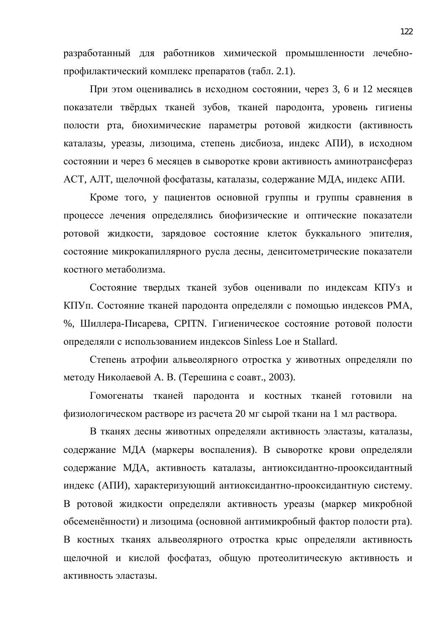разработанный для работников химической промышленности лечебнопрофилактический комплекс препаратов (табл. 2.1).

При этом оценивались в исходном состоянии, через 3, 6 и 12 месяцев показатели твёрдых тканей зубов, тканей пародонта, уровень гигиены полости рта, биохимические параметры ротовой жидкости (активность каталазы, уреазы, лизоцима, степень дисбиоза, индекс АПИ), в исходном состоянии и через 6 месяцев в сыворотке крови активность аминотрансфераз АСТ, АЛТ, щелочной фосфатазы, каталазы, содержание МДА, индекс АПИ.

Кроме того, у пациентов основной группы и группы сравнения в процессе лечения определялись биофизические и оптические показатели ротовой жидкости, зарядовое состояние клеток буккального эпителия, состояние микрокапиллярного русла десны, денситометрические показатели костного метаболизма.

Состояние твердых тканей зубов оценивали по индексам КПУз и КПУп. Состояние тканей пародонта определяли с помощью индексов РМА, %, Шиллера-Писарева, CPITN. Гигиеническое состояние ротовой полости определяли с использованием индексов Sinless Loe и Stallard.

Степень атрофии альвеолярного отростка у животных определяли по методу Николаевой А. В. (Терешина с соавт., 2003).

Гомогенаты тканей пародонта и костных тканей готовили на физиологическом растворе из расчета 20 мг сырой ткани на 1 мл раствора.

В тканях десны животных определяли активность эластазы, каталазы, содержание МДА (маркеры воспаления). В сыворотке крови определяли содержание МДА, активность каталазы, антиоксидантно-прооксидантный индекс (АПИ), характеризующий антиоксидантно-прооксидантную систему. В ротовой жидкости определяли активность уреазы (маркер микробной обсеменённости) и лизоцима (основной антимикробный фактор полости рта). В костных тканях альвеолярного отростка крыс определяли активность щелочной и кислой фосфатаз, общую протеолитическую активность и активность эластазы.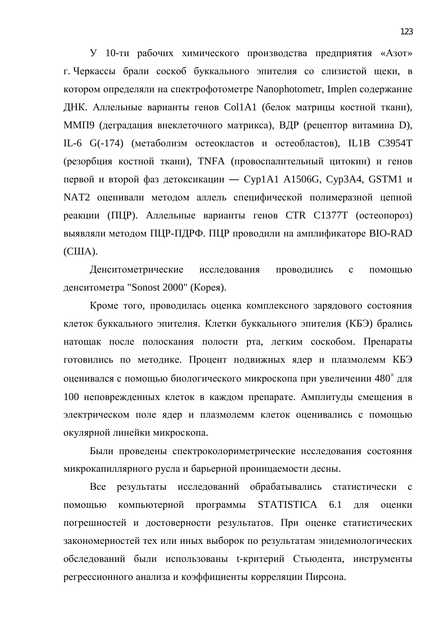У 10-ти рабочих химического производства предприятия «Азот» г. Черкассы брали соскоб буккального эпителия со слизистой щеки, в котором определяли на спектрофотометре Nanophotometr, Implen содержание ДНК. Аллельные варианты генов Col1A1 (белок матрицы костной ткани), ММП9 (деградация внеклеточного матрикса), ВДР (рецептор витамина D), IL-6 G(-174) (метаболизм остеокластов и остеобластов), IL1B C3954T (резорбция костной ткани), TNFA (провоспалительный цитокин) и генов первой и второй фаз детоксикации — Cyp1A1 A1506G, Cyp3A4, GSTM1 и NAT2 оценивали методом аллель специфической полимеразной цепной реакции (ПЦР). Аллельные варианты генов СТR C1377T (остеопороз) выявляли методом ПЦР-ПДРФ. ПЦР проводили на амплификаторе BIO-RAD  $(CIIIA).$ 

Денситометрические исследования проводились с помощью денситометра "Sonost 2000" (Корея).

Кроме того, проводилась оценка комплексного зарядового состояния клеток буккального эпителия. Клетки буккального эпителия (КБЭ) брались натощак после полоскания полости рта, легким соскобом. Препараты готовились по методике. Процент подвижных ядер и плазмолемм КБЭ оценивался с помощью биологического микроскопа при увеличении 480<sup>×</sup> для 100 неповрежденных клеток в каждом препарате. Амплитуды смещения в электрическом поле ядер и плазмолемм клеток оценивались с помощью окулярной линейки микроскопа.

Были проведены спектроколориметрические исследования состояния микрокапиллярного русла и барьерной проницаемости десны.

Все результаты исследований обрабатывались статистически с помощью компьютерной программы STATISTICA 6.1 для оценки погрешностей и достоверности результатов. При оценке статистических закономерностей тех или иных выборок по результатам эпидемиологических обследований были использованы t-критерий Стьюдента, инструменты регрессионного анализа и коэффициенты корреляции Пирсона.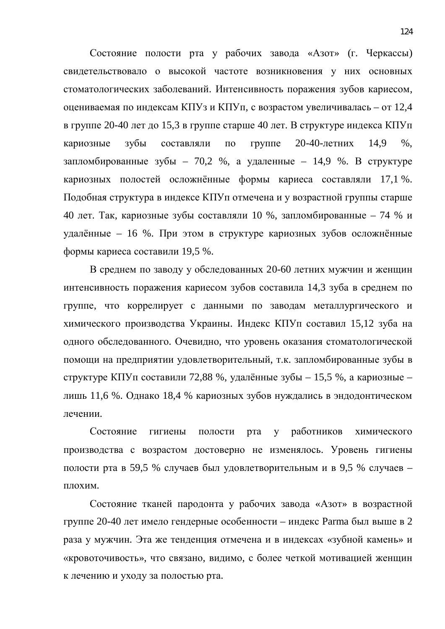Состояние полости рта у рабочих завода «Азот» (г. Черкассы) свидетельствовало о высокой частоте возникновения у них основных стоматологических заболеваний. Интенсивность поражения зубов кариесом, оцениваемая по индексам КПУз и КПУп, с возрастом увеличивалась – от 12,4 в группе 20-40 лет до 15,3 в группе старше 40 лет. В структуре индекса КПУп кариозные зубы составляли по группе 20-40-летних 14,9 %, запломбированные зубы - 70,2 %, а удаленные - 14,9 %. В структуре кариозных полостей осложнённые формы кариеса составляли 17,1 %. Подобная структура в индексе КПУп отмечена и у возрастной группы старше 40 лет. Так, кариозные зубы составляли 10 %, запломбированные – 74 % и удалённые – 16 %. При этом в структуре кариозных зубов осложнённые формы кариеса составили 19,5 %.

В среднем по заводу у обследованных 20-60 летних мужчин и женщин интенсивность поражения кариесом зубов составила 14,3 зуба в среднем по группе, что коррелирует с данными по заводам металлургического и химического производства Украины. Индекс КПУп составил 15,12 зуба на одного обследованного. Очевидно, что уровень оказания стоматологической помощи на предприятии удовлетворительный, т.к. запломбированные зубы в структуре КПУп составили 72,88 %, удалённые зубы – 15,5 %, а кариозные – лишь 11,6 %. Однако 18,4 % кариозных зубов нуждались в эндодонтическом печении

Состояние гигиены полости рта у работников химического производства с возрастом достоверно не изменялось. Уровень гигиены полости рта в 59,5 % случаев был удовлетворительным и в 9,5 % случаев – плохим.

Состояние тканей пародонта у рабочих завода «Азот» в возрастной группе 20-40 лет имело гендерные особенности – индекс Рагта был выше в 2 раза у мужчин. Эта же тенденция отмечена и в индексах «зубной камень» и «кровоточивость», что связано, видимо, с более четкой мотивацией женщин к лечению и уходу за полостью рта.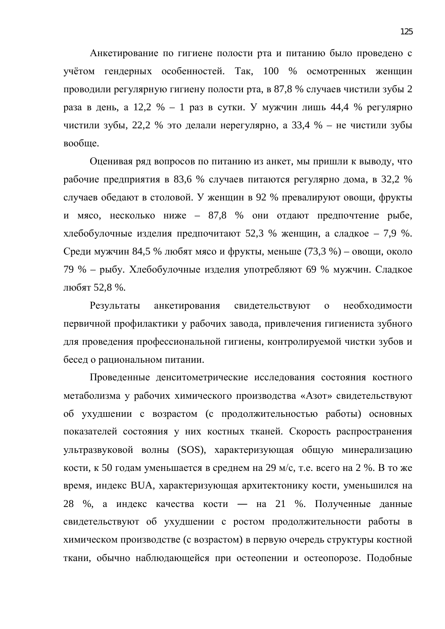Анкетирование по гигиене полости рта и питанию было проведено с учётом гендерных особенностей. Так, 100 % осмотренных женщин проводили регулярную гигиену полости рта, в 87,8 % случаев чистили зубы 2 раза в день, а 12,2 % – 1 раз в сутки. У мужчин лишь 44,4 % регулярно чистили зубы, 22,2 % это делали нерегулярно, а 33,4 % – не чистили зубы вообще.

Оценивая ряд вопросов по питанию из анкет, мы пришли к выводу, что рабочие предприятия в 83,6 % случаев питаются регулярно дома, в 32,2 % случаев обедают в столовой. У женщин в 92 % превалируют овощи, фрукты и мясо, несколько ниже – 87,8 % они отдают предпочтение рыбе, хлебобулочные изделия предпочитают 52,3 % женщин, а сладкое – 7,9 %. Среди мужчин 84,5 % любят мясо и фрукты, меньше (73,3 %) – овощи, около 79 % – рыбу. Хлебобулочные изделия употребляют 69 % мужчин. Сладкое любят 52,8 %.

Результаты анкетирования свидетельствуют о необходимости первичной профилактики у рабочих завода, привлечения гигиениста зубного для проведения профессиональной гигиены, контролируемой чистки зубов и бесед о рациональном питании.

Проведенные денситометрические исследования состояния костного метаболизма у рабочих химического производства «Азот» свидетельствуют об ухудшении с возрастом (с продолжительностью работы) основных показателей состояния у них костных тканей. Скорость распространения ультразвуковой волны (SOS), характеризующая общую минерализацию кости, к 50 годам уменьшается в среднем на 29 м/с, т.е. всего на 2 %. В то же время, индекс BUA, характеризующая архитектонику кости, уменьшился на 28 %, а индекс качества кости — на 21 %. Полученные данные свидетельствуют об ухудшении с ростом продолжительности работы в химическом производстве (с возрастом) в первую очередь структуры костной ткани, обычно наблюдающейся при остеопении и остеопорозе. Подобные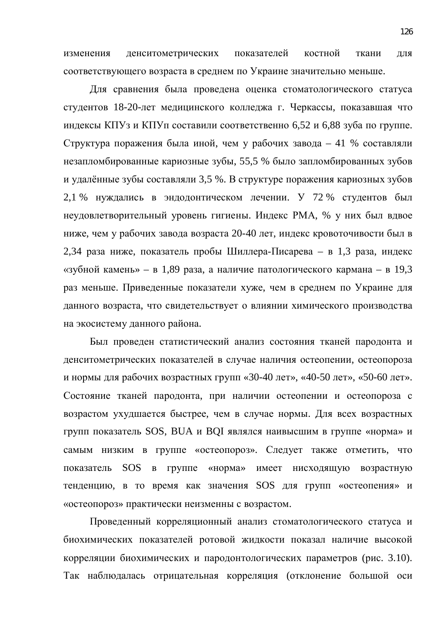изменения денситометрических показателей костной ткани для соответствующего возраста в среднем по Украине значительно меньше.

Для сравнения была проведена оценка стоматологического статуса студентов 18-20-лет медицинского колледжа г. Черкассы, показавшая что индексы КПУз и КПУп составили соответственно 6,52 и 6,88 зуба по группе. Структура поражения была иной, чем у рабочих завода – 41 % составляли незапломбированные кариозные зубы, 55,5 % было запломбированных зубов и удалённые зубы составляли 3,5 %. В структуре поражения кариозных зубов 2,1 % нуждались в эндодонтическом лечении. У 72 % студентов был неудовлетворительный уровень гигиены. Индекс РМА, % у них был вдвое ниже, чем у рабочих завода возраста 20-40 лет, индекс кровоточивости был в 2,34 раза ниже, показатель пробы Шиллера-Писарева – в 1,3 раза, индекс «зубной камень» – в 1,89 раза, а наличие патологического кармана – в 19,3 раз меньше. Приведенные показатели хуже, чем в среднем по Украине для данного возраста, что свидетельствует о влиянии химического производства на экосистему данного района.

Был проведен статистический анализ состояния тканей пародонта и денситометрических показателей в случае наличия остеопении, остеопороза и нормы для рабочих возрастных групп «30-40 лет», «40-50 лет», «50-60 лет». Состояние тканей пародонта, при наличии остеопении и остеопороза с возрастом ухудшается быстрее, чем в случае нормы. Для всех возрастных групп показатель SOS, BUA и BQI являлся наивысшим в группе «норма» и самым низким в группе «остеопороз». Следует также отметить, что показатель SOS в группе «норма» имеет нисходящую возрастную тенденцию, в то время как значения SOS для групп «остеопения» и «остеопороз» практически неизменны с возрастом.

Проведенный корреляционный анализ стоматологического статуса и биохимических показателей ротовой жидкости показал наличие высокой корреляции биохимических и пародонтологических параметров (рис. 3.10). Так наблюдалась отрицательная корреляция (отклонение большой оси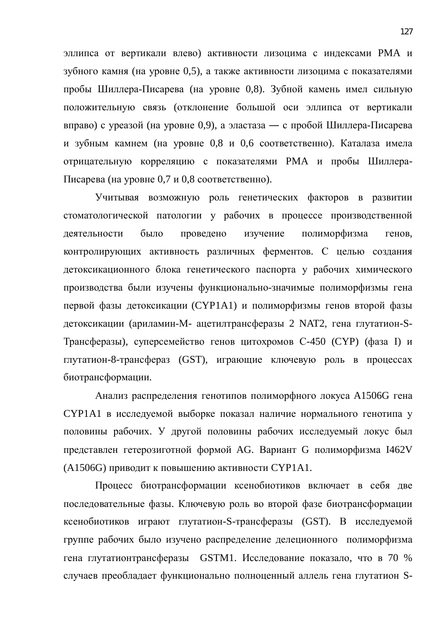эллипса от вертикали влево) активности лизоцима с индексами РМА и зубного камня (на уровне 0,5), а также активности лизоцима с показателями пробы Шиллера-Писарева (на уровне 0,8). Зубной камень имел сильную положительную связь (отклонение большой оси эллипса от вертикали вправо) с уреазой (на уровне 0,9), а эластаза — с пробой Шиллера-Писарева и зубным камнем (на уровне 0,8 и 0,6 соответственно). Каталаза имела отрицательную корреляцию с показателями РМА и пробы Шиллера-Писарева (на уровне 0,7 и 0,8 соответственно).

Учитывая возможную роль генетических факторов в развитии стоматологической патологии у рабочих в процессе производственной деятельности было проведено изучение полиморфизма генов, контролирующих активность различных ферментов. С целью создания детоксикационного блока генетического паспорта у рабочих химического производства были изучены функционально-значимые полиморфизмы гена первой фазы детоксикации (СҮР1А1) и полиморфизмы генов второй фазы детоксикации (ариламин-М- ацетилтрансферазы 2 NAT2, гена глутатион-S-Трансферазы), суперсемейство генов цитохромов С-450 (СҮР) (фаза I) и глутатион-8-трансфераз (GST), играющие ключевую роль в процессах биотрансформации.

Анализ распределения генотипов полиморфного локуса А1506G гена CYP1A1 в исследуемой выборке показал наличие нормального генотипа у половины рабочих. У другой половины рабочих исследуемый локус был представлен гетерозиготной формой AG. Вариант G полиморфизма I462V (A1506G) приводит к повышению активности CYP1A1.

Процесс биотрансформации ксенобиотиков включает в себя две последовательные фазы. Ключевую роль во второй фазе биотрансформации ксенобиотиков играют глутатион-S-трансферазы (GST). В исследуемой группе рабочих было изучено распределение делеционного полиморфизма гена глутатионтрансферазы GSTM1. Исследование показало, что в 70 % случаев преобладает функционально полноценный аллель гена глутатион S-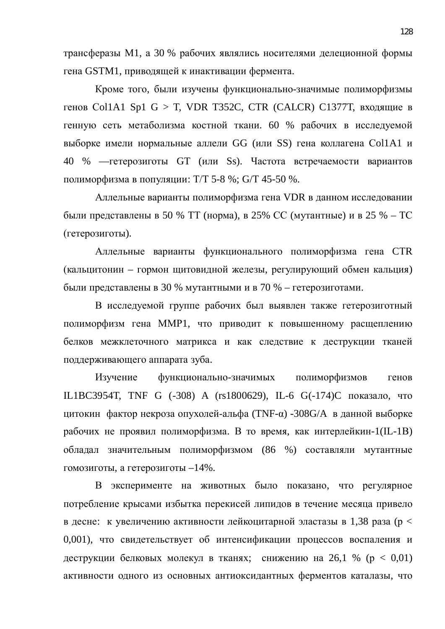трансферазы М1, а 30 % рабочих являлись носителями делеционной формы гена GSTM1, приводящей к инактивации фермента.

Кроме того, были изучены функционально-значимые полиморфизмы генов Col1A1 Sp1 G > T, VDR T352C, CTR (CALCR) С1377Т, входящие в генную сеть метаболизма костной ткани. 60 % рабочих в исследуемой выборке имели нормальные аллели GG (или SS) гена коллагена Col1A1 и 40 % — гетерозиготы GT (или Ss). Частота встречаемости вариантов полиморфизма в популяции: Т/Т 5-8 %;  $G/T$  45-50 %.

Аллельные варианты полиморфизма гена VDR в данном исследовании были представлены в 50 % ТТ (норма), в 25% СС (мутантные) и в 25 % – ТС (гетерозиготы).

Аллельные варианты функционального полиморфизма гена CTR (кальцитонин – гормон щитовидной железы, регулирующий обмен кальция) были представлены в 30 % мутантными и в 70 % – гетерозиготами.

В исследуемой группе рабочих был выявлен также гетерозиготный полиморфизм гена ММР1, что приводит к повышенному расщеплению белков межклеточного матрикса и как следствие к деструкции тканей поддерживающего аппарата зуба.

Изучение функционально-значимых полиморфизмов генов IL1BC3954T, TNF G (-308) A (rs1800629), IL-6 G(-174)С показало, что цитокин фактор некроза опухолей-альфа (TNF- $\alpha$ ) -308G/A в данной выборке рабочих не проявил полиморфизма. В то время, как интерлейкин-1(IL-1B) обладал значительным полиморфизмом (86 %) составляли мутантные гомозиготы, а гетерозиготы  $-14\%$ .

В эксперименте на животных было показано, что регулярное потребление крысами избытка перекисей липидов в течение месяца привело в десне: к увеличению активности лейкоцитарной эластазы в 1,38 раза ( $p <$ 0,001), что свидетельствует об интенсификации процессов воспаления и деструкции белковых молекул в тканях; снижению на 26,1 % ( $p < 0.01$ ) активности одного из основных антиоксидантных ферментов каталазы, что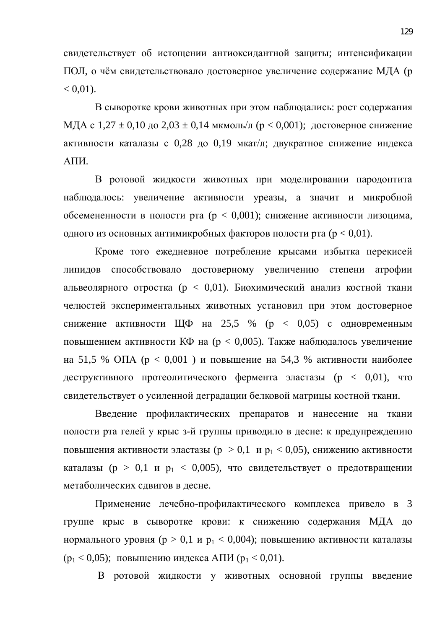свидетельствует об истощении антиоксидантной защиты; интенсификации ПОЛ, о чём свидетельствовало достоверное увеличение содержание МДА (р  $< 0.01$ ).

В сыворотке крови животных при этом наблюдались: рост содержания МДА с 1,27  $\pm$  0,10 до 2,03  $\pm$  0,14 мкмоль/л (р < 0,001); достоверное снижение активности каталазы с 0.28 до 0.19 мкат/л; двукратное снижение индекса АПИ.

В ротовой жидкости животных при моделировании пародонтита наблюдалось: увеличение активности уреазы, а значит и микробной обсемененности в полости рта ( $p < 0.001$ ); снижение активности лизоцима, одного из основных антимикробных факторов полости рта ( $p < 0.01$ ).

Кроме того ежедневное потребление крысами избытка перекисей липидов способствовало достоверному увеличению степени атрофии альвеолярного отростка (р < 0,01). Биохимический анализ костной ткани челюстей экспериментальных животных установил при этом достоверное снижение активности ЩФ на 25,5 % ( $p \lt 0.05$ ) с одновременным повышением активности КФ на ( $p < 0.005$ ). Также наблюдалось увеличение на 51,5 % ОПА ( $p < 0.001$ ) и повышение на 54,3 % активности наиболее деструктивного протеолитического фермента эластазы ( $p < 0.01$ ), что свидетельствует о усиленной деградации белковой матрицы костной ткани.

Введение профилактических препаратов и нанесение на ткани полости рта гелей у крыс з-й группы приводило в десне: к предупреждению повышения активности эластазы ( $p > 0,1$  и  $p_1 < 0,05$ ), снижению активности каталазы ( $p > 0,1$  и  $p_1 < 0,005$ ), что свидетельствует о предотвращении метаболических сдвигов в десне.

Применение лечебно-профилактического комплекса привело в 3 группе крыс в сыворотке крови: к снижению содержания МДА до нормального уровня ( $p > 0,1$  и  $p_1 < 0,004$ ); повышению активности каталазы  $(p_1 < 0.05)$ ; повышению индекса АПИ  $(p_1 < 0.01)$ .

В ротовой жидкости у животных основной группы введение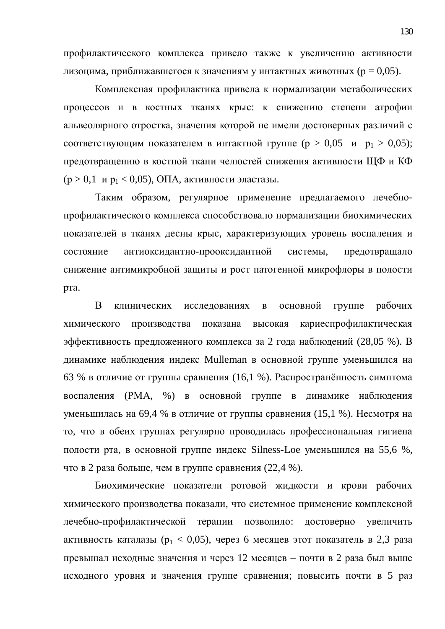профилактического комплекса привело также к увеличению активности лизоцима, приближавшегося к значениям у интактных животных ( $p = 0.05$ ).

Комплексная профилактика привела к нормализации метаболических процессов и в костных тканях крыс: к снижению степени атрофии альвеолярного отростка, значения которой не имели достоверных различий с соответствующим показателем в интактной группе ( $p > 0.05$  и  $p_1 > 0.05$ ); предотвращению в костной ткани челюстей снижения активности ЩФ и КФ  $(p > 0, 1 \,$  и р<sub>1</sub> < 0,05), ОПА, активности эластазы.

Таким образом, регулярное применение предлагаемого лечебнопрофилактического комплекса способствовало нормализации биохимических показателей в тканях десны крыс, характеризующих уровень воспаления и состояние антиоксидантно-прооксидантной системы, предотвращало снижение антимикробной защиты и рост патогенной микрофлоры в полости рта.

В клинических исследованиях в основной группе рабочих химического произволства показана высокая кариеспрофилактическая эффективность предложенного комплекса за 2 года наблюдений (28,05 %). В динамике наблюдения индекс Mulleman в основной группе уменьшился на 63 % в отличие от группы сравнения (16,1 %). Распространённость симптома воспаления (РМА, %) в основной группе в динамике наблюдения уменьшилась на 69,4 % в отличие от группы сравнения (15,1 %). Несмотря на то, что в обеих группах регулярно проводилась профессиональная гигиена полости рта, в основной группе индекс Silness-Loe уменьшился на 55,6 %, что в 2 раза больше, чем в группе сравнения (22,4 %).

Биохимические показатели ротовой жидкости и крови рабочих химического производства показали, что системное применение комплексной лечебно-профилактической терапии позволило: достоверно увеличить активность каталазы ( $p_1 < 0.05$ ), через 6 месяцев этот показатель в 2,3 раза превышал исходные значения и через 12 месяцев – почти в 2 раза был выше исходного уровня и значения группе сравнения; повысить почти в 5 раз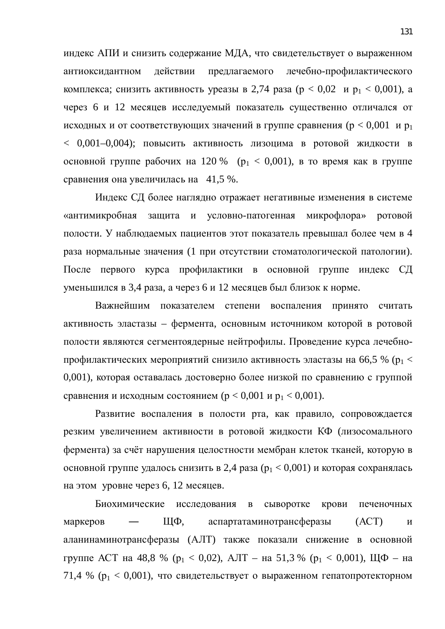индекс АПИ и снизить содержание МДА, что свидетельствует о выраженном антиоксидантном действии предлагаемого лечебно-профилактического комплекса; снизить активность уреазы в 2,74 раза ( $p < 0.02$  и  $p_1 < 0.001$ ), а через 6 и 12 месяцев исследуемый показатель существенно отличался от исходных и от соответствующих значений в группе сравнения ( $p < 0.001$  и р<sub>1</sub>  $<$  0,001-0,004); повысить активность лизоцима в ротовой жидкости в основной группе рабочих на 120 % ( $p_1 < 0.001$ ), в то время как в группе сравнения она увеличилась на 41,5 %.

Индекс СД более наглядно отражает негативные изменения в системе «антимикробная защита и условно-патогенная микрофлора» ротовой полости. У наблюдаемых пациентов этот показатель превышал более чем в 4 раза нормальные значения (1 при отсутствии стоматологической патологии). После первого курса профилактики в основной группе индекс СД уменьшился в 3,4 раза, а через 6 и 12 месяцев был близок к норме.

Важнейшим показателем степени воспаления принято считать активность эластазы – фермента, основным источником которой в ротовой полости являются сегментоядерные нейтрофилы. Проведение курса лечебнопрофилактических мероприятий снизило активность эластазы на 66,5 % ( $p_1$  < 0,001), которая оставалась достоверно более низкой по сравнению с группой сравнения и исходным состоянием ( $p < 0.001$  и  $p_1 < 0.001$ ).

Развитие воспаления в полости рта, как правило, сопровождается резким увеличением активности в ротовой жидкости КФ (лизосомального фермента) за счёт нарушения целостности мембран клеток тканей, которую в основной группе удалось снизить в 2,4 раза ( $p_1 < 0.001$ ) и которая сохранялась на этом уровне через 6, 12 месяцев.

Биохимические исследования в сыворотке крови печеночных маркеров — ЩФ, аспартатаминотрансферазы  $(ACT)$  и аланинаминотрансферазы (АЛТ) также показали снижение в основной группе АСТ на 48,8 % ( $p_1 < 0.02$ ), АЛТ – на 51,3 % ( $p_1 < 0.001$ ), ЩФ – на 71,4 % ( $p_1 < 0.001$ ), что свидетельствует о выраженном гепатопротекторном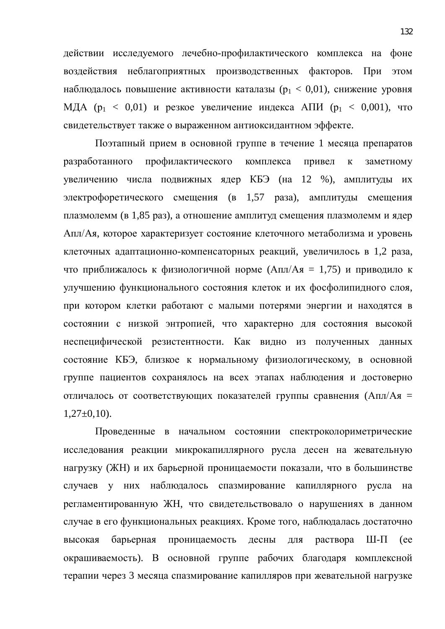действии исследуемого лечебно-профилактического комплекса на фоне воздействия неблагоприятных производственных факторов. При этом наблюдалось повышение активности каталазы ( $p_1 < 0.01$ ), снижение уровня МДА ( $p_1 < 0.01$ ) и резкое увеличение индекса АПИ ( $p_1 < 0.001$ ), что свидетельствует также о выраженном антиоксидантном эффекте.

Поэтапный прием в основной группе в течение 1 месяца препаратов разработанного профилактического комплекса привел к заметному увеличению числа подвижных ядер КБЭ (на 12 %), амплитуды их электрофоретического смещения (в 1,57 раза), амплитуды смещения плазмолемм (в 1,85 раз), а отношение амплитуд смещения плазмолемм и ядер Апл/Ая, которое характеризует состояние клеточного метаболизма и уровень клеточных адаптационно-компенсаторных реакций, увеличилось в 1,2 раза, что приближалось к физиологичной норме (Апл/Ая = 1,75) и приводило к улучшению функционального состояния клеток и их фосфолипидного слоя, при котором клетки работают с малыми потерями энергии и находятся в состоянии с низкой энтропией, что характерно для состояния высокой неспецифической резистентности. Как видно из полученных данных состояние КБЭ, близкое к нормальному физиологическому, в основной группе пациентов сохранялось на всех этапах наблюдения и достоверно отличалось от соответствующих показателей группы сравнения (Апл/Ая =  $1,27\pm0.10$ .

Проведенные в начальном состоянии спектроколориметрические исследования реакции микрокапиллярного русла десен на жевательную нагрузку (ЖН) и их барьерной проницаемости показали, что в большинстве случаев у них наблюдалось спазмирование капиллярного русла на регламентированную ЖН, что свидетельствовало о нарушениях в данном случае в его функциональных реакциях. Кроме того, наблюдалась достаточно высокая барьерная проницаемость десны для раствора Ш-П (ее окрашиваемость). В основной группе рабочих благодаря комплексной терапии через 3 месяца спазмирование капилляров при жевательной нагрузке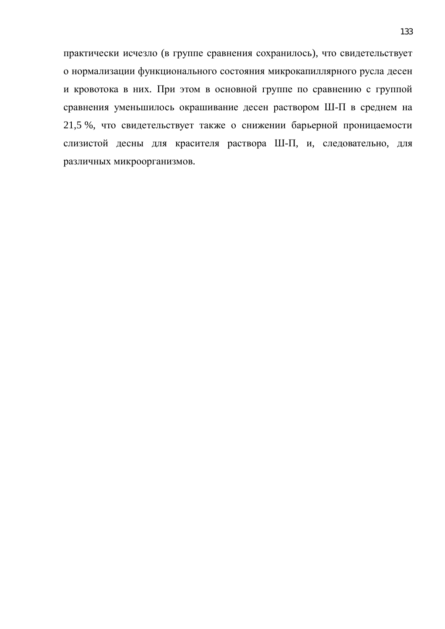практически исчезло (в группе сравнения сохранилось), что свидетельствует о нормализации функционального состояния микрокапиллярного русла десен и кровотока в них. При этом в основной группе по сравнению с группой сравнения уменьшилось окрашивание десен раствором Ш-П в среднем на 21,5 %, что свидетельствует также о снижении барьерной проницаемости слизистой десны для красителя раствора Ш-П, и, следовательно, для различных микроорганизмов.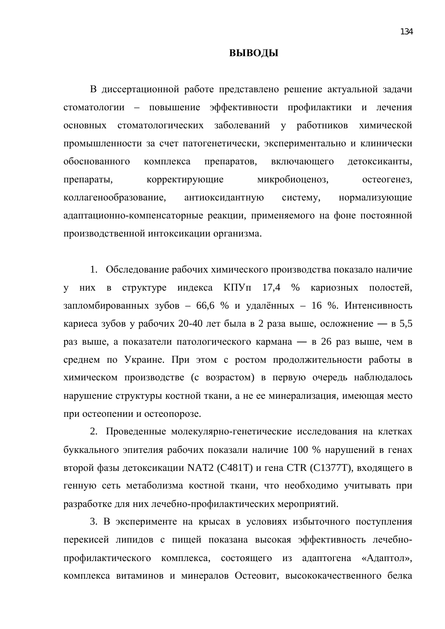#### **ВЫВОДЫ**

В диссертационной работе представлено решение актуальной задачи стоматологии – повышение эффективности профилактики и лечения основных стоматологических заболеваний у работников химической промышленности за счет патогенетически, экспериментально и клинически обоснованного комплекса препаратов, включающего детоксиканты, препараты, корректирующие микробиоценоз, остеогенез, коллагенообразование, антиоксидантную систему, нормализующие адаптационно-компенсаторные реакции, применяемого на фоне постоянной производственной интоксикации организма.

1. Обследование рабочих химического производства показало наличие у них в структуре индекса КПУп 17,4 % кариозных полостей, запломбированных зубов – 66,6 % и удалённых – 16 %. Интенсивность кариеса зубов у рабочих 20-40 лет была в 2 раза выше, осложнение — в 5,5 раз выше, а показатели патологического кармана — в 26 раз выше, чем в среднем по Украине. При этом с ростом продолжительности работы в химическом производстве (с возрастом) в первую очередь наблюдалось нарушение структуры костной ткани, а не ее минерализация, имеющая место при остеопении и остеопорозе.

2. Проведенные молекулярно-генетические исследования на клетках буккального эпителия рабочих показали наличие 100 % нарушений в генах второй фазы детоксикации NAT2 (С481Т) и гена СТR (С1377Т), входящего в генную сеть метаболизма костной ткани, что необходимо учитывать при разработке для них лечебно-профилактических мероприятий.

3. В эксперименте на крысах в условиях избыточного поступления перекисей липидов с пищей показана высокая эффективность лечебнопрофилактического комплекса, состоящего из адаптогена «Адаптол», комплекса витаминов и минералов Остеовит, высококачественного белка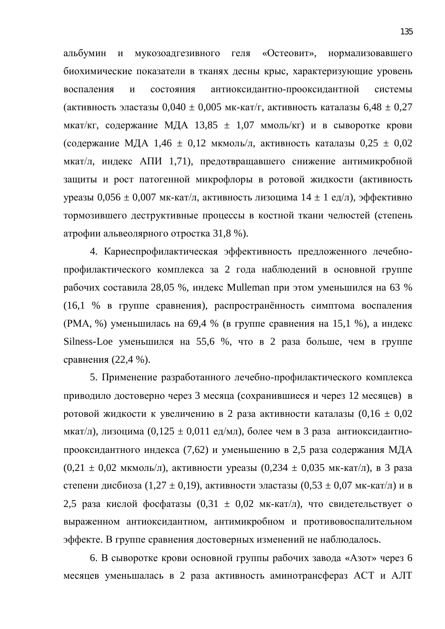альбумин и мукозоадгезивного геля «Остеовит», нормализовавшего биохимические показатели в тканях десны крыс, характеризующие уровень воспаления и состояния антиоксидантно-прооксидантной системы (активность эластазы  $0,040 \pm 0,005$  мк-кат/г, активность каталазы  $6,48 \pm 0,27$ мкат/кг, содержание МДА 13,85  $\pm$  1,07 ммоль/кг) и в сыворотке крови (содержание МДА 1,46  $\pm$  0,12 мкмоль/л, активность каталазы 0,25  $\pm$  0,02 мкат/л, индекс АПИ 1,71), предотвращавшего снижение антимикробной защиты и рост патогенной микрофлоры в ротовой жидкости (активность уреазы 0,056  $\pm$  0,007 мк-кат/л, активность лизоцима 14  $\pm$  1 ед/л), эффективно тормозившего деструктивные процессы в костной ткани челюстей (степень атрофии альвеолярного отростка 31,8 %).

4. Кариеспрофилактическая эффективность предложенного лечебнопрофилактического комплекса за 2 года наблюдений в основной группе рабочих составила 28,05 %, индекс Mulleman при этом уменьшился на 63 % (16,1 % в группе сравнения), распространённость симптома воспаления (РМА, %) уменьшилась на 69,4 % (в группе сравнения на 15,1 %), а индекс Silness-Loe уменьшился на 55,6 %, что в 2 раза больше, чем в группе сравнения (22,4 %).

5. Применение разработанного лечебно-профилактического комплекса приводило достоверно через 3 месяца (сохранившиеся и через 12 месяцев) в ротовой жидкости к увеличению в 2 раза активности каталазы  $(0.16 \pm 0.02)$ мкат/л), лизоцима (0,125  $\pm$  0,011 ед/мл), более чем в 3 раза антиоксидантнопрооксидантного индекса (7,62) и уменьшению в 2,5 раза содержания МДА  $(0,21 \pm 0,02 \text{ MKMOL/L})$ , активности уреазы  $(0,234 \pm 0,035 \text{ MK-KAT/L})$ , в 3 раза степени дисбиоза (1,27 ± 0,19), активности эластазы (0,53 ± 0,07 мк-кат/л) и в 2,5 раза кислой фосфатазы  $(0,31 \pm 0,02 \text{ MK-kar/n})$ , что свидетельствует о выраженном антиоксидантном, антимикробном и противовоспалительном эффекте. В группе сравнения достоверных изменений не наблюдалось.

6. В сыворотке крови основной группы рабочих завода «Азот» через 6 месяцев уменьшалась в 2 раза активность аминотрансфераз АСТ и АЛТ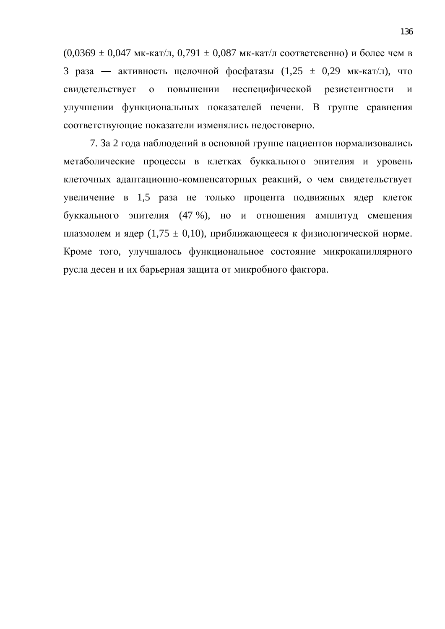$(0,0369 \pm 0,047 \text{ MK-kat/L}, 0,791 \pm 0,087 \text{ MK-kat/L} \text{ соответевено})$  и более чем в 3 раза — активность щелочной фосфатазы  $(1.25 \pm 0.29 \text{ MK-kar/L})$ , что свидетельствует о повышении неспецифической резистентности и улучшении функциональных показателей печени. В группе сравнения соответствующие показатели изменялись недостоверно.

7. За 2 года наблюдений в основной группе пациентов нормализовались метаболические процессы в клетках буккального эпителия и уровень клеточных адаптационно-компенсаторных реакций, о чем свидетельствует увеличение в 1,5 раза не только процента подвижных ядер клеток буккального эпителия (47 %), но и отношения амплитуд смещения плазмолем и ядер (1,75  $\pm$  0,10), приближающееся к физиологической норме. Кроме того, улучшалось функциональное состояние микрокапиллярного русла десен и их барьерная защита от микробного фактора.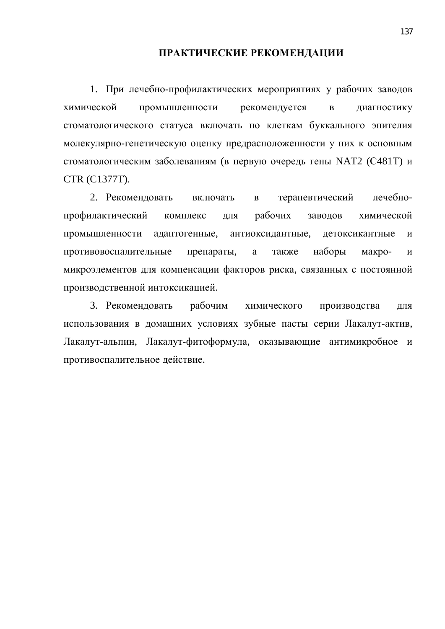#### ПРАКТИЧЕСКИЕ РЕКОМЕНДАЦИИ

1. При лечебно-профилактических мероприятиях у рабочих заводов химической промышленности рекомендуется в диагностику стоматологического статуса включать по клеткам буккального эпителия молекулярно-генетическую оценку предрасположенности у них к основным стоматологическим заболеваниям (в первую очередь гены NAT2 (С481Т) и CTR (C1377T).

2. Рекомендовать включать в терапевтический лечебнопрофилактический комплекс для рабочих заводов химической промышленности адаптогенные, антиоксидантные, детоксикантные и противовоспалительные препараты, а также наборы макро- и микроэлементов для компенсации факторов риска, связанных с постоянной производственной интоксикацией.

3. Рекомендовать рабочим химического производства для использования в домашних условиях зубные пасты серии Лакалут-актив, Лакалут-альпин, Лакалут-фитоформула, оказывающие антимикробное и противоспалительное действие.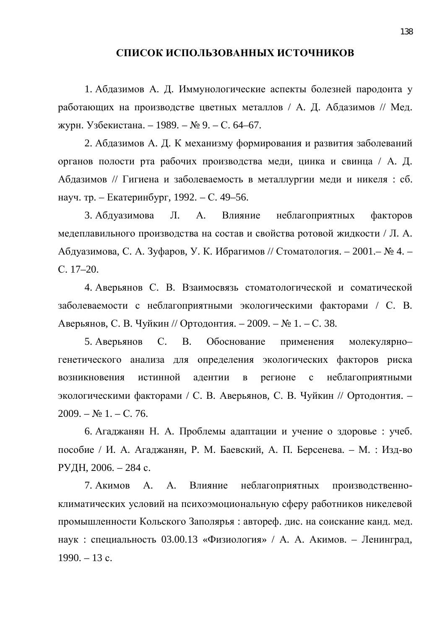### СПИСОК ИСПОЛЬЗОВАННЫХ ИСТОЧНИКОВ

1. Абдазимов А. Д. Иммунологические аспекты болезней пародонта у работающих на производстве цветных металлов / А. Д. Абдазимов // Мед. журн. Узбекистана. – 1989. – № 9. – С. 64–67.

2. Абдазимов А. Д. К механизму формирования и развития заболеваний органов полости рта рабочих производства меди, цинка и свинца / А. Д. Абдазимов // Гигиена и заболеваемость в металлургии меди и никеля: сб. науч. тр. – Екатеринбург, 1992. – С. 49–56.

3. Абдуазимова Л. А. Влияние неблагоприятных факторов медеплавильного производства на состав и свойства ротовой жидкости / Л. А. Абдуазимова, С. А. Зуфаров, У. К. Ибрагимов // Стоматология. – 2001.– № 4. – ɋ. 17–20.

4. Аверьянов С. В. Взаимосвязь стоматологической и соматической заболеваемости с неблагоприятными экологическими факторами / С. В. Аверьянов, С. В. Чуйкин // Ортодонтия. – 2009. – № 1. – С. 38.

5. Аверьянов С. В. Обоснование применения молекулярногенетического анализа для определения экологических факторов риска возникновения истинной адентии в регионе с неблагоприятными экологическими факторами / С. В. Аверьянов, С. В. Чуйкин // Ортодонтия. - $2009. - N_2 1. - C. 76.$ 

6. Агаджанян Н. А. Проблемы адаптации и учение о здоровье: учеб. пособие / И. А. Агаджанян, Р. М. Баевский, А. П. Берсенева. – М. : Изд-во РУДН, 2006. – 284 с.

7. Акимов А. А. Влияние неблагоприятных производственноклиматических условий на психоэмоциональную сферу работников никелевой промышленности Кольского Заполярья: автореф. дис. на соискание канд. мед. наук : специальность 03.00.13 «Физиология» / А. А. Акимов. – Ленинград,  $1990. - 13$  c.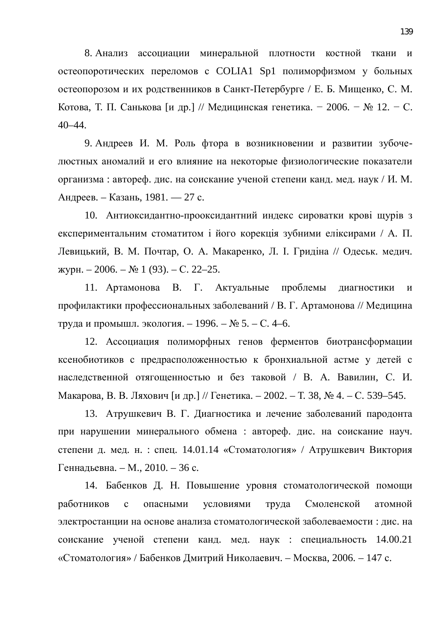8. Анализ ассоциации минеральной плотности костной ткани и остеопоротических переломов с COLIA1 Sp1 полиморфизмом у больных остеопорозом и их родственников в Санкт-Петербурге / Е. Б. Мищенко, С. М. Котова, Т. П. Санькова [и др.] // Медицинская генетика. − 2006. – № 12. – С. 40–44.

9. Андреев И. М. Роль фтора в возникновении и развитии зубочелюстных аномалий и его влияние на некоторые физиологические показатели организма : автореф. дис. на соискание ученой степени канд. мед. наук / И. М. Андреев. – Казань, 1981. — 27 с.

10. Антиоксидантно-прооксидантний индекс сироватки крові щурів з експериментальним стоматитом і його корекція зубними еліксирами / А. П. Левицький, В. М. Почтар, О. А. Макаренко, Л. І. Гридіна // Одеськ. медич.  $W$ үкүрн. – 2006. – № 1 (93). – С. 22–25.

11. Артамонова В. Г. Актуальные проблемы диагностики и профилактики профессиональных заболеваний / В. Г. Артамонова // Медицина труда и промышл. экология. – 1996. –  $N_2$  5. – С. 4–6.

12. Ассоциация полиморфных генов ферментов биотрансформации ксенобиотиков с предрасположенностью к бронхиальной астме у детей с наследственной отягощенностью и без таковой / В. А. Вавилин, С. И. Макарова, В. В. Ляхович [и др.] // Генетика. – 2002. – Т. 38, № 4. – С. 539–545.

13. Атрушкевич В. Г. Диагностика и лечение заболеваний пародонта при нарушении минерального обмена : автореф. дис. на соискание науч. степени д. мед. н. : спец. 14.01.14 «Стоматология» / Атрушкевич Виктория Геннадьевна. – М., 2010. – 36 с.

14. Бабенков Д. Н. Повышение уровня стоматологической помощи работников с опасными условиями труда Смоленской атомной электростанции на основе анализа стоматологической заболеваемости : дис. на соискание ученой степени канд. мед. наук : специальность 14.00.21 «Стоматология» / Бабенков Дмитрий Николаевич. – Москва, 2006. – 147 с.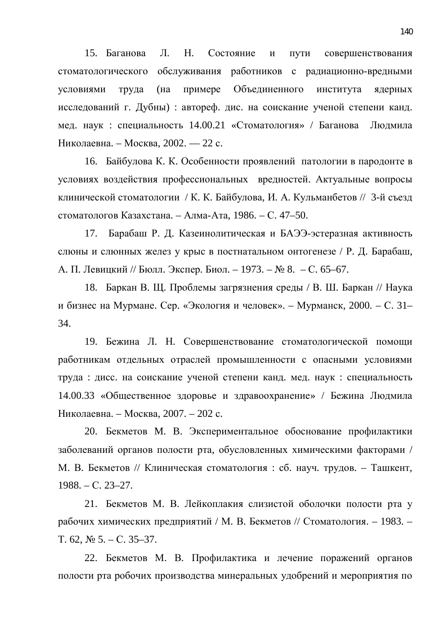15. Баганова Л. Н. Состояние и пути совершенствования стоматологического обслуживания работников с радиационно-вредными условиями труда (на примере Объединенного института ядерных исследований г. Дубны) : автореф. дис. на соискание ученой степени канд. мед. наук : специальность 14.00.21 «Стоматология» / Баганова Людмила Николаевна. – Москва, 2002. — 22 с.

16. Байбулова К. К. Особенности проявлений патологии в пародонте в условиях воздействия профессиональных вредностей. Актуальные вопросы клинической стоматологии / К. К. Байбулова, И. А. Кульманбетов // 3-й съезд стоматологов Казахстана. – Алма-Ата, 1986. – С. 47–50.

17. Барабаш Р. Д. Казеинолитическая и БАЭЭ-эстеразная активность слюны и слюнных желез у крыс в постнатальном онтогенезе / Р. Д. Барабаш, А. П. Левицкий // Бюлл. Экспер. Биол. – 1973. – № 8. – С. 65–67.

18. Баркан В. Щ. Проблемы загрязнения среды / В. Ш. Баркан // Наука и бизнес на Мурмане. Сер. «Экология и человек». – Мурманск, 2000. – С. 31– 34.

19. Бежина Л. Н. Совершенствование стоматологической помощи работникам отдельных отраслей промышленности с опасными условиями труда : дисс. на соискание ученой степени канд. мед. наук : специальность 14.00.33 «Общественное здоровье и здравоохранение» / Бежина Людмила Николаевна. – Москва, 2007. – 202 с.

20. Бекметов М. В. Экспериментальное обоснование профилактики заболеваний органов полости рта, обусловленных химическими факторами / М. В. Бекметов // Клиническая стоматология : сб. науч. трудов. – Ташкент,  $1988. - C. 23 - 27.$ 

21. Бекметов М. В. Лейкоплакия слизистой оболочки полости рта у рабочих химических предприятий / М. В. Бекметов // Стоматология. – 1983. –  $T. 62, N<sub>2</sub> 5. - C. 35-37.$ 

22. Бекметов М. В. Профилактика и лечение поражений органов полости рта робочих производства минеральных удобрений и мероприятия по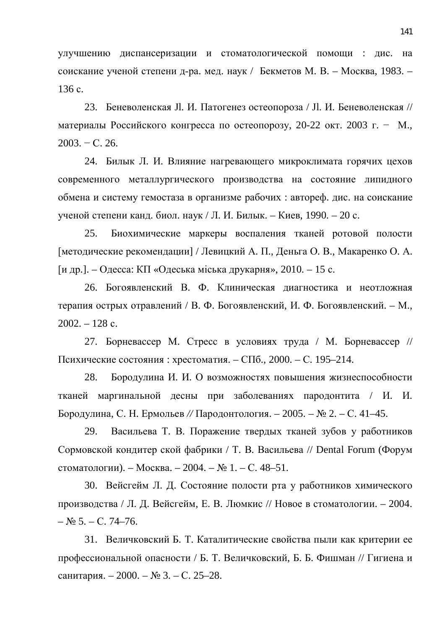улучшению диспансеризации и стоматологической помощи : дис. на соискание ученой степени д-ра. мед. наук / Бекметов М. В. – Москва, 1983. – 136 c.

23. Беневоленская Jl. И. Патогенез остеопороза / Jl. И. Беневоленская // материалы Российского конгресса по остеопорозу, 20-22 окт. 2003 г. – М.,  $2003. - C. 26.$ 

24. Билык Л. И. Влияние нагревающего микроклимата горячих цехов современного металлургического производства на состояние липидного обмена и систему гемостаза в организме рабочих : автореф. дис. на соискание ученой степени канд. биол. наук / Л. И. Билык. – Киев, 1990. – 20 с.

25. Биохимические маркеры воспаления тканей ротовой полости [методические рекомендации] / Левицкий А. П., Деньга О. В., Макаренко О. А. [и др.]. – Одесса: КП «Одеська міська друкарня», 2010. – 15 с.

26. Богоявленский В. Ф. Клиническая диагностика и неотложная терапия острых отравлений / В. Ф. Богоявленский, И. Ф. Богоявленский. – М.,  $2002. - 128$  c.

27. Борневассер М. Стресс в условиях труда / М. Борневассер // Психические состояния : хрестоматия. – СПб., 2000. – С. 195–214.

28. Бородулина И. И. О возможностях повышения жизнеспособности тканей маргинальной десны при заболеваниях пародонтита / И. И. Бородулина, С. Н. Ермольев // Пародонтология. – 2005. – № 2. – С. 41–45.

29. Васильева Т. В. Поражение твердых тканей зубов у работников Сормовской кондитер ской фабрики / Т. В. Васильева // Dental Forum (Форум стоматологии). – Москва. – 2004. –  $N_2$  1. – С. 48–51.

30. Вейсгейм Л. Д. Состояние полости рта у работников химического производства / Л. Д. Вейсгейм, Е. В. Люмкис // Новое в стоматологии. – 2004.  $-\mathcal{N}_{2}$  5. – C. 74–76.

31. Величковский Б. Т. Каталитические свойства пыли как критерии ее профессиональной опасности / Б. Т. Величковский, Б. Б. Фишман // Гигиена и санитария. – 2000. – № 3. – С. 25–28.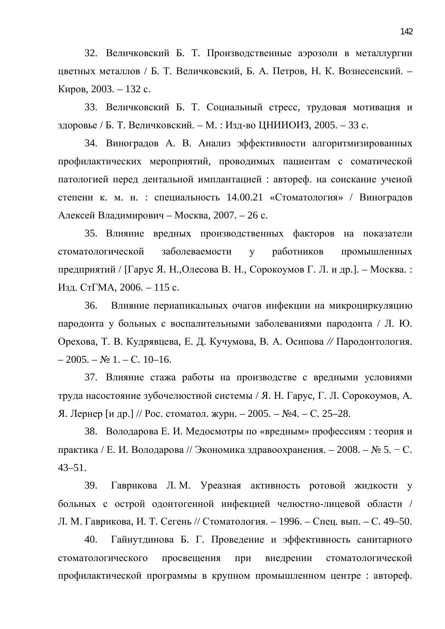32. Величковский Б. Т. Производственные аэрозоли в металлургии цветных металлов / Б. Т. Величковский, Б. А. Петров, Н. К. Вознесенский. – Киров, 2003. – 132 с.

33. Величковский Б. Т. Социальный стресс, трудовая мотивация и здоровье / Б. Т. Величковский. – М. : Изд-во ЦНИИОИЗ, 2005. – 33 с.

34. Виноградов А. В. Анализ эффективности алгоритмизированных профилактических мероприятий, проводимых пациентам с соматической патологией перед дентальной имплантацией : автореф. на соискание ученой степени к. м. н. : специальность  $14.00.21$  «Стоматология» / Виноградов Алексей Владимирович – Москва, 2007. – 26 с.

35. Влияние вредных производственных факторов на показатели стоматологической заболеваемости у работников промышленных предприятий / [Гарус Я. Н., Олесова В. Н., Сорокоумов Г. Л. и др.]. – Москва. : Изд. СтГМА, 2006. – 115 с.

36. Влияние периапикальных очагов инфекции на микроциркуляцию пародонта у больных с воспалительными заболеваниями пародонта / Л. Ю. Орехова, Т. В. Кудрявцева, Е. Д. Кучумова, В. А. Осипова // Пародонтология.  $-2005. - N_2 1. - C. 10-16.$ 

37. Влияние стажа работы на производстве с вредными условиями труда насостояние зубочелюстной системы / Я. Н. Гарус, Г. Л. Сорокоумов, А. Я. Лернер [и др.] // Рос. стоматол. журн. − 2005. – №4. – С. 25–28.

38. Володарова Е. И. Медосмотры по «вредным» профессиям: теория и практика / Е. И. Володарова // Экономика здравоохранения. – 2008. – № 5. – С. 43–51.

39. Гаврикова Л. М. Уреазная активность ротовой жидкости у больных с острой одонтогенной инфекцией челюстно-лицевой области / Л. М. Гаврикова, И. Т. Сегень // Стоматология. – 1996. – Спец. вып. – С. 49–50.

40. Гайнутдинова Б. Г. Проведение и эффективность санитарного стоматологического просвещения при внедрении стоматологической профилактической программы в крупном промышленном центре : автореф.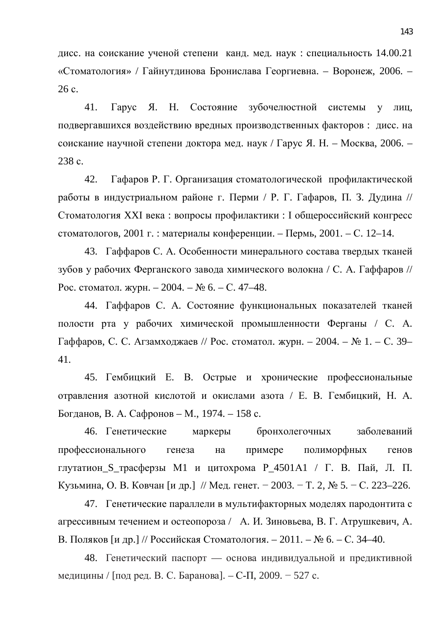дисс. на соискание ученой степени канд. мед. наук: специальность 14.00.21 «Стоматология» / Гайнутдинова Бронислава Георгиевна. – Воронеж, 2006. –  $26 c.$ 

41. Гарус Я. Н. Состояние зубочелюстной системы у лиц, подвергавшихся воздействию вредных производственных факторов: дисс. на соискание научной степени доктора мед. наук / Гарус Я. Н. – Москва, 2006. – 238 c.

42. Гафаров Р. Г. Организация стоматологической профилактической работы в индустриальном районе г. Перми / Р. Г. Гафаров, П. З. Дудина // Стоматология XXI века: вопросы профилактики: I общероссийский конгресс стоматологов, 2001 г. : материалы конференции. – Пермь, 2001. – С. 12–14.

43. Гаффаров С. А. Особенности минерального состава твердых тканей зубов у рабочих Ферганского завода химического волокна / С. А. Гаффаров // Рос. стоматол. журн. – 2004. – № 6. – С. 47–48.

44. Гаффаров С. А. Состояние функциональных показателей тканей полости рта у рабочих химической промышленности Ферганы / С. А. Гаффаров, С. С. Агзамходжаев // Рос. стоматол. журн. – 2004. – № 1. – С. 39– 41.

45. Гембицкий Е. В. Острые и хронические профессиональные отравления азотной кислотой и окислами азота / Е. В. Гембицкий, Н. А. Богданов, В. А. Сафронов – М., 1974. – 158 с.

46. Генетические маркеры бронхолегочных заболеваний профессионального генеза на примере полиморфных генов глутатион S трасферзы M1 и цитохрома P 4501A1 / Г. В. Пай, Л. П. Кузьмина, О. В. Ковчан [и др.] // Мед. генет. – 2003. – Т. 2, № 5. – С. 223–226.

47. Генетические параллели в мультифакторных моделях пародонтита с агрессивным течением и остеопороза / А. И. Зиновьева, В. Г. Атрушкевич, А. В. Поляков [и др.] // Российская Стоматология. – 2011. – № 6. – С. 34–40.

48. Генетический паспорт — основа индивидуальной и предиктивной медицины / [под ред. В. С. Баранова]. – С-П, 2009. – 527 с.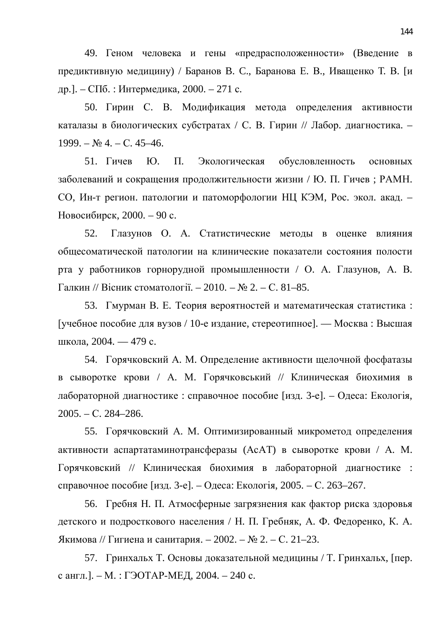49. Геном человека и гены «предрасположенности» (Введение в предиктивную медицину) / Баранов В. С., Баранова Е. В., Иващенко Т. В. [и др.]. – СПб. : Интермедика, 2000. – 271 с.

50. Гирин С. В. Модификация метода определения активности каталазы в биологических субстратах / С. В. Гирин // Лабор. диагностика. –  $1999. - N_2$  4. – C. 45–46.

51. Гичев Ю. П. Экологическая обусловленность основных заболеваний и сокращения продолжительности жизни / Ю. П. Гичев; РАМН. СО, Ин-т регион. патологии и патоморфологии НЦ КЭМ, Рос. экол. акад. – Новосибирск, 2000. – 90 с.

52. Глазунов О. А. Статистические методы в оценке влияния общесоматической патологии на клинические показатели состояния полости рта у работников горнорудной промышленности / О. А. Глазунов, А. В.  $\Gamma$ алкин // Вісник стоматології. – 2010. – № 2. – С. 81–85.

53. Гмурман В. Е. Теория вероятностей и математическая статистика: [учебное пособие для вузов / 10-е издание, стереотипное]. — Москва: Высшая школа, 2004. — 479 с.

54. Горячковский А. М. Определение активности щелочной фосфатазы в сыворотке крови / А. М. Горячковський // Клиническая биохимия в дабораторной диагностике : справочное пособие [изд. 3-е]. – Одеса: Екологія,  $2005. - C. 284 - 286.$ 

55. Горячковский А. М. Оптимизированный микрометод определения активности аспартатаминотрансферазы (АсАТ) в сыворотке крови / А. М. Горячковский // Клиническая биохимия в лабораторной диагностике : справочное пособие [изд. 3-е]. – Одеса: Екологія, 2005. – С. 263–267.

56. Гребня Н. П. Атмосферные загрязнения как фактор риска здоровья детского и подросткового населения / Н. П. Гребняк, А. Ф. Федоренко, К. А. Якимова // Гигиена и санитария. – 2002. – № 2. – С. 21–23.

57. Гринхальх Т. Основы доказательной медицины / Т. Гринхальх, [пер. с англ.]. – М.: ГЭОТАР-МЕД, 2004. – 240 с.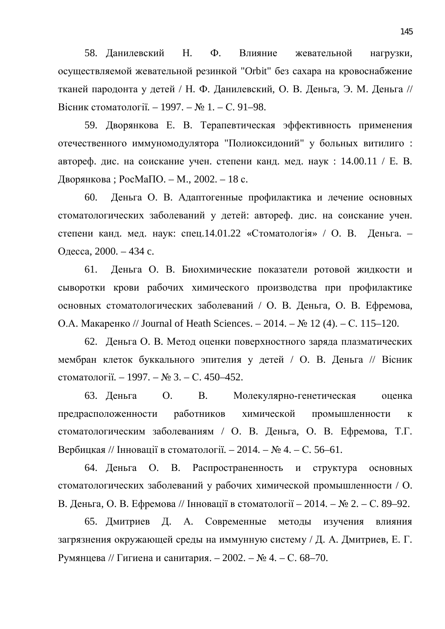58. Данилевский Н. Ф. Влияние жевательной нагрузки, осуществляемой жевательной резинкой "Orbit" без сахара на кровоснабжение тканей пародонта у детей / Н. Ф. Данилевский, О. В. Деньга, Э. М. Деньга // Вісник стоматології. – 1997. – № 1. – С. 91–98.

59. Дворянкова Е. В. Терапевтическая эффективность применения отечественного иммуномодулятора "Полиоксидоний" у больных витилиго: автореф. дис. на соискание учен. степени канд. мед. наук:  $14.00.11 / E. B.$ Дворянкова; РосМаПО. – М., 2002. – 18 с.

60. Деньга О. В. Адаптогенные профилактика и лечение основных стоматологических заболеваний у детей: автореф. дис. на соискание учен. степени канд. мед. наук: спец.14.01.22 «Стоматологія» / О. В. Деньга. -Одесса, 2000. – 434 с.

61. Деньга О. В. Биохимические показатели ротовой жидкости и сыворотки крови рабочих химического производства при профилактике основных стоматологических заболеваний / О. В. Деньга, О. В. Ефремова, О.А. Макаренко // Journal of Heath Sciences. – 2014. – № 12 (4). – С. 115–120.

62. Деньга О. В. Метод оценки поверхностного заряда плазматических мембран клеток буккального эпителия у детей / О. В. Деньга // Вісник стоматології. – 1997. – № 3. – С. 450–452.

63. Деньга О. В. Молекулярно-генетическая оценка предрасположенности работников химической промышленности к стоматологическим заболеваниям / О. В. Деньга, О. В. Ефремова, Т.Г. Вербицкая // Інновації в стоматології. – 2014. – № 4. – С. 56–61.

64. Деньга О. В. Распространенность и структура основных стоматологических заболеваний у рабочих химической промышленности / О. В. Деньга, О. В. Ефремова // Інновації в стоматології – 2014. – № 2. – С. 89–92.

65. Дмитриев Д. А. Современные методы изучения влияния загрязнения окружающей среды на иммунную систему / Д. А. Дмитриев, Е. Г. Румянцева // Гигиена и санитария. – 2002. – № 4. – С. 68–70.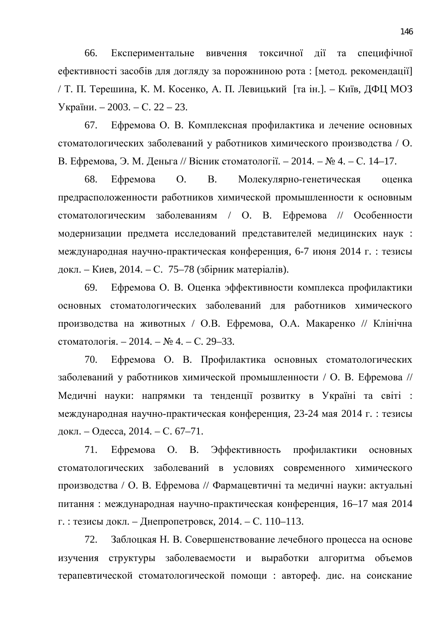66. Експериментальне вивчення токсичної дії та специфічної ефективності засобів для догляду за порожниною рота: [метод. рекомендації] / Т. П. Терешина, К. М. Косенко, А. П. Левицький [та ін.]. – Київ, ДФЦ МОЗ України. – 2003. – С. 22 – 23.

67. Ефремова О. В. Комплексная профилактика и лечение основных стоматологических заболеваний у работников химического производства / О. В. Ефремова, Э. М. Деньга // Вісник стоматології. – 2014. – № 4. – С. 14–17.

68. Ефремова О. В. Молекулярно-генетическая оценка предрасположенности работников химической промышленности к основным стоматологическим заболеваниям / О. В. Ефремова // Особенности модернизации предмета исследований представителей медицинских наук : международная научно-практическая конференция, 6-7 июня 2014 г. : тезисы докл. – Киев, 2014. – С. 75–78 (збірник матеріалів).

69. Ефремова О. В. Оценка эффективности комплекса профилактики основных стоматологических заболеваний для работников химического производства на животных / О.В. Ефремова, О.А. Макаренко // Клінічна стоматологія. – 2014. – № 4. – С. 29–33.

70. Ефремова О. В. Профилактика основных стоматологических заболеваний у работников химической промышленности / О. В. Ефремова // Медичні науки: напрямки та тенденції розвитку в Україні та світі : международная научно-практическая конференция, 23-24 мая 2014 г. : тезисы докл. – Одесса, 2014. – С. 67–71.

71. Ефремова О. В. Эффективность профилактики основных стоматологических заболеваний в условиях современного химического производства / О. В. Ефремова // Фармацевтичні та медичні науки: актуальні питання: международная научно-практическая конференция, 16–17 мая 2014 г. : тезисы докл. – Днепропетровск, 2014. – С. 110–113.

72. Заблоцкая Н. В. Совершенствование лечебного процесса на основе изучения структуры заболеваемости и выработки алгоритма объемов терапевтической стоматологической помощи: автореф. дис. на соискание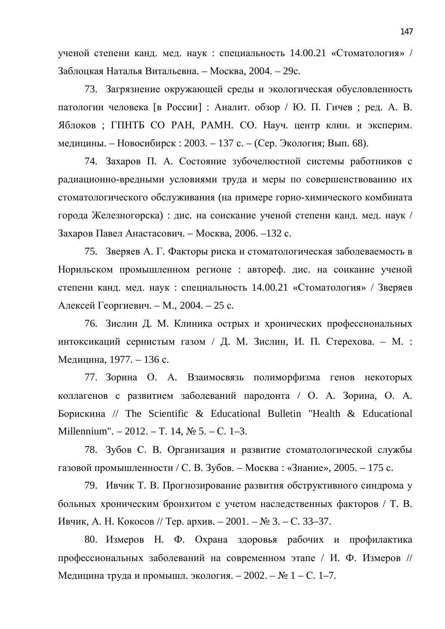ученой степени канд. мед. наук : специальность 14.00.21 «Стоматология» / Заблоцкая Наталья Витальевна. – Москва, 2004. – 29с.

73. Загрязнение окружающей среды и экологическая обусловленность патологии человека [в России] : Аналит. обзор / Ю. П. Гичев ; ред. А. В. Яблоков; ГПНТБ СО РАН, РАМН. СО. Науч. центр клин. и эксперим. медицины. – Новосибирск : 2003. – 137 с. – (Сер. Экология; Вып. 68).

74. Захаров П. А. Состояние зубочелюстной системы работников с радиационно-вредными условиями труда и меры по совершенствованию их стоматологического обслуживания (на примере горно-химического комбината города Железногорска) : дис. на соискание ученой степени канд. мед. наук / Захаров Павел Анастасович. – Москва, 2006. –132 с.

75. Зверяев А. Г. Факторы риска и стоматологическая заболеваемость в Норильском промышленном регионе : автореф. дис. на соикание ученой степени канд. мед. наук: специальность 14.00.21 «Стоматология» / Зверяев Алексей Георгиевич. – М., 2004. – 25 с.

76. Зислин Д. М. Клиника острых и хронических профессиональных интоксикаций сернистым газом / Д. М. Зислин, И. П. Стерехова. – М. : Медицина, 1977. – 136 с.

77. Зорина О. А. Взаимосвязь полиморфизма генов некоторых коллагенов с развитием заболеваний пародонта / О. А. Зорина, О. А. Борискина // The Scientific & Educational Bulletin "Health & Educational Millennium". – 2012. – T. 14,  $\mathbb{N}^{\circ}$  5. – C. 1–3.

78. Зубов С. В. Организация и развитие стоматологической службы газовой промышленности / С. В. Зубов. – Москва: «Знание», 2005. – 175 с.

79. Ивчик Т. В. Прогнозирование развития обструктивного синдрома у больных хроническим бронхитом с учетом наследственных факторов / Т. В. Ивчик, А. Н. Кокосов // Тер. архив. – 2001. – № 3. – С. 33–37.

80. Измеров Н. Ф. Охрана здоровья рабочих и профилактика профессиональных заболеваний на современном этапе / И. Ф. Измеров // Медицина труда и промышл. экология. – 2002. – № 1 – С. 1–7.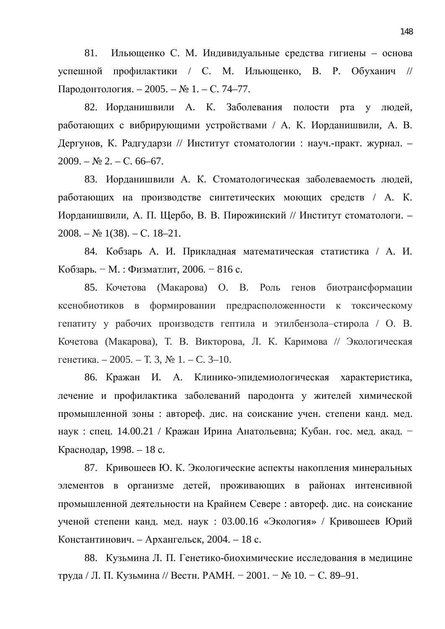81. Ильющенко С. М. Индивидуальные средства гигиены – основа успешной профилактики / С. М. Ильющенко, В. Р. Обуханич // Пародонтология. – 2005. – № 1. – С. 74–77.

82. Иорданишвили А. К. Заболевания полости рта у людей, работающих с вибрирующими устройствами / А. К. Иорданишвили, А. В. Дергунов, К. Радгударзи // Институт стоматологии : науч.-практ. журнал. - $2009. - N_2 2. - C. 66-67.$ 

83. Иорданишвили А. К. Стоматологическая заболеваемость людей, работающих на производстве синтетических моющих средств / А. К. Иорданишвили, А. П. Щербо, В. В. Пирожинский // Институт стоматологи. –  $2008. - N<sub>2</sub> 1(38). - C. 18-21.$ 

84. Кобзарь А. И. Прикладная математическая статистика / А. И. Кобзарь. - М.: Физматлит, 2006. - 816 с.

85. Кочетова (Макарова) О. В. Роль генов биотрансформации ксенобиотиков в формировании предрасположенности к токсическому гепатиту у рабочих производств гептила и этилбензола-стирола / О. В. Кочетова (Макарова), Т. В. Викторова, Л. К. Каримова // Экологическая генетика. – 2005. – Т. 3, № 1. – С. 3–10.

86. Кражан И. А. Клинико-эпидемиологическая характеристика, лечение и профилактика заболеваний пародонта у жителей химической промышленной зоны : автореф. дис. на соискание учен. степени канд. мед. наук: спец. 14.00.21 / Кражан Ирина Анатольевна; Кубан. гос. мед. акад. – Краснодар, 1998. – 18 с.

87. Кривошеев Ю. К. Экологические аспекты накопления минеральных элементов в организме детей, проживающих в районах интенсивной промышленной деятельности на Крайнем Севере: автореф. дис. на соискание ученой степени канд. мед. наук: 03.00.16 «Экология» / Кривошеев Юрий Константинович. – Архангельск, 2004. – 18 с.

88. Кузьмина Л. П. Генетико-биохимические исследования в медицине труда / Л. П. Кузьмина // Вестн. РАМН. – 2001. – № 10. – С. 89–91.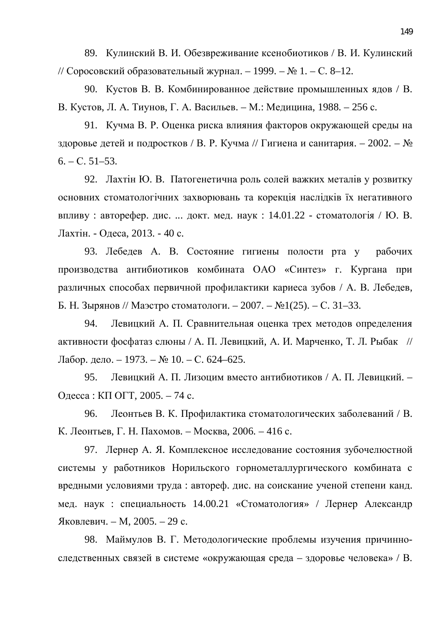89. Кулинский В. И. Обезвреживание ксенобиотиков / В. И. Кулинский // Соросовский образовательный журнал. – 1999. – № 1. – С. 8–12.

90. Кустов В. В. Комбинированное действие промышленных ядов / В. В. Кустов, Л. А. Тиунов, Г. А. Васильев. – М.: Медицина, 1988. – 256 с.

91. Кучма В. Р. Оценка риска влияния факторов окружающей среды на здоровье детей и подростков / В. Р. Кучма // Гигиена и санитария. – 2002. –  $\mathbb{N}_2$  $6. - C. 51-53.$ 

92. Лахтін Ю. В. Патогенетична роль солей важких металів у розвитку основних стоматологічних захворювань та корекція наслідків їх негативного впливу: авторефер. дис. ... докт. мед. наук:  $14.01.22$  - стоматологія / Ю. В. Лахтін. - Одеса, 2013. - 40 с.

93. Лебедев А. В. Состояние гигиены полости рта у рабочих производства антибиотиков комбината ОАО «Синтез» г. Кургана при различных способах первичной профилактики кариеса зубов / А. В. Лебедев, Б. Н. Зырянов // Маэстро стоматологи. – 2007. – №1(25). – С. 31–33.

94. Левицкий А. П. Сравнительная оценка трех методов определения активности фосфатаз слюны / А. П. Левицкий, А. И. Марченко, Т. Л. Рыбак // Лабор. дело. – 1973. – № 10. – С. 624–625.

95. Левицкий А. П. Лизоцим вместо антибиотиков / А. П. Левицкий. – Одесса : КП ОГТ, 2005. – 74 с.

96. Леонтьев В. К. Профилактика стоматологических заболеваний / В. К. Леонтьев, Г. Н. Пахомов. – Москва, 2006. – 416 с.

97. Лернер А. Я. Комплексное исследование состояния зубочелю стной системы у работников Норильского горнометаллургического комбината с вредными условиями труда : автореф. дис. на соискание ученой степени канд. мед. наук : специальность 14.00.21 «Стоматология» / Лернер Александр Яковлевич. – М, 2005. – 29 с.

98. Маймулов В. Г. Методологические проблемы изучения причинноследственных связей в системе «окружающая среда – здоровье человека» / В.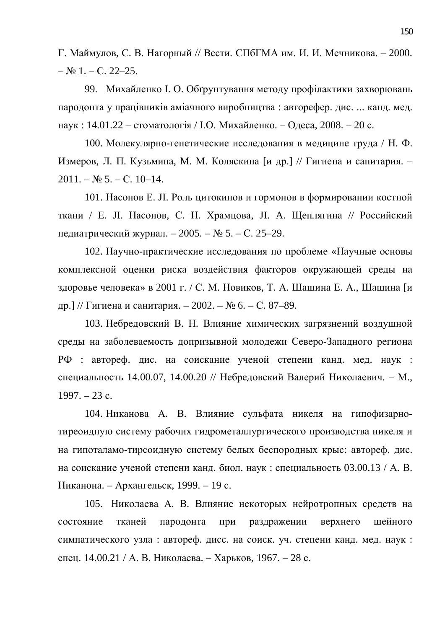Г. Маймулов, С. В. Нагорный // Вести. СПбГМА им. И. И. Мечникова. – 2000.  $-$  No 1. – C. 22–25.

99. Михайленко І. О. Обґрунтування методу профілактики захворювань пародонта у працівників аміачного виробництва: авторефер. дис. ... канд. мед. наук: 14.01.22 – стоматологія / І.О. Михайленко. – Одеса, 2008. – 20 с.

100. Молекулярно-генетические исследования в медицине труда / Н. Ф. Измеров, Л. П. Кузьмина, М. М. Коляскина [и др.] // Гигиена и санитария. –  $2011. - N$ <sup>o</sup> 5. – C. 10–14.

101. Насонов Е. JI. Роль цитокинов и гормонов в формировании костной ткани / Е. JI. Насонов, С. Н. Храмцова, JI. А. Щеплягина // Российский педиатрический журнал. – 2005. – № 5. – С. 25–29.

102. Научно-практические исследования по проблеме «Научные основы комплексной оценки риска воздействия факторов окружающей среды на здоровье человека» в 2001 г. / С. М. Новиков, Т. А. Шашина Е. А., Шашина [и др.] // Гигиена и санитария. – 2002. – № 6. – С. 87–89.

103. Небредовский В. Н. Влияние химических загрязнений воздушной среды на заболеваемость допризывной молодежи Северо-Западного региона РФ : автореф. дис. на соискание ученой степени канд. мед. наук : специальность 14.00.07, 14.00.20 // Небредовский Валерий Николаевич. – М.,  $1997. - 23$  c.

104. Никанова А. В. Влияние сульфата никеля на гипофизарнотиреоидную систему рабочих гидрометаллургического производства никеля и на гипоталамо-тирсоидную систему белых беспородных крыс: автореф. дис. на соискание ученой степени канд. биол. наук: специальность 03.00.13 / А. В. Никанона. – Архангельск, 1999. – 19 с.

105. Николаева А. В. Влияние некоторых нейротропных средств на состояние тканей пародонта при раздражении верхнего шейного симпатического узла : автореф. дисс. на соиск. уч. степени канд. мед. наук : спец. 14.00.21 / А. В. Николаева. – Харьков, 1967. – 28 с.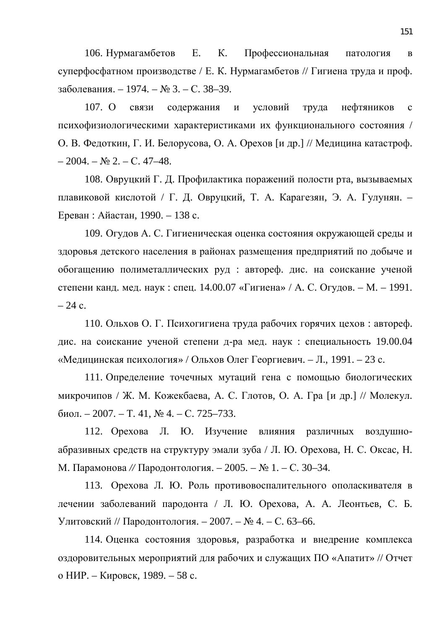106. Нурмагамбетов Е. К. Профессиональная патология в суперфосфатном производстве / Е. К. Нурмагамбетов // Гигиена труда и проф. заболевания. – 1974. – № 3. – С. 38–39.

107. О связи содержания и условий труда нефтяников с психофизиологическими характеристиками их функционального состояния / О. В. Федоткин, Г. И. Белорусова, О. А. Орехов [и др.] // Медицина катастроф.  $-2004. - N_2 2. - C. 47-48.$ 

108. Овруцкий Г. Д. Профилактика поражений полости рта, вызываемых плавиковой кислотой / Г. Д. Овруцкий, Т. А. Карагезян, Э. А. Гулунян. – Ереван: Айастан, 1990. – 138 с.

109. Огудов А. С. Гигиеническая оценка состояния окружающей среды и здоровья детского населения в районах размещения предприятий по добыче и обогащению полиметаллических руд : автореф. дис. на соискание ученой степени канд. мед. наук: спец. 14.00.07 «Гигиена» / А. С. Огудов. – М. – 1991.  $-24$  c.

110. Ольхов О. Г. Психогигиена труда рабочих горячих цехов: автореф. дис. на соискание ученой степени д-ра мед. наук : специальность 19.00.04 «Медицинская психология» / Ольхов Олег Георгиевич. – Л., 1991. – 23 с.

111. Определение точечных мутаций гена с помощью биологических микрочипов / Ж. М. Кожекбаева, А. С. Глотов, О. А. Гра [и др.] // Молекул.  $6\mu$ <sub>0</sub>. – 2007. – T. 41,  $\mathcal{N}_2$  4. – C. 725–733.

112. Орехова Л. Ю. Изучение влияния различных воздушноабразивных средств на структуру эмали зуба / Л. Ю. Орехова, Н. С. Оксас, Н. М. Парамонова // Пародонтология. – 2005. – № 1. – С. 30–34.

113. Орехова Л. Ю. Роль противовоспалительного ополаскивателя в лечении заболеваний пародонта / Л. Ю. Орехова, А. А. Леонтьев, С. Б. Улитовский // Пародонтология. – 2007. – № 4. – С. 63–66.

114. Оценка состояния здоровья, разработка и внедрение комплекса оздоровительных мероприятий для рабочих и служащих ПО «Апатит» // Отчет о НИР. – Кировск, 1989. – 58 с.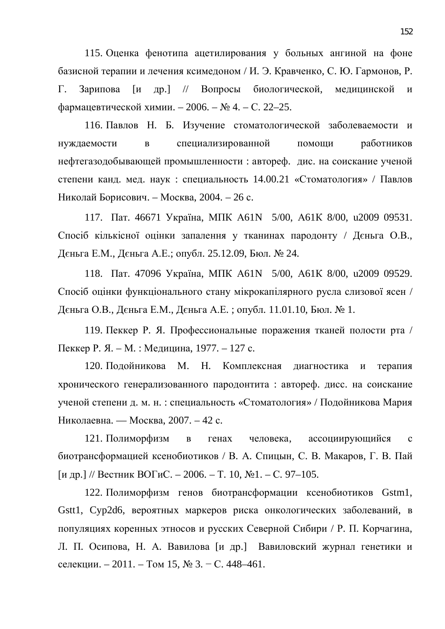115. Оценка фенотипа ацетилирования у больных ангиной на фоне базисной терапии и лечения ксимедоном / И. Э. Кравченко, С. Ю. Гармонов, Р. Г. Зарипова [и др.] // Вопросы биологической, медицинской и фармацевтической химии. – 2006. – № 4. – С. 22–25.

116. Павлов Н. Б. Изучение стоматологической заболеваемости и нуждаемости в специализированной помощи работников нефтегазодобывающей промышленности : автореф. дис. на соискание ученой степени канд. мед. наук: специальность 14.00.21 «Стоматология» / Павлов Николай Борисович. – Москва, 2004. – 26 с.

117. Пат. 46671 Україна, МПК А61N 5/00, А61К 8/00, u2009 09531. Спосіб кількісної оцінки запалення у тканинах пародонту / Дєньга О.В., Дєньга Е.М., Дєньга А.Е.; опубл. 25.12.09, Бюл. № 24.

118. Пат. 47096 Україна, МПК А61N 5/00, А61К 8/00, и2009 09529. Спосіб оцінки функціонального стану мікрокапілярного русла слизової ясен / Дєньга О.В., Дєньга Е.М., Дєньга А.Е.; опубл. 11.01.10, Бюл. № 1.

119. Пеккер Р. Я. Профессиональные поражения тканей полости рта / Пеккер Р. Я. – М. : Медицина, 1977. – 127 с.

120. Подойникова М. Н. Комплексная диагностика и терапия хронического генерализованного пародонтита : автореф. дисс. на соискание ученой степени д. м. н. : специальность «Стоматология» / Подойникова Мария Николаевна. — Москва, 2007. – 42 с.

121. Полиморфизм в генах человека, ассоциирующийся с биотрансформацией ксенобиотиков / В. А. Спицын, С. В. Макаров, Г. В. Пай [и др.] // Вестник ВОГиС. – 2006. – Т. 10,  $\mathbb{N}$ -1. – С. 97–105.

122. Полиморфизм генов биотрансформации ксенобиотиков Gstm1, Gstt1, Сур2d6, вероятных маркеров риска онкологических заболеваний, в популяциях коренных этносов и русских Северной Сибири / Р. П. Корчагина, Л. П. Осипова, Н. А. Вавилова [и др.] Вавиловский журнал генетики и селекции. – 2011. – Том 15, № 3. – С. 448–461.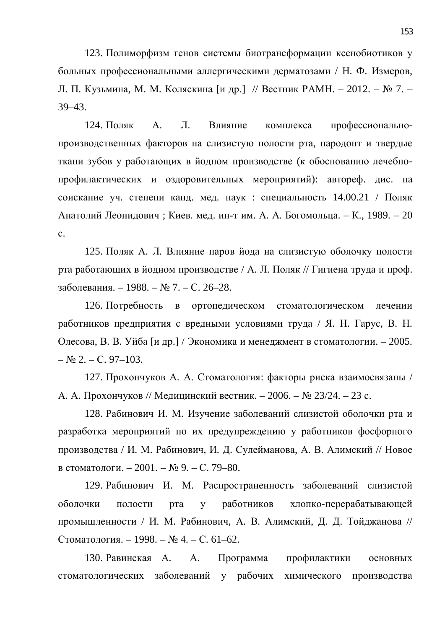123. Полиморфизм генов системы биотрансформации ксенобиотиков у больных профессиональными аллергическими дерматозами / Н. Ф. Измеров, Л. П. Кузьмина, М. М. Коляскина [и др.] // Вестник РАМН. – 2012. – № 7. – 39–43.

124. Поляк А. Л. Влияние комплекса профессиональнопроизводственных факторов на слизистую полости рта, пародонт и твердые ткани зубов у работающих в йодном производстве (к обоснованию лечебнопрофилактических и оздоровительных мероприятий): автореф. дис. на соискание уч. степени канд. мед. наук : специальность  $14.00.21$  / Поляк Анатолий Леонидович; Киев. мед. ин-т им. А. А. Богомольца. – К., 1989. – 20 ɫ.

125. Поляк А. Л. Влияние паров йода на слизистую оболочку полости рта работающих в йодном производстве / А. Л. Поляк // Гигиена труда и проф. заболевания. – 1988. – № 7. – С. 26–28.

126. Потребность в ортопедическом стоматологическом лечении работников предприятия с вредными условиями труда / Я. Н. Гарус, В. Н. Олесова, В. В. Уйба [и др.] / Экономика и менеджмент в стоматологии. – 2005.  $-$  No 2. – C. 97–103.

127. Прохончуков А. А. Стоматология: факторы риска взаимосвязаны / А. А. Прохончуков // Медицинский вестник. – 2006. – № 23/24. – 23 с.

128. Рабинович И. М. Изучение заболеваний слизистой оболочки рта и разработка мероприятий по их предупреждению у работников фосфорного производства / И. М. Рабинович, И. Д. Сулейманова, А. В. Алимский // Новое в стоматологи. – 2001. – № 9. – С. 79–80.

129. Рабинович И. М. Распространенность заболеваний слизистой оболочки полости рта у работников хлопко-перерабатывающей промышленности / И. М. Рабинович, А. В. Алимский, Д. Д. Тойджанова // Стоматология. – 1998. – № 4. – С. 61–62.

130. Равинская А. А. Программа профилактики основных стоматологических заболеваний у рабочих химического производства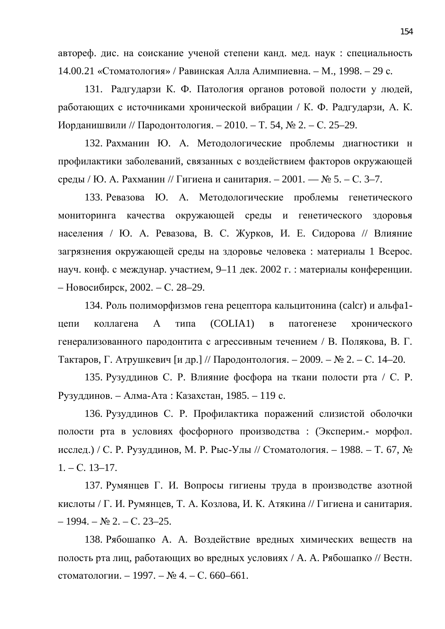автореф. дис. на соискание ученой степени канд. мед. наук: специальность 14.00.21 «Стоматология» / Равинская Алла Алимпиевна. – М., 1998. – 29 с.

131. Радгударзи К. Ф. Патология органов ротовой полости у людей, работающих с источниками хронической вибрации / К. Ф. Радгударзи, А. К. Иорданишвили // Пародонтология. – 2010. – Т. 54, № 2. – С. 25–29.

132. Рахманин Ю. А. Методологические проблемы диагностики н профилактики заболеваний, связанных с воздействием факторов окружающей среды / Ю. А. Рахманин // Гигиена и санитария. – 2001. — № 5. – С. 3–7.

133. Ревазова Ю. А. Методологические проблемы генетического мониторинга качества окружающей среды и генетического здоровья населения / Ю. А. Ревазова, В. С. Журков, И. Е. Сидорова // Влияние загрязнения окружающей среды на здоровье человека: материалы 1 Всерос. науч. конф. с междунар. участием, 9–11 дек. 2002 г. : материалы конференции. – Новосибирск, 2002. – С. 28–29.

134. Роль полиморфизмов гена рецептора кальцитонина (calcr) и альфа1иепи коллагена A типа (COLIA1) в патогенезе хронического генерализованного пародонтита с агрессивным течением / В. Полякова, В. Г. Тактаров, Г. Атрушкевич [и др.] // Пародонтология. – 2009. – № 2. – С. 14–20.

135. Рузуддинов С. Р. Влияние фосфора на ткани полости рта / С. Р. Рузуддинов. – Алма-Ата: Казахстан, 1985. – 119 с.

136. Рузуддинов С. Р. Профилактика поражений слизистой оболочки полости рта в условиях фосфорного производства : (Эксперим.- морфол. исслед.) / С. Р. Рузуддинов, М. Р. Рыс-Улы // Стоматология. – 1988. – Т. 67,  $\mathcal{N}_{\mathcal{Q}}$  $1. - C. 13 - 17.$ 

137. Румянцев Г. И. Вопросы гигиены труда в производстве азотной кислоты / Г. И. Румянцев, Т. А. Козлова, И. К. Атякина // Гигиена и санитария.  $-1994. - N_2$  2.  $- C. 23-25.$ 

138. Рябошапко А. А. Воздействие вредных химических веществ на полость рта лиц, работающих во вредных условиях / А. А. Рябошапко // Вестн. стоматологии. – 1997. – № 4. – С. 660–661.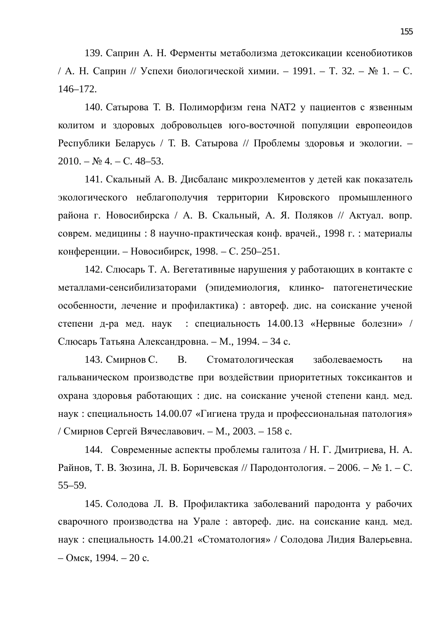139. Саприн А. Н. Ферменты метаболизма детоксикации ксенобиотиков / А. Н. Саприн // Успехи биологической химии. – 1991. – Т. 32. – № 1. – С. 146–172.

140. Сатырова Т. В. Полиморфизм гена NAT2 у пациентов с язвенным колитом и здоровых добровольцев юго-восточной популяции европеоидов Республики Беларусь / Т. В. Сатырова // Проблемы здоровья и экологии. –  $2010. - N<sub>2</sub> 4. - C. 48-53.$ 

141. Скальный А. В. Дисбаланс микроэлементов у детей как показатель экологического неблагополучия территории Кировского промышленного района г. Новосибирска / А. В. Скальный, А. Я. Поляков // Актуал. вопр. соврем. медицины : 8 научно-практическая конф. врачей., 1998 г. : материалы конференции. – Новосибирск, 1998. – С. 250–251.

142. Слюсарь Т. А. Вегетативные нарушения у работающих в контакте с металлами-сенсибилизаторами (эпидемиология, клинко- патогенетические особенности, лечение и профилактика) : автореф. дис. на соискание ученой степени д-ра мед. наук : специальность  $14.00.13$  «Нервные болезни» / Слюсарь Татьяна Александровна. – М., 1994. – 34 с.

143. Смирнов С. В. Стоматологическая заболеваемость на гальваническом производстве при воздействии приоритетных токсикантов и охрана здоровья работающих : дис. на соискание ученой степени канд. мед. наук: специальность 14.00.07 «Гигиена труда и профессиональная патология» / Смирнов Сергей Вячеславович. – М., 2003. – 158 с.

144. Современные аспекты проблемы галитоза / Н. Г. Дмитриева, Н. А. Райнов, Т. В. Зюзина, Л. В. Боричевская // Пародонтология. – 2006. – № 1. – С. 55–59.

145. Солодова Л. В. Профилактика заболеваний пародонта у рабочих сварочного производства на Урале : автореф. дис. на соискание канд. мед. наук: специальность 14.00.21 «Стоматология» / Солодова Лидия Валерьевна.  $-$  Омск, 1994. – 20 с.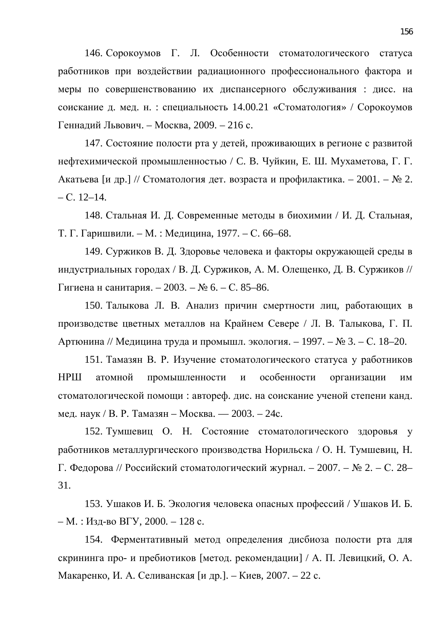146. Сорокоумов Г. Л. Особенности стоматологического статуса работников при воздействии радиационного профессионального фактора и меры по совершенствованию их диспансерного обслуживания : дисс. на соискание д. мед. н. : специальность  $14.00.21$  «Стоматология» / Сорокоумов Геннадий Львович. – Москва, 2009. – 216 с.

147. Состояние полости рта у детей, проживающих в регионе с развитой нефтехимической промышленностью / С. В. Чуйкин, Е. Ш. Мухаметова, Г. Г. Акатьева [и др.] // Стоматология дет. возраста и профилактика. – 2001. – № 2.  $- C. 12-14.$ 

148. Стальная И. Д. Современные методы в биохимии / И. Д. Стальная, Т. Г. Гаришвили. – М. : Медицина, 1977. – С. 66–68.

149. Суржиков В. Д. Здоровье человека и факторы окружающей среды в индустриальных городах / В. Д. Суржиков, А. М. Олещенко, Д. В. Суржиков // Гигиена н санитария. – 2003. – № 6. – С. 85–86.

150. Талыкова Л. В. Анализ причин смертности лиц, работающих в производстве цветных металлов на Крайнем Севере / Л. В. Талыкова, Г. П. Артюнина // Медицина труда и промышл. экология. – 1997. – № 3. – С. 18–20.

151. Тамазян В. Р. Изучение стоматологического статуса у работников НРШ атомной промышленности и особенности организации им стоматологической помощи: автореф. дис. на соискание ученой степени канд. мед. наук / В. Р. Тамазян – Москва. — 2003. – 24с.

152. Тумшевиц О. Н. Состояние стоматологического здоровья у работников металлургического производства Норильска / О. Н. Тумшевиц, Н.  $\Gamma$ . Федорова // Российский стоматологический журнал. – 2007. – № 2. – С. 28– 31.

153. Ушаков И. Б. Экология человека опасных профессий / Ушаков И. Б. – М. : Изд-во ВГУ, 2000. – 128 с.

154. Ферментативный метод определения дисбиоза полости рта для скрининга про- и пребиотиков [метод. рекомендации] / А. П. Левицкий, О. А. Макаренко, И. А. Селиванская [и др.]. – Киев, 2007. – 22 с.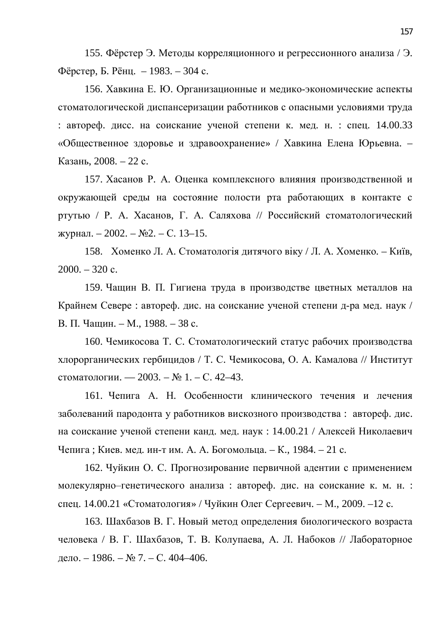155. Фёрстер Э. Методы корреляционного и регрессионного анализа / Э. Фёрстер, Б. Рёнц. – 1983. – 304 с.

156. Хавкина Е. Ю. Организационные и медико-экономические аспекты стоматологической диспансеризации работников с опасными условиями труда : автореф. дисс. на соискание ученой степени к. мед. н. : спец. 14.00.33 «Общественное здоровье и здравоохранение» / Хавкина Елена Юрьевна. – Казань, 2008. – 22 с.

157. Хасанов Р. А. Оценка комплексного влияния производственной и окружающей среды на состояние полости рта работающих в контакте с ртутью / Р. А. Хасанов, Г. А. Саляхова // Российский стоматологический журнал. – 2002. – №2. – С. 13–15.

158. Хоменко Л. А. Стоматологія дитячого віку / Л. А. Хоменко. – Київ,  $2000. - 320$  c.

159. Чащин В. П. Гигиена труда в производстве цветных металлов на Крайнем Севере : автореф. дис. на соискание ученой степени д-ра мед. наук / В. П. Чащин. – М., 1988. – 38 с.

160. Чемикосова Т. С. Стоматологический статус рабочих производства хлорорганических гербицидов / Т. С. Чемикосова, О. А. Камалова // Институт стоматологии. — 2003. –  $N_2$  1. – С. 42–43.

161. Чепига А. Н. Особенности клинического течения и лечения заболеваний пародонта у работников вискозного производства: автореф. дис. на соискание ученой степени канд. мед. наук: 14.00.21 / Алексей Николаевич Чепига; Киев. мед. ин-т им. А. А. Богомольца. – К., 1984. – 21 с.

162. Чуйкин О. С. Прогнозирование первичной адентии с применением молекулярно-генетического анализа : автореф. дис. на соискание к. м. н. : спец. 14.00.21 «Стоматология» / Чуйкин Олег Сергеевич. – М., 2009. –12 с.

163. Шахбазов В. Г. Новый метод определения биологического возраста человека / В. Г. Шахбазов, Т. В. Колупаева, А. Л. Набоков // Лабораторное дело. – 1986. – № 7. – С. 404–406.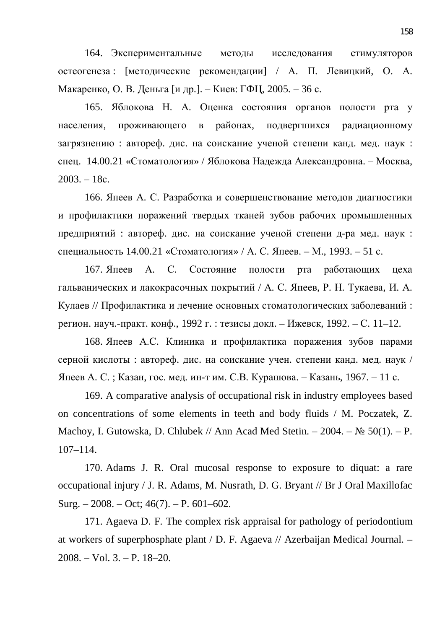164. Экспериментальные методы исследования стимуляторов остеогенеза: [методические рекомендации] / А. П. Левицкий, О. А. Макаренко, О. В. Деньга [и др.]. – Киев: ГФЦ, 2005. – 36 с.

165. Яблокова Н. А. Оценка состояния органов полости рта у населения, проживающего в районах, подвергшихся радиационному загрязнению : автореф. дис. на соискание ученой степени канд. мед. наук : спец. 14.00.21 «Стоматология» / Яблокова Надежда Александровна. – Москва,  $2003. - 18c.$ 

166. Япеев А. С. Разработка и совершенствование методов диагностики и профилактики поражений твердых тканей зубов рабочих промышленных предприятий : автореф. дис. на соискание ученой степени д-ра мед. наук : специальность 14.00.21 «Стоматология» / А. С. Япеев. – М., 1993. – 51 с.

167. Япеев А. С. Состояние полости рта работающих цеха гальванических и лакокрасочных покрытий / А. С. Япеев, Р. Н. Тукаева, И. А. Кулаев // Профилактика и лечение основных стоматологических заболеваний : регион. науч.-практ. конф., 1992 г. : тезисы докл. – Ижевск, 1992. – С. 11–12.

168. Япеев А.С. Клиника и профилактика поражения зубов парами серной кислоты : автореф. дис. на соискание учен. степени канд. мед. наук / Япеев А. С.; Казан, гос. мед. ин-т им. С.В. Курашова. – Казань, 1967. – 11 с.

169. A comparative analysis of occupational risk in industry employees based on concentrations of some elements in teeth and body fluids / M. Poczatek, Z. Machoy, I. Gutowska, D. Chlubek // Ann Acad Med Stetin.  $-2004$ .  $- \mathcal{N}$  50(1).  $- P$ . 107–114.

170. Adams J. R. Oral mucosal response to exposure to diquat: a rare occupational injury / J. R. Adams, M. Nusrath, D. G. Bryant // Br J Oral Maxillofac Surg.  $-2008$ .  $-$  Oct; 46(7).  $-$  P. 601–602.

171. Agaeva D. F. The complex risk appraisal for pathology of periodontium at workers of superphosphate plant / D. F. Agaeva // Azerbaijan Medical Journal. – 2008. – Vol. 3. – P. 18–20.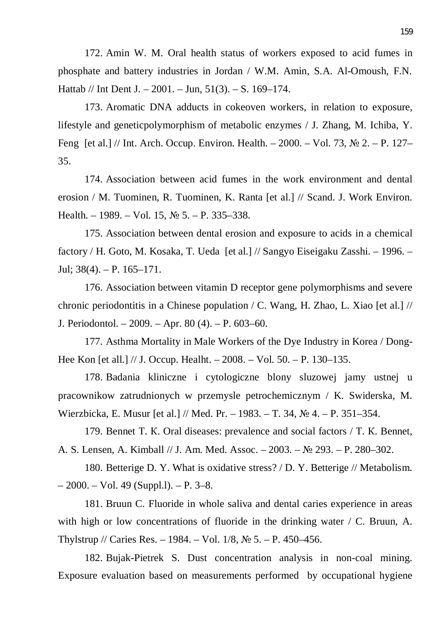172. Amin W. M. Oral health status of workers exposed to acid fumes in phosphate and battery industries in Jordan / W.M. Amin, S.A. Al-Omoush, F.N. Hattab // Int Dent J. – 2001. – Jun, 51(3). – S. 169–174.

173. Aromatic DNA adducts in cokeoven workers, in relation to exposure, lifestyle and geneticpolymorphism of metabolic enzymes / J. Zhang, M. Ichiba, Y. Feng [et al.] // Int. Arch. Occup. Environ. Health.  $-2000$ .  $-$  Vol. 73,  $\mathbb{N}^{\circ}$  2.  $-$  P. 127– 35.

174. Association between acid fumes in the work environment and dental erosion / M. Tuominen, R. Tuominen, K. Ranta [et al.] // Scand. J. Work Environ. Health. – 1989. – Vol. 15,  $\mathbb{N}^{\circ}$  5. – P. 335–338.

175. Association between dental erosion and exposure to acids in a chemical factory / H. Goto, M. Kosaka, T. Ueda [et al.] // Sangyo Eiseigaku Zasshi. – 1996. – Jul;  $38(4)$ . – P.  $165-171$ .

176. Association between vitamin D receptor gene polymorphisms and severe chronic periodontitis in a Chinese population / C. Wang, H. Zhao, L. Xiao [et al.] // J. Periodontol. – 2009. – Apr. 80 (4). – P. 603–60.

177. Asthma Mortality in Male Workers of the Dye Industry in Korea / Dong-Hee Kon [et all.] // J. Occup. Healht. – 2008. – Vol. 50. – P. 130–135.

178. Badania kliniczne i cytologiczne blony sluzowej jamy ustnej u pracownikow zatrudnionych w przemysle petrochemicznym / K. Swiderska, M. Wierzbicka, E. Musur [et al.] // Med. Pr. – 1983. – T. 34, ʋ 4. – P. 351–354.

179. Bennet T. K. Oral diseases: prevalence and social factors / T. K. Bennet, A. S. Lensen, A. Kimball // J. Am. Med. Assoc. – 2003. – № 293. – P. 280–302.

180. Betterige D. Y. What is oxidative stress? / D. Y. Betterige // Metabolism.  $-2000. - Vol. 49 (Suppl.1). - P. 3-8.$ 

181. Bruun C. Fluoride in whole saliva and dental caries experience in areas with high or low concentrations of fluoride in the drinking water / C. Bruun, A. Thylstrup // Caries Res. – 1984. – Vol. 1/8,  $\mathbb{N}^{\circ}$  5. – P. 450–456.

182. Bujak-Pietrek S. Dust concentration analysis in non-coal mining. Exposure evaluation based on measurements performed by occupational hygiene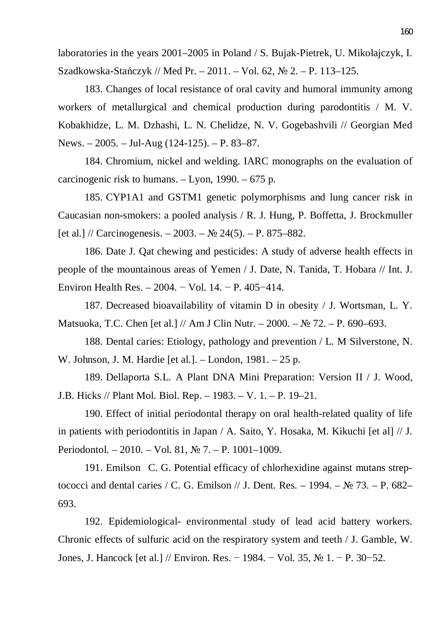laboratories in the years 2001–2005 in Poland / S. Bujak-Pietrek, U. Mikołajczyk, I. Szadkowska-Stańczyk // Med Pr. – 2011. – Vol. 62,  $\mathcal{N}_2$  2. – P. 113–125.

183. Changes of local resistance of oral cavity and humoral immunity among workers of metallurgical and chemical production during parodontitis / M. V. Kobakhidze, L. M. Dzhashi, L. N. Chelidze, N. V. Gogebashvili // Georgian Med News. – 2005. – Jul-Aug (124-125). – P. 83–87.

184. Chromium, nickel and welding. IARC monographs on the evaluation of carcinogenic risk to humans.  $-$  Lyon, 1990.  $-$  675 p.

185. CYP1A1 and GSTM1 genetic polymorphisms and lung cancer risk in Caucasian non-smokers: a pooled analysis / R. J. Hung, P. Boffetta, J. Brockmuller [et al.] // Carcinogenesis.  $- 2003$ .  $- \mathbb{N}$  24(5).  $- \mathbb{P}$ . 875–882.

186. Date J. Qat chewing and pesticides: A study of adverse health effects in people of the mountainous areas of Yemen / J. Date, N. Tanida, T. Hobara // Int. J. Environ Health Res. – 2004. – Vol. 14. – P. 405–414.

187. Decreased bioavailability of vitamin D in obesity / J. Wortsman, L. Y. Matsuoka, T.C. Chen [et al.] // Am J Clin Nutr. – 2000. –  $\mathbb{N}^2$  72. – P. 690–693.

188. Dental caries: Etiology, pathology and prevention / L. M Silverstone, N. W. Johnson, J. M. Hardie [et al.]. – London, 1981. – 25 p.

189. Dellaporta S.L. A Plant DNA Mini Preparation: Version II / J. Wood, J.B. Hicks // Plant Mol. Biol. Rep. – 1983. – V. 1. – P. 19–21.

190. Effect of initial periodontal therapy on oral health-related quality of life in patients with periodontitis in Japan / A. Saito, Y. Hosaka, M. Kikuchi [et al] // J. Periodontol. – 2010. – Vol. 81,  $\mathbb{N}^{\circ}$  7. – P. 1001–1009.

191. Emilson C. G. Potential efficacy of chlorhexidine against mutans streptococci and dental caries / C. G. Emilson // J. Dent. Res.  $-$  1994.  $-$  N° 73.  $-$  P. 682-693.

192. Epidemiological- environmental study of lead acid battery workers. Chronic effects of sulfuric acid on the respiratory system and teeth / J. Gamble, W. Jones, J. Hancock [et al.] // Environ. Res. – 1984. – Vol. 35,  $\mathcal{N}_2$  1. – P. 30–52.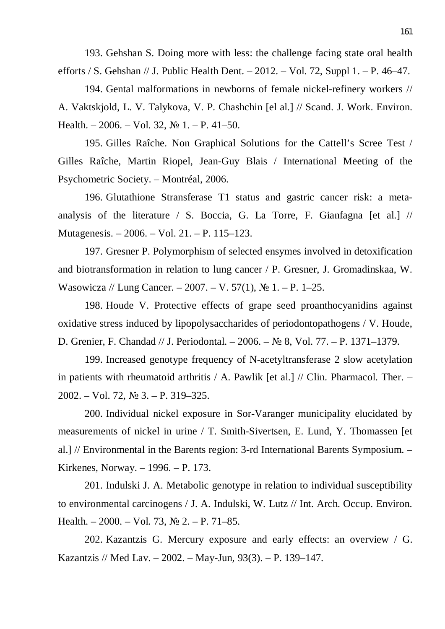193. Gehshan S. Doing more with less: the challenge facing state oral health efforts / S. Gehshan // J. Public Health Dent.  $-2012$ .  $-$  Vol. 72, Suppl 1.  $-$  P. 46–47.

194. Gental malformations in newborns of female nickel-refinery workers // A. Vaktskjold, L. V. Talykova, V. P. Chashchin [el al.] // Scand. J. Work. Environ. Health. – 2006. – Vol. 32,  $\mathbb{N}$  1. – P. 41–50.

195. Gilles Raîche. Non Graphical Solutions for the Cattell's Scree Test / Gilles Raîche, Martin Riopel, Jean-Guy Blais / International Meeting of the Psychometric Society. – Montréal, 2006.

196. Glutathione Stransferase T1 status and gastric cancer risk: a metaanalysis of the literature / S. Boccia, G. La Torre, F. Gianfagna [et al.] // Mutagenesis. – 2006. – Vol. 21. – P. 115–123.

197. Gresner P. Polymorphism of selected ensymes involved in detoxification and biotransformation in relation to lung cancer / P. Gresner, J. Gromadinskaa, W. Wasowicza // Lung Cancer.  $-2007. - V. 57(1)$ ,  $N_2$  1.  $- P. 1-25$ .

198. Houde V. Protective effects of grape seed proanthocyanidins against oxidative stress induced by lipopolysaccharides of periodontopathogens / V. Houde, D. Grenier, F. Chandad // J. Periodontal. – 2006. – № 8, Vol. 77. – P. 1371–1379.

199. Increased genotype frequency of N-acetyltransferase 2 slow acetylation in patients with rheumatoid arthritis / A. Pawlik [et al.] // Clin. Pharmacol. Ther. –  $2002. - Vol. 72, N<sub>2</sub> 3. - P. 319-325.$ 

200. Individual nickel exposure in Sor-Varanger municipality elucidated by measurements of nickel in urine / T. Smith-Sivertsen, E. Lund, Y. Thomassen [et al.] // Environmental in the Barents region: 3-rd International Barents Symposium. – Kirkenes, Norway. – 1996. – P. 173.

201. Indulski J. A. Metabolic genotype in relation to individual susceptibility to environmental carcinogens / J. A. Indulski, W. Lutz // Int. Arch. Occup. Environ. Health. – 2000. – Vol. 73,  $\mathbb{N}^2$  2. – P. 71–85.

202. Kazantzis G. Mercury exposure and early effects: an overview / G. Kazantzis // Med Lav. – 2002. – May-Jun, 93(3). – P. 139–147.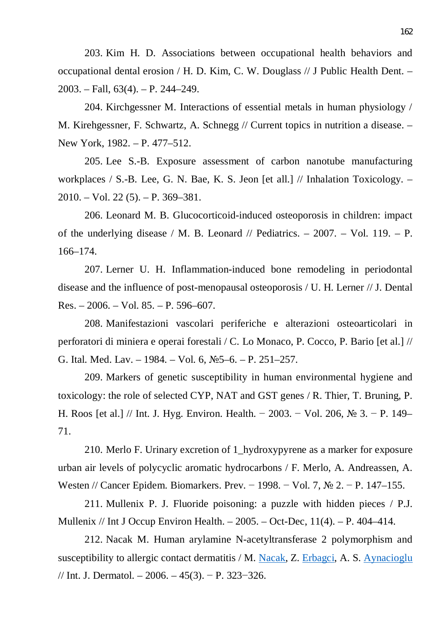203. Kim H. D. Associations between occupational health behaviors and occupational dental erosion / H. D. Kim, C. W. Douglass // J Public Health Dent. – 2003. – Fall, 63(4). – P. 244–249.

204. Kirchgessner M. Interactions of essential metals in human physiology / M. Kirehgessner, F. Schwartz, A. Schnegg // Current topics in nutrition a disease. – New York, 1982. – P. 477–512.

205. Lee S.-B. Exposure assessment of carbon nanotube manufacturing workplaces / S.-B. Lee, G. N. Bae, K. S. Jeon [et all.] // Inhalation Toxicology. – 2010. – Vol. 22 (5). – P. 369–381.

206. Leonard M. B. Glucocorticoid-induced osteoporosis in children: impact of the underlying disease / M. B. Leonard // Pediatrics. – 2007. – Vol. 119. – P. 166–174.

207. Lerner U. H. Inflammation-induced bone remodeling in periodontal disease and the influence of post-menopausal osteoporosis / U. H. Lerner // J. Dental Res. – 2006. – Vol. 85. – P. 596–607.

208. Manifestazioni vascolari periferiche e alterazioni osteoarticolari in perforatori di miniera e operai forestali / C. Lo Monaco, P. Cocco, P. Bario [et al.] // G. Ital. Med. Lav. – 1984. – Vol. 6,  $N_{2}$ 5–6. – P. 251–257.

209. Markers of genetic susceptibility in human environmental hygiene and toxicology: the role of selected CYP, NAT and GST genes / R. Thier, T. Bruning, P. H. Roos [et al.] // Int. J. Hyg. Environ. Health. – 2003. – Vol. 206,  $\mathcal{N}_2$  3. – P. 149– 71.

210. Merlo F. Urinary excretion of 1\_hydroxypyrene as a marker for exposure urban air levels of polycyclic aromatic hydrocarbons / F. Merlo, A. Andreassen, A. Westen // Cancer Epidem. Biomarkers. Prev. – 1998. – Vol. 7,  $\mathbb{N}^{\circ}$  2. – P. 147–155.

211. Mullenix P. J. Fluoride poisoning: a puzzle with hidden pieces / P.J. Mullenix // Int J Occup Environ Health.  $-2005$ .  $-$  Oct-Dec, 11(4).  $-$  P. 404–414.

212. Nacak M. Human arylamine N-acetyltransferase 2 polymorphism and susceptibility to allergic contact dermatitis / M. Nacak, Z. Erbagci, A. S. Aynacioglu // Int. J. Dermatol. –  $2006. -45(3)$ . – P. 323–326.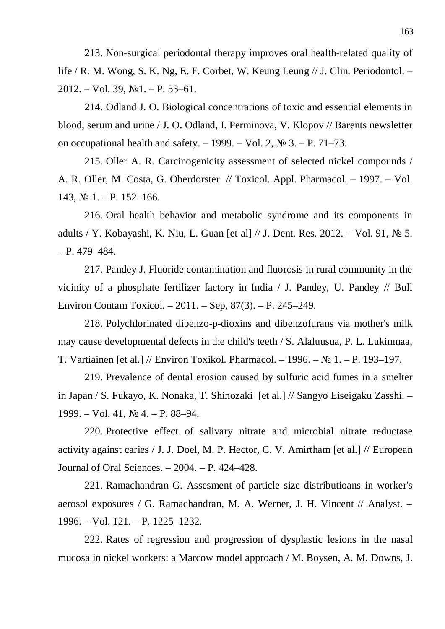213. Non-surgical periodontal therapy improves oral health-related quality of life / R. M. Wong, S. K. Ng, E. F. Corbet, W. Keung Leung // J. Clin. Periodontol. –  $2012. - Vol. 39, N<sub>2</sub>1. - P. 53-61.$ 

214. Odland J. O. Biological concentrations of toxic and essential elements in blood, serum and urine / J. O. Odland, I. Perminova, V. Klopov // Barents newsletter on occupational health and safety.  $-1999$ .  $-$  Vol. 2,  $\mathbb{N}^{\circ}$  3.  $-$  P. 71–73.

215. Oller A. R. Carcinogenicity assessment of selected nickel compounds / A. R. Oller, M. Costa, G. Oberdorster // Toxicol. Appl. Pharmacol. – 1997. – Vol.  $143, N<sub>2</sub> 1. - P. 152–166.$ 

216. Oral health behavior and metabolic syndrome and its components in adults / Y. Kobayashi, K. Niu, L. Guan [et al]  $// J.$  Dent. Res. 2012. – Vol. 91,  $\mathbb{N}^{\circ}$  5. – P. 479–484.

217. Pandey J. Fluoride contamination and fluorosis in rural community in the vicinity of a phosphate fertilizer factory in India / J. Pandey, U. Pandey // Bull Environ Contam Toxicol. – 2011. – Sep, 87(3). – P. 245–249.

218. Polychlorinated dibenzo-p-dioxins and dibenzofurans via mother's milk may cause developmental defects in the child's teeth / S. Alaluusua, P. L. Lukinmaa, T. Vartiainen [et al.] // Environ Toxikol. Pharmacol. – 1996. –  $\mathbb{N}$  1. – P. 193–197.

219. Prevalence of dental erosion caused by sulfuric acid fumes in a smelter in Japan / S. Fukayo, K. Nonaka, T. Shinozaki [et al.] // Sangyo Eiseigaku Zasshi. – 1999. – Vol. 41,  $\mathbb{N}^{\circ}$  4. – P. 88–94.

220. Protective effect of salivary nitrate and microbial nitrate reductase activity against caries / J. J. Doel, M. P. Hector, C. V. Amirtham [et al.] // European Journal of Oral Sciences. – 2004. – P. 424–428.

221. Ramachandran G. Assesment of particle size distributioans in worker's aerosol exposures / G. Ramachandran, M. A. Werner, J. H. Vincent // Analyst. – 1996. – Vol. 121. – P. 1225–1232.

222. Rates of regression and progression of dysplastic lesions in the nasal mucosa in nickel workers: a Marcow model approach / M. Boysen, A. M. Downs, J.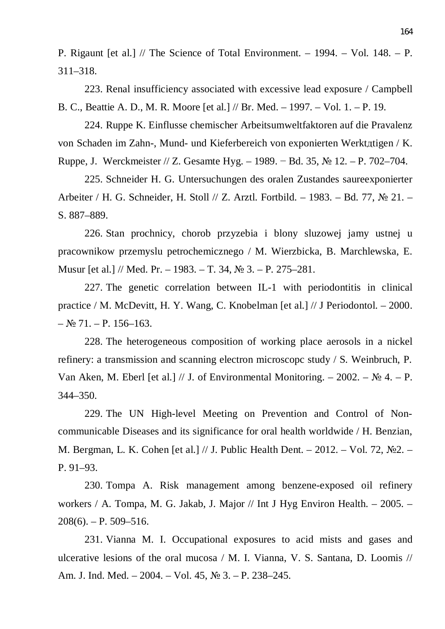P. Rigaunt [et al.] // The Science of Total Environment. – 1994. – Vol. 148. – P. 311–318.

223. Renal insufficiency associated with excessive lead exposure / Campbell B. C., Beattie A. D., M. R. Moore [et al.] // Br. Med. – 1997. – Vol. 1. – P. 19.

224. Ruppe K. Einflusse chemischer Arbeitsumweltfaktoren auf die Pravalenz von Schaden im Zahn-, Mund- und Kieferbereich von exponierten Werktgtigen / K. Ruppe, J. Werckmeister // Z. Gesamte Hyg. – 1989. – Bd. 35,  $\mathbb{N}^{\circ}$  12. – P. 702–704.

225. Schneider H. G. Untersuchungen des oralen Zustandes saureexponierter Arbeiter / H. G. Schneider, H. Stoll  $// Z.$  Arztl. Fortbild. – 1983. – Bd. 77,  $\mathbb{N}^{\circ}$  21. – S. 887–889.

226. Stan prochnicy, chorob przyzebia i blony sluzowej jamy ustnej u pracownikow przemyslu petrochemicznego / M. Wierzbicka, B. Marchlewska, E. Musur [et al.] // Med. Pr. – 1983. – T. 34,  $\mathcal{N}$  3. – P. 275–281.

227. The genetic correlation between IL-1 with periodontitis in clinical practice / Ɇ. McDevitt, H. Y. Wang, C. Knobelman [et al.] // J Periodontol. – 2000.  $-$  No 71. – P. 156–163.

228. The heterogeneous composition of working place aerosols in a nickel refinery: a transmission and scanning electron microscopc study / S. Weinbruch, P. Van Aken, M. Eberl [et al.] // J. of Environmental Monitoring.  $-2002 - N_2 4 - P$ . 344–350.

229. The UN High-level Meeting on Prevention and Control of Noncommunicable Diseases and its significance for oral health worldwide / H. Benzian, M. Bergman, L. K. Cohen [et al.] // J. Public Health Dent. – 2012. – Vol. 72,  $\mathbb{N}^2$ . – P. 91–93.

230. Tompa A. Risk management among benzene-exposed oil refinery workers / A. Tompa, M. G. Jakab, J. Major // Int J Hyg Environ Health. – 2005. –  $208(6)$ . – P. 509–516.

231. Vianna M. I. Occupational exposures to acid mists and gases and ulcerative lesions of the oral mucosa / M. I. Vianna, V. S. Santana, D. Loomis // Am. J. Ind. Med. – 2004. – Vol. 45,  $\mathbb{N}^{\circ}$  3. – P. 238–245.